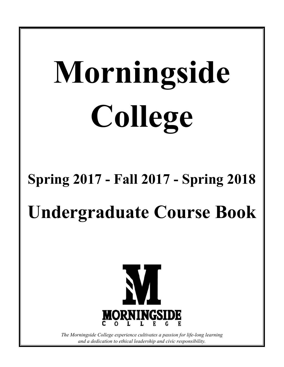# **Morningside College**

# **Spring 2017 - Fall 2017 - Spring 2018**

# **Undergraduate Course Book**



*The Morningside College experience cultivates a passion for life-long learning and a dedication to ethical leadership and civic responsibility.*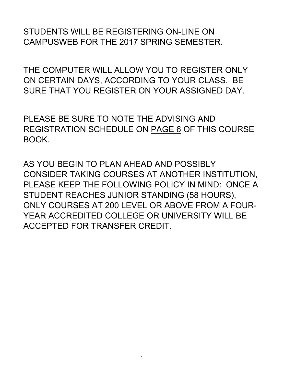# STUDENTS WILL BE REGISTERING ON-LINE ON CAMPUSWEB FOR THE 2017 SPRING SEMESTER.

THE COMPUTER WILL ALLOW YOU TO REGISTER ONLY ON CERTAIN DAYS, ACCORDING TO YOUR CLASS. BE SURE THAT YOU REGISTER ON YOUR ASSIGNED DAY.

PLEASE BE SURE TO NOTE THE ADVISING AND REGISTRATION SCHEDULE ON PAGE 6 OF THIS COURSE BOOK.

AS YOU BEGIN TO PLAN AHEAD AND POSSIBLY CONSIDER TAKING COURSES AT ANOTHER INSTITUTION, PLEASE KEEP THE FOLLOWING POLICY IN MIND: ONCE A STUDENT REACHES JUNIOR STANDING (58 HOURS), ONLY COURSES AT 200 LEVEL OR ABOVE FROM A FOUR-YEAR ACCREDITED COLLEGE OR UNIVERSITY WILL BE ACCEPTED FOR TRANSFER CREDIT.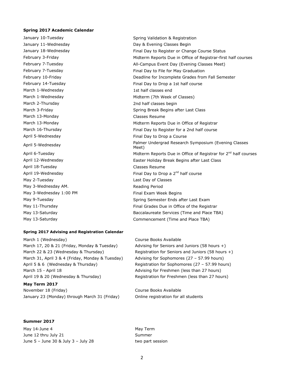#### **Spring 2017 Academic Calendar**

March 1-Wednesday 1st half classes end March 2-Thursday 2nd half classes begin March 13-Monday **Classes Resume** April 5-Wednesday Final Day to Drop a Course April 18-Tuesday **Classes** Resume May 2-Tuesday **Last Day of Classes** May 3-Wednesday AM. The matrix of the Reading Period May 3-Wednesday 1:00 PM Final Exam Week Begins

#### **Spring 2017 Advising and Registration Calendar**

March 1 (Wednesday) Course Books Available March 17, 20 & 21 (Friday, Monday & Tuesday) Advising for Seniors and Juniors (58 hours +) March 22 & 23 (Wednesday & Thursday) Registration for Seniors and Juniors (58 hours +) March 31, April 3 & 4 (Friday, Monday & Tuesday) Advising for Sophomores (27 – 57.99 hours) April 5 & 6 (Wednesday & Thursday) Registration for Sophomores (27 – 57.99 hours) March 15 - April 18 March 15 - April 18 Advising for Freshmen (less than 27 hours) April 19 & 20 (Wednesday & Thursday) Registration for Freshmen (less than 27 hours)

#### **May Term 2017**

November 18 (Friday) and the Course Books Available January 23 (Monday) through March 31 (Friday) Online registration for all students

#### **Summer 2017**

May 14-June 4 May Term June 12 thru July 21 Summer June  $5 -$  June  $30 \&$  July  $3 -$  July  $28$  two part session

January 10-Tuesday The Spring Validation & Registration January 11-Wednesday **Day & Evening Classes Begin** January 18-Wednesday **Final Day to Register or Change Course Status** Final Day to Register or Change Course Status February 3-Friday Midterm Reports Due in Office of Registrar-first half courses February 7-Tuesday **All-Campus Event Day (Evening Classes Meet)** All-Campus Event Day (Evening Classes Meet) February 7-Tuesday **Final Day to File for May Graduation** February 10-Friday **Deadline for Incomplete Grades from Fall Semester** February 14-Tuesday **Final Day to Drop a 1st half course** March 1-Wednesday Midterm (7th Week of Classes) March 3-Friday Spring Break Begins after Last Class March 13-Monday Midterm Reports Due in Office of Registrar March 16-Thursday **Final Day to Register for a 2nd half course** April 5-Wednesday **Palmer Undergrad Research Symposium (Evening Classes** Meet) April 6-Tuesday Midterm Reports Due in Office of Reqistrar for 2<sup>nd</sup> half courses April 12-Wednesday **Easter Holiday Break Begins after Last Class** Easter Holiday Break Begins after Last Class April 19-Wednesday **Final Day to Drop a 2<sup>nd</sup> half course** May 9-Tuesday Spring Semester Ends after Last Exam May 11-Thursday May 11-Thursday Final Grades Due in Office of the Registrar May 13-Saturday Baccalaureate Services (Time and Place TBA) May 13-Saturday **Comment (Time and Place TBA)** Commencement (Time and Place TBA)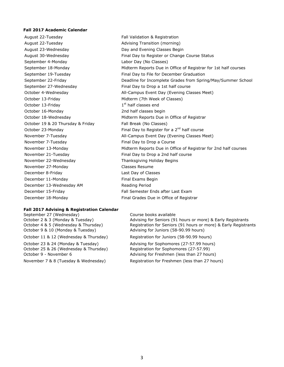#### **Fall 2017 Academic Calendar**

August 22-Tuesday **August 22-Tuesday** Advising Transition (morning) August 23-Wednesday Day and Evening Classes Begin September 4-Monday **Labor Day (No Classes)** September 27-Wednesday Final Day to Drop a 1st half course October 13-Friday Midterm (7th Week of Classes) October 13-Friday  $1<sup>st</sup>$  half classes end October 16-Monday 2nd half classes begin October 19 & 20 Thursday & Friday Fall Break (No Classes) November 7-Tuesday **Final Day to Drop a Course** November 22-Wednesday Thanksgiving Holiday Begins November 27-Monday Classes Resume December 8-Friday Communication Classes December 11-Monday **Final Exams** Begin December 13-Wednesday AM Reading Period December 18-Monday The State of Registrarian Christian Einal Grades Due in Office of Registrar

August 22-Tuesday Fall Validation & Registration August 30-Wednesday Final Day to Register or Change Course Status September 18-Monday Midterm Reports Due in Office of Registrar for 1st half courses September 19-Tuesday **Final Day to File for December Graduation** September 22-Friday Deadline for Incomplete Grades from Spring/May/Summer School October 4-Wednesday All-Campus Event Day (Evening Classes Meet) October 18-Wednesday Midterm Reports Due in Office of Registrar October 23-Monday  $\qquad \qquad$  Final Day to Register for a 2<sup>nd</sup> half course November 7-Tuesday All-Campus Event Day (Evening Classes Meet) November 13-Monday **Midterm Reports Due in Office of Registrar for 2nd half courses** November 21-Tuesday **Final Day to Drop a 2nd half course** December 15-Friday The Semester Ends after Last Exam

#### **Fall 2017 Advising & Registration Calendar**

September 27 (Wednesday) Course books available October 9 & 10 (Monday & Tuesday) Advising for Juniors (58-90.99 hours)

October 25 & 26 (Wednesday & Thursday) Registration for Sophomores (27-57.99)

October 2 & 3 (Monday & Tuesday) Advising for Seniors (91 hours or more) & Early Registrants October 4 & 5 (Wednesday & Thursday) Registration for Seniors (91 hours or more) & Early Registrants

October 11 & 12 (Wednesday & Thursday) Registration for Juniors (58-90.99 hours)

October 23 & 24 (Monday & Tuesday) Advising for Sophomores (27-57.99 hours) October 9 - November 6 **Advising for Freshmen (less than 27 hours)** Advising for Freshmen (less than 27 hours)

November 7 & 8 (Tuesday & Wednesday) Registration for Freshmen (less than 27 hours)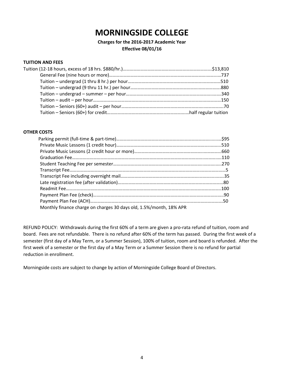# **MORNINGSIDE COLLEGE**

#### **Charges for the 2016-2017 Academic Year Effective 08/01/16**

#### **TUITION AND FEES**

#### **OTHER COSTS**

| Monthly finance charge on charges 30 days old, 1.5%/month, 18% APR |  |
|--------------------------------------------------------------------|--|

REFUND POLICY: Withdrawals during the first 60% of a term are given a pro-rata refund of tuition, room and board. Fees are not refundable. There is no refund after 60% of the term has passed. During the first week of a semester (first day of a May Term, or a Summer Session), 100% of tuition, room and board is refunded. After the first week of a semester or the first day of a May Term or a Summer Session there is no refund for partial reduction in enrollment.

Morningside costs are subject to change by action of Morningside College Board of Directors.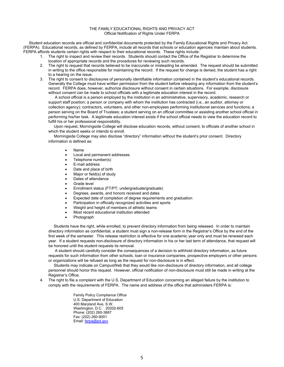#### THE FAMILY EDUCATIONAL RIGHTS AND PRIVACY ACT Official Notification of Rights Under FERPA

 Student education records are official and confidential documents protected by the Family Educational Rights and Privacy Act (FERPA). Educational records, as defined by FERPA, include all records that schools or education agencies maintain about students. FERPA affords students certain rights with respect to their educational records. These rights include:

- 1. The right to inspect and review their records. Students should contact the Office of the Registrar to determine the location of appropriate records and the procedures for reviewing such records.
- 2. The right to request that records believed to be inaccurate or misleading be amended. The request should be submitted in writing to the office responsible for maintaining the record. If the request for change is denied, the student has a right to a hearing on the issue.
- 3. The right to consent to disclosures of personally identifiable information contained in the student's educational records. Generally the College must have written permission from the student before releasing any information from the student's record. FERPA does, however, authorize disclosure without consent in certain situations. For example, disclosure without consent can be made to school officials with a legitimate education interest in the record.

 A school official is a person employed by the institution in an administrative, supervisory, academic, research or support staff position; a person or company with whom the institution has contracted (i.e., an auditor, attorney or collection agency); contractors, volunteers, and other non-employees performing institutional services and functions; a person serving on the Board of Trustees; a student serving on an official committee or assisting another school official in performing his/her task. A legitimate education interest exists if the school official needs to view the education record to fulfill his or her professional responsibility.

 Upon request, Morningside College will disclose education records, without consent, to officials of another school in which the student seeks or intends to enroll.

Morningside College may also disclose "directory" information without the student's prior consent. Directory information is defined as:

- Name
- Local and permanent addresses
- Telephone number(s)
- E-mail address
- Date and place of birth
- Major or field(s) of study
- Dates of attendance
- Grade level
- Enrollment status (FT/PT; undergraduate/graduate)
- Degrees, awards, and honors received and dates
- Expected date of completion of degree requirements and graduation
- Participation in officially recognized activities and sports
- Weight and height of members of athletic teams
- Most recent educational institution attended
- Photograph

 Students have the right, while enrolled, to prevent directory information from being released. In order to maintain directory information as confidential, a student must sign a non-release form in the Registrar's Office by the end of the first week of the semester. This release restriction is effective for one academic year only and must be renewed each year. If a student requests non-disclosure of directory information in his or her last term of attendance, that request will be honored until the student requests its removal.

 A student should carefully consider the consequences of a decision to withhold directory information, as future requests for such information from other schools, loan or insurance companies, prospective employers or other persons or organizations will be refused as long as the request for non-disclosure is in effect.

 Students may indicate on CampusWeb that they would like non-disclosure of directory information, and all college personnel should honor this request. However, official notification of non-disclosure must still be made in writing at the Registrar's Office.

4. The right to file a complaint with the U.S. Department of Education concerning an alleged failure by the institution to comply with the requirements of FERPA. The name and address of the office that administers FERPA is:

> Family Policy Compliance Office U.S. Department of Education 400 Maryland Ave. S.W. Washington, D.C. 20202-605 Phone: (202) 260-3887 Fax: (202) 260-9001 Email: [ferpa@ed.gov](mailto:ferpa@ed.gov)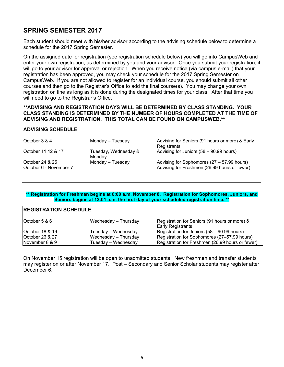# **SPRING SEMESTER 2017**

Each student should meet with his/her advisor according to the advising schedule below to determine a schedule for the 2017 Spring Semester.

On the assigned date for registration (see registration schedule below) you will go into CampusWeb and enter your own registration, as determined by you and your advisor. Once you submit your registration, it will go to your advisor for approval or rejection. When you receive notice (via campus e-mail) that your registration has been approved, you may check your schedule for the 2017 Spring Semester on CampusWeb. If you are not allowed to register for an individual course, you should submit all other courses and then go to the Registrar's Office to add the final course(s). You may change your own registration on line as long as it is done during the designated times for your class. After that time you will need to go to the Registrar's Office.

#### **\*\*ADVISING AND REGISTRATION DAYS WILL BE DETERMINED BY CLASS STANDING. YOUR CLASS STANDING IS DETERMINED BY THE NUMBER OF HOURS COMPLETED AT THE TIME OF ADVISING AND REGISTRATION. THIS TOTAL CAN BE FOUND ON CAMPUSWEB.\*\***

#### **ADVISING SCHEDULE**

| October 3 & 4                             | Monday – Tuesday               | Advising for Seniors (91 hours or more) & Early<br>Registrants                             |
|-------------------------------------------|--------------------------------|--------------------------------------------------------------------------------------------|
| October 11,12 & 17                        | Tuesday, Wednesday &<br>Monday | Advising for Juniors (58 – 90.99 hours)                                                    |
| October 24 & 25<br>October 6 - November 7 | Monday - Tuesday               | Advising for Sophomores (27 – 57.99 hours)<br>Advising for Freshmen (26.99 hours or fewer) |

#### **\*\* Registration for Freshman begins at 6:00 a.m. November 8. Registration for Sophomores, Juniors, and Seniors begins at 12:01 a.m. the first day of your scheduled registration time. \*\***

#### **REGISTRATION SCHEDULE**

| October 5 & 6   | Wednesday - Thursday | Registration for Seniors (91 hours or more) &    |
|-----------------|----------------------|--------------------------------------------------|
|                 |                      | <b>Early Registrants</b>                         |
| October 18 & 19 | Tuesday – Wednesday  | Registration for Juniors (58 – 90.99 hours)      |
| October 26 & 27 | Wednesday - Thursday | Registration for Sophomores (27-57.99 hours)     |
| November 8 & 9  | Tuesday – Wednesday  | Registration for Freshmen (26.99 hours or fewer) |

On November 15 registration will be open to unadmitted students. New freshmen and transfer students may register on or after November 17. Post – Secondary and Senior Scholar students may register after December 6.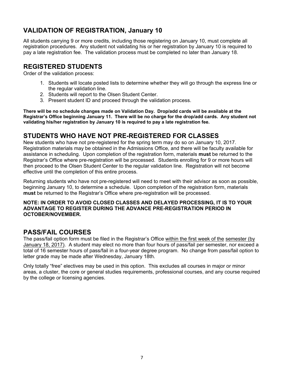# **VALIDATION OF REGISTRATION, January 10**

All students carrying 9 or more credits, including those registering on January 10, must complete all registration procedures. Any student not validating his or her registration by January 10 is required to pay a late registration fee. The validation process must be completed no later than January 18.

# **REGISTERED STUDENTS**

Order of the validation process:

- 1. Students will locate posted lists to determine whether they will go through the express line or the regular validation line.
- 2. Students will report to the Olsen Student Center.
- 3. Present student ID and proceed through the validation process.

**There will be no schedule changes made on Validation Day. Drop/add cards will be available at the Registrar's Office beginning January 11. There will be no charge for the drop/add cards. Any student not validating his/her registration by January 10 is required to pay a late registration fee.** 

# **STUDENTS WHO HAVE NOT PRE-REGISTERED FOR CLASSES**

New students who have not pre-registered for the spring term may do so on January 10, 2017. Registration materials may be obtained in the Admissions Office, and there will be faculty available for assistance in scheduling. Upon completion of the registration form, materials **must** be returned to the Registrar's Office where pre-registration will be processed. Students enrolling for 9 or more hours will then proceed to the Olsen Student Center to the regular validation line. Registration will not become effective until the completion of this entire process.

Returning students who have not pre-registered will need to meet with their advisor as soon as possible, beginning January 10, to determine a schedule. Upon completion of the registration form, materials **must** be returned to the Registrar's Office where pre-registration will be processed.

#### **NOTE: IN ORDER TO AVOID CLOSED CLASSES AND DELAYED PROCESSING, IT IS TO YOUR ADVANTAGE TO REGISTER DURING THE ADVANCE PRE-REGISTRATION PERIOD IN OCTOBER/NOVEMBER.**

# **PASS/FAIL COURSES**

The pass/fail option form must be filed in the Registrar's Office within the first week of the semester (by January 18, 2017). A student may elect no more than four hours of pass/fail per semester, nor exceed a total of 16 semester hours of pass/fail in a four-year degree program. No change from pass/fail option to letter grade may be made after Wednesday, January 18th.

Only totally "free" electives may be used in this option. This excludes all courses in major or minor areas, a cluster, the core or general studies requirements, professional courses, and any course required by the college or licensing agencies.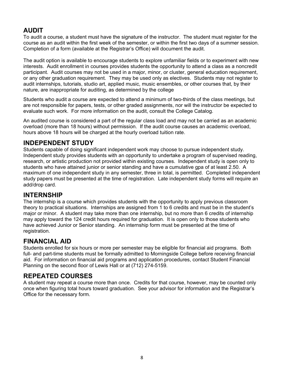# **AUDIT**

To audit a course, a student must have the signature of the instructor. The student must register for the course as an audit within the first week of the semester, or within the first two days of a summer session. Completion of a form (available at the Registrar's Office) will document the audit.

The audit option is available to encourage students to explore unfamiliar fields or to experiment with new interests. Audit enrollment in courses provides students the opportunity to attend a class as a noncredit participant. Audit courses may not be used in a major, minor, or cluster, general education requirement, or any other graduation requirement. They may be used only as electives. Students may not register to audit internships, tutorials, studio art, applied music, music ensembles, or other courses that, by their nature, are inappropriate for auditing, as determined by the college

Students who audit a course are expected to attend a minimum of two-thirds of the class meetings, but are not responsible for papers, tests, or other graded assignments, nor will the instructor be expected to evaluate such work. For more information on the audit, consult the College Catalog.

An audited course is considered a part of the regular class load and may not be carried as an academic overload (more than 18 hours) without permission. If the audit course causes an academic overload, hours above 18 hours will be charged at the hourly overload tuition rate.

# **INDEPENDENT STUDY**

Students capable of doing significant independent work may choose to pursue independent study. Independent study provides students with an opportunity to undertake a program of supervised reading, research, or artistic production not provided within existing courses. Independent study is open only to students who have attained junior or senior standing and have a cumulative gpa of at least 2.50. A maximum of one independent study in any semester, three in total, is permitted. Completed independent study papers must be presented at the time of registration. Late independent study forms will require an add/drop card.

# **INTERNSHIP**

The internship is a course which provides students with the opportunity to apply previous classroom theory to practical situations. Internships are assigned from 1 to 6 credits and must be in the student's major or minor. A student may take more than one internship, but no more than 6 credits of internship may apply toward the 124 credit hours required for graduation. It is open only to those students who have achieved Junior or Senior standing. An internship form must be presented at the time of registration.

# **FINANCIAL AID**

Students enrolled for six hours or more per semester may be eligible for financial aid programs. Both full- and part-time students must be formally admitted to Morningside College before receiving financial aid. For information on financial aid programs and application procedures, contact Student Financial Planning on the second floor of Lewis Hall or at (712) 274-5159.

# **REPEATED COURSES**

A student may repeat a course more than once. Credits for that course, however, may be counted only once when figuring total hours toward graduation. See your advisor for information and the Registrar's Office for the necessary form.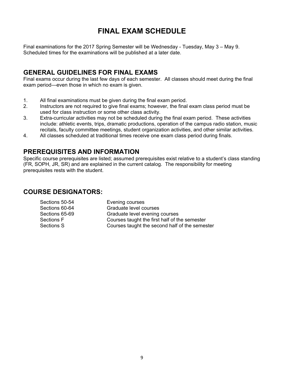# **FINAL EXAM SCHEDULE**

Final examinations for the 2017 Spring Semester will be Wednesday - Tuesday, May 3 – May 9. Scheduled times for the examinations will be published at a later date.

# **GENERAL GUIDELINES FOR FINAL EXAMS**

Final exams occur during the last few days of each semester. All classes should meet during the final exam period—even those in which no exam is given.

- 1. All final examinations must be given during the final exam period.
- 2. Instructors are not required to give final exams; however, the final exam class period must be used for class instruction or some other class activity.
- 3. Extra-curricular activities may not be scheduled during the final exam period. These activities include: athletic events, trips, dramatic productions, operation of the campus radio station, music recitals, faculty committee meetings, student organization activities, and other similar activities.
- 4. All classes scheduled at traditional times receive one exam class period during finals.

### **PREREQUISITES AND INFORMATION**

Specific course prerequisites are listed; assumed prerequisites exist relative to a student's class standing (FR, SOPH, JR, SR) and are explained in the current catalog. The responsibility for meeting prerequisites rests with the student.

# **COURSE DESIGNATORS:**

| Sections 50-54 | Evening courses                                |
|----------------|------------------------------------------------|
| Sections 60-64 | Graduate level courses                         |
| Sections 65-69 | Graduate level evening courses                 |
| Sections F     | Courses taught the first half of the semester  |
| Sections S     | Courses taught the second half of the semester |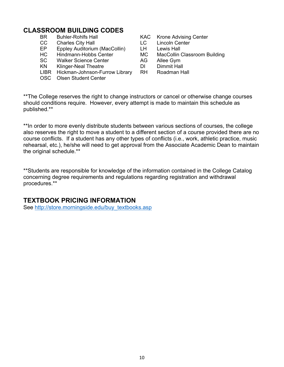# **CLASSROOM BUILDING CODES**

- 
- CC Charles City Hall LC Lincoln Center<br>
EP Eppley Auditorium (MacCollin) LH Lewis Hall
- Eppley Auditorium (MacCollin) LH Lewis Hall<br>Hindmann-Hobbs Center MC MacCollin
- 
- SC Walker Science Center AG Allee Gym
- KN Klinger-Neal Theatre **DI** Dimmit Hall
- LIBR Hickman-Johnson-Furrow Library RH Roadman Hall
- OSC Olsen Student Center
- BR Buhler-Rohlfs Hall KAC Krone Advising Center
	-
	-
- HC Hindmann-Hobbs Center MC MacCollin Classroom Building
	-
	-
	-

\*\*The College reserves the right to change instructors or cancel or otherwise change courses should conditions require. However, every attempt is made to maintain this schedule as published.\*\*

\*\*In order to more evenly distribute students between various sections of courses, the college also reserves the right to move a student to a different section of a course provided there are no course conflicts. If a student has any other types of conflicts (i.e., work, athletic practice, music rehearsal, etc.), he/she will need to get approval from the Associate Academic Dean to maintain the original schedule.\*\*

\*\*Students are responsible for knowledge of the information contained in the College Catalog concerning degree requirements and regulations regarding registration and withdrawal procedures.\*\*

# **TEXTBOOK PRICING INFORMATION**

See http://store.morningside.edu/buy\_textbooks.asp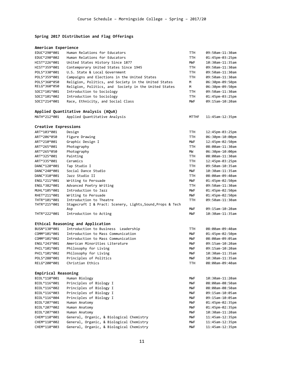#### **Spring 2017 Distribution and Flag Offerings**

| American Experience  |                                                                   |              |                        |
|----------------------|-------------------------------------------------------------------|--------------|------------------------|
| EDUC*290*001         | Human Relations for Educators                                     | TTH          | 09:50am-11:30am        |
| EDUC*290*002         | Human Relations for Educators                                     | TTH          | 01:45pm-03:25pm        |
| HIST*226*001         | United States History Since 1877                                  | <b>MWF</b>   | 10:30am-11:35am        |
| HIST*359*001         | Contemporary United States Since 1945                             | TTH          | 09:50am-11:30am        |
| POLS*330*001         | U.S. State & Local Government                                     | TTH          | 09:50am-11:30am        |
| POLS*359*001         | Campaigns and Elections in the United States                      | TTH          | 09:50am-11:30am        |
| POLS*360*050         | Religion, Politics, and Society in the United States              | М            | 06:30pm-09:50pm        |
| RELG*360*050         | Religion, Politics, and Society in the United States              | М            | 06:30pm-09:50pm        |
| SOCI*101*001         | Introduction to Sociology                                         | TTH          | 09:50am-11:30am        |
| SOCI*101*002         | Introduction to Sociology                                         | TTH          | $01:45$ pm-03:25pm     |
| SOCI*214*001         | Race, Ethnicity, and Social Class                                 | <b>MWF</b>   | 09:15am-10:20am        |
|                      | Applied Quantitative Analysis (AQuA)                              |              |                        |
| MATH*212*001         | Applied Quantitative Analysis                                     | <b>MTTHF</b> | $11:45$ am- $12:35$ pm |
| Creative Expressions |                                                                   |              |                        |
| ART*103*001          | Design                                                            | TTH          | 12:45pm-03:25pm        |
| ART*206*050          | Figure Drawing                                                    | TTH          | 06:30pm-10:00pm        |
| ART*210*001          | Graphic Design I                                                  | MWF          | 12:45pm-02:50pm        |
| ART*265*001          | Photography                                                       | TTH          | 08:00am-11:30am        |
| ART*265*050          | Photography                                                       | MW           | 06:30pm-10:00pm        |
| ART*325*001          | Painting                                                          | TTH          | 08:00am-11:30am        |
| ART*335*001          | Ceramics                                                          | TTH          | 12:45pm-03:25pm        |
| DANC*120*001         | Tap Studio I                                                      | TTH          | 09:50am-10:35am        |
| DANC*240*001         | Social Dance Studio                                               | MWF          | 10:30am-11:35am        |
| DANC*310*001         | Jazz Studio II                                                    | TTH          | 08:00am-09:40am        |
| ENGL*211*001         | Writing to Persuade                                               | MWF          | 01:45pm-02:50pm        |
| ENGL*382*001         | Advanced Poetry Writing                                           | TTH          | 09:50am-11:30am        |
| MUHL*105*001         | Introduction to Jazz                                              | <b>MWF</b>   | $01:45$ pm-02:50pm     |
| RHET*211*001         | Writing to Persuade                                               | MWF          | 01:45pm-02:50pm        |
| THTR*101*001         | Introduction to Theatre                                           | TTH          | 09:50am-11:30am        |
| THTR*215*001         | Stagecraft I & Pract: Scenery, Lights, Sound, Props & Tech<br>Asp | <b>MWF</b>   | 09:15am-10:20am        |
| THTR*222*001         | Introduction to Acting                                            | <b>MWF</b>   | 10:30am-11:35am        |
|                      | Ethical Reasoning and Application                                 |              |                        |
| BUSN*130*001         | Introduction to Business Leadership                               | TTH          | 08:00am-09:40am        |
| COMM*101*001         | Introduction to Mass Communication                                | <b>MWF</b>   | $01:45$ pm-02:50pm     |
| COMM*101*002         | Introduction to Mass Communication                                | <b>MWF</b>   | 08:00am-09:05am        |
| ENGL*243*001         | American Minorities Literature                                    | <b>MWF</b>   | 09:15am-10:20am        |
| PHIL*101*001         | Philosophy for Living                                             | MWF          | 09:15am-10:20am        |
| PHIL*101*002         | Philosophy for Living                                             | <b>MWF</b>   | 10:30am-11:35am        |
| POLS*288*001         | Principles of Politics                                            | MWF          | 10:30am-11:35am        |
| RELG*200*001         | Christian Ethics                                                  | TTH          | 08:00am-09:40am        |
| Empirical Reasoning  |                                                                   |              |                        |
| BIOL*110*001         | Human Biology                                                     | MWF          | 10:30am-11:20am        |
| BIOL*116*001         | Principles of Biology I                                           | MWF          | 08:00am-08:50am        |
| BIOL*116*002         | Principles of Biology I                                           | MWF          | 08:00am-08:50am        |
| BIOL*116*003         | Principles of Biology I                                           | MWF          | 09:15am-10:05am        |
| BIOL*116*004         | Principles of Biology I                                           | MWF          | 09:15am-10:05am        |
| BIOL*207*001         | Human Anatomy                                                     | MWF          | 01:45pm-02:35pm        |
| BIOL*207*002         | Human Anatomy                                                     | MWF          | 01:45pm-02:35pm        |
| BIOL*207*003         | Human Anatomy                                                     | <b>MWF</b>   | 10:30am-11:20am        |
| CHEM*110*001         | General, Organic, & Biological Chemistry                          | MWF          | 11:45am-12:35pm        |
| CHEM*110*002         | General, Organic, & Biological Chemistry                          | MWF          | 11:45am-12:35pm        |
| CHEM*110*003         | General, Organic, & Biological Chemistry                          | MWF          | 11:45am-12:35pm        |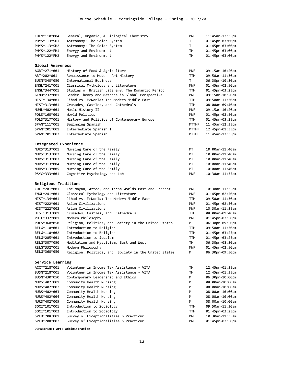| CHEM*110*004                 | General, Organic, & Biological Chemistry                                         | MWF          | 11:45am-12:35pm                    |
|------------------------------|----------------------------------------------------------------------------------|--------------|------------------------------------|
| PHYS*113*SH1                 | Astronomy: The Solar System                                                      | T.           | 01:45pm-03:00pm                    |
| PHYS*113*SH2                 | Astronomy: The Solar System                                                      | T.           | 01:45pm-03:00pm                    |
| PHYS*122*FH1                 | Energy and Environment                                                           | TH           | 01:45pm-03:00pm                    |
| PHYS*122*FH2                 | Energy and Environment                                                           | TH.          | 01:45pm-03:00pm                    |
|                              |                                                                                  |              |                                    |
| Global Awareness             |                                                                                  |              |                                    |
| AGRI*271*001                 | History of Food & Agriculture                                                    | <b>MWF</b>   | 09:15am-10:20am                    |
| ART*202*001                  | Renaissance to Modern Art History                                                | TTH          | 09:50am-11:30am                    |
| BUSN*340*050                 | International Business                                                           | T.           | 06:30pm-10:30pm                    |
| ENGL*241*001                 | Classical Mythology and Literature                                               | MWF          | 01:45pm-02:50pm                    |
| ENGL*344*001                 | Studies of British Literary: The Romantic Period                                 | TTH          | 01:45pm-03:25pm                    |
| GEND*232*001                 | Gender Theory and Methods in Global Perspective                                  | MWF          | 09:15am-10:20am                    |
| HIST*134*001                 | Jihad vs. McWorld: The Modern Middle East                                        | TTH          | 09:50am-11:30am                    |
| HIST*313*001                 | Crusades, Castles, and Cathedrals                                                | TTH          | 08:00am-09:40am                    |
| MUHL*402*001                 | Music History II                                                                 | <b>MWF</b>   | 09:15am-10:20am                    |
| POLS*160*001                 | World Politics                                                                   | MWF          | 01:45pm-02:50pm                    |
| POLS*317*001                 | History and Politics of Contemporary Europe                                      | TTH          | 01:45pm-03:25pm                    |
| SPAN*111*001                 | Beginning Spanish                                                                | <b>MTTHF</b> | $11:45am-12:35pm$                  |
| SPAN*201*001                 | Intermediate Spanish I                                                           | <b>MTTHF</b> | 12:45pm-01:35pm                    |
| SPAN*201*002                 | Intermediate Spanish                                                             | <b>MTTHF</b> | $11:45am-12:35pm$                  |
|                              |                                                                                  |              |                                    |
| Integrated Experience        |                                                                                  |              |                                    |
| NURS*313*001                 | Nursing Care of the Family                                                       | МT           | 10:00am-11:40am                    |
| NURS*313*002                 | Nursing Care of the Family                                                       | МT           | 10:00am-11:40am                    |
| NURS*313*003                 | Nursing Care of the Family                                                       | МT           | 10:00am-11:40am                    |
| NURS*313*004                 | Nursing Care of the Family                                                       | МT           | 10:00am-11:40am                    |
| NURS*313*005                 | Nursing Care of the Family                                                       | MT           | 10:00am-11:40am                    |
| PSYC*333*001                 | Cognitive Psychology and Lab                                                     | <b>MWF</b>   | 10:30am-11:35am                    |
|                              |                                                                                  |              |                                    |
| Religious Traditions         |                                                                                  |              |                                    |
| CULT*201*001                 | The Mayan, Aztec, and Incan Worlds Past and Present                              | MWF          | 10:30am-11:35am                    |
| ENGL*241*001                 | Classical Mythology and Literature                                               | MWF          | 01:45pm-02:50pm                    |
| HIST*134*001                 | Jihad vs. McWorld: The Modern Middle East                                        | TTH          | 09:50am-11:30am                    |
| HIST*222*001                 | Asian Civilizations                                                              | MWF          | 01:45pm-02:50pm                    |
| HIST*222*002                 | Asian Civilizations                                                              | MWF          | 10:30am-11:35am                    |
|                              |                                                                                  |              |                                    |
| HIST*313*001                 | Crusades, Castles, and Cathedrals                                                | TTH          | 08:00am-09:40am                    |
| PHIL*332*001                 | Modern Philosophy                                                                | MWF          | 01:45pm-02:50pm                    |
| POLS*360*050                 | Religion, Politics, and Society in the United States                             | м            | 06:30pm-09:50pm                    |
| RELG*110*001                 | Introduction to Religion                                                         | TTH          | 09:50am-11:30am                    |
| RELG*110*002                 | Introduction to Religion                                                         | TTH          | 01:45pm-03:25pm                    |
| RELG*205*001                 | Introduction to Judaism                                                          | TTH          | 01:45pm-03:25pm                    |
| RELG*307*050                 | Meditation and Mysticism, East and West                                          | TН           | 06:30pm-08:30pm                    |
| RELG*332*001                 | Modern Philosophy                                                                | MWF          | 01:45pm-02:50pm                    |
| RELG*360*050                 | Religion, Politics, and Society in the United States                             | М            | 06:30pm-09:50pm                    |
|                              |                                                                                  |              |                                    |
| Service Learning             |                                                                                  |              |                                    |
| ACCT*218*001                 | Volunteer in Income Tax Assistance - VITA                                        | TH           | 12:45pm-01:35pm                    |
| BUSN*218*001                 | Volunteer in Income Tax Assistance - VITA                                        | TH           | 12:45pm-01:35pm                    |
| BUSN*430*050                 | Contemporary Leadership and Ethics                                               | М            | 06:30pm-10:00pm                    |
| NURS*402*001                 | Community Health Nursing                                                         | М            | 08:00am-10:00am                    |
| NURS*402*002                 | Community Health Nursing                                                         | М            | 08:00am-10:00am                    |
| NURS*402*003                 | Community Health Nursing                                                         | М            | 08:00am-10:00am                    |
| NURS*402*004                 | Community Health Nursing                                                         | м            | 08:00am-10:00am                    |
| NURS*402*005                 | Community Health Nursing                                                         | м            | 08:00am-10:00am                    |
| SOCI*101*001                 | Introduction to Sociology                                                        | <b>TTH</b>   | 09:50am-11:30am                    |
| SOCI*101*002                 | Introduction to Sociology                                                        | TTH          | 01:45pm-03:25pm                    |
| SPED*208*001<br>SPED*208*002 | Survey of Exceptionalities & Practicum<br>Survey of Exceptionalities & Practicum | MWF<br>MWF   | 10:30am-11:35am<br>01:45pm-02:50pm |

**DEPARTMENT: Arts Administration**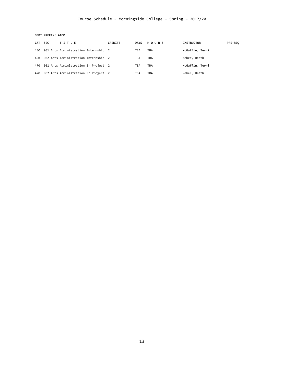#### **DEPT PREFIX: AADM**

| CAT SEC | TITLE                                    | <b>CREDITS</b> | DAYS | <b>HOURS</b> | <b>INSTRUCTOR</b> | <b>PRE-REQ</b> |
|---------|------------------------------------------|----------------|------|--------------|-------------------|----------------|
|         | 450 001 Arts Administration Internship 2 |                | TBA  | TBA          | McGaffin, Terri   |                |
|         | 450 002 Arts Administration Internship 2 |                | TBA  | TBA          | Weber, Heath      |                |
|         | 470 001 Arts Administration Sr Project 2 |                | TBA  | <b>TBA</b>   | McGaffin, Terri   |                |
|         | 470 002 Arts Administration Sr Project 2 |                | TBA  | TBA          | Weber, Heath      |                |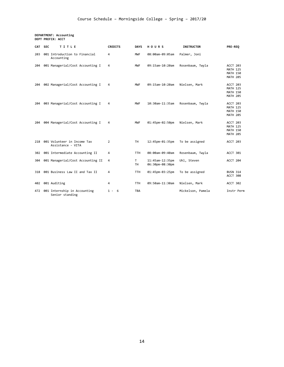#### **DEPARTMENT: Accounting DEPT PREFIX: ACCT**

|      | CAT SEC | TITLE                                            | <b>CREDITS</b> | <b>DAYS</b>     | HOURS                              | <b>INSTRUCTOR</b> | PRE-REQ                                                           |
|------|---------|--------------------------------------------------|----------------|-----------------|------------------------------------|-------------------|-------------------------------------------------------------------|
| 203  |         | 001 Introduction to Financial<br>Accounting      | 4              | MWF             | 08:00am-09:05am                    | Palmer, Joni      |                                                                   |
| 204  |         | 001 Managerial/Cost Accounting I                 | 4              | <b>MWF</b>      | 09:15am-10:20am                    | Rosenbaum, Twyla  | ACCT 203<br><b>MATH 125</b><br><b>MATH 150</b><br><b>MATH 205</b> |
| 204. |         | 002 Managerial/Cost Accounting I                 | 4              | <b>MWF</b>      | 09:15am-10:20am                    | Nielsen, Mark     | ACCT 203<br><b>MATH 125</b><br><b>MATH 150</b><br><b>MATH 205</b> |
| 204  |         | 003 Managerial/Cost Accounting I                 | 4              | <b>MWF</b>      | 10:30am-11:35am                    | Rosenbaum, Twyla  | ACCT 203<br><b>MATH 125</b><br><b>MATH 150</b><br><b>MATH 205</b> |
| 204  |         | 004 Managerial/Cost Accounting I                 | 4              | <b>MWF</b>      | 01:45pm-02:50pm                    | Nielsen, Mark     | ACCT 203<br><b>MATH 125</b><br><b>MATH 150</b><br><b>MATH 205</b> |
| 218  |         | 001 Volunteer in Income Tax<br>Assistance - VITA | 2              | TH              | 12:45pm-01:35pm                    | To be assigned    | <b>ACCT 203</b>                                                   |
| 302  |         | 001 Intermediate Accounting II                   | 4              | TTH             | 08:00am-09:40am                    | Rosenbaum, Twyla  | <b>ACCT 301</b>                                                   |
| 304  |         | 001 Managerial/Cost Accounting II                | 4              | T.<br><b>TH</b> | 11:45am-12:35pm<br>06:30pm-08:30pm | Uhl, Steven       | ACCT 204                                                          |
| 318  |         | 001 Business Law II and Tax II                   | 4              | <b>TTH</b>      | 01:45pm-03:25pm                    | To be assigned    | <b>BUSN 314</b><br>ACCT 308                                       |
| 402  |         | 001 Auditing                                     | 4              | <b>TTH</b>      | 09:50am-11:30am                    | Nielsen, Mark     | ACCT 302                                                          |
| 472  |         | 001 Internship in Accounting<br>Senior standing  | 6<br>1 -       | TBA             |                                    | Mickelson, Pamela | Instr Perm                                                        |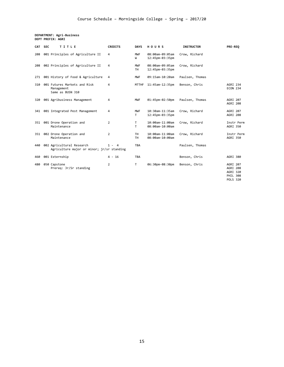|                   | DEPARTMENT: Agri-Business |
|-------------------|---------------------------|
| DEPT PREFIX: AGRI |                           |

| CAT SEC | TITLE                                                                   | <b>CREDITS</b> | <b>DAYS</b>            | HOURS                              | <b>INSTRUCTOR</b> | PRE-REO                                                                       |
|---------|-------------------------------------------------------------------------|----------------|------------------------|------------------------------------|-------------------|-------------------------------------------------------------------------------|
| 208     | 001 Principles of Agriculture II                                        | 4              | <b>MWF</b><br>W        | 08:00am-09:05am<br>12:45pm-03:35pm | Crow, Richard     |                                                                               |
| 208     | 002 Principles of Agriculture II                                        | 4              | <b>MWF</b><br>TH       | 08:00am-09:05am<br>12:45pm-03:35pm | Crow, Richard     |                                                                               |
| 271     | 001 History of Food & Agriculture                                       | 4              | <b>MWF</b>             | 09:15am-10:20am                    | Paulsen, Thomas   |                                                                               |
| 310     | 001 Futures Markets and Risk<br>Management<br>Same as BUSN 310          | 4              | <b>MTTHF</b>           | 11:45am-12:35pm                    | Benson, Chris     | AGRI 234<br><b>ECON 234</b>                                                   |
| 320 -   | 001 Agribusiness Management                                             | 4              | <b>MWF</b>             | 01:45pm-02:50pm                    | Paulsen, Thomas   | AGRI 207<br><b>AGRI 208</b>                                                   |
| 341     | 001 Integrated Pest Management                                          | 4              | <b>MWF</b><br>T.       | 10:30am-11:35am<br>12:45pm-03:35pm | Crow, Richard     | AGRI 207<br>AGRI 208                                                          |
|         | 351 001 Drone Operation and<br>Maintenance                              | 2              | Τ<br>T.                | 10:00am-11:00am<br>08:00am-10:00am | Crow, Richard     | Instr Perm<br>AGRI 350                                                        |
| 351     | 002 Drone Operation and<br>Maintenance                                  | $\overline{2}$ | <b>TH</b><br><b>TH</b> | 10:00am-11:00am<br>08:00am-10:00am | Crow, Richard     | Instr Perm<br>AGRI 350                                                        |
| 440     | 002 Agricultural Research<br>Agriculture major or minor; jr/sr standing | $1 - 4$        | <b>TBA</b>             |                                    | Paulsen, Thomas   |                                                                               |
| 460     | 001 Externship                                                          | $4 - 16$       | <b>TBA</b>             |                                    | Benson, Chris     | AGRI 380                                                                      |
| 480     | 050 Capstone<br>Prereq: Jr/Sr standing                                  | $\overline{2}$ | T.                     | 06:30pm-08:30pm                    | Benson, Chris     | AGRI 207<br><b>AGRI 208</b><br>AGRI 320<br><b>PHIL 308</b><br><b>POLS 320</b> |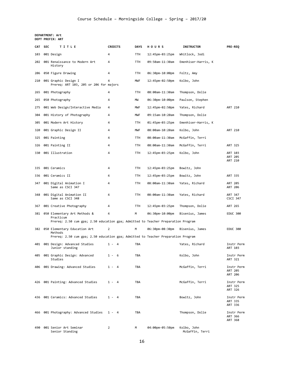**DEPARTMENT: Art DEPT PREFIX: ART**

| CAT | SEC | TITLE                                                                             | <b>CREDITS</b> | DAYS       | HOURS              | <b>INSTRUCTOR</b>              | PRE-REO                          |
|-----|-----|-----------------------------------------------------------------------------------|----------------|------------|--------------------|--------------------------------|----------------------------------|
| 103 |     | 001 Design                                                                        | 4              | TTH        | 12:45pm-03:25pm    | Whitlock, Jodi                 |                                  |
| 202 |     | 001 Renaissance to Modern Art<br>History                                          | 4              | TTH        | 09:50am-11:30am    | Emenhiser-Harris, K            |                                  |
| 206 |     | 050 Figure Drawing                                                                | 4              | TTH        | 06:30pm-10:00pm    | Foltz, Amy                     |                                  |
| 210 |     | 001 Graphic Design I<br>Prereq: ART 103, 205 or 206 for majors                    |                | MWF        | 12:45pm-02:50pm    | Kolbo, John                    |                                  |
| 265 |     | 001 Photography                                                                   | 4              | TTH        | 08:00am-11:30am    | Thompson, Dolie                |                                  |
| 265 |     | 050 Photography                                                                   | 4              | MW         | 06:30pm-10:00pm    | Paulson, Stephen               |                                  |
| 275 |     | 001 Web Design/Interactive Media                                                  | 4              | MWF        | 12:45pm-02:50pm    | Yates, Richard                 | ART 210                          |
| 304 |     | 001 History of Photography                                                        | 4              | MWF        | 09:15am-10:20am    | Thompson, Dolie                |                                  |
| 305 |     | 001 Modern Art History                                                            | 4              | TTH        | $01:45$ pm-03:25pm | Emenhiser-Harris, K            |                                  |
| 320 |     | 001 Graphic Design II                                                             | 4              | <b>MWF</b> | 08:00am-10:20am    | Kolbo, John                    | ART 210                          |
| 325 |     | 001 Painting                                                                      | 4              | TTH        | 08:00am-11:30am    | McGaffin, Terri                |                                  |
| 326 |     | 001 Painting II                                                                   | 4              | TTH        | 08:00am-11:30am    | McGaffin, Terri                | ART 325                          |
| 330 |     | 001 Illustration                                                                  | 4              | TTH        | 12:45pm-03:25pm    | Kolbo, John                    | ART 103<br>ART 205<br>ART 210    |
| 335 |     | 001 Ceramics                                                                      | 4              | TTH        | 12:45pm-03:25pm    | Bowitz, John                   |                                  |
| 336 |     | 001 Ceramics II                                                                   | 4              | TTH        | 12:45pm-03:25pm    | Bowitz, John                   | ART 335                          |
| 347 |     | 001 Digital Animation I<br>Same as CSCI 347                                       | 4              | TTH        | 08:00am-11:30am    | Yates, Richard                 | ART 205<br>ART 206               |
| 348 |     | 001 Digital Animation II<br>Same as CSCI 348                                      | 4              | TTH        | 08:00am-11:30am    | Yates, Richard                 | ART 347<br>CSCI 347              |
| 367 |     | 001 Creative Photography                                                          | 4              | TTH        | 12:45pm-03:25pm    | Thompson, Dolie                | ART 265                          |
|     |     | 381 050 Elementary Art Methods &<br>Practicum                                     | 4              | М          | 06:30pm-10:00pm    | Bisenius, James                | EDUC 300                         |
|     |     | Prereq: 2.50 cum gpa; 2.50 education gpa; Admitted to Teacher Preparation Program |                |            |                    |                                |                                  |
|     |     | 382 050 Elementary Education Art<br>Methods                                       | 2              | м          | 06:30pm-08:30pm    | Bisenius, James                | <b>EDUC 300</b>                  |
|     |     | Prereq: 2.50 cum gpa; 2.50 education gpa; Admitted to Teacher Preparation Program |                |            |                    |                                |                                  |
| 401 |     | 001 Design: Advanced Studies<br>Junior standing                                   | 1 -<br>4       | TBA        |                    | Yates, Richard                 | Instr Perm<br>ART 103            |
|     |     | 405 001 Graphic Design: Advanced<br>Studies                                       | $1 - 6$        | TBA        |                    | Kolbo, John                    | Instr Perm<br>ART 321            |
|     |     | 406 001 Drawing: Advanced Studies                                                 | $1 - 4$        | TBA        |                    | McGaffin, Terri                | Instr Perm<br>ART 205<br>ART 206 |
|     |     | 426 001 Painting: Advanced Studies                                                | $1 - 4$        | TBA        |                    | McGaffin, Terri                | Instr Perm<br>ART 325<br>ART 326 |
|     |     | 436 001 Ceramics: Advanced Studies                                                | $1 - 4$        | TBA        |                    | Bowitz, John                   | Instr Perm<br>ART 335<br>ART 336 |
|     |     | 466 001 Photography: Advanced Studies                                             | $1 - 4$        | TBA        |                    | Thompson, Dolie                | Instr Perm<br>ART 366<br>ART 368 |
|     |     | 490 001 Senior Art Seminar<br>Senior Standing                                     | 2              | м          | 04:00pm-05:50pm    | Kolbo, John<br>McGaffin, Terri |                                  |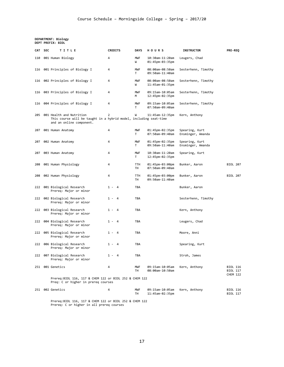|                   | DEPARTMENT: Biology |
|-------------------|---------------------|
| DEPT PREFIX: BIOL |                     |

| CAT SEC | TITLE                                                                                                                     | <b>CREDITS</b>          | <b>DAYS</b>      | <b>HOURS</b>                       | <b>INSTRUCTOR</b>                   | <b>PRE-REQ</b>                          |
|---------|---------------------------------------------------------------------------------------------------------------------------|-------------------------|------------------|------------------------------------|-------------------------------------|-----------------------------------------|
| 110     | 001 Human Biology                                                                                                         | 4                       | <b>MWF</b><br>W  | 10:30am-11:20am<br>01:45pm-03:35pm | Leugers, Chad                       |                                         |
| 116     | 001 Principles of Biology I                                                                                               | 4                       | MWF<br>T.        | 08:00am-08:50am<br>09:50am-11:40am | Sesterhenn, Timothy                 |                                         |
| 116     | 002 Principles of Biology I                                                                                               | 4                       | MWF<br>W         | 08:00am-08:50am<br>11:45am-01:35pm | Sesterhenn, Timothy                 |                                         |
| 116     | 003 Principles of Biology I                                                                                               | 4                       | MWF<br>м         | 09:15am-10:05am<br>12:45pm-02:35pm | Sesterhenn, Timothy                 |                                         |
| 116     | 004 Principles of Biology I                                                                                               | 4                       | MWF<br>Τ         | 09:15am-10:05am<br>07:50am-09:40am | Sesterhenn, Timothy                 |                                         |
| 205     | 001 Health and Nutrition<br>This course will be taught in a hybrid model, including seat-time<br>and an online component. | 2                       | W                | 11:45am-12:35pm                    | Kern, Anthony                       |                                         |
| 207     | 001 Human Anatomy                                                                                                         | 4                       | MWF<br>T.        | 01:45pm-02:35pm<br>07:50am-09:40am | Spearing, Kurt<br>Ensminger, Amanda |                                         |
| 207     | 002 Human Anatomy                                                                                                         | 4                       | MWF<br>T.        | 01:45pm-02:35pm<br>09:50am-11:40am | Spearing, Kurt<br>Ensminger, Amanda |                                         |
| 207     | 003 Human Anatomy                                                                                                         | 4                       | MWF<br>T.        | 10:30am-11:20am<br>12:45pm-02:35pm | Spearing, Kurt                      |                                         |
| 208     | 001 Human Physiology                                                                                                      | 4                       | TTH<br>TH        | 01:45pm-03:00pm<br>07:50am-09:40am | Bunker, Aaron                       | BIOL 207                                |
| 208     | 002 Human Physiology                                                                                                      | 4                       | TTH<br>TH        | 01:45pm-03:00pm<br>09:50am-11:40am | Bunker, Aaron                       | BIOL 207                                |
| 222     | 001 Biological Research<br>Prereq: Major or minor                                                                         | $\overline{a}$<br>$1 -$ | TBA              |                                    | Bunker, Aaron                       |                                         |
|         | 222 002 Biological Research<br>Prereq: Major or minor                                                                     | $\overline{4}$<br>$1 -$ | TBA              |                                    | Sesterhenn, Timothy                 |                                         |
| 222     | 003 Biological Research<br>Prereq: Major or minor                                                                         | -4<br>$1 -$             | TBA              |                                    | Kern, Anthony                       |                                         |
|         | 222 004 Biological Research<br>Prereq: Major or minor                                                                     | $\overline{4}$<br>$1 -$ | TBA              |                                    | Leugers, Chad                       |                                         |
|         | 222 005 Biological Research<br>Prereq: Major or minor                                                                     | $\overline{a}$<br>$1 -$ | TBA              |                                    | Moore, Anni                         |                                         |
|         | 222 006 Biological Research<br>Prereq: Major or minor                                                                     | $\overline{4}$<br>$1 -$ | TBA              |                                    | Spearing, Kurt                      |                                         |
|         | 222 007 Biological Research<br>Prereq: Major or minor                                                                     | $1 -$<br>$\overline{4}$ | TBA              |                                    | Stroh, James                        |                                         |
|         | 251 001 Genetics                                                                                                          | 4                       | <b>MWF</b><br>TH | 09:15am-10:05am<br>08:00am-10:50am | Kern, Anthony                       | BIOL 116<br>BIOL 117<br><b>CHEM 122</b> |
|         | Prereq:BIOL 116, 117 & CHEM 122 or BIOL 252 & CHEM 122<br>Preq: C or higher in prereq courses                             |                         |                  |                                    |                                     |                                         |
| 251     | 002 Genetics                                                                                                              | 4                       | <b>MWF</b><br>TH | 09:15am-10:05am<br>11:45am-02:35pm | Kern, Anthony                       | <b>BIOL 116</b><br>BIOL 117             |

 Prereq:BIOL 116, 117 & CHEM 122 or BIOL 252 & CHEM 122 Prereq: C or higher in all prereq courses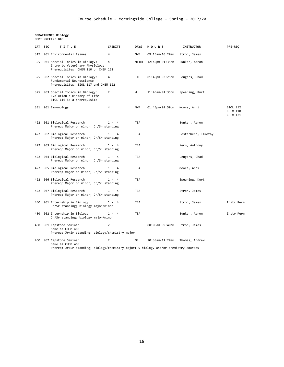**DEPARTMENT: Biology DEPT PREFIX: BIOL**

| CAT SEC | TITLE                                                                                                                           | <b>CREDITS</b> | DAYS         | <b>HOURS</b>    | <b>INSTRUCTOR</b>   | PRE-REQ                                        |
|---------|---------------------------------------------------------------------------------------------------------------------------------|----------------|--------------|-----------------|---------------------|------------------------------------------------|
| 317     | 001 Environmental Issues                                                                                                        | 4              | <b>MWF</b>   | 09:15am-10:20am | Stroh, James        |                                                |
|         | 325 001 Special Topics in Biology:<br>Intro to Veterinary Physiology<br>Prerequisites: CHEM 110 or CHEM 121                     | 4              | <b>MTTHF</b> | 12:45pm-01:35pm | Bunker, Aaron       |                                                |
|         | 325 002 Special Topics in Biology:<br>Fundamental Neuroscience<br>Prerequisites: BIOL 117 and CHEM 122                          | 4              | TTH          | 01:45pm-03:25pm | Leugers, Chad       |                                                |
|         | 325 003 Special Topics in Biology:<br>Evolution & History of Life<br>BIOL 116 is a prerequisite                                 | 2              | W            | 11:45am-01:35pm | Spearing, Kurt      |                                                |
|         | 331 001 Immunology                                                                                                              | 4              | MWF          | 01:45pm-02:50pm | Moore, Anni         | BIOL 252<br><b>CHEM 110</b><br><b>CHEM 121</b> |
|         | 422 001 Biological Research<br>Prereq: Major or minor; Jr/Sr standing                                                           | $1 - 4$        | TBA          |                 | Bunker, Aaron       |                                                |
|         | 422 002 Biological Research<br>Prereq: Major or minor; Jr/Sr standing                                                           | $1 - 4$        | TBA          |                 | Sesterhenn, Timothy |                                                |
|         | 422 003 Biological Research<br>Prereq: Major or minor; Jr/Sr standing                                                           | $1 - 4$        | TBA          |                 | Kern, Anthony       |                                                |
|         | 422 004 Biological Research<br>Prereq: Major or minor; Jr/Sr standing                                                           | $1 - 4$        | TBA          |                 | Leugers, Chad       |                                                |
|         | 422 005 Biological Research<br>Prereq: Major or minor; Jr/Sr standing                                                           | $1 - 4$        | TBA          |                 | Moore, Anni         |                                                |
|         | 422 006 Biological Research<br>Prereq: Major or minor; Jr/Sr standing                                                           | $1 - 4$        | TBA          |                 | Spearing, Kurt      |                                                |
|         | 422 007 Biological Research<br>Prereq: Major or minor; Jr/Sr standing                                                           | $1 - 4$        | <b>TBA</b>   |                 | Stroh, James        |                                                |
| 450     | 001 Internship in Biology<br>Jr/Sr standing; biology major/minor                                                                | $1 - 4$        | TBA          |                 | Stroh, James        | Instr Perm                                     |
|         | 450 002 Internship in Biology<br>Jr/Sr standing; biology major/minor                                                            | $1 - 4$        | <b>TBA</b>   |                 | Bunker, Aaron       | Instr Perm                                     |
| 460     | 001 Capstone Seminar<br>Same as CHEM 460<br>Prereq: Jr/Sr standing; biology/chemistry major                                     | 2              | T.           | 08:00am-09:40am | Stroh, James        |                                                |
| 460     | 002 Capstone Seminar<br>Same as CHEM 460<br>Prereq: Jr/Sr standing; biology/chemistry major; 5 biology and/or chemistry courses | 2              | ΜF           | 10:30am-11:20am | Thomas, Andrew      |                                                |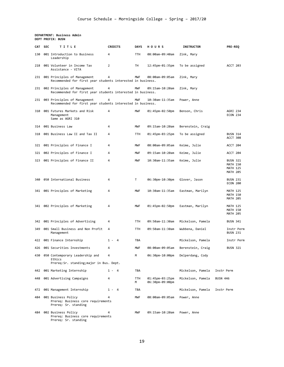| DEPARTMENT: Business Admin |  |
|----------------------------|--|
| DEPT PREFIX: BUSN          |  |

| CAT | <b>SEC</b> | TITLE                                                                                       | <b>CREDITS</b> | DAYS       | HOURS                              | <b>INSTRUCTOR</b> | <b>PRE-REQ</b>                                                           |
|-----|------------|---------------------------------------------------------------------------------------------|----------------|------------|------------------------------------|-------------------|--------------------------------------------------------------------------|
| 130 |            | 001 Introduction to Business<br>Leadership                                                  | 4              | TTH        | 08:00am-09:40am                    | Zink, Mary        |                                                                          |
| 218 |            | 001 Volunteer in Income Tax<br>Assistance - VITA                                            | 2              | TH         | 12:45pm-01:35pm                    | To be assigned    | ACCT 203                                                                 |
| 231 |            | 001 Principles of Management<br>Recommended for first year students interested in business. | 4              | MWF        | 08:00am-09:05am                    | Zink, Mary        |                                                                          |
| 231 |            | 002 Principles of Management<br>Recommended for first year students interested in business. | 4              | <b>MWF</b> | 09:15am-10:20am                    | Zink, Mary        |                                                                          |
| 231 |            | 003 Principles of Management<br>Recommended for first year students interested in business. | 4              | <b>MWF</b> | 10:30am-11:35am                    | Power, Anne       |                                                                          |
| 310 |            | 001 Futures Markets and Risk<br>Management<br>Same as AGRI 310                              | 4              | MWF        | 01:45pm-02:50pm                    | Benson, Chris     | AGRI 234<br><b>ECON 234</b>                                              |
| 314 |            | 001 Business Law                                                                            | 4              | MWF        | 09:15am-10:20am                    | Berenstein, Craig |                                                                          |
| 318 |            | 001 Business Law II and Tax II                                                              | 4              | TTH        | 01:45pm-03:25pm                    | To be assigned    | <b>BUSN 314</b><br>ACCT 308                                              |
| 321 |            | 001 Principles of Finance I                                                                 | 4              | MWF        | 08:00am-09:05am                    | Keime, Julie      | ACCT 204                                                                 |
| 321 |            | 002 Principles of Finance I                                                                 | 4              | MWF        | 09:15am-10:20am                    | Keime, Julie      | ACCT 204                                                                 |
| 323 |            | 001 Principles of Finance II                                                                | 4              | MWF        | 10:30am-11:35am                    | Keime, Julie      | <b>BUSN 321</b><br><b>MATH 150</b><br><b>MATH 125</b><br><b>MATH 205</b> |
| 340 |            | 050 International Business                                                                  | 4              | Τ          | 06:30pm-10:30pm                    | Glover, Jason     | <b>BUSN 231</b><br><b>ECON 200</b>                                       |
| 341 |            | 001 Principles of Marketing                                                                 | 4              | MWF        | 10:30am-11:35am                    | Eastman, Marilyn  | <b>MATH 125</b><br><b>MATH 150</b><br><b>MATH 205</b>                    |
| 341 |            | 002 Principles of Marketing                                                                 | 4              | MWF        | 01:45pm-02:50pm                    | Eastman, Marilyn  | <b>MATH 125</b><br><b>MATH 150</b><br><b>MATH 205</b>                    |
| 342 |            | 001 Principles of Advertising                                                               | 4              | TTH        | 09:50am-11:30am                    | Mickelson, Pamela | <b>BUSN 341</b>                                                          |
| 349 |            | 001 Small Business and Non Profit<br>Management                                             | 4              | TTH        | 09:50am-11:30am                    | Wubbena, Daniel   | Instr Perm<br><b>BUSN 231</b>                                            |
| 422 |            | 001 Finance Internship                                                                      | 4<br>1 -       | TBA        |                                    | Mickelson, Pamela | Instr Perm                                                               |
|     |            | 426 001 Securities Investments                                                              | 4              | <b>MWF</b> | 08:00am-09:05am                    | Berenstein, Craig | <b>BUSN 321</b>                                                          |
| 430 |            | 050 Contemporary Leadership and<br>Ethics<br>Prereq: Sr. standing; major in Bus. Dept.      | 4              | М          | 06:30pm-10:00pm                    | Delperdang, Cody  |                                                                          |
| 442 |            | 001 Marketing Internship                                                                    | 4<br>1 -       | TBA        |                                    | Mickelson, Pamela | Instr Perm                                                               |
| 448 |            | 001 Advertising Campaigns                                                                   | 4              | TTH<br>Μ   | 01:45pm-03:25pm<br>06:30pm-09:00pm | Mickelson, Pamela | <b>BUSN 446</b>                                                          |
| 472 |            | 001 Management Internship                                                                   | 4<br>1 -       | TBA        |                                    | Mickelson, Pamela | Instr Perm                                                               |
| 484 |            | 001 Business Policy<br>Prereq: Business core requirements<br>Prereq: Sr. standing           | 4              | MWF        | 08:00am-09:05am                    | Power, Anne       |                                                                          |
| 484 |            | 002 Business Policy<br>Prereq: Business core requirements<br>Prereq: Sr. standing           | 4              | MWF        | 09:15am-10:20am                    | Power, Anne       |                                                                          |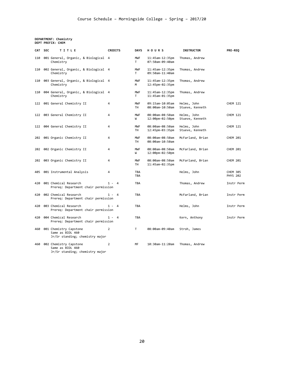**DEPARTMENT: Chemistry DEPT PREFIX: CHEM**

| CAT | <b>SEC</b> | TITLE                                                                         | <b>CREDITS</b>          | <b>DAYS</b>              | HOURS                                | <b>INSTRUCTOR</b>              | PRE-REQ                            |
|-----|------------|-------------------------------------------------------------------------------|-------------------------|--------------------------|--------------------------------------|--------------------------------|------------------------------------|
| 110 |            | 001 General, Organic, & Biological 4<br>Chemistry                             |                         | <b>MWF</b><br>T.         | 11:45am-12:35pm<br>07:50am-09:40am   | Thomas, Andrew                 |                                    |
| 110 |            | 002 General, Organic, & Biological 4<br>Chemistry                             |                         | <b>MWF</b><br>T.         | 11:45am-12:35pm<br>09:50am-11:40am   | Thomas, Andrew                 |                                    |
| 110 |            | 003 General, Organic, & Biological 4<br>Chemistry                             |                         | <b>MWF</b><br>м          | 11:45am-12:35pm<br>12:45pm-02:35pm   | Thomas, Andrew                 |                                    |
| 110 |            | 004 General, Organic, & Biological 4<br>Chemistry                             |                         | <b>MWF</b><br>T.         | $11:45am-12:35pm$<br>11:45am-01:35pm | Thomas, Andrew                 |                                    |
|     |            | 122 001 General Chemistry II                                                  | 4                       | MWF<br>TH                | 09:15am-10:05am<br>08:00am-10:50am   | Helms, John<br>Stueve, Kenneth | <b>CHEM 121</b>                    |
|     |            | 122 003 General Chemistry II                                                  | 4                       | <b>MWF</b><br>W          | 08:00am-08:50am<br>12:00pm-02:50pm   | Helms, John<br>Stueve, Kenneth | <b>CHEM 121</b>                    |
|     |            | 122 004 General Chemistry II                                                  | 4                       | MWF<br>TH                | 08:00am-08:50am<br>12:45pm-03:35pm   | Helms, John<br>Stueve, Kenneth | <b>CHEM 121</b>                    |
|     |            | 202 001 Organic Chemistry II                                                  | 4                       | <b>MWF</b><br>TH         | 08:00am-08:50am<br>08:00am-10:50am   | McFarland, Brian               | <b>CHEM 201</b>                    |
| 202 |            | 002 Organic Chemistry II                                                      | 4                       | <b>MWF</b><br>W          | 08:00am-08:50am<br>12:00pm-02:50pm   | McFarland, Brian               | <b>CHEM 201</b>                    |
| 202 |            | 003 Organic Chemistry II                                                      | 4                       | <b>MWF</b><br>TH         | 08:00am-08:50am<br>11:45am-02:35pm   | McFarland, Brian               | <b>CHEM 201</b>                    |
| 405 |            | 001 Instrumental Analysis                                                     | 4                       | <b>TBA</b><br><b>TBA</b> |                                      | Helms, John                    | <b>CHEM 305</b><br><b>PHYS 202</b> |
| 420 |            | 001 Chemical Research<br>Prereq: Department chair permission                  | $1 - 4$                 | <b>TBA</b>               |                                      | Thomas, Andrew                 | Instr Perm                         |
| 420 |            | 002 Chemical Research<br>Prereq: Department chair permission                  | $1 - 4$                 | <b>TBA</b>               |                                      | McFarland, Brian               | Instr Perm                         |
| 420 |            | 003 Chemical Research<br>Prereq: Department chair permission                  | $1 -$<br>4              | <b>TBA</b>               |                                      | Helms, John                    | Instr Perm                         |
| 420 |            | 004 Chemical Research<br>Prereq: Department chair permission                  | $1 -$<br>$\overline{4}$ | TBA                      |                                      | Kern, Anthony                  | Instr Perm                         |
| 460 |            | 001 Chemistry Capstone<br>Same as BIOL 460<br>Jr/Sr standing; chemistry major | 2                       | T.                       | 08:00am-09:40am                      | Stroh, James                   |                                    |
| 460 |            | 002 Chemistry Capstone<br>Same as BIOL 460<br>Jr/Sr standing; chemistry major | $\overline{2}$          | MF                       | 10:30am-11:20am                      | Thomas, Andrew                 |                                    |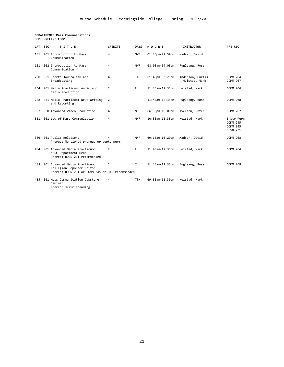|                   | DEPARTMENT: Mass Communications |
|-------------------|---------------------------------|
| DEPT PREFIX: COMM |                                 |

| CAT SEC | TITLE                                                                                                         | <b>CREDITS</b> | <b>DAYS</b> | HOURS              | <b>INSTRUCTOR</b>                 | PRE-REO                                                      |
|---------|---------------------------------------------------------------------------------------------------------------|----------------|-------------|--------------------|-----------------------------------|--------------------------------------------------------------|
| 101     | 001 Introduction to Mass<br>Communication                                                                     | 4              | <b>MWF</b>  | 01:45pm-02:50pm    | Madsen, David                     |                                                              |
|         | 101 002 Introduction to Mass<br>Communication                                                                 | 4              | <b>MWF</b>  | 08:00am-09:05am    | Fuglsang, Ross                    |                                                              |
| 260     | 001 Sports Journalism and<br>Broadcasting                                                                     | 4              | <b>TTH</b>  | $01:45$ pm-03:25pm | Anderson, Curtis<br>Heistad, Mark | COMM 204<br>COMM 207                                         |
|         | 264 001 Media Practicum: Audio and<br>Radio Production                                                        | 2              | F           | 11:45am-12:35pm    | Heistad, Mark                     | COMM 204                                                     |
|         | 268 001 Media Practicum: News Writing<br>and Reporting                                                        | 2              | T           | 11:45am-12:35pm    | Fuglsang, Ross                    | <b>COMM 208</b>                                              |
| 307     | 050 Advanced Video Production                                                                                 | 4              | м           | 06:30pm-10:00pm    | Iversen, Peter                    | COMM 207                                                     |
|         | 311 001 Law of Mass Communication                                                                             | 4              | <b>MWF</b>  | 10:30am-11:35am    | Heistad, Mark                     | Instr Perm<br><b>COMM 245</b><br>COMM 345<br><b>BUSN 231</b> |
| 330     | 001 Public Relations<br>Prereq: Mentioned prereqs or dept. perm                                               |                | <b>MWF</b>  | 09:15am-10:20am    | Madsen, David                     | <b>COMM 208</b>                                              |
| 404     | 001 Advanced Media Practicum:<br>KMSC Department Head<br>Prereq: BUSN 231 recommended                         | 2              | F           | 11:45am-12:35pm    | Heistad, Mark                     | COMM 264                                                     |
| 408     | 001 Advanced Media Practicum:<br>Collegian Reporter Editor<br>Prereq: BUSN 231 or COMM 245 or 345 recommended | 2              | Τ           | 11:45am-12:35pm    | Fuglsang, Ross                    | <b>COMM 268</b>                                              |
| 455     | 001 Mass Communication Capstone<br>Seminar<br>$-1$                                                            | 4              | <b>TTH</b>  | 09:50am-11:30am    | Heistad, Mark                     |                                                              |

Prereq: Jr/Sr standing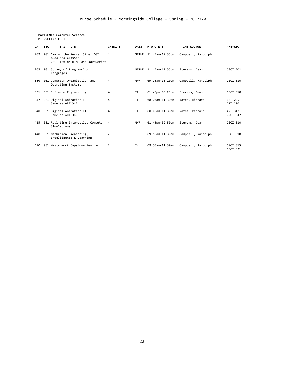|                   | DEPARTMENT: Computer Science |  |
|-------------------|------------------------------|--|
| DEPT PREFIX: CSCI |                              |  |

| CAT SEC | TITLE                                                                                       | <b>CREDITS</b> | <b>DAYS</b>  | HOURS                  | <b>INSTRUCTOR</b>  | <b>PRE-REO</b>       |
|---------|---------------------------------------------------------------------------------------------|----------------|--------------|------------------------|--------------------|----------------------|
|         | 202 001 C++ on the Server Side: CGI,<br>AJAX and Classes<br>CSCI 160 or HTML and JavaScript | 4              | <b>MTTHF</b> | $11:45$ am- $12:35$ pm | Campbell, Randolph |                      |
|         | 205 001 Survey of Programming<br>Languages                                                  | 4              | <b>MTTHF</b> | $11:45$ am- $12:35$ pm | Stevens, Dean      | CSCI 202             |
| 330     | 001 Computer Organization and<br>Operating Systems                                          | 4              | <b>MWF</b>   | 09:15am-10:20am        | Campbell, Randolph | CSCI 310             |
| 331     | 001 Software Engineering                                                                    | 4              | <b>TTH</b>   | $01:45$ pm- $03:25$ pm | Stevens, Dean      | CSCI 310             |
| 347     | 001 Digital Animation I<br>Same as ART 347                                                  | 4              | <b>TTH</b>   | 08:00am-11:30am        | Yates, Richard     | ART 205<br>ART 206   |
| 348     | 001 Digital Animation II<br>Same as ART 348                                                 | 4              | TTH.         | 08:00am-11:30am        | Yates, Richard     | ART 347<br>CSCI 347  |
| 415     | 001 Real-time Interactive Computer 4<br>Simulations                                         |                | <b>MWF</b>   | 01:45pm-02:50pm        | Stevens, Dean      | CSCI 310             |
| 440     | 001 Mechanical Reasoning,<br>Intelligence & Learning                                        | $\overline{2}$ | т            | 09:50am-11:30am        | Campbell, Randolph | CSCI 310             |
| 490     | 001 Masterwork Capstone Seminar                                                             | $\overline{2}$ | TH           | 09:50am-11:30am        | Campbell, Randolph | CSCI 315<br>CSCI 331 |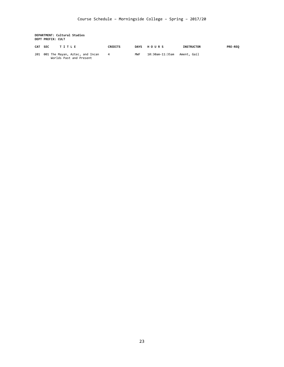**DEPARTMENT: Cultural Studies DEPT PREFIX: CULT**

| CAT SEC | TITLE                                                          | <b>CREDITS</b> |     | DAYS HOURS                  | <b>INSTRUCTOR</b> | <b>PRE-REQ</b> |
|---------|----------------------------------------------------------------|----------------|-----|-----------------------------|-------------------|----------------|
|         | 201 001 The Mayan, Aztec, and Incan<br>Worlds Past and Present | $\overline{4}$ | MWF | 10:30am-11:35am Ament, Gail |                   |                |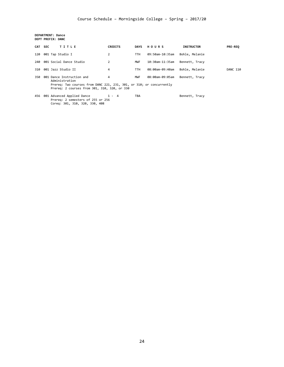**DEPARTMENT: Dance DEPT PREFIX: DANC**

| CAT SEC | TITLE                                                                                                                | <b>CREDITS</b> |      | DAYS HOURS      | <b>INSTRUCTOR</b> | <b>PRE-REQ</b> |
|---------|----------------------------------------------------------------------------------------------------------------------|----------------|------|-----------------|-------------------|----------------|
|         | 120 001 Tap Studio I                                                                                                 | 2              | TTH. | 09:50am-10:35am | Bohle, Melanie    |                |
|         | 240 001 Social Dance Studio                                                                                          | 2              | MWF  | 10:30am-11:35am | Bennett, Tracy    |                |
|         | 310 001 Jazz Studio II                                                                                               | 4              | TTH. | 08:00am-09:40am | Bohle, Melanie    | DANC 110       |
|         | 350 001 Dance Instruction and<br>Administration                                                                      | 4              | MWF  | 08:00am-09:05am | Bennett, Tracy    |                |
|         | Prereg: Two courses from DANC 221, 231, 301, or 310; or concurrently<br>Prereg: 2 courses from 301, 310, 320, or 330 |                |      |                 |                   |                |
| 456     | 001 Advanced Applied Dance<br>Prereg: 2 semesters of 255 or 256<br>Coreg: 301, 310, 320, 330, 408                    | $1 - 4$        | TBA  |                 | Bennett, Tracy    |                |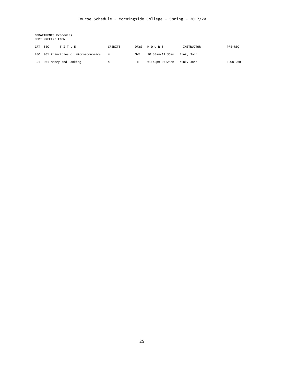**DEPARTMENT: Economics DEPT PREFIX: ECON**

| CAT SEC<br>TITLE                       | <b>CREDITS</b> | DAYS       | HOURS                      | <b>INSTRUCTOR</b> | <b>PRE-REQ</b> |
|----------------------------------------|----------------|------------|----------------------------|-------------------|----------------|
| 200 001 Principles of Microeconomics 4 |                | <b>MWF</b> | 10:30am-11:35am Zink, John |                   |                |
| 321 001 Money and Banking              | 4              | TTH        | 01:45pm-03:25pm Zink, John |                   | ECON 200       |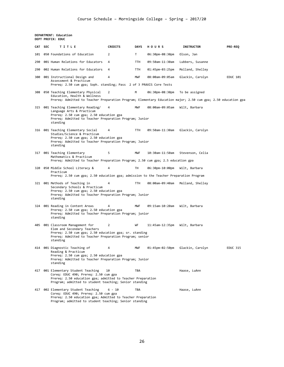**DEPARTMENT: Education DEPT PREFIX: EDUC**

|     | CAT SEC | TITLE                                                                                                                                                                                                 | <b>CREDITS</b> | DAYS | HOURS           | <b>INSTRUCTOR</b> | <b>PRE-REQ</b>  |
|-----|---------|-------------------------------------------------------------------------------------------------------------------------------------------------------------------------------------------------------|----------------|------|-----------------|-------------------|-----------------|
|     |         | 101 050 Foundations of Education                                                                                                                                                                      | 2              | T.   | 06:30pm-08:30pm | Olson, Jan        |                 |
| 290 |         | 001 Human Relations for Educators                                                                                                                                                                     | 4              | TTH  | 09:50am-11:30am | Lubbers, Susanne  |                 |
| 290 |         | 002 Human Relations for Educators                                                                                                                                                                     | 4              | TTH  | 01:45pm-03:25pm | Molland, Shelley  |                 |
| 300 |         | 001 Instructional Design and<br>Assessment & Practicum<br>Prereq: 2.50 cum gpa; Soph. standing; Pass 2 of 3 PRAXIS Core Tests                                                                         | 4              | MWF  | 08:00am-09:05am | Glackin, Carolyn  | <b>EDUC 101</b> |
| 308 |         | 050 Teaching Elementary Physical<br>Education, Health & Wellness<br>Prereq: Admitted to Teacher Preparation Program; Elementary Education major; 2.50 cum gpa; 2.50 education gpa                     | 2              | М    | 06:30pm-08:30pm | To be assigned    |                 |
|     |         | 315 001 Teaching Elementary Reading/<br>Language Arts & Practicum<br>Prereq: 2.50 cum gpa; 2.50 education gpa<br>Prereq: Admitted to Teacher Preparation Program; Junior<br>standing                  | 4              | MWF  | 08:00am-09:05am | Wilt, Barbara     |                 |
|     |         | 316 001 Teaching Elementary Social<br>Studies/Science & Practicum<br>Prereq: 2.50 cum gpa; 2.50 education gpa<br>Prereq: Admitted to Teacher Preparation Program; Junior<br>standing                  | 4              | TTH  | 09:50am-11:30am | Glackin, Carolyn  |                 |
| 317 |         | 001 Teaching Elementary<br>Mathematics & Practicum<br>Prereq: Admitted to Teacher Preparation Program; 2.50 cum gpa; 2.5 education gpa                                                                | 5              | MWF  | 10:30am-11:50am | Stevenson, Celia  |                 |
| 320 |         | 050 Middle School Literacy &<br>Practicum<br>Prereq: 2.50 cum gpa; 2.50 education gpa; admission to the Teacher Preparation Program                                                                   | 4              | TН   | 06:30pm-10:00pm | Wilt, Barbara     |                 |
|     |         | 321 001 Methods of Teaching in<br>Secondary Schools & Practicum<br>Prereq: 2.50 cum gpa; 2.50 education gpa<br>Prereq: Admitted to Teacher Preparation Program; Junior<br>standing                    | 4              | TTH  | 08:00am-09:40am | Molland, Shelley  |                 |
| 324 |         | 001 Reading in Content Areas<br>Prereq: 2.50 cum gpa; 2.50 education gpa<br>Prereq: Admitted to Teacher Preparation Program; junior<br>standing                                                       | 4              | MWF  | 09:15am-10:20am | Wilt, Barbara     |                 |
|     |         | 405 001 Classroom Management for<br>Elem and Secondary Teachers<br>Prereq: 2.50 cum gpa; 2.50 education gpa; sr. standing<br>Prereq: Admitted to Teacher Preparation Program; senior<br>standing      | 2              | WF   | 11:45am-12:35pm | Wilt, Barbara     |                 |
|     |         | 414 001 Diagnostic Teaching of<br>Reading & Practicum<br>Prereq: 2.50 cum gpa; 2.50 education gpa<br>Prereg: Admitted to Teacher Preparation Program; Junior<br>standing                              | 4              | MWF  | 01:45pm-02:50pm | Glackin, Carolyn  | <b>EDUC 315</b> |
|     |         | 417 001 Elementary Student Teaching<br>Coreq: EDUC 490; Prereq: 2.50 cum gpa<br>Prereq: 2.50 education gpa; admitted to Teacher Preparation<br>Program; admitted to student teaching; Senior standing | 10             | TBA  |                 | Haase, LuAnn      |                 |
|     |         | 417 002 Elementary Student Teaching<br>Coreq: EDUC 490; Prereq: 2.50 cum gpa<br>Prereq: 2.50 education gpa; Admitted to Teacher Preparation                                                           | $6 - 10$       | TBA  |                 | Haase, LuAnn      |                 |

Program; admitted to student teaching; Senior standing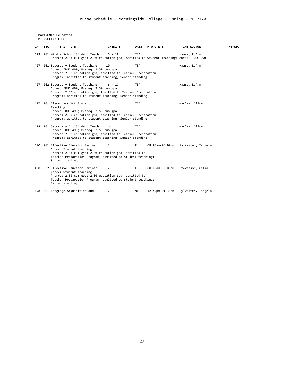| DEPARTMENT: Education<br>DEPT PREFIX: EDUC |  |                                                                                                                                                                                                             |                |               |              |                                 |                   |                |
|--------------------------------------------|--|-------------------------------------------------------------------------------------------------------------------------------------------------------------------------------------------------------------|----------------|---------------|--------------|---------------------------------|-------------------|----------------|
| CAT SEC                                    |  | TITLE                                                                                                                                                                                                       | <b>CREDITS</b> | <b>DAYS</b>   | <b>HOURS</b> |                                 | <b>INSTRUCTOR</b> | <b>PRE-REO</b> |
|                                            |  | 423 001 Middle School Student Teaching 6 - 10<br>Prereq: 2.50 cum gpa; 2.50 education gpa; Admitted to Student Teaching; coreq: EDUC 490                                                                    |                | TBA           |              | Haase, LuAnn                    |                   |                |
| 427                                        |  | 001 Secondary Student Teaching<br>Coreg: EDUC 490; Prereg: 2.50 cum gpa<br>Prereq: 2.50 education gpa; admitted to Teacher Preparation<br>Program; admitted to student teaching; Senior standing            | 10             | <b>TBA</b>    |              | Haase, LuAnn                    |                   |                |
|                                            |  | 427 002 Secondary Student Teaching 6 - 10<br>Coreq: EDUC 490; Prereq: 2.50 cum gpa<br>Prereq: 2.50 education gpa; Admitted to Teacher Preparation<br>Program; admitted to student teaching; Senior standing |                | <b>TBA</b>    |              | Haase, LuAnn                    |                   |                |
| 477                                        |  | 001 Elementary Art Student<br>Teaching<br>Coreg: EDUC 490; Prereg: 2.50 cum gpa<br>Prereq: 2.50 education gpa; admitted to Teacher Preparation<br>Program; admitted to student teaching; Senior standing    | 6              | <b>TBA</b>    |              | Marley, Alice                   |                   |                |
|                                            |  | 478 001 Secondary Art Student Teaching 6<br>Coreg: EDUC 490; Prereg: 2.50 cum gpa<br>Prereq: 2.50 education gpa; admitted to Teacher Preparation<br>Program; admitted to student teaching; Senior standing  |                | <b>TBA</b>    |              | Marley, Alice                   |                   |                |
|                                            |  |                                                                                                                                                                                                             |                | $\sim$ $\sim$ |              | $0.071$ and $0.011$ and $0.011$ |                   |                |

- 490 001 Effective Educator Seminar 2 F 08:00am-05:00pm Sylvester, Tangela Coreq: Student teaching Prereq: 2.50 cum gpa; 2.50 education gpa; admitted to Teacher Preparation Program; admitted to student teaching; Senior standing 490 002 Effective Educator Seminar 2 F 08:00am-05:00pm Stevenson, Celia
- Coreq: Student teaching Prereq: 2.50 cum gpa; 2.50 education gpa; admitted to Teacher Preparation Program; admitted to student teaching; Senior standing
- 498 001 Language Acquisition and 2 MTH 12:45pm-01:35pm Sylvester, Tangela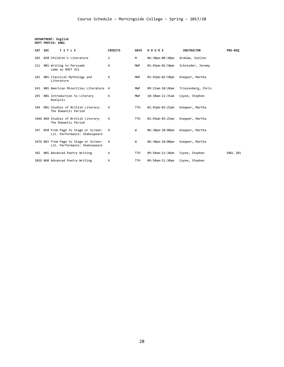**DEPARTMENT: English DEPT PREFIX: ENGL**

| CAT SEC | TITLE                                                                   | <b>CREDITS</b> | <b>DAYS</b> | HOURS                  | <b>INSTRUCTOR</b>  | <b>PRE-REO</b>  |
|---------|-------------------------------------------------------------------------|----------------|-------------|------------------------|--------------------|-----------------|
|         | 203 050 Children's Literature                                           | $\overline{2}$ | M           | 06:30pm-08:30pm        | Graham, Joellen    |                 |
|         | 211 001 Writing to Persuade<br>same as RHET 211                         | 4              | <b>MWF</b>  | 01:45pm-02:50pm        | Schnieder, Jeremy  |                 |
|         | 241 001 Classical Mythology and<br>Literature                           | 4              | <b>MWF</b>  | 01:45pm-02:50pm        | Knepper, Martha    |                 |
|         | 243 001 American Minorities Literature 4                                |                | <b>MWF</b>  | 09:15am-10:20am        | Triezenberg, Chris |                 |
| 295     | 001 Introduction to Literary<br>Analysis                                | 4              | <b>MWF</b>  | $10:30$ am- $11:35$ am | Coyne, Stephen     |                 |
|         | 344 001 Studies of British Literary:<br>The Romantic Period             | 4              | <b>TTH</b>  | 01:45pm-03:25pm        | Knepper, Martha    |                 |
|         | 344G 060 Studies of British Literary:<br>The Romantic Period            | 4              | <b>TTH</b>  | 01:45pm-03:25pm        | Knepper, Martha    |                 |
|         | 347 050 From Page to Stage or Screen:<br>Lit. Performance: Shakespeare  | 4              | W           | 06:30pm-10:00pm        | Knepper, Martha    |                 |
|         | 347G 065 From Page to Stage or Screen:<br>Lit. Performance: Shakespeare | 4              | W           | 06:30pm-10:00pm        | Knepper, Martha    |                 |
|         | 382 001 Advanced Poetry Writing                                         | 4              | <b>TTH</b>  | 09:50am-11:30am        | Coyne, Stephen     | <b>ENGL 281</b> |
|         | 382G 060 Advanced Poetry Writing                                        | 4              | <b>TTH</b>  | 09:50am-11:30am        | Coyne, Stephen     |                 |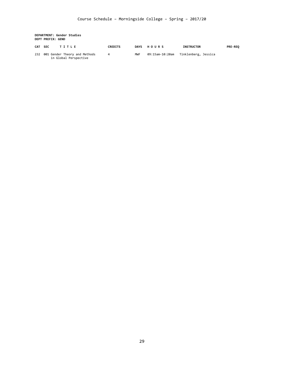**DEPARTMENT: Gender Studies DEPT PREFIX: GEND**

| CAT SEC | TITLE                                                      | <b>CREDITS</b> |     | DAYS HOURS | <b>INSTRUCTOR</b>                    | <b>PRE-REQ</b> |
|---------|------------------------------------------------------------|----------------|-----|------------|--------------------------------------|----------------|
|         | 232 001 Gender Theory and Methods<br>in Global Perspective | Δ              | MWF |            | 09:15am-10:20am Tinklenberg, Jessica |                |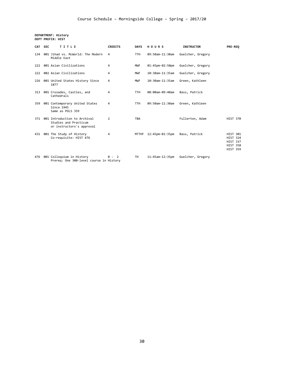**DEPARTMENT: History DEPT PREFIX: HIST**

| CAT SEC | TITLE                                                                                  | <b>CREDITS</b> | <b>DAYS</b>  | HOURS                  | <b>INSTRUCTOR</b> | PRE-REO                                                                                     |
|---------|----------------------------------------------------------------------------------------|----------------|--------------|------------------------|-------------------|---------------------------------------------------------------------------------------------|
|         | 134 001 Jihad vs. McWorld: The Modern<br>Middle East                                   | $\overline{4}$ | TTH.         | 09:50am-11:30am        | Guelcher, Gregory |                                                                                             |
|         | 222 001 Asian Civilizations                                                            | 4              | <b>MWF</b>   | 01:45pm-02:50pm        | Guelcher, Gregory |                                                                                             |
|         | 222 002 Asian Civilizations                                                            | 4              | <b>MWF</b>   | 10:30am-11:35am        | Guelcher, Gregory |                                                                                             |
|         | 226 001 United States History Since<br>1877                                            | 4              | <b>MWF</b>   | $10:30$ am- $11:35$ am | Green, Kathleen   |                                                                                             |
|         | 313 001 Crusades, Castles, and<br>Cathedrals                                           | 4              | <b>TTH</b>   | 08:00am-09:40am        | Bass, Patrick     |                                                                                             |
|         | 359 001 Contemporary United States<br>Since 1945<br>Same as POLS 359                   | 4              | TTH.         | 09:50am-11:30am        | Green, Kathleen   |                                                                                             |
|         | 371 001 Introduction to Archival<br>Studies and Practicum<br>or instructors's approval | $\overline{2}$ | <b>TBA</b>   |                        | Fullerton, Adam   | <b>HIST 370</b>                                                                             |
|         | 431 001 The Study of History<br>Co-requisite: HIST 476                                 | 4              | <b>MTTHF</b> | 12:45pm-01:35pm        | Bass, Patrick     | <b>HIST 301</b><br><b>HIST 324</b><br><b>HIST 337</b><br><b>HIST 358</b><br><b>HIST 359</b> |
|         | 476 001 Colloquium in History<br>Prereg: One 300-level course in History               | $0 - 2$        | TH           | $11:45am-12:35pm$      | Guelcher, Gregory |                                                                                             |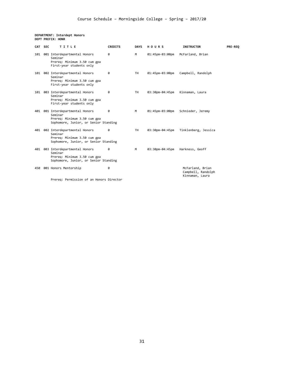|                          | DEPARTMENT: Interdept Honors |  |
|--------------------------|------------------------------|--|
| <b>DEPT PREFIX: HONR</b> |                              |  |

|     | CAT SEC | TITLE                                                                                                                | <b>CREDITS</b> | <b>DAYS</b> | HOURS           | <b>INSTRUCTOR</b>                                         | <b>PRE-REQ</b> |
|-----|---------|----------------------------------------------------------------------------------------------------------------------|----------------|-------------|-----------------|-----------------------------------------------------------|----------------|
|     |         | 101 001 Interdepartmental Honors<br>Seminar<br>Prereq: Minimum 3.50 cum gpa<br>First-year students only              | 0              | M           | 01:45pm-03:00pm | McFarland, Brian                                          |                |
| 101 |         | 002 Interdepartmental Honors<br>Seminar<br>Prereq: Minimum 3.50 cum gpa<br>First-year students only                  | 0              | TH          | 01:45pm-03:00pm | Campbell, Randolph                                        |                |
|     |         | 101 003 Interdepartmental Honors<br>Seminar<br>Prereq: Minimum 3.50 cum gpa<br>First-year students only              | 0              | <b>TH</b>   | 03:30pm-04:45pm | Kinnaman, Laura                                           |                |
|     |         | 401 001 Interdepartmental Honors<br>Seminar<br>Prereg: Minimum 3.50 cum gpa<br>Sophomore, Junior, or Senior Standing | 0              | M           | 01:45pm-03:00pm | Schnieder, Jeremy                                         |                |
| 401 |         | 002 Interdepartmental Honors<br>Seminar<br>Prereq: Minimum 3.50 cum gpa<br>Sophomore, Junior, or Senior Standing     | 0              | <b>TH</b>   | 03:30pm-04:45pm | Tinklenberg, Jessica                                      |                |
|     |         | 401 003 Interdepartmental Honors<br>Seminar<br>Prereq: Minimum 3.50 cum gpa<br>Sophomore, Junior, or Senior Standing | 0              | M           | 03:30pm-04:45pm | Harkness, Geoff                                           |                |
| 450 |         | 001 Honors Mentorship                                                                                                | 0              |             |                 | McFarland, Brian<br>Campbell, Randolph<br>Kinnaman, Laura |                |

Prereq: Permission of an Honors Director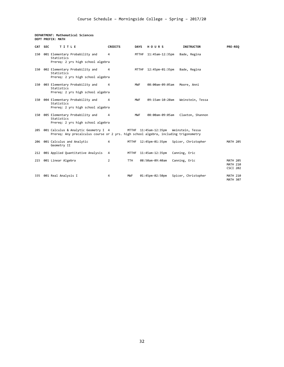|                   | DEPARTMENT: Mathematical Sciences |  |
|-------------------|-----------------------------------|--|
| DEPT PREFIX: MATH |                                   |  |

| CAT SEC | TITLE                                                                                                                            | <b>CREDITS</b> | <b>DAYS</b>  | HOURS                 | <b>INSTRUCTOR</b>                      | <b>PRE-REO</b>                                 |
|---------|----------------------------------------------------------------------------------------------------------------------------------|----------------|--------------|-----------------------|----------------------------------------|------------------------------------------------|
|         | 150 001 Elementary Probability and<br>Statistics<br>Prereq: 2 yrs high school algebra                                            | 4              |              | MTTHF 11:45am-12:35pm | Bade, Regina                           |                                                |
|         | 150 002 Elementary Probability and<br>Statistics<br>Prereg: 2 yrs high school algebra                                            | $\overline{4}$ | MTTHF        | 12:45pm-01:35pm       | Bade, Regina                           |                                                |
|         | 150 003 Elementary Probability and<br>Statistics<br>Prereq: 2 yrs high school algebra                                            | 4              | <b>MWF</b>   | 08:00am-09:05am       | Moore, Anni                            |                                                |
|         | 150 004 Elementary Probability and<br>Statistics<br>Prereq: 2 yrs high school algebra                                            | 4              | <b>MWF</b>   | 09:15am-10:20am       | Weinstein, Tessa                       |                                                |
|         | 150 005 Elementary Probability and<br>Statistics<br>Prereq: 2 yrs high school algebra                                            | 4              | MWF          | 08:00am-09:05am       | Claxton, Shannon                       |                                                |
|         | 205 001 Calculus & Analytic Geometry I 4<br>Prereq: Any precalculus course or 2 yrs. high school algebra, including trigonometry |                |              |                       | MTTHF 11:45am-12:35pm Weinstein, Tessa |                                                |
|         | 206 001 Calculus and Analytic<br>Geometry II                                                                                     | 4              |              | MTTHF 12:45pm-01:35pm | Spicer, Christopher                    | <b>MATH 205</b>                                |
|         | 212 001 Applied Quantitative Analysis                                                                                            | 4              | <b>MTTHF</b> | 11:45am-12:35pm       | Canning, Eric                          |                                                |
|         | 215 001 Linear Algebra                                                                                                           | $\overline{2}$ | <b>TTH</b>   | 08:50am-09:40am       | Canning, Eric                          | <b>MATH 205</b><br><b>MATH 210</b><br>CSCI 202 |
|         | 335 001 Real Analysis I                                                                                                          | 4              | <b>MWF</b>   |                       | 01:45pm-02:50pm Spicer, Christopher    | <b>MATH 210</b><br><b>MATH 307</b>             |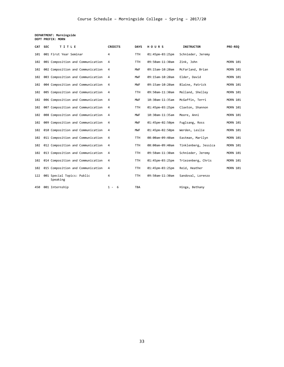#### **DEPARTMENT: Morningside DEPT PREFIX: MORN**

| CAT  | <b>SEC</b><br>TITLE                    | <b>CREDITS</b> | <b>DAYS</b> | HOURS              | <b>INSTRUCTOR</b>    | PRE-REO         |
|------|----------------------------------------|----------------|-------------|--------------------|----------------------|-----------------|
| 101  | 001 First Year Seminar                 | 4              | <b>TTH</b>  | $01:45$ pm-03:25pm | Schnieder, Jeremy    |                 |
| 102  | 001 Composition and Communication      | 4              | TTH.        | 09:50am-11:30am    | Zink, John           | <b>MORN 101</b> |
| 102  | 002 Composition and Communication      | 4              | <b>MWF</b>  | 09:15am-10:20am    | McFarland, Brian     | <b>MORN 101</b> |
| 102  | 003 Composition and Communication      | 4              | <b>MWF</b>  | 09:15am-10:20am    | Elder, David         | <b>MORN 101</b> |
| 102  | 004 Composition and Communication      | 4              | <b>MWF</b>  | 09:15am-10:20am    | Blaine, Patrick      | <b>MORN 101</b> |
| 102  | 005 Composition and Communication      | 4              | <b>TTH</b>  | 09:50am-11:30am    | Molland, Shelley     | <b>MORN 101</b> |
| 102  | 006 Composition and Communication      | 4              | <b>MWF</b>  | 10:30am-11:35am    | McGaffin, Terri      | <b>MORN 101</b> |
| 102  | 007 Composition and Communication      | 4              | TTH         | $01:45$ pm-03:25pm | Claxton, Shannon     | <b>MORN 101</b> |
| 102  | 008 Composition and Communication      | 4              | MWF         | 10:30am-11:35am    | Moore, Anni          | <b>MORN 101</b> |
| 102  | 009 Composition and Communication      | 4              | MWF         | 01:45pm-02:50pm    | Fuglsang, Ross       | <b>MORN 101</b> |
| 102  | 010 Composition and Communication      | 4              | MWF         | 01:45pm-02:50pm    | Werden, Leslie       | <b>MORN 101</b> |
| 102  | 011 Composition and Communication      | 4              | <b>TTH</b>  | 08:00am-09:40am    | Eastman, Marilyn     | <b>MORN 101</b> |
| 102. | 012 Composition and Communication      | 4              | <b>TTH</b>  | 08:00am-09:40am    | Tinklenberg, Jessica | <b>MORN 101</b> |
| 102  | 013 Composition and Communication      | 4              | <b>TTH</b>  | 09:50am-11:30am    | Schnieder, Jeremy    | <b>MORN 101</b> |
| 102  | 014 Composition and Communication      | 4              | TTH         | 01:45pm-03:25pm    | Triezenberg, Chris   | <b>MORN 101</b> |
| 102  | 015 Composition and Communication      | 4              | TTH         | 01:45pm-03:25pm    | Reid, Heather        | <b>MORN 101</b> |
| 122  | 001 Special Topics: Public<br>Speaking | 4              | <b>TTH</b>  | 09:50am-11:30am    | Sandoval, Lorenzo    |                 |
| 450  | 001 Internship                         | - 6<br>$1 -$   | <b>TBA</b>  |                    | Hinga, Bethany       |                 |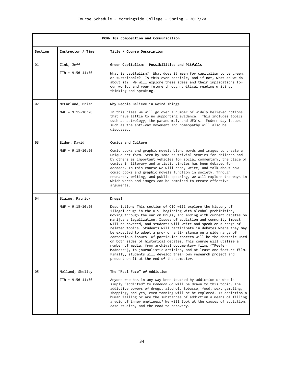|         | MORN 102 Composition and Communication     |                                                                                                                                                                                                                                                                                                                                                                                                                                                                                                                                                                                                                                                                                                                                                                                                                                                                                             |  |  |  |  |  |
|---------|--------------------------------------------|---------------------------------------------------------------------------------------------------------------------------------------------------------------------------------------------------------------------------------------------------------------------------------------------------------------------------------------------------------------------------------------------------------------------------------------------------------------------------------------------------------------------------------------------------------------------------------------------------------------------------------------------------------------------------------------------------------------------------------------------------------------------------------------------------------------------------------------------------------------------------------------------|--|--|--|--|--|
| Section | Instructor / Time                          | Title / Course Description                                                                                                                                                                                                                                                                                                                                                                                                                                                                                                                                                                                                                                                                                                                                                                                                                                                                  |  |  |  |  |  |
| 01      | Zink, Jeff<br>TTh $\cdot$ 9:50-11:30       | Green Capitalism: Possibilities and Pitfalls<br>What is capitalism? What does it mean for capitalism to be green,<br>or sustainable? Is this even possible, and if not, what do we do<br>about it? We will explore these ideas and their implications for<br>our world, and your future through critical reading writing,<br>thinking and speaking.                                                                                                                                                                                                                                                                                                                                                                                                                                                                                                                                         |  |  |  |  |  |
| 02      | McFarland, Brian<br>MWF • 9:15-10:20       | Why People Believe in Weird Things<br>In this class we will go over a number of widely believed notions<br>that have little to no supporting evidence. This includes topics<br>such as astrology, the paranormal, and UFO's. Modern day issues<br>such as the anti-vax movement and homeopathy will also be<br>discussed.                                                                                                                                                                                                                                                                                                                                                                                                                                                                                                                                                                   |  |  |  |  |  |
| 03      | Elder, David<br>MWF • 9:15-10:20           | Comics and Culture<br>Comic books and graphic novels blend words and images to create a<br>unique art form. Seen by some as trivial stories for children and<br>by others as important vehicles for social commentary, the place of<br>comics in literary and artistic circles has been debated for<br>decades. In this course we will read, write, and talk about how<br>comic books and graphic novels function in society. Through<br>research, writing, and public speaking, we will explore the ways in<br>which words and images can be combined to create effective<br>arguments.                                                                                                                                                                                                                                                                                                    |  |  |  |  |  |
| 04      | Blaine, Patrick<br>MWF • 9:15-10:20        | Drugs!<br>Description: This section of CIC will explore the history of<br>illegal drugs in the U.S. beginning with alcohol prohibition,<br>moving through the War on Drugs, and ending with current debates on<br>marijuana legalization. Issues of addiction and community impact<br>will be covered, and students will write and speak on a range of<br>related topics. Students will participate in debates where they may<br>be expected to adopt a pro- or anti- stance on a wide range of<br>contentious issues. Of particular concern will be the rhetoric used<br>on both sides of historical debates. This course will utilize a<br>number of media, from archival documentary films ("Reefer<br>Madness"), to journalistic articles, and at least one feature film.<br>Finally, students will develop their own research project and<br>present on it at the end of the semester. |  |  |  |  |  |
| 05      | Molland, Shelley<br>TTh $\cdot$ 9:50-11:30 | The "Real Face" of Addiction<br>Anyone who has in any way been touched by addiction or who is<br>simply "addicted" to Pokemon Go will be drawn to this topic. The<br>addictive powers of drugs, alcohol, tobacco, food, sex, gambling,<br>shopping, and yes, even tanning will be be explored. Is addiction a<br>human failing or are the substances of addiction a means of filling<br>a void of inner emptiness? We will look at the causes of addiction,<br>case studies, and the road to recovery.                                                                                                                                                                                                                                                                                                                                                                                      |  |  |  |  |  |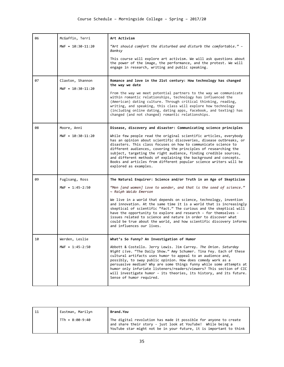| 06 | McGaffin, Terri                       | Art Activism                                                                                                                                                                                                                                                                                                                                                                                                                                                                                                         |
|----|---------------------------------------|----------------------------------------------------------------------------------------------------------------------------------------------------------------------------------------------------------------------------------------------------------------------------------------------------------------------------------------------------------------------------------------------------------------------------------------------------------------------------------------------------------------------|
|    | MWF • 10:30-11:20                     | "Art should comfort the disturbed and disturb the comfortable." $-$<br>Banksy                                                                                                                                                                                                                                                                                                                                                                                                                                        |
|    |                                       | This course will explore art activism. We will ask questions about<br>the power of the image, the performance, and the protest. We will<br>engage in research, writing and public speaking.                                                                                                                                                                                                                                                                                                                          |
| 07 | Claxton, Shannon<br>MWF • 10:30-11:20 | Romance and love in the 21st century: How technology has changed<br>the way we date                                                                                                                                                                                                                                                                                                                                                                                                                                  |
|    |                                       | From the way we meet potential partners to the way we communicate<br>within romantic relationships, technology has influenced the<br>(American) dating culture. Through critical thinking, reading,<br>writing, and speaking, this class will explore how technology<br>(including online dating, dating apps, facebook, and texting) has<br>changed (and not changed) romantic relationships.                                                                                                                       |
| 08 | Moore, Anni                           | Disease, discovery and disaster: Communicating science principles                                                                                                                                                                                                                                                                                                                                                                                                                                                    |
|    | MWF • 10:30-11:20                     | While few people read the original scientific articles, everybody<br>has an opinion about scientific discoveries, disease outbreaks, or<br>disasters. This class focuses on how to communicate science to<br>different audiences, covering the principles of researching the<br>subject, targeting the right audience, finding credible sources,<br>and different methods of explaining the background and concepts.<br>Books and articles from different popular science writers will be<br>explored as examples.   |
| 09 | Fuglsang, Ross                        | The Natural Enquirer: Science and/or Truth in an Age of Skepticism                                                                                                                                                                                                                                                                                                                                                                                                                                                   |
|    | MWF • 1:45-2:50                       | "Men [and women] Love to wonder, and that is the seed of science."<br>$\sim$ Ralph Waldo Emerson                                                                                                                                                                                                                                                                                                                                                                                                                     |
|    |                                       | We live in a world that depends on science, technology, invention<br>and innovation. At the same time it is a world that is increasingly<br>skeptical of scientific "fact." The curious and the skeptical will<br>have the opportunity to explore and research - for themselves -<br>issues related to science and nature in order to discover what<br>could be true about the world, and how scientific discovery informs<br>and influences our lives.                                                              |
| 10 | Werden, Leslie                        | What's So Funny? An Investigation of Humor                                                                                                                                                                                                                                                                                                                                                                                                                                                                           |
|    | MWF • 1:45-2:50                       | Abbott & Costello. Jerry Lewis. Jim Carrey. The Onion. Saturday<br>Night Live. "The Daily Show." Amy Schumer. Tina Fey. Each of these<br>cultural artifacts uses humor to appeal to an audience and,<br>possibly, to sway public opinion. How does comedy work as a<br>persuasive medium? Why are some things funny while some attempts at<br>humor only infuriate listeners/readers/viewers? This section of CIC<br>will investigate humor - its theories, its history, and its future.<br>Sense of humor required. |

| 11 | Eastman, Marilyn | Brand. You                                                                                                                                                                                            |
|----|------------------|-------------------------------------------------------------------------------------------------------------------------------------------------------------------------------------------------------|
|    | TTh • 8:00-9:40  | The digital revolution has made it possible for anyone to create<br>and share their story - just look at YouTube! While being a<br>YouTube star might not be in your future, it is important to think |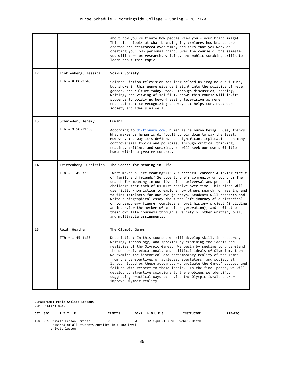|    |                        | about how you cultivate how people view you - your brand image!<br>This class looks at what branding is, explores how brands are<br>created and reinforced over time, and asks that you work on<br>creating your own personal brand. Over the course of the semester,<br>you will work on research, writing, and public speaking skills to<br>learn about this topic.                                                                                                                                                                                                                                                                                                                                                                       |
|----|------------------------|---------------------------------------------------------------------------------------------------------------------------------------------------------------------------------------------------------------------------------------------------------------------------------------------------------------------------------------------------------------------------------------------------------------------------------------------------------------------------------------------------------------------------------------------------------------------------------------------------------------------------------------------------------------------------------------------------------------------------------------------|
| 12 | Tinklenberg, Jessica   | Sci-Fi Society                                                                                                                                                                                                                                                                                                                                                                                                                                                                                                                                                                                                                                                                                                                              |
|    | TTh • 8:00-9:40        | Science Fiction television has long helped us imagine our future,<br>but shows in this genre give us insight into the politics of race,<br>gender, and culture today, too. Through discussion, reading,<br>writing, and viewing of sci-fi TV shows this course will invite<br>students to boldly go beyond seeing television as mere<br>entertainment to recognizing the ways it helps construct our<br>society and ideals as well.                                                                                                                                                                                                                                                                                                         |
| 13 | Schnieder, Jeremy      | Human?                                                                                                                                                                                                                                                                                                                                                                                                                                                                                                                                                                                                                                                                                                                                      |
|    | TTh • 9:50-11:30       | According to dictionary.com, human is "a human being." Gee, thanks.<br>What makes us human is difficult to pin down to say the least.<br>However, the way it's defined has significant implications on many<br>controversial topics and policies. Through critical thinking,<br>reading, writing, and speaking, we will seek our own definitions<br>human within a greater context.                                                                                                                                                                                                                                                                                                                                                         |
|    |                        |                                                                                                                                                                                                                                                                                                                                                                                                                                                                                                                                                                                                                                                                                                                                             |
| 14 | Triezenberg, Christina | The Search for Meaning in Life                                                                                                                                                                                                                                                                                                                                                                                                                                                                                                                                                                                                                                                                                                              |
|    | TTh $\cdot$ 1:45-3:25  | What makes a life meaningful? A successful career? A loving circle<br>of family and friends? Service to one's community or country? The<br>search for meaning in our lives is a universal and personal<br>challenge that each of us must resolve over time. This class will<br>use fiction/nonfiction to explore how others search for meaning and<br>to find templates for our own journeys. Students will research and<br>write a biographical essay about the life journey of a historical<br>or contemporary figure, complete an oral history project (including<br>an interview the member of an older generation), and reflect on<br>their own life journeys through a variety of other written, oral,<br>and multimedia assignments. |
| 15 | Reid, Heather          | The Olympic Games                                                                                                                                                                                                                                                                                                                                                                                                                                                                                                                                                                                                                                                                                                                           |

#### **DEPARTMENT: Music-Applied Lessons DEPT PREFIX: MUAL**

| CAT SEC | TITLE                                            | <b>CREDITS</b>                                          |   | DAYS HOURS                   | <b>INSTRUCTOR</b> | <b>PRE-REQ</b> |
|---------|--------------------------------------------------|---------------------------------------------------------|---|------------------------------|-------------------|----------------|
|         | 100 001 Private Lesson Seminar<br>private lesson | ุ ค<br>Required of all students enrolled in a 100 level | W | 12:45pm-01:35pm Weber, Heath |                   |                |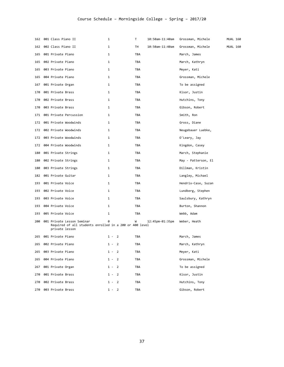# Course Schedule – Morningside College – Spring – 2017/20

|     | 162 001 Class Piano II                                                                                  | 1       | T.<br>10:50am-11:40am | Grossman, Michele   | MUAL 160        |
|-----|---------------------------------------------------------------------------------------------------------|---------|-----------------------|---------------------|-----------------|
| 162 | 002 Class Piano II                                                                                      | 1       | TH<br>10:50am-11:40am | Grossman, Michele   | <b>MUAL 160</b> |
| 165 | 001 Private Piano                                                                                       | 1       | TBA                   | March, James        |                 |
| 165 | 002 Private Piano                                                                                       | 1       | TBA                   | March, Kathryn      |                 |
| 165 | 003 Private Piano                                                                                       | 1       | TBA                   | Meyer, Kati         |                 |
| 165 | 004 Private Piano                                                                                       | 1       | TBA                   | Grossman, Michele   |                 |
| 167 | 001 Private Organ                                                                                       | 1       | TBA                   | To be assigned      |                 |
| 170 | 001 Private Brass                                                                                       | 1       | TBA                   | Kisor, Justin       |                 |
| 170 | 002 Private Brass                                                                                       | 1       | TBA                   | Hutchins, Tony      |                 |
| 170 | 003 Private Brass                                                                                       | 1       | TBA                   | Gibson, Robert      |                 |
| 171 | 001 Private Percussion                                                                                  | 1       | TBA                   | Smith, Ron          |                 |
| 172 | 001 Private Woodwinds                                                                                   | 1       | TBA                   | Gross, Diane        |                 |
|     | 172 002 Private Woodwinds                                                                               | 1       | TBA                   | Neugebauer Luebke,  |                 |
|     | 172 003 Private Woodwinds                                                                               | 1       | TBA                   | O'Leary, Jay        |                 |
|     | 172 004 Private Woodwinds                                                                               | 1       | TBA                   | Kingdon, Casey      |                 |
| 180 | 001 Private Strings                                                                                     | 1       | TBA                   | March, Stephanie    |                 |
| 180 | 002 Private Strings                                                                                     | 1       | TBA                   | May - Patterson, El |                 |
| 180 | 003 Private Strings                                                                                     | 1       | TBA                   | Dillman, Kristin    |                 |
| 182 | 001 Private Guitar                                                                                      | 1       | TBA                   | Langley, Michael    |                 |
| 193 | 001 Private Voice                                                                                       | 1       | TBA                   | Hendrix-Case, Suzan |                 |
| 193 | 002 Private Voice                                                                                       | 1       | TBA                   | Lundberg, Stephen   |                 |
| 193 | 003 Private Voice                                                                                       | 1       | TBA                   | Saulsbury, Kathryn  |                 |
| 193 | 004 Private Voice                                                                                       | 1       | TBA                   | Burton, Shannon     |                 |
| 193 | 005 Private Voice                                                                                       | 1       | TBA                   | Webb, Adam          |                 |
| 200 | 001 Private Lesson Seminar<br>Required of all students enrolled in a 200 or 400 level<br>private lesson | 0       | 12:45pm-01:35pm<br>W  | Weber, Heath        |                 |
|     | 265 001 Private Piano                                                                                   | $1 - 2$ | TBA                   | March, James        |                 |
| 265 | 002 Private Piano                                                                                       | $1 - 2$ | TBA                   | March, Kathryn      |                 |
| 265 | 003 Private Piano                                                                                       | $1 - 2$ | TBA                   | Meyer, Kati         |                 |
| 265 | 004 Private Piano                                                                                       | $1 - 2$ | TBA                   | Grossman, Michele   |                 |
| 267 | 001 Private Organ                                                                                       | $1 - 2$ | TBA                   | To be assigned      |                 |
| 270 | 001 Private Brass                                                                                       | $1 - 2$ | TBA                   | Kisor, Justin       |                 |
| 270 | 002 Private Brass                                                                                       | $1 - 2$ | TBA                   | Hutchins, Tony      |                 |
| 270 | 003 Private Brass                                                                                       | $1 - 2$ | TBA                   | Gibson, Robert      |                 |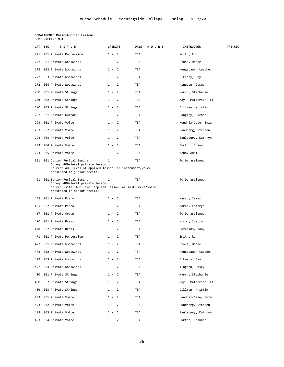|                   | DEPARTMENT: Music-Applied Lessons |  |
|-------------------|-----------------------------------|--|
| DEPT PREFIX: MUAL |                                   |  |

|     | CAT SEC<br>TITLE                                                                                                              | <b>CREDITS</b> | DAYS<br>HOURS | <b>PRE-REQ</b><br><b>INSTRUCTOR</b> |
|-----|-------------------------------------------------------------------------------------------------------------------------------|----------------|---------------|-------------------------------------|
|     | 271 001 Private Percussion                                                                                                    | $1 - 2$        | TBA           | Smith, Ron                          |
|     | 272 001 Private Woodwinds                                                                                                     | $1 - 2$        | TBA           | Gross, Diane                        |
|     | 272 002 Private Woodwinds                                                                                                     | $1 - 2$        | TBA           | Neugebauer Luebke,                  |
|     | 272 003 Private Woodwinds                                                                                                     | $1 - 2$        | TBA           | O'Leary, Jay                        |
|     | 272 004 Private Woodwinds                                                                                                     | $1 - 2$        | TBA           | Kingdon, Casey                      |
| 280 | 001 Private Strings                                                                                                           | $1 - 2$        | TBA           | March, Stephanie                    |
| 280 | 002 Private Strings                                                                                                           | $1 - 2$        | TBA           | May - Patterson, El                 |
| 280 | 003 Private Strings                                                                                                           | $1 - 2$        | TBA           | Dillman, Kristin                    |
|     | 282 001 Private Guitar                                                                                                        | $1 - 2$        | TBA           | Langley, Michael                    |
|     | 293 001 Private Voice                                                                                                         | $1 - 2$        | TBA           | Hendrix-Case, Suzan                 |
|     | 293 002 Private Voice                                                                                                         | $1 - 2$        | TBA           | Lundberg, Stephen                   |
| 293 | 003 Private Voice                                                                                                             | $1 - 2$        | TBA           | Saulsbury, Kathryn                  |
|     | 293 004 Private Voice                                                                                                         | $1 - 2$        | TBA           | Burton, Shannon                     |
|     | 293 005 Private Voice                                                                                                         | $1 - 2$        | TBA           | Webb, Adam                          |
|     | 321 001 Junior Recital Seminar<br>Coreq: 400-level private lesson                                                             | 1              | TBA           | To be assigned                      |
|     | Co-req: 400-level of applied lesson for instrument/voice<br>presented in junior recital                                       |                |               |                                     |
|     | 421 001 Senior Recital Seminar                                                                                                | 1              | TBA           | To be assigned                      |
|     | Coreq: 400-level private lesson<br>Co-requisite: 400-level applied lesson for instrument/voice<br>presented in senior recital |                |               |                                     |
|     | 465 001 Private Piano                                                                                                         | $1 - 2$        | TBA           | March, James                        |
| 465 | 002 Private Piano                                                                                                             | $1 - 2$        | TBA           | March, Kathryn                      |
| 467 | 001 Private Organ                                                                                                             | $1 - 2$        | TBA           | To be assigned                      |
| 470 | 001 Private Brass                                                                                                             | $1 - 2$        | TBA           | Kisor, Justin                       |
|     | 470 002 Private Brass                                                                                                         | $1 - 2$        | TBA           | Hutchins, Tony                      |
|     | 471 001 Private Percussion                                                                                                    | $1 - 2$        | TBA           | Smith, Ron                          |
|     | 472 001 Private Woodwinds                                                                                                     | $1 - 2$        | TBA           | Gross, Diane                        |
|     | 002 Private Woodwinds                                                                                                         | $1 -$          | TBA           | Neugebauer Luebke,                  |
|     | 472 003 Private Woodwinds                                                                                                     | $1 - 2$        | TBA           | O'Leary, Jay                        |
|     | 472 004 Private Woodwinds                                                                                                     | $1 - 2$        | TBA           | Kingdon, Casey                      |
| 480 | 001 Private Strings                                                                                                           | $1 - 2$        | TBA           | March, Stephanie                    |
| 480 | 002 Private Strings                                                                                                           | $1 - 2$        | TBA           | May - Patterson, El                 |
| 480 | 003 Private Strings                                                                                                           | $1 - 2$        | TBA           | Dillman, Kristin                    |
| 493 | 001 Private Voice                                                                                                             | $1 - 2$        | TBA           | Hendrix-Case, Suzan                 |
| 493 | 002 Private Voice                                                                                                             | $1 - 2$        | TBA           | Lundberg, Stephen                   |
| 493 | 003 Private Voice                                                                                                             | $1 - 2$        | TBA           | Saulsbury, Kathryn                  |
| 493 | 004 Private Voice                                                                                                             | $1 - 2$        | TBA           | Burton, Shannon                     |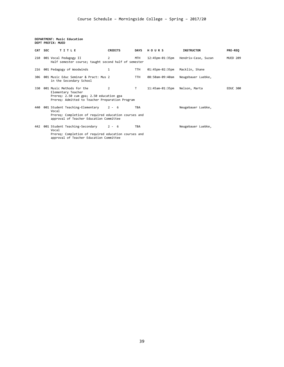# **DEPARTMENT: Music Education DEPT PREFIX: MUED**

| CAT SEC | TITLE                                                                                                                                                 | <b>CREDITS</b> | DAYS         | HOURS           | <b>INSTRUCTOR</b>                   | <b>PRE-REQ</b>  |
|---------|-------------------------------------------------------------------------------------------------------------------------------------------------------|----------------|--------------|-----------------|-------------------------------------|-----------------|
|         | 210 001 Vocal Pedagogy II<br>Half semester course; taught second half of semester                                                                     | $\overline{2}$ | MTH          |                 | 12:45pm-01:35pm Hendrix-Case, Suzan | <b>MUED 209</b> |
|         | 216 001 Pedagogy of Woodwinds                                                                                                                         | 1              | TTH          | 01:45pm-02:35pm | Macklin, Shane                      |                 |
|         | 306 001 Music Educ Seminar & Pract: Mus 2<br>in the Secondary School                                                                                  |                | TTH.         | 08:50am-09:40am | Neugebauer Luebke,                  |                 |
|         | 330 001 Music Methods for the<br>Elementary Teacher<br>Prereq: 2.50 cum gpa; 2.50 education gpa<br>Prereg: Admitted to Teacher Preparation Program    | $\overline{2}$ | $\mathsf{T}$ | 11:45am-01:35pm | Nelson, Marta                       | <b>EDUC 300</b> |
|         | 440 001 Student Teaching-Elementary 2 - 6<br>Vocal<br>Prereq: Completion of required education courses and<br>approval of Teacher Education Committee |                | TBA          |                 | Neugebauer Luebke,                  |                 |
|         | 442 001 Student Teaching-Secondary<br>Vocal<br>Prereq: Completion of required education courses and<br>approval of Teacher Education Committee        | $2 - 6$        | TBA          |                 | Neugebauer Luebke,                  |                 |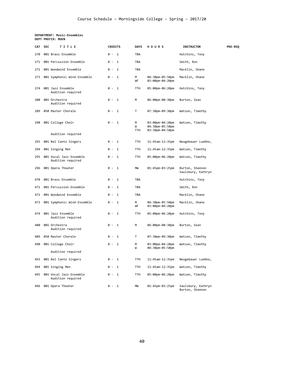#### **DEPARTMENT: Music-Ensembles DEPT PREFIX: MUEN**

|     | CAT SEC<br>TITLE                             | <b>CREDITS</b> | <b>DAYS</b>   | HOURS                                                 | <b>INSTRUCTOR</b>                     | <b>PRE-REQ</b> |
|-----|----------------------------------------------|----------------|---------------|-------------------------------------------------------|---------------------------------------|----------------|
| 270 | 001 Brass Ensemble                           | $0 - 1$        | TBA           |                                                       | Hutchins, Tony                        |                |
| 271 | 001 Percussion Ensemble                      | 0 - 1          | TBA           |                                                       | Smith, Ron                            |                |
| 272 | 001 Woodwind Ensemble                        | 0-1            | TBA           |                                                       | Macklin, Shane                        |                |
| 273 | 001 Symphonic Wind Ensemble                  | 0-1            | М<br>WF       | 04:30pm-05:50pm<br>03:00pm-04:20pm                    | Macklin, Shane                        |                |
| 274 | 001 Jazz Ensemble<br>Audition required       | 0 - 1          | TTH           | 05:00pm-06:20pm                                       | Hutchins, Tony                        |                |
| 280 | 001 Orchestra<br>Audition required           | 0 - 1          | М             | 06:00pm-08:30pm                                       | Burton, Sean                          |                |
| 289 | 050 Master Chorale                           | 0 - 1          | т             | 07:30pm-09:30pm                                       | Watson, Timothy                       |                |
| 290 | 001 College Choir                            | 0 - 1          | м<br>W<br>TTH | 03:00pm-04:20pm<br>04:30pm-05:50pm<br>03:30pm-04:50pm | Watson, Timothy                       |                |
|     | Audition required                            |                |               |                                                       |                                       |                |
| 293 | 001 Bel Canto Singers                        | 0 - 1          | TTH           | 11:45am-12:35pm                                       | Neugebauer Luebke,                    |                |
| 294 | 001 Singing Men                              | $0 - 1$        | TTH           | 11:45am-12:35pm                                       | Watson, Timothy                       |                |
| 295 | 001 Vocal Jazz Ensemble<br>Audition required | 0 - 1          | TTH           | 05:00pm-06:20pm                                       | Watson, Timothy                       |                |
| 296 | 001 Opera Theater                            | 0 - 1          | MW            | 01:45pm-03:25pm                                       | Burton, Shannon<br>Saulsbury, Kathryn |                |
| 470 | 001 Brass Ensemble                           | 0 - 1          | TBA           |                                                       | Hutchins, Tony                        |                |
| 471 | 001 Percussion Ensemble                      | 0 - 1          | TBA           |                                                       | Smith, Ron                            |                |
| 472 | 001 Woodwind Ensemble                        | 0 - 1          | TBA           |                                                       | Macklin, Shane                        |                |
| 473 | 001 Symphonic Wind Ensemble                  | 0 - 1          | М<br>WF       | 04:30pm-05:50pm<br>03:00pm-04:20pm                    | Macklin, Shane                        |                |
| 474 | 001 Jazz Ensemble<br>Audition required       | 0 - 1          | TTH           | 05:00pm-06:20pm                                       | Hutchins, Tony                        |                |
| 480 | 001 Orchestra<br>Audition required           | 0 - 1          | М             | 06:00pm-08:30pm                                       | Burton, Sean                          |                |
| 489 | 050 Master Chorale                           | $0 - 1$        | Τ             | 07:30pm-09:30pm                                       | Watson, Timothy                       |                |
| 490 | 001 College Choir                            | 0 -<br>1       | м<br>W        | 03:00pm-04:20pm<br>04:30pm-05:50pm                    | Watson, Timothy                       |                |
|     | Audition required                            |                |               |                                                       |                                       |                |
| 493 | 001 Bel Canto Singers                        | $0 - 1$        | TTH           | 11:45am-12:35pm                                       | Neugebauer Luebke,                    |                |
| 494 | 001 Singing Men                              | 0 - 1          | TTH           | 11:45am-12:35pm                                       | Watson, Timothy                       |                |
| 495 | 001 Vocal Jazz Ensemble<br>Audition required | $0 - 1$        | TTH           | 05:00pm-06:20pm                                       | Watson, Timothy                       |                |
| 496 | 001 Opera Theater                            | $0 - 1$        | МW            | 01:45pm-03:25pm                                       | Saulsbury, Kathryn<br>Burton, Shannon |                |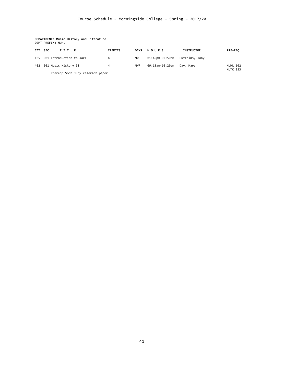## **DEPARTMENT: Music History and Literature DEPT PREFIX: MUHL**

| CAT SEC | TITLE                        | <b>CREDITS</b> | DAYS       | HOURS                          | <b>INSTRUCTOR</b> | <b>PRE-REQ</b>              |
|---------|------------------------------|----------------|------------|--------------------------------|-------------------|-----------------------------|
|         | 105 001 Introduction to Jazz | 4              | <b>MWF</b> | 01:45pm-02:50pm Hutchins, Tony |                   |                             |
|         | 402 001 Music History II     | 4              | MWF        | 09:15am-10:20am Day, Mary      |                   | <b>MUHL 102</b><br>MUTC 133 |

Prereq: Soph Jury reserach paper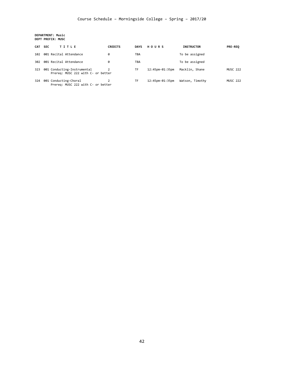#### **DEPARTMENT: Music DEPT PREFIX: MUSC**

| CAT | <b>SEC</b> | TITLE                                                             | <b>CREDITS</b> | <b>DAYS</b> | <b>HOURS</b>    | <b>INSTRUCTOR</b> | <b>PRE-REQ</b>  |
|-----|------------|-------------------------------------------------------------------|----------------|-------------|-----------------|-------------------|-----------------|
|     |            | 102 001 Recital Attendance                                        | 0              | TBA         |                 | To be assigned    |                 |
|     |            | 302 001 Recital Attendance                                        | 0              | TBA         |                 | To be assigned    |                 |
| 323 |            | 001 Conducting-Instrumental<br>Prereq: MUSC 222 with C- or better |                | ΤF          | 12:45pm-01:35pm | Macklin, Shane    | <b>MUSC 222</b> |
| 324 |            | 001 Conducting-Choral<br>Prereq: MUSC 222 with C- or better       |                | ΤF          | 12:45pm-01:35pm | Watson, Timothy   | <b>MUSC 222</b> |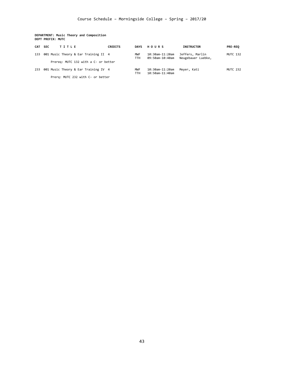|         | DEPT PREFIX: MUTC                                                                |                |                    |                                    |                                       |                 |
|---------|----------------------------------------------------------------------------------|----------------|--------------------|------------------------------------|---------------------------------------|-----------------|
| CAT SEC | TITLE                                                                            | <b>CREDITS</b> | DAYS               | HOURS                              | <b>INSTRUCTOR</b>                     | <b>PRE-REQ</b>  |
|         | 133 001 Music Theory & Ear Training II 4<br>Prereg: MUTC 132 with a C- or better |                | MWF<br>TTH.        | 10:30am-11:20am<br>09:50am-10:40am | Jeffers, Marlin<br>Neugebauer Luebke, | <b>MUTC 132</b> |
| 233     | 001 Music Theory & Ear Training IV 4<br>Prerg: MUTC 232 with C- or better        |                | <b>MWF</b><br>TTH. | 10:30am-11:20am<br>10:50am-11:40am | Meyer, Kati                           | MUTC 232        |
|         |                                                                                  |                |                    |                                    |                                       |                 |

# **DEPARTMENT: Music Theory and Composition**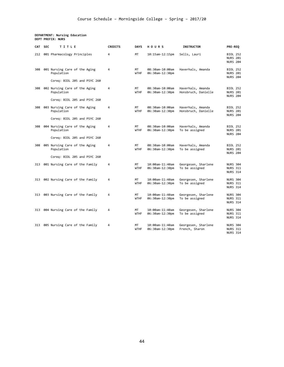| DEPARTMENT: Nursing Education |  |
|-------------------------------|--|
| DEPT PREFIX: NURS             |  |

| CAT SEC | TITLE                                                                       | <b>CREDITS</b> | <b>DAYS</b>              | HOURS                              | <b>INSTRUCTOR</b>                        | <b>PRE-REQ</b>                                        |
|---------|-----------------------------------------------------------------------------|----------------|--------------------------|------------------------------------|------------------------------------------|-------------------------------------------------------|
| 212     | 001 Pharmacology Principles                                                 | 4              | МT                       | $10:15am-12:15pm$                  | Sells, Lauri                             | BIOL 252<br><b>NURS 201</b><br><b>NURS 204</b>        |
| 308     | 001 Nursing Care of the Aging<br>Population<br>Coreq: BIOL 205 and PSYC 260 | 4              | МT<br><b>WTHF</b>        | 08:30am-10:00am<br>06:30am-12:30pm | Haverhals, Amanda                        | BIOL 252<br><b>NURS 201</b><br><b>NURS 204</b>        |
| 308     | 002 Nursing Care of the Aging<br>Population                                 | 4              | МT<br><b>WTHF</b>        | 08:30am-10:00am<br>06:30am-12:30pm | Haverhals, Amanda<br>Honsbruch, Danielle | BIOL 252<br><b>NURS 201</b><br><b>NURS 204</b>        |
| 308     | Coreq: BIOL 205 and PSYC 260<br>003 Nursing Care of the Aging<br>Population | 4              | МT<br><b>WTHF</b>        | 08:30am-10:00am<br>06:30am-12:30pm | Haverhals, Amanda<br>Honsbruch, Danielle | BIOL 252<br><b>NURS 201</b>                           |
|         | Coreq: BIOL 205 and PSYC 260                                                |                |                          |                                    |                                          | <b>NURS 204</b>                                       |
| 308     | 004 Nursing Care of the Aging<br>Population                                 | 4              | МT<br><b>WTHF</b>        | 08:30am-10:00am<br>06:30am-12:30pm | Haverhals, Amanda<br>To be assigned      | <b>BIOL 252</b><br><b>NURS 201</b><br><b>NURS 204</b> |
| 308     | Coreq: BIOL 205 and PSYC 260<br>005 Nursing Care of the Aging<br>Population | 4              | <b>MT</b><br><b>WTHF</b> | 08:30am-10:00am<br>06:30am-12:30pm | Haverhals, Amanda<br>To be assigned      | BIOL 252<br><b>NURS 201</b>                           |
|         | Coreq: BIOL 205 and PSYC 260                                                |                |                          |                                    |                                          | <b>NURS 204</b>                                       |
| 313     | 001 Nursing Care of the Family                                              | 4              | МT<br><b>WTHF</b>        | 10:00am-11:40am<br>06:30am-12:30pm | Georgesen, Sharlene<br>To be assigned    | <b>NURS 304</b><br><b>NURS 311</b><br><b>NURS 314</b> |
| 313     | 002 Nursing Care of the Family                                              | 4              | МT<br><b>WTHF</b>        | 10:00am-11:40am<br>06:30am-12:30pm | Georgesen, Sharlene<br>To be assigned    | <b>NURS 304</b><br><b>NURS 311</b><br><b>NURS 314</b> |
| 313     | 003 Nursing Care of the Family                                              | 4              | МT<br><b>WTHF</b>        | 10:00am-11:40am<br>06:30am-12:30pm | Georgesen, Sharlene<br>To be assigned    | <b>NURS 304</b><br><b>NURS 311</b><br><b>NURS 314</b> |
| 313     | 004 Nursing Care of the Family                                              | 4              | MT<br><b>WTHF</b>        | 10:00am-11:40am<br>06:30am-12:30pm | Georgesen, Sharlene<br>To be assigned    | <b>NURS 304</b><br><b>NURS 311</b><br><b>NURS 314</b> |
| 313     | 005 Nursing Care of the Family                                              | 4              | МT<br><b>WTHF</b>        | 10:00am-11:40am<br>06:30am-12:30pm | Georgesen, Sharlene<br>French, Sharon    | <b>NURS 304</b><br><b>NURS 311</b><br><b>NURS 314</b> |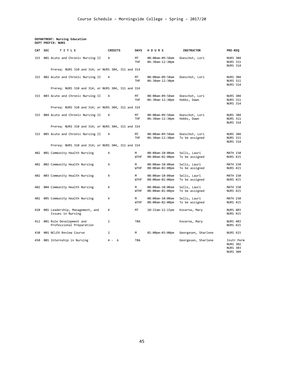# **DEPARTMENT: Nursing Education DEPT PREFIX: NURS**

| CAT SEC | TITLE                                                | <b>CREDITS</b> |   | <b>DAYS</b>      | <b>HOURS</b>                       | <b>INSTRUCTOR</b>                | PRE-REQ                                                             |
|---------|------------------------------------------------------|----------------|---|------------------|------------------------------------|----------------------------------|---------------------------------------------------------------------|
| 315     | 001 Acute and Chronic Nursing II                     | 4              |   | МT<br><b>THF</b> | 08:00am-09:50am<br>06:30am-12:30pm | Doeschot, Lori                   | <b>NURS 304</b><br><b>NURS 311</b><br><b>NURS 314</b>               |
|         | Prereq: NURS 310 and 314; or NURS 304, 311 and 314   |                |   |                  |                                    |                                  |                                                                     |
| 315     | 002 Acute and Chronic Nursing II                     | 4              |   | MT<br><b>THF</b> | 08:00am-09:50am<br>06:30am-12:30pm | Doeschot, Lori                   | <b>NURS 304</b><br><b>NURS 311</b><br><b>NURS 314</b>               |
|         | Prereq: NURS 310 and 314; or NURS 304, 311 and 314   |                |   |                  |                                    |                                  |                                                                     |
| 315     | 003 Acute and Chronic Nursing II                     | 4              |   | MT<br><b>THF</b> | 08:00am-09:50am<br>06:30am-12:30pm | Doeschot, Lori<br>Hobbs, Dawn    | <b>NURS 304</b><br><b>NURS 311</b><br><b>NURS 314</b>               |
|         | Prereq: NURS 310 and 314; or NURS 304, 311 and 314   |                |   |                  |                                    |                                  |                                                                     |
| 315     | 004 Acute and Chronic Nursing II                     | 4              |   | МT<br><b>THF</b> | 08:00am-09:50am<br>06:30am-12:30pm | Doeschot, Lori<br>Hobbs, Dawn    | <b>NURS 304</b><br><b>NURS 311</b><br><b>NURS 314</b>               |
|         | Prereq: NURS 310 and 314; or NURS 304, 311 and 314   |                |   |                  |                                    |                                  |                                                                     |
| 315     | 005 Acute and Chronic Nursing II                     | 4              |   | MT<br><b>THF</b> | 08:00am-09:50am<br>06:30am-12:30pm | Doeschot, Lori<br>To be assigned | <b>NURS 304</b><br><b>NURS 311</b><br><b>NURS 314</b>               |
|         | Prereq: NURS 310 and 314; or NURS 304, 311 and 314   |                |   |                  |                                    |                                  |                                                                     |
| 402     | 001 Community Health Nursing                         | 4              |   | М<br><b>WTHF</b> | 08:00am-10:00am<br>08:00am-02:00pm | Sells, Lauri<br>To be assigned   | <b>MATH 150</b><br><b>NURS 415</b>                                  |
| 402     | 002 Community Health Nursing                         | 4              |   | м<br><b>WTHF</b> | 08:00am-10:00am<br>08:00am-02:00pm | Sells, Lauri<br>To be assigned   | <b>MATH 150</b><br><b>NURS 415</b>                                  |
| 402     | 003 Community Health Nursing                         | 4              |   | м<br>WTHF        | 08:00am-10:00am<br>08:00am-02:00pm | Sells, Lauri<br>To be assigned   | MATH 150<br><b>NURS 415</b>                                         |
| 402     | 004 Community Health Nursing                         | 4              |   | M<br>WTHF        | 08:00am-10:00am<br>08:00am-02:00pm | Sells, Lauri<br>To be assigned   | <b>MATH 150</b><br><b>NURS 415</b>                                  |
| 402     | 005 Community Health Nursing                         | 4              |   | M<br>WTHF        | 08:00am-10:00am<br>08:00am-02:00pm | Sells, Lauri<br>To be assigned   | <b>MATH 150</b><br><b>NURS 415</b>                                  |
| 410     | 001 Leadership, Management, and<br>Issues in Nursing | 4              |   | МT               | 10:15am-12:15pm                    | Kovarna, Mary                    | <b>NURS 403</b><br><b>NURS 415</b>                                  |
| 412     | 001 Role Development and<br>Professional Preparation | 2              |   | TBA              |                                    | Kovarna, Mary                    | <b>NURS 403</b><br><b>NURS 415</b>                                  |
| 430     | 001 NCLEX Review Course                              | 2              |   | М                | 01:00pm-03:00pm                    | Georgesen, Sharlene              | <b>NURS 415</b>                                                     |
| 450     | 001 Internship in Nursing                            | 4 -            | 6 | <b>TBA</b>       |                                    | Georgesen, Sharlene              | Instr Perm<br><b>NURS 302</b><br><b>NURS 303</b><br><b>NURS 304</b> |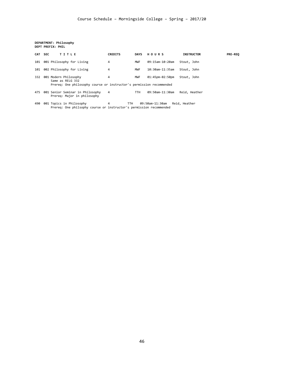**DEPARTMENT: Philosophy DEPT PREFIX: PHIL**

| CAT SEC | TITLE                                                                                                                 | <b>CREDITS</b> | DAYS       | <b>HOURS</b>    | <b>INSTRUCTOR</b> | <b>PRE-REQ</b> |
|---------|-----------------------------------------------------------------------------------------------------------------------|----------------|------------|-----------------|-------------------|----------------|
|         | 101 001 Philosophy for Living                                                                                         | 4              | <b>MWF</b> | 09:15am-10:20am | Stout, John       |                |
|         | 101 002 Philosophy for Living                                                                                         | 4              | <b>MWF</b> | 10:30am-11:35am | Stout, John       |                |
|         | 332 001 Modern Philosophy<br>Same as RELG 332<br>Prereq: One philosophy course or instructor's permission recommended | 4              | <b>MWF</b> | 01:45pm-02:50pm | Stout, John       |                |
|         | 475 001 Senior Seminar in Philosophy<br>Prereg: Major in philosophy                                                   | $\overline{4}$ | TTH.       | 09:50am-11:30am | Reid, Heather     |                |
| 490     | 001 Topics in Philosophy<br>Prereq: One philsophy course or instructor's permission recommended                       | TTH<br>4       |            | 09:50am-11:30am | Reid, Heather     |                |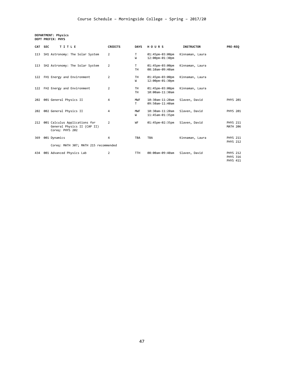**DEPARTMENT: Physics DEPT PREFIX: PHYS**

| CAT SEC | TITLE                                                                           | <b>CREDITS</b> | <b>DAYS</b>               | HOURS                              | <b>INSTRUCTOR</b> | PRE-REO                                               |
|---------|---------------------------------------------------------------------------------|----------------|---------------------------|------------------------------------|-------------------|-------------------------------------------------------|
| 113     | SH1 Astronomy: The Solar System                                                 | $\overline{2}$ | Т<br>W                    | 01:45pm-03:00pm<br>12:00pm-01:30pm | Kinnaman, Laura   |                                                       |
| 113     | SH2 Astronomy: The Solar System                                                 | 2              | $\mathsf{T}$<br><b>TH</b> | 01:45pm-03:00pm<br>08:10am-09:40am | Kinnaman, Laura   |                                                       |
| 122     | FH1 Energy and Environment                                                      | 2              | <b>TH</b><br>W            | 01:45pm-03:00pm<br>12:00pm-01:30pm | Kinnaman, Laura   |                                                       |
|         | 122 FH2 Energy and Environment                                                  | 2              | <b>TH</b><br><b>TH</b>    | 01:45pm-03:00pm<br>10:00am-11:30am | Kinnaman, Laura   |                                                       |
| 202     | 001 General Physics II                                                          | 4              | <b>MWF</b><br>T.          | 10:30am-11:20am<br>09:50am-11:40am | Slaven, David     | <b>PHYS 201</b>                                       |
| 202     | 002 General Physics II                                                          | 4              | <b>MWF</b><br>W           | 10:30am-11:20am<br>11:45am-01:35pm | Slaven, David     | <b>PHYS 201</b>                                       |
| 212     | 001 Calculus Applications for<br>General Physics II (CAP II)<br>Coreq: PHYS 202 | 2              | WF                        | 01:45pm-02:35pm                    | Slaven, David     | <b>PHYS 211</b><br><b>MATH 206</b>                    |
| 369     | 001 Dynamics                                                                    | 4              | <b>TBA</b>                | <b>TBA</b>                         | Kinnaman, Laura   | <b>PHYS 211</b><br><b>PHYS 212</b>                    |
|         | Coreq: MATH 307; MATH 215 recommended                                           |                |                           |                                    |                   |                                                       |
| 434     | 001 Advanced Physics Lab                                                        | 2              | <b>TTH</b>                | 08:00am-09:40am                    | Slaven, David     | <b>PHYS 212</b><br><b>PHYS 316</b><br><b>PHYS 411</b> |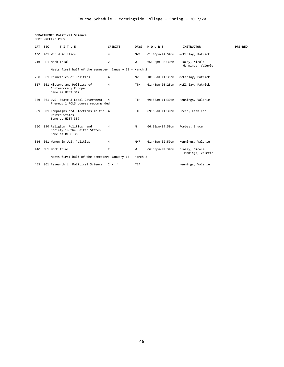|                   | DEPARTMENT: Political Science |  |
|-------------------|-------------------------------|--|
| DEPT PREFIX: POLS |                               |  |

|     | CAT SEC | TITLE                                                                               | <b>CREDITS</b> | <b>DAYS</b> | HOURS                           | <b>INSTRUCTOR</b>                   | <b>PRE-REQ</b> |
|-----|---------|-------------------------------------------------------------------------------------|----------------|-------------|---------------------------------|-------------------------------------|----------------|
| 160 |         | 001 World Politics                                                                  | 4              | <b>MWF</b>  | 01:45pm-02:50pm                 | McKinlay, Patrick                   |                |
|     |         | 210 FH1 Mock Trial                                                                  | $\overline{2}$ | W           | 06:30pm-08:30pm                 | Blazey, Nicole<br>Hennings, Valerie |                |
|     |         | Meets first half of the semester; January 13 - March 2                              |                |             |                                 |                                     |                |
|     |         | 288 001 Principles of Politics                                                      | 4              | MWF         | 10:30am-11:35am                 | McKinlay, Patrick                   |                |
|     |         | 317 001 History and Politics of<br>Contemporary Europe<br>Same as HIST 317          | 4              | <b>TTH</b>  | 01:45pm-03:25pm                 | McKinlay, Patrick                   |                |
|     |         | 330 001 U.S. State & Local Government<br>Prereq: 1 POLS course recommended          | 4              | <b>TTH</b>  | 09:50am-11:30am                 | Hennings, Valerie                   |                |
|     |         | 359 001 Campaigns and Elections in the 4<br>United States<br>Same as HIST 359       |                | <b>TTH</b>  | 09:50am-11:30am Green, Kathleen |                                     |                |
|     |         | 360 050 Religion, Politics, and<br>Society in the United States<br>Same as RELG 360 | 4              | M           | 06:30pm-09:50pm                 | Forbes, Bruce                       |                |
|     |         | 366 001 Women in U.S. Politics                                                      | 4              | <b>MWF</b>  | 01:45pm-02:50pm                 | Hennings, Valerie                   |                |
| 410 |         | FH1 Mock Trial                                                                      | $\overline{2}$ | W           | 06:30pm-08:30pm                 | Blazey, Nicole<br>Hennings, Valerie |                |
|     |         | Meets first half of the semester; January 13 - March 2                              |                |             |                                 |                                     |                |
|     |         | 455 001 Research in Political Science                                               | $2 - 4$        | <b>TBA</b>  |                                 | Hennings, Valerie                   |                |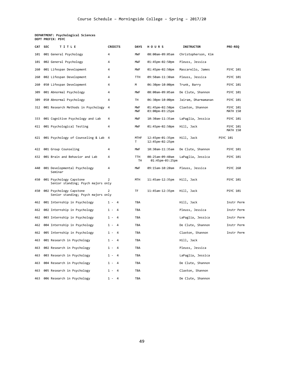#### **DEPARTMENT: Psychological Sciences DEPT PREFIX: PSYC**

| CAT | <b>SEC</b><br>TITLE                     |                                    | <b>CREDITS</b> |                | <b>DAYS</b>      | HOURS                              | <b>INSTRUCTOR</b>   |          | <b>PRE-REQ</b>                     |
|-----|-----------------------------------------|------------------------------------|----------------|----------------|------------------|------------------------------------|---------------------|----------|------------------------------------|
| 101 | 001 General Psychology                  |                                    | 4              |                | MWF              | 08:00am-09:05am                    | Christopherson, Kim |          |                                    |
| 101 | 002 General Psychology                  |                                    | 4              |                | MWF              | 01:45pm-02:50pm                    | Pleuss, Jessica     |          |                                    |
| 260 | 001 Lifespan Development                |                                    | 4              |                | <b>MWF</b>       | 01:45pm-02:50pm                    | Mascarello, James   |          | <b>PSYC 101</b>                    |
| 260 | 002 Lifespan Development                |                                    | 4              |                | TTH              | 09:50am-11:30am                    | Pleuss, Jessica     |          | <b>PSYC 101</b>                    |
| 260 | 050 Lifespan Development                |                                    | 4              |                | М                | 06:30pm-10:00pm                    | Trunk, Barry        |          | <b>PSYC 101</b>                    |
| 309 | 001 Abnormal Psychology                 |                                    | 4              |                | MWF              | 08:00am-09:05am                    | De Clute, Shannon   |          | <b>PSYC 101</b>                    |
| 309 | 050 Abnormal Psychology                 |                                    | 4              |                | TH               | 06:30pm-10:00pm                    | Jairam, Dharmamanan |          | <b>PSYC 101</b>                    |
| 312 |                                         | 001 Research Methods in Psychology | 4              |                | MWF<br>MWF       | 01:45pm-02:50pm<br>03:00pm-03:25pm | Claxton, Shannon    |          | <b>PSYC 101</b><br><b>MATH 150</b> |
| 333 |                                         | 001 Cognitive Psychology and Lab   | 4              |                | MWF              | 10:30am-11:35am                    | LaPaglia, Jessica   |          | <b>PSYC 101</b>                    |
| 411 | 001 Psychological Testing               |                                    | 4              |                | <b>MWF</b>       | 01:45pm-02:50pm                    | Hill, Jack          |          | <b>PSYC 101</b><br><b>MATH 150</b> |
| 421 |                                         | 001 Psychology of Counseling & Lab | $\overline{4}$ |                | <b>MTHF</b><br>Τ | 12:45pm-01:35pm<br>12:45pm-02:25pm | Hill, Jack          | PSYC 101 |                                    |
| 422 | 001 Group Counseling                    |                                    | 4              |                | MWF              | 10:30am-11:35am                    | De Clute, Shannon   |          | <b>PSYC 101</b>                    |
| 432 |                                         | 001 Brain and Behavior and Lab     | 4              |                | TTH<br>TH        | 08:25am-09:40am<br>01:45pm-03:25pm | LaPaglia, Jessica   |          | <b>PSYC 101</b>                    |
| 440 | 001 Developmental Psychology<br>Seminar |                                    | 4              |                | MWF              | 09:15am-10:20am                    | Pleuss, Jessica     |          | <b>PSYC 260</b>                    |
| 450 | 001 Psychology Capstone                 | Senior standing; Psych majors only | 2              |                | MTH              | 11:45am-12:35pm                    | Hill, Jack          |          | <b>PSYC 101</b>                    |
| 450 | 002 Psychology Capstone                 | Senior standing; Psych majors only | 2              |                | TF               | 11:45am-12:35pm                    | Hill, Jack          |          | PSYC 101                           |
| 462 | 001 Internship in Psychology            |                                    | 1 -            | 4              | TBA              |                                    | Hill, Jack          |          | Instr Perm                         |
| 462 | 002 Internship in Psychology            |                                    | 1 -            | -4             | <b>TBA</b>       |                                    | Pleuss, Jessica     |          | Instr Perm                         |
| 462 | 003 Internship in Psychology            |                                    | $1 -$          | 4              | TBA              |                                    | LaPaglia, Jessica   |          | Instr Perm                         |
| 462 | 004 Internship in Psychology            |                                    | 1 -            | 4              | TBA              |                                    | De Clute, Shannon   |          | Instr Perm                         |
| 462 | 005 Internship in Psychology            |                                    | 1 -            | 4              | TBA              |                                    | Claxton, Shannon    |          | Instr Perm                         |
| 463 | 001 Research in Psychology              |                                    | 1 -            | 4              | TBA              |                                    | Hill, Jack          |          |                                    |
| 463 | 002 Research in Psychology              |                                    | 1 -            | -4             | TBA              |                                    | Pleuss, Jessica     |          |                                    |
| 463 | 003 Research in Psychology              |                                    | $1 -$          | $\overline{4}$ | TBA              |                                    | LaPaglia, Jessica   |          |                                    |
| 463 | 004 Research in Psychology              |                                    | $1 -$          | 4              | TBA              |                                    | De Clute, Shannon   |          |                                    |
| 463 | 005 Research in Psychology              |                                    | $1 -$          | 4              | TBA              |                                    | Claxton, Shannon    |          |                                    |
| 463 | 006 Research in Psychology              |                                    | $1 -$          | $\overline{4}$ | TBA              |                                    | De Clute, Shannon   |          |                                    |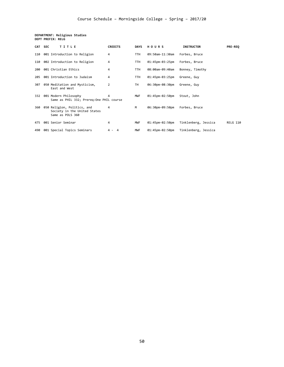|                   | DEPARTMENT: Religious Studies |  |
|-------------------|-------------------------------|--|
| DEPT PREFIX: RELG |                               |  |

| CAT SEC | TITLE                                                                               | <b>CREDITS</b> | <b>DAYS</b> | <b>HOURS</b>    | <b>INSTRUCTOR</b>    | <b>PRE-REQ</b>  |
|---------|-------------------------------------------------------------------------------------|----------------|-------------|-----------------|----------------------|-----------------|
|         | 110 001 Introduction to Religion                                                    | 4              | TTH.        | 09:50am-11:30am | Forbes, Bruce        |                 |
|         | 110 002 Introduction to Religion                                                    | 4              | <b>TTH</b>  | 01:45pm-03:25pm | Forbes, Bruce        |                 |
|         | 200 001 Christian Ethics                                                            | 4              | TTH.        | 08:00am-09:40am | Bonney, Timothy      |                 |
|         | 205 001 Introduction to Judaism                                                     | 4              | TTH.        | 01:45pm-03:25pm | Greene, Guy          |                 |
|         | 307 050 Meditation and Mysticism,<br>East and West                                  | 2              | TH          | 06:30pm-08:30pm | Greene, Guy          |                 |
|         | 332 001 Modern Philosophy<br>Same as PHIL 332; Prereg: One PHIL course              | 4              | MWF         | 01:45pm-02:50pm | Stout, John          |                 |
|         | 360 050 Religion, Politics, and<br>Society in the United States<br>Same as POLS 360 | 4              | M           | 06:30pm-09:50pm | Forbes, Bruce        |                 |
|         | 475 001 Senior Seminar                                                              | 4              | <b>MWF</b>  | 01:45pm-02:50pm | Tinklenberg, Jessica | <b>RELG 110</b> |
|         | 490 001 Special Topics Seminars                                                     | 4 -<br>- 4     | <b>MWF</b>  | 01:45pm-02:50pm | Tinklenberg, Jessica |                 |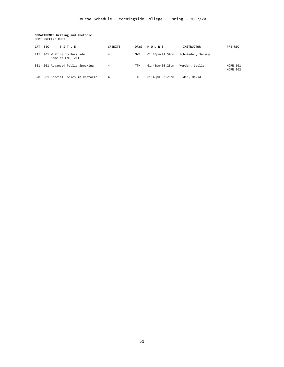#### **DEPARTMENT: Writing and Rhetoric DEPT PREFIX: RHET**

| CAT SEC | TITLE                                       | <b>CREDITS</b> | <b>DAYS</b> | HOURS           | <b>INSTRUCTOR</b> | <b>PRE-REQ</b>                     |
|---------|---------------------------------------------|----------------|-------------|-----------------|-------------------|------------------------------------|
| 211     | 001 Writing to Persuade<br>Same as ENGL 211 | 4              | <b>MWF</b>  | 01:45pm-02:50pm | Schnieder, Jeremy |                                    |
| 301     | 001 Advanced Public Speaking                | 4              | TTH         | 01:45pm-03:25pm | Werden. Leslie    | <b>MORN 101</b><br><b>MORN 102</b> |
| 320     | 001 Special Topics in Rhetoric              | 4              | TTH         | 01:45pm-03:25pm | Elder, David      |                                    |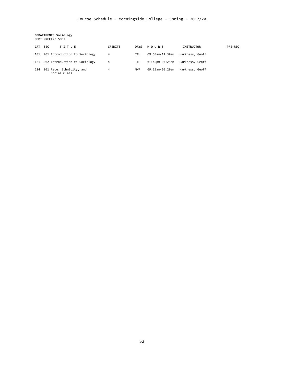#### **DEPARTMENT: Sociology DEPT PREFIX: SOCI**

| CAT SEC | TITLE                                        | <b>CREDITS</b> |     | DAYS HOURS      | <b>INSTRUCTOR</b> | <b>PRE-REQ</b> |
|---------|----------------------------------------------|----------------|-----|-----------------|-------------------|----------------|
|         | 101 001 Introduction to Sociology            | 4              | TTH | 09:50am-11:30am | Harkness, Geoff   |                |
|         | 101 002 Introduction to Sociology            | 4              | TTH | 01:45pm-03:25pm | Harkness, Geoff   |                |
|         | 214 001 Race, Ethnicity, and<br>Social Class | 4              | MWF | 09:15am-10:20am | Harkness, Geoff   |                |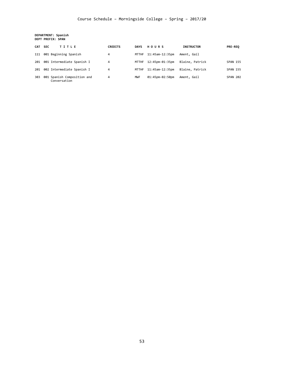#### **DEPARTMENT: Spanish DEPT PREFIX: SPAN**

| CAT SEC | TITLE                                       | <b>CREDITS</b> | <b>DAYS</b> | HOURS                  | <b>INSTRUCTOR</b> | <b>PRE-REQ</b>  |
|---------|---------------------------------------------|----------------|-------------|------------------------|-------------------|-----------------|
| 111     | 001 Beginning Spanish                       | 4              | MTTHF       | $11:45$ am- $12:35$ pm | Ament, Gail       |                 |
| 201     | 001 Intermediate Spanish I                  | 4              | MTTHF       | 12:45pm-01:35pm        | Blaine, Patrick   | <b>SPAN 155</b> |
| 201     | 002 Intermediate Spanish I                  | 4              | MTTHF       | $11:45$ am- $12:35$ pm | Blaine, Patrick   | <b>SPAN 155</b> |
| 303     | 001 Spanish Composition and<br>Conversation | 4              | <b>MWF</b>  | 01:45pm-02:50pm        | Ament, Gail       | <b>SPAN 202</b> |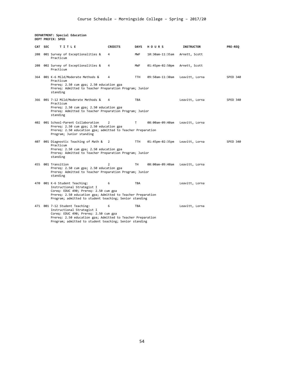#### **DEPARTMENT: Special Education DEPT PREFIX: SPED**

| CAT SEC | TITLE                                                                                                                                                                                                                     | <b>CREDITS</b> | <b>DAYS</b> | HOURS           | <b>INSTRUCTOR</b> | <b>PRE-REQ</b> |
|---------|---------------------------------------------------------------------------------------------------------------------------------------------------------------------------------------------------------------------------|----------------|-------------|-----------------|-------------------|----------------|
| 208     | 001 Survey of Exceptionalities &<br>Practicum                                                                                                                                                                             | 4              | <b>MWF</b>  | 10:30am-11:35am | Arnett, Scott     |                |
| 208     | 002 Survey of Exceptionalities &<br>Practicum                                                                                                                                                                             | 4              | <b>MWF</b>  | 01:45pm-02:50pm | Arnett, Scott     |                |
| 364     | 001 K-6 Mild/Moderate Methods &<br>Practicum<br>Prereq: 2.50 cum gpa; 2.50 education gpa<br>Prereq: Admitted to Teacher Preparation Program; Junior<br>standing                                                           | 4              | TTH.        | 09:50am-11:30am | Leavitt, Lorna    | SPED 340       |
|         | 366 001 7-12 Mild/Moderate Methods &<br>Practicum<br>Prereq: 2.50 cum gpa; 2.50 education gpa<br>Prereq: Admitted to Teacher Preparation Program; Junior<br>standing                                                      | 4              | TBA         |                 | Leavitt, Lorna    | SPED 340       |
|         | 402 001 School-Parent Collaboration<br>Prereq: 2.50 cum gpa; 2.50 education gpa<br>Prereq: 2.50 education gpa; admitted to Teacher Preparation<br>Program; Junior standing                                                | 2              | T.          | 08:00am-09:40am | Leavitt, Lorna    |                |
| 407     | 001 Diagnostic Teaching of Math & 2<br>Practicum<br>Prereq: 2.50 cum gpa; 2.50 education gpa<br>Prereq: Admitted to Teacher Preparation Program; Junior<br>standing                                                       |                | TTH         | 01:45pm-02:35pm | Leavitt, Lorna    | SPED 340       |
|         | 455 001 Transition<br>Prereq: 2.50 cum gpa; 2.50 education gpa<br>Prereq: Admitted to Teacher Preparation Program; Junior<br>standing                                                                                     | 2              | TH          | 08:00am-09:40am | Leavitt, Lorna    |                |
| 470     | 001 K-6 Student Teaching:<br>Instructional Strategist I<br>Coreq: EDUC 490; Prereq: 2.50 cum gpa<br>Prereq: 2.50 education gpa; Admitted to Teacher Preparation<br>Program; admitted to student teaching; Senior standing | 6              | TBA         |                 | Leavitt, Lorna    |                |
|         | 471 001 7-12 Student Teaching:<br>Instructional Strategist I<br>Coreq: EDUC 490; Prereq: 2.50 cum gpa<br>Prereq: 2.50 education gpa; Admitted to Teacher Preparation                                                      | 6              | TBA         |                 | Leavitt, Lorna    |                |

Program; admitted to student teaching; Senior standing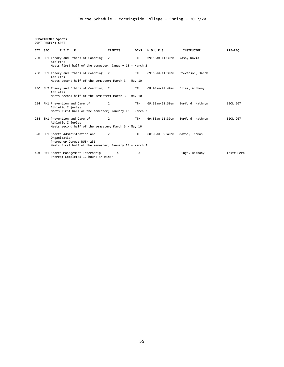| <b>DEPARTMENT: Sports</b> |  |
|---------------------------|--|
| <b>DEPT PREFIX: SPRT</b>  |  |

| CAT SEC                                             |  | TITLE                                                                               | <b>CREDITS</b> |            | DAYS HOURS      | <b>INSTRUCTOR</b> | PRE-REO         |  |
|-----------------------------------------------------|--|-------------------------------------------------------------------------------------|----------------|------------|-----------------|-------------------|-----------------|--|
|                                                     |  | 230 FH1 Theory and Ethics of Coaching 2<br>Athletes                                 |                | TTH        | 09:50am-11:30am | Nash, David       |                 |  |
|                                                     |  | Meets first half of the semester; January 13 - March 2                              |                |            |                 |                   |                 |  |
|                                                     |  | 230 SH1 Theory and Ethics of Coaching 2<br>Athletes                                 |                | <b>TTH</b> | 09:50am-11:30am | Stevenson, Jacob  |                 |  |
| Meets second half of the semester; March 3 - May 10 |  |                                                                                     |                |            |                 |                   |                 |  |
|                                                     |  | 230 SH2 Theory and Ethics of Coaching 2<br>Athletes                                 |                | TTH        | 08:00am-09:40am | Elias, Anthony    |                 |  |
|                                                     |  | Meets second half of the semester; March 3 - May 10                                 |                |            |                 |                   |                 |  |
|                                                     |  | 254 FH1 Prevention and Care of<br>Athletic Injuries                                 | $\overline{2}$ | <b>TTH</b> | 09:50am-11:30am | Burford, Kathryn  | <b>BIOL 207</b> |  |
|                                                     |  | Meets first half of the semester; January 13 - March 2                              |                |            |                 |                   |                 |  |
|                                                     |  | 254 SH1 Prevention and Care of<br>Athletic Injuries                                 | $\overline{2}$ | <b>TTH</b> | 09:50am-11:30am | Burford, Kathryn  | <b>BIOL 207</b> |  |
|                                                     |  | Meets second half of the semester; March 3 - May 10                                 |                |            |                 |                   |                 |  |
|                                                     |  | 320 FH1 Sports Administration and<br>Organization                                   | 2              | TTH        | 08:00am-09:40am | Maxon, Thomas     |                 |  |
|                                                     |  | Prereg or Coreg: BUSN 231<br>Meets first half of the semester; January 13 - March 2 |                |            |                 |                   |                 |  |
|                                                     |  | 450 001 Sports Management Internship 1 - 4<br>Prereq: Completed 12 hours in minor   |                | <b>TBA</b> |                 | Hinga, Bethany    | Instr Perm      |  |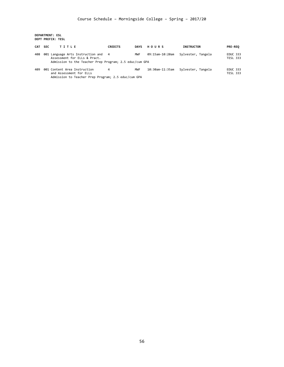**DEPARTMENT: ESL DEPT PREFIX: TESL**

| CAT SEC | TITLE                                                                                                                          | <b>CREDITS</b> | <b>DAYS</b> | <b>HOURS</b>    | <b>INSTRUCTOR</b>  | <b>PRE-REQ</b>                     |
|---------|--------------------------------------------------------------------------------------------------------------------------------|----------------|-------------|-----------------|--------------------|------------------------------------|
| 408     | 001 Language Arts Instruction and 4<br>Assessment for ELLs & Pract.<br>Admission to the Teacher Prep Program; 2.5 educ/cum GPA |                | <b>MWF</b>  | 09:15am-10:20am | Sylvester, Tangela | <b>EDUC 333</b><br><b>TESL 333</b> |
| 409     | 001 Content Area Instruction<br>and Assessment for ELLs<br>Admission to Teacher Prep Program; 2.5 educ/cum GPA                 | 4              | <b>MWF</b>  | 10:30am-11:35am | Sylvester, Tangela | <b>EDUC 333</b><br><b>TESL 333</b> |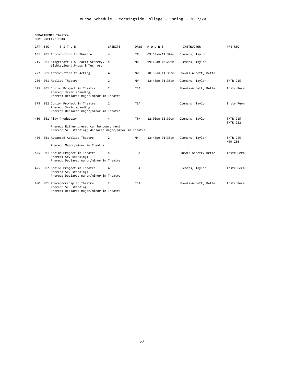**DEPARTMENT: Theatre DEPT PREFIX: THTR**

| CAT SEC | TITLE                                                                                                   | <b>CREDITS</b> | <b>DAYS</b> | <b>HOURS</b>    | <b>INSTRUCTOR</b>    | PRE-REO                            |
|---------|---------------------------------------------------------------------------------------------------------|----------------|-------------|-----------------|----------------------|------------------------------------|
| 101     | 001 Introduction to Theatre                                                                             | 4              | TTH.        | 09:50am-11:30am | Clemens, Taylor      |                                    |
| 215     | 001 Stagecraft I & Pract: Scenery,<br>Lights, Sound, Props & Tech Asp                                   | 4              | <b>MWF</b>  | 09:15am-10:20am | Clemens, Taylor      |                                    |
| 222     | 001 Introduction to Acting                                                                              | 4              | <b>MWF</b>  | 10:30am-11:35am | Skewis-Arnett, Bette |                                    |
| 256     | 001 Applied Theatre                                                                                     | $\overline{2}$ | MW          | 12:45pm-01:35pm | Clemens, Taylor      | <b>THTR 215</b>                    |
|         | 375 001 Junior Project in Theatre<br>Prereq: Jr/Sr standing;<br>Prereq: Declared major/minor in Theatre | 2              | <b>TBA</b>  |                 | Skewis-Arnett, Bette | Instr Perm                         |
| 375     | 002 Junior Project in Theatre<br>Prereq: Jr/Sr standing;<br>Prereq: Declared major/minor in Theatre     | $\overline{2}$ | <b>TBA</b>  |                 | Clemens, Taylor      | Instr Perm                         |
| 430     | 001 Play Production                                                                                     | 4              | TTH         | 12:00pm-01:30pm | Clemens, Taylor      | <b>THTR 215</b><br><b>THTR 222</b> |
|         | Prereg: Either prereg can be concurrent<br>Prereq: Sr. standing; declared major/minor in Theatre        |                |             |                 |                      |                                    |
| 456     | 001 Advanced Applied Theatre                                                                            | 2              | MW          | 12:45pm-01:35pm | Clemens, Taylor      | <b>THTR 255</b><br><b>HTR 256</b>  |
|         | Prereq: Major/minor in Theatre                                                                          |                |             |                 |                      |                                    |
| 475     | 001 Senior Project in Theatre<br>Prereq: Sr. standing;<br>Prereq: Declared major/minor in Theatre       | 4              | <b>TBA</b>  |                 | Skewis-Arnett, Bette | Instr Perm                         |
| 475     | 002 Senior Project in Theatre<br>Prereq: Sr. standing;<br>Prereq: Declared major/minor in Theatre       | 4              | <b>TBA</b>  |                 | Clemens, Taylor      | Instr Perm                         |
| 480     | 001 Preceptorship in Theatre<br>Prereq: Sr. standing<br>Prereq: Declared major/minor in Theatre         | 2              | <b>TBA</b>  |                 | Skewis-Arnett, Bette | Instr Perm                         |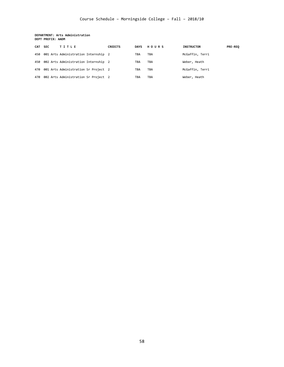#### **DEPARTMENT: Arts Administration DEPT PREFIX: AADM**

| CAT SEC | TITLE                                    | <b>CREDITS</b> | <b>DAYS</b> | <b>HOURS</b> | <b>INSTRUCTOR</b> | <b>PRE-REQ</b> |
|---------|------------------------------------------|----------------|-------------|--------------|-------------------|----------------|
|         | 450 001 Arts Administration Internship 2 |                | TBA         | TBA          | McGaffin, Terri   |                |
|         | 450 002 Arts Administration Internship 2 |                | TBA         | TBA          | Weber, Heath      |                |
|         | 470 001 Arts Administration Sr Project 2 |                | TBA         | TBA          | McGaffin, Terri   |                |
|         | 470 002 Arts Administration Sr Project 2 |                | TBA         | TBA          | Weber, Heath      |                |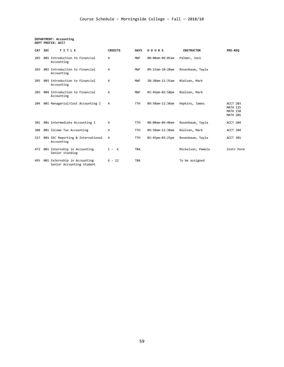## **DEPARTMENT: Accounting DEPT PREFIX: ACCT**

| CAT | <b>SEC</b> | TITLE                                                     | <b>CREDITS</b> | <b>DAYS</b> | HOURS              | <b>INSTRUCTOR</b> | PRE-REQ                                                                  |
|-----|------------|-----------------------------------------------------------|----------------|-------------|--------------------|-------------------|--------------------------------------------------------------------------|
| 203 |            | 001 Introduction to Financial<br>Accounting               | 4              | <b>MWF</b>  | 08:00am-09:05am    | Palmer, Joni      |                                                                          |
| 203 |            | 002 Introduction to Financial<br>Accounting               | 4              | <b>MWF</b>  | 09:15am-10:20am    | Rosenbaum, Twyla  |                                                                          |
| 203 |            | 003 Introduction to Financial<br>Accounting               | 4              | <b>MWF</b>  | 10:30am-11:35am    | Nielsen, Mark     |                                                                          |
| 203 |            | 004 Introduction to Financial<br>Accounting               | 4              | <b>MWF</b>  | 01:45pm-02:50pm    | Nielsen, Mark     |                                                                          |
| 204 |            | 001 Managerial/Cost Accounting I                          | 4              | <b>TTH</b>  | 09:50am-11:30am    | Hopkins, James    | <b>ACCT 203</b><br><b>MATH 125</b><br><b>MATH 150</b><br><b>MATH 205</b> |
| 301 |            | 001 Intermediate Accounting I                             | 4              | <b>TTH</b>  | 08:00am-09:40am    | Rosenbaum, Twyla  | ACCT 204                                                                 |
| 308 |            | 001 Income Tax Accounting                                 | 4              | <b>TTH</b>  | 09:50am-11:30am    | Nielsen, Mark     | ACCT 204                                                                 |
| 317 |            | 001 SEC Reporting & International<br>Accounting           | 4              | <b>TTH</b>  | $01:45$ pm-03:25pm | Rosenbaum, Twyla  | ACCT 301                                                                 |
| 472 |            | 001 Internship in Accounting<br>Senior standing           | $1 - 6$        | TBA         |                    | Mickelson, Pamela | Instr Perm                                                               |
| 495 |            | 001 Externship in Accounting<br>Senior Accounting student | $6 - 12$       | <b>TBA</b>  |                    | To be assigned    |                                                                          |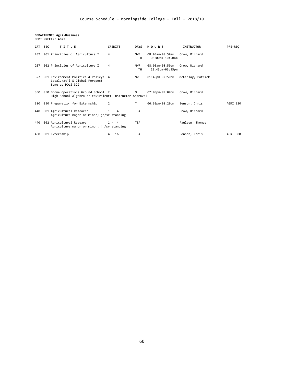|                   | DEPARTMENT: Agri-Business |
|-------------------|---------------------------|
| DEPT PREFIX: AGRI |                           |

| CAT SEC | TITLE                                                                                              | <b>CREDITS</b> | <b>DAYS</b>    | HOURS                                            | <b>INSTRUCTOR</b> | <b>PRE-REQ</b> |
|---------|----------------------------------------------------------------------------------------------------|----------------|----------------|--------------------------------------------------|-------------------|----------------|
|         | 207 001 Principles of Agriculture I                                                                | 4              | MWF<br>TH.     | 08:00am-08:50am Crow, Richard<br>08:00am-10:50am |                   |                |
|         | 207 002 Principles of Agriculture I                                                                | 4              | MWF<br>TH      | 08:00am-08:50am Crow, Richard<br>12:45pm-03:35pm |                   |                |
|         | 322 001 Environment Politics & Policy: 4<br>Local, Nat'l & Global Perspect<br>Same as POLS 322     |                | MWF            | 01:45pm-02:50pm                                  | McKinlay, Patrick |                |
|         | 350 050 Drone Operations Ground School 2<br>High School Algebra or equivalent; Instructor Approval |                | M <sub>a</sub> | 07:00pm-09:00pm                                  | Crow, Richard     |                |
|         | 380 050 Preparation for Externship                                                                 | $\overline{2}$ | T              | 06:30pm-08:20pm                                  | Benson, Chris     | AGRI 320       |
|         | 440 001 Agricultural Research<br>Agriculture major or minor; jr/sr standing                        | $1 - 4$        | <b>TBA</b>     |                                                  | Crow, Richard     |                |
|         | 440 002 Agricultural Research<br>Agriculture major or minor; jr/sr standing                        | $1 - 4$        | <b>TBA</b>     |                                                  | Paulsen, Thomas   |                |
|         | 460 001 Externship                                                                                 | 4 - 16         | TBA            |                                                  | Benson, Chris     | AGRI 380       |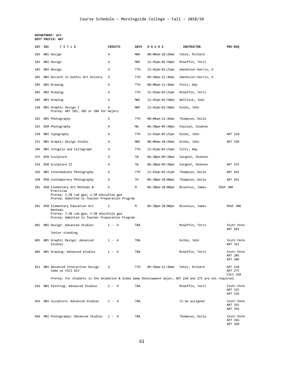**DEPARTMENT: Art DEPT PREFIX: ART**

| CAT | SEC | TITLE                                                                                                                                         | <b>CREDITS</b> | DAYS | HOURS           | <b>INSTRUCTOR</b>   | <b>PRE-REQ</b>                   |
|-----|-----|-----------------------------------------------------------------------------------------------------------------------------------------------|----------------|------|-----------------|---------------------|----------------------------------|
| 103 |     | 001 Design                                                                                                                                    | 4              | MWF  | 08:00am-10:20am | Yates, Richard      |                                  |
| 103 |     | 002 Design                                                                                                                                    | 4              | MWF  | 12:45pm-02:50pm | McGaffin, Terri     |                                  |
| 103 |     | 003 Design                                                                                                                                    | 4              | TTH  | 12:45pm-03:25pm | Emenhiser-Harris, K |                                  |
| 201 |     | 001 Ancient to Gothic Art History                                                                                                             | 4              | TTH  | 09:50am-11:30am | Emenhiser-Harris, K |                                  |
| 205 |     | 001 Drawing                                                                                                                                   | 4              | TTH  | 08:00am-11:30am | Foltz, Amy          |                                  |
| 205 |     | 002 Drawing                                                                                                                                   | 4              | TTH  | 12:45pm-03:25pm | McGaffin, Terri     |                                  |
| 205 |     | 003 Drawing                                                                                                                                   | 4              | MWF  | 12:45pm-02:50pm | Whitlock, Jodi      |                                  |
| 210 |     | 001 Graphic Design I<br>Prereq: ART 103, 205 or 206 for majors                                                                                | 4              | MWF  | 12:45pm-02:50pm | Kolbo, John         |                                  |
| 265 |     | 001 Photography                                                                                                                               | 4              | TTH  | 08:00am-11:30am | Thompson, Dolie     |                                  |
| 265 |     | 050 Photography                                                                                                                               | 4              | MW   | 06:30pm-09:30pm | Paulson, Stephen    |                                  |
| 310 |     | 001 Typography                                                                                                                                | 4              | TTH  | 12:45pm-03:25pm | Kolbo, John         | ART 210                          |
| 321 |     | 001 Graphic Design Studio                                                                                                                     | 4              | MWF  | 08:00am-10:20am | Kolbo, John         | ART 320                          |
| 346 |     | 001 Intaglio and Collagraph                                                                                                                   | 4              | TTH  | 12:45pm-03:25pm | Foltz, Amy          |                                  |
| 355 |     | 050 Sculpture                                                                                                                                 | 4              | TW   | 06:30pm-09:30pm | Sargent, Shannon    |                                  |
| 356 |     | 050 Sculpture II                                                                                                                              | 4              | TW   | 06:30pm-09:30pm | Sargent, Shannon    | ART 355                          |
| 366 |     | 001 Intermediate Photography                                                                                                                  | 4              | TTH  | 12:45pm-03:25pm | Thompson, Dolie     | ART 265                          |
| 368 |     | 050 Contemporary Photography                                                                                                                  | 4              | TH   | 06:30pm-10:00pm | Thompson, Dolie     | ART 265                          |
|     |     | 381  050 Elementary Art Methods &<br>Practicum<br>Prereq: 2.50 cum gpa; 2.50 education gpa<br>Prereq: Admitted to Teacher Preparation Program | 4              | М    | 06:30pm-10:00pm | Bisenius, James     | <b>EDUC 300</b>                  |
|     |     | 382 050 Elementary Education Art<br>Methods<br>Prereq: 2.50 cum gpa; 2.50 education gpa<br>Prereq: Admitted to Teacher Preparation Program    | 2              | М    | 06:30pm-10:00pm | Bisenius, James     | EDUC 300                         |
|     |     | 401 001 Design: Advanced Studies                                                                                                              | 1 -<br>4       | TBA  |                 | McGaffin, Terri     | Instr Perm                       |
|     |     | Junior standing                                                                                                                               |                |      |                 |                     | ART 103                          |
| 405 |     | 001 Graphic Design: Advanced<br>Studies                                                                                                       | 4<br>$1 -$     | TBA  |                 | Kolbo, John         | Instr Perm<br>ART 321            |
|     |     | 406 001 Drawing: Advanced Studies                                                                                                             | $1 - 4$        | TBA  |                 | McGaffin, Terri     | Instr Perm<br>ART 205<br>ART 206 |
| 413 |     | 001 Advanced Interaction Design<br>Same as CSCI 413                                                                                           | 4              | TTH  | 09:50am-11:30am | Yates, Richard      | ART 210<br>ART 275<br>CSCI 310   |
|     |     | Prereq: For students in the Animation & Video Game Development major, ART 210 and 275 are not required;                                       |                |      |                 |                     |                                  |
| 426 |     | 001 Painting: Advanced Studies                                                                                                                | $1 - 4$        | TBA  |                 | McGaffin, Terri     | Instr Perm<br>ART 325<br>ART 326 |
|     |     | 456 001 Sculpture: Advanced Studies                                                                                                           | $1 - 4$        | TBA  |                 | To be assigned      | Instr Perm<br>ART 355<br>ART 356 |
|     |     | 466 001 Photography: Advanced Studies                                                                                                         | $1 - 4$        | TBA  |                 | Thompson, Dolie     | Instr Perm<br>ART 366            |

ART 368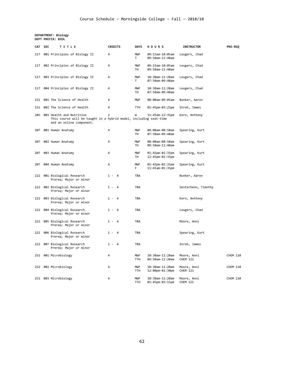**DEPARTMENT: Biology DEPT PREFIX: BIOL**

| CAT | SEC | TITLE                                                                                                                     | <b>CREDITS</b>          | <b>DAYS</b>       | HOURS                              | <b>INSTRUCTOR</b>              | PRE-REQ         |
|-----|-----|---------------------------------------------------------------------------------------------------------------------------|-------------------------|-------------------|------------------------------------|--------------------------------|-----------------|
| 117 |     | 001 Principles of Biology II                                                                                              | 4                       | MWF<br>T.         | 09:15am-10:05am<br>09:50am-11:40am | Leugers, Chad                  |                 |
| 117 |     | 002 Principles of Biology II                                                                                              | 4                       | MWF<br>TH         | 09:15am-10:05am<br>09:50am-11:40am | Leugers, Chad                  |                 |
| 117 |     | 003 Principles of Biology II                                                                                              | 4                       | MWF<br>T.         | 10:30am-11:20am<br>07:50am-09:40am | Leugers, Chad                  |                 |
| 117 |     | 004 Principles of Biology II                                                                                              | 4                       | MWF<br>TH         | 10:30am-11:20am<br>07:50am-09:40am | Leugers, Chad                  |                 |
| 151 |     | 001 The Science of Health                                                                                                 | 4                       | MWF               | 08:00am-09:05am                    | Bunker, Aaron                  |                 |
| 151 |     | 002 The Science of Health                                                                                                 | 4                       | TTH               | 01:45pm-03:25pm                    | Stroh, James                   |                 |
| 205 |     | 001 Health and Nutrition<br>This course will be taught in a hybrid model, including seat-time<br>and an online component. | 2                       | W                 | 11:45am-12:35pm                    | Kern, Anthony                  |                 |
| 207 |     | 001 Human Anatomy                                                                                                         | 4                       | MWF<br>TH         | 08:00am-08:50am<br>07:50am-09:40am | Spearing, Kurt                 |                 |
| 207 |     | 002 Human Anatomy                                                                                                         | 4                       | MWF<br>TH         | 08:00am-08:50am<br>09:50am-11:40am | Spearing, Kurt                 |                 |
| 207 |     | 003 Human Anatomy                                                                                                         | 4                       | MWF<br>TH         | 01:45pm-02:35pm<br>12:45pm-02:35pm | Spearing, Kurt                 |                 |
| 207 |     | 004 Human Anatomy                                                                                                         | 4                       | MWF<br>F.         | 01:45pm-02:35pm<br>11:45am-01:35pm | Spearing, Kurt                 |                 |
| 222 |     | 001 Biological Research<br>Prereq: Major or minor                                                                         | $\overline{4}$<br>$1 -$ | TBA               |                                    | Bunker, Aaron                  |                 |
| 222 |     | 002 Biological Research<br>Prereq: Major or minor                                                                         | $\overline{4}$<br>$1 -$ | TBA               |                                    | Sesterhenn, Timothy            |                 |
| 222 |     | 003 Biological Research<br>Prereq: Major or minor                                                                         | $\overline{4}$<br>$1 -$ | TBA               |                                    | Kern, Anthony                  |                 |
| 222 |     | 004 Biological Research<br>Prereq: Major or minor                                                                         | $\overline{4}$<br>$1 -$ | TBA               |                                    | Leugers, Chad                  |                 |
| 222 |     | 005 Biological Research<br>Prereq: Major or minor                                                                         | $1 -$<br>-4             | TBA               |                                    | Moore, Anni                    |                 |
| 222 |     | 006 Biological Research<br>Prereq: Major or minor                                                                         | $1 -$<br>-4             | TBA               |                                    | Spearing, Kurt                 |                 |
| 222 |     | 007 Biological Research<br>Prereq: Major or minor                                                                         | -4<br>$1 -$             | TBA               |                                    | Stroh, James                   |                 |
| 252 |     | 001 Microbiology                                                                                                          | 4                       | MWF<br>TTH        | 10:30am-11:20am<br>09:50am-11:20am | Moore, Anni<br><b>CHEM 121</b> | <b>CHEM 110</b> |
| 252 |     | 002 Microbiology                                                                                                          | 4                       | <b>MWF</b><br>TTH | 10:30am-11:20am<br>12:00pm-01:30pm | Moore, Anni<br><b>CHEM 121</b> | <b>CHEM 110</b> |
|     |     | 252 003 Microbiology                                                                                                      | 4                       | MWF<br>TTH        | 10:30am-11:20am<br>01:45pm-03:15pm | Moore, Anni<br><b>CHEM 121</b> | <b>CHEM 110</b> |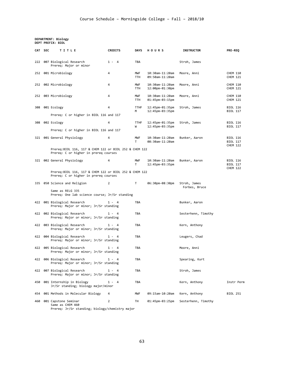## **DEPARTMENT: Biology DEPT PREFIX: BIOL**

| CAT SEC | TITLE                                                                                           | <b>CREDITS</b>        | DAYS              | HOURS                              | <b>INSTRUCTOR</b>             | <b>PRE-REQ</b>                          |
|---------|-------------------------------------------------------------------------------------------------|-----------------------|-------------------|------------------------------------|-------------------------------|-----------------------------------------|
| 222     | 007 Biological Research<br>Prereq: Major or minor                                               | $1 - 4$               | TBA               |                                    | Stroh, James                  |                                         |
| 252     | 001 Microbiology                                                                                | 4                     | MWF<br>TTH        | 10:30am-11:20am<br>09:50am-11:20am | Moore, Anni                   | <b>CHEM 110</b><br><b>CHEM 121</b>      |
| 252     | 002 Microbiology                                                                                | 4                     | <b>MWF</b><br>TTH | 10:30am-11:20am<br>12:00pm-01:30pm | Moore, Anni                   | <b>CHEM 110</b><br><b>CHEM 121</b>      |
| 252     | 003 Microbiology                                                                                | 4                     | MWF<br>TTH        | 10:30am-11:20am<br>01:45pm-03:15pm | Moore, Anni                   | <b>CHEM 110</b><br><b>CHEM 121</b>      |
| 308     | 001 Ecology                                                                                     | 4                     | TTHF<br>M         | 12:45pm-01:35pm<br>12:45pm-03:35pm | Stroh, James                  | BIOL 116<br><b>BIOL 117</b>             |
|         | Prereq: C or higher in BIOL 116 and 117                                                         |                       |                   |                                    |                               |                                         |
| 308     | 002 Ecology                                                                                     | 4                     | TTHF<br>W         | 12:45pm-01:35pm<br>12:45pm-03:35pm | Stroh, James                  | BIOL 116<br>BIOL 117                    |
|         | Prereq: C or higher in BIOL 116 and 117                                                         |                       |                   |                                    |                               |                                         |
|         | 321 001 General Physiology                                                                      | 4                     | MWF<br>T.         | 10:30am-11:20am<br>08:30am-11:20am | Bunker, Aaron                 | BIOL 116<br>BIOL 117                    |
|         | Prereq:BIOL 116, 117 & CHEM 122 or BIOL 252 & CHEM 122<br>Prereq: C or higher in prereq courses |                       |                   |                                    |                               | <b>CHEM 122</b>                         |
|         | 321 002 General Physiology                                                                      | 4                     | MWF<br>T.         | 10:30am-11:20am<br>12:45pm-03:35pm | Bunker, Aaron                 | BIOL 116<br>BIOL 117<br><b>CHEM 122</b> |
|         | Prereq:BIOL 116, 117 & CHEM 122 or BIOL 252 & CHEM 122<br>Prereq: C or higher in prereq courses |                       |                   |                                    |                               |                                         |
| 335     | 050 Science and Religion                                                                        | 2                     | т                 | 06:30pm-08:30pm                    | Stroh, James<br>Forbes, Bruce |                                         |
|         | Same as RELG 335<br>Prereq: One lab science course; Jr/Sr standing                              |                       |                   |                                    |                               |                                         |
| 422     | 001 Biological Research<br>Prereq: Major or minor; Jr/Sr standing                               | $1 - 4$               | TBA               |                                    | Bunker, Aaron                 |                                         |
|         | 422 002 Biological Research<br>Prereq: Major or minor; Jr/Sr standing                           | $1 - 4$               | TBA               |                                    | Sesterhenn, Timothy           |                                         |
| 422     | 003 Biological Research<br>Prereq: Major or minor; Jr/Sr standing                               | $1 - 4$               | TBA               |                                    | Kern, Anthony                 |                                         |
|         | 422 004 Biological Research<br>Prereq: Major or minor; Jr/Sr standing                           | $\overline{4}$<br>1 - | TBA               |                                    | Leugers, Chad                 |                                         |
|         | 422 005 Biological Research<br>Prereq: Major or minor; Jr/Sr standing                           | $1 - 4$               | TBA               |                                    | Moore, Anni                   |                                         |
|         | 422 006 Biological Research<br>Prereq: Major or minor; Jr/Sr standing                           | $1 - 4$               | TBA               |                                    | Spearing, Kurt                |                                         |
|         | 422 007 Biological Research<br>Prereq: Major or minor; Jr/Sr standing                           | $1 - 4$               | TBA               |                                    | Stroh, James                  |                                         |
| 450     | 001 Internship in Biology<br>Jr/Sr standing; biology major/minor                                | $1 - 4$               | TBA               |                                    | Kern, Anthony                 | Instr Perm                              |
| 454     | 001 Methods in Molecular Biology                                                                | 4                     | <b>MWF</b>        | 09:15am-10:20am                    | Kern, Anthony                 | BIOL 251                                |
| 460     | 001 Capstone Seminar<br>Same as CHEM 460                                                        | 2                     | TH                | 01:45pm-03:25pm                    | Sesterhenn, Timothy           |                                         |

Prereq: Jr/Sr standing; biology/chemistry major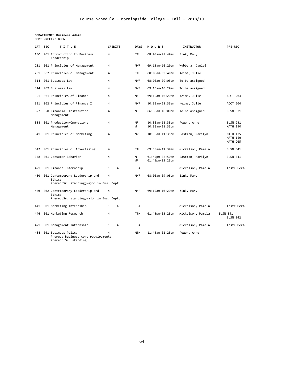#### **DEPARTMENT: Business Admin DEPT PREFIX: BUSN**

|     | CAT SEC | TITLE                                                                                      | <b>CREDITS</b> |     | <b>DAYS</b> | HOURS                              | <b>INSTRUCTOR</b> | PRE-REQ                                               |
|-----|---------|--------------------------------------------------------------------------------------------|----------------|-----|-------------|------------------------------------|-------------------|-------------------------------------------------------|
| 130 |         | 001 Introduction to Business<br>Leadership                                                 | 4              |     | <b>TTH</b>  | 08:00am-09:40am                    | Zink, Mary        |                                                       |
| 231 |         | 001 Principles of Management                                                               | 4              |     | MWF         | 09:15am-10:20am                    | Wubbena, Daniel   |                                                       |
| 231 |         | 002 Principles of Management                                                               | 4              |     | TTH         | 08:00am-09:40am                    | Keime, Julie      |                                                       |
| 314 |         | 001 Business Law                                                                           | 4              |     | <b>MWF</b>  | 08:00am-09:05am                    | To be assigned    |                                                       |
|     |         | 314 002 Business Law                                                                       | 4              |     | <b>MWF</b>  | 09:15am-10:20am                    | To be assigned    |                                                       |
| 321 |         | 001 Principles of Finance I                                                                | 4              |     | <b>MWF</b>  | 09:15am-10:20am                    | Keime, Julie      | ACCT 204                                              |
| 321 |         | 002 Principles of Finance I                                                                | 4              |     | <b>MWF</b>  | 10:30am-11:35am                    | Keime, Julie      | ACCT 204                                              |
|     |         | 322 050 Financial Institution<br>Management                                                | 4              |     | М           | 06:30am-10:00am                    | To be assigned    | <b>BUSN 321</b>                                       |
| 338 |         | 001 Production/Operations<br>Management                                                    | 4              |     | MF<br>W     | 10:30am-11:35am<br>10:30am-11:35pm | Power, Anne       | <b>BUSN 231</b><br><b>MATH 150</b>                    |
|     |         | 341 001 Principles of Marketing                                                            | 4              |     | <b>MWF</b>  | 10:30am-11:35am                    | Eastman, Marilyn  | <b>MATH 125</b><br><b>MATH 150</b><br><b>MATH 205</b> |
|     |         | 342 001 Principles of Advertising                                                          | 4              |     | TTH.        | 09:50am-11:30am                    | Mickelson, Pamela | <b>BUSN 341</b>                                       |
|     |         | 348 001 Consumer Behavior                                                                  | 4              |     | M<br>WF     | 01:45pm-02:50pm<br>01:45pm-03:25pm | Eastman, Marilyn  | <b>BUSN 341</b>                                       |
|     |         | 421 001 Finance Internship                                                                 | $1 -$          | - 4 | <b>TBA</b>  |                                    | Mickelson, Pamela | Instr Perm                                            |
|     |         | 430 001 Contemporary Leadership and<br>Ethics<br>Prereq: Sr. standing; major in Bus. Dept. | 4              |     | <b>MWF</b>  | 08:00am-09:05am                    | Zink, Mary        |                                                       |
|     |         | 430 002 Contemporary Leadership and<br>Ethics<br>Prereq: Sr. standing; major in Bus. Dept. | 4              |     | <b>MWF</b>  | 09:15am-10:20am                    | Zink, Mary        |                                                       |
|     |         | 441 001 Marketing Internship                                                               | $1 - 4$        |     | <b>TBA</b>  |                                    | Mickelson, Pamela | Instr Perm                                            |
| 446 |         | 001 Marketing Research                                                                     | 4              |     | <b>TTH</b>  | 01:45pm-03:25pm                    | Mickelson, Pamela | <b>BUSN 341</b><br><b>BUSN 342</b>                    |
| 471 |         | 001 Management Internship                                                                  | $1 - 4$        |     | <b>TBA</b>  |                                    | Mickelson, Pamela | Instr Perm                                            |
|     |         | 484 001 Business Policy<br>Prereq: Business core requirements<br>Prereq: Sr. standing      |                |     | MTH         | 11:45am-01:25pm                    | Power, Anne       |                                                       |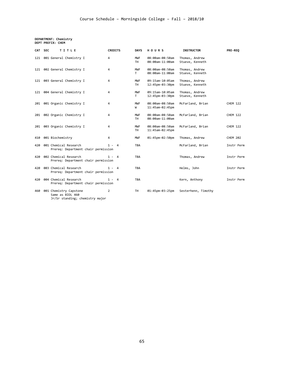**DEPARTMENT: Chemistry DEPT PREFIX: CHEM**

|     | CAT SEC | TITLE                                                            | <b>CREDITS</b> | <b>DAYS</b>             | HOURS                              | <b>INSTRUCTOR</b>                 | PRE-REQ         |
|-----|---------|------------------------------------------------------------------|----------------|-------------------------|------------------------------------|-----------------------------------|-----------------|
|     |         | 121 001 General Chemistry I                                      | 4              | <b>MWF</b><br>TH        | 08:00am-08:50am<br>08:00am-11:00am | Thomas, Andrew<br>Stueve, Kenneth |                 |
|     |         | 121 002 General Chemistry I                                      | 4              | <b>MWF</b><br>T.        | 08:00am-08:50am<br>08:00am-11:00am | Thomas, Andrew<br>Stueve, Kenneth |                 |
|     |         | 121 003 General Chemistry I                                      | 4              | <b>MWF</b><br>TH        | 09:15am-10:05am<br>12:45pm-03:30pm | Thomas, Andrew<br>Stueve, Kenneth |                 |
|     |         | 121 004 General Chemistry I                                      | 4              | <b>MWF</b><br>T.        | 09:15am-10:05am<br>12:45pm-03:30pm | Thomas, Andrew<br>Stueve, Kenneth |                 |
|     |         | 201 001 Organic Chemistry I                                      | 4              | <b>MWF</b><br>W         | 08:00am-08:50am<br>11:45am-02:45pm | McFarland, Brian                  | <b>CHEM 122</b> |
|     |         | 201 002 Organic Chemistry I                                      | 4              | <b>MWF</b><br><b>TH</b> | 08:00am-08:50am<br>08:00am-11:00am | McFarland, Brian                  | <b>CHEM 122</b> |
|     |         | 201 003 Organic Chemistry I                                      | 4              | <b>MWF</b><br>TH        | 08:00am-08:50am<br>11:45am-02:45pm | McFarland, Brian                  | <b>CHEM 122</b> |
| 410 |         | 001 Biochemistry                                                 | 4              | <b>MWF</b>              | 01:45pm-02:50pm                    | Thomas, Andrew                    | <b>CHEM 202</b> |
| 420 |         | 001 Chemical Research<br>Prereq: Department chair permission     | $1 - 4$        | <b>TBA</b>              |                                    | McFarland, Brian                  | Instr Perm      |
|     |         | 420 002 Chemical Research<br>Prereq: Department chair permission | $1 - 4$        | <b>TBA</b>              |                                    | Thomas, Andrew                    | Instr Perm      |
| 420 |         | 003 Chemical Research<br>Prereq: Department chair permission     | $1 - 4$        | <b>TBA</b>              |                                    | Helms, John                       | Instr Perm      |
| 420 |         | 004 Chemical Research<br>Prereq: Department chair permission     | $1 - 4$        | <b>TBA</b>              |                                    | Kern, Anthony                     | Instr Perm      |
| 460 |         | 001 Chemistry Capstone<br>Same as BIOL 460                       | 2              | TH                      | $01:45$ pm-03:25pm                 | Sesterhenn, Timothy               |                 |

Jr/Sr standing; chemistry major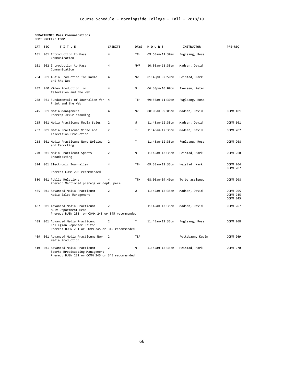#### **DEPARTMENT: Mass Communications DEPT PREFIX: COMM**

| CAT | <b>SEC</b> | TITLE                                                                                                                  | <b>CREDITS</b> | <b>DAYS</b> | HOURS                  | <b>INSTRUCTOR</b> | <b>PRE-REQ</b>                   |
|-----|------------|------------------------------------------------------------------------------------------------------------------------|----------------|-------------|------------------------|-------------------|----------------------------------|
|     |            | 101 001 Introduction to Mass<br>Communication                                                                          | 4              | <b>TTH</b>  | 09:50am-11:30am        | Fuglsang, Ross    |                                  |
|     |            | 101 002 Introduction to Mass<br>Communication                                                                          | 4              | <b>MWF</b>  | 10:30am-11:35am        | Madsen, David     |                                  |
|     |            | 204 001 Audio Production for Radio<br>and the Web                                                                      | 4              | <b>MWF</b>  | 01:45pm-02:50pm        | Heistad, Mark     |                                  |
|     |            | 207 050 Video Production for<br>Television and the Web                                                                 | 4              | М           | 06:30pm-10:00pm        | Iversen, Peter    |                                  |
|     |            | 208 001 Fundamentals of Journalism for<br>Print and the Web                                                            | 4              | TTH.        | 09:50am-11:30am        | Fuglsang, Ross    |                                  |
|     |            | 245 001 Media Management<br>Prereq: Jr/Sr standing                                                                     | 4              | <b>MWF</b>  | 08:00am-09:05am        | Madsen, David     | COMM 101                         |
| 265 |            | 001 Media Practicum: Media Sales                                                                                       | 2              | W           | $11:45$ am- $12:35$ pm | Madsen, David     | COMM 101                         |
| 267 |            | 001 Media Practicum: Video and<br>Television Production                                                                | $\overline{2}$ | TH          | 11:45am-12:35pm        | Madsen, David     | COMM 207                         |
|     |            | 268 001 Media Practicum: News Writing<br>and Reporting                                                                 | 2              | T.          | $11:45$ am- $12:35$ pm | Fuglsang, Ross    | COMM 208                         |
| 270 |            | 001 Media Practicum: Sports<br>Broadcasting                                                                            | $\overline{2}$ | M           | 11:45am-12:35pm        | Heistad, Mark     | <b>COMM 260</b>                  |
|     |            | 324 001 Electronic Journalism                                                                                          | 4              | TTH         | 09:50am-12:35pm        | Heistad, Mark     | COMM 204<br>COMM 207             |
|     |            | Prereq: COMM 208 recommended                                                                                           |                |             |                        |                   |                                  |
|     |            | 330 001 Public Relations<br>Prereq: Mentioned prereqs or dept. perm                                                    |                | TTH         | 08:00am-09:40am        | To be assigned    | COMM 208                         |
|     |            | 405 001 Advanced Media Practicum:<br>Media Sales Management                                                            | $\overline{2}$ | W           | 11:45am-12:35pm        | Madsen, David     | COMM 265<br>COMM 245<br>COMM 345 |
| 407 |            | 001 Advanced Media Practicum:<br>MCTV Department Head                                                                  | 2              | TH          | 11:45am-12:35pm        | Madsen, David     | COMM 267                         |
|     |            | Prereq: BUSN 231 or COMM 245 or 345 recommended                                                                        |                |             |                        |                   |                                  |
| 408 |            | 001 Advanced Media Practicum:<br>Collegian Reporter Editor<br>Prereq: BUSN 231 or COMM 245 or 345 recommended          | 2              | Τ           | 11:45am-12:35pm        | Fuglsang, Ross    | COMM 268                         |
| 409 |            | 001 Advanced Media Practicum: New<br>Media Production                                                                  | $\overline{2}$ | TBA         |                        | Pottebaum, Kevin  | COMM 269                         |
|     |            | 410 001 Advanced Media Practicum:<br>Sports Broadcasting Management<br>Prereq: BUSN 231 or COMM 245 or 345 recommended | 2              | М           | 11:45am-12:35pm        | Heistad, Mark     | COMM 270                         |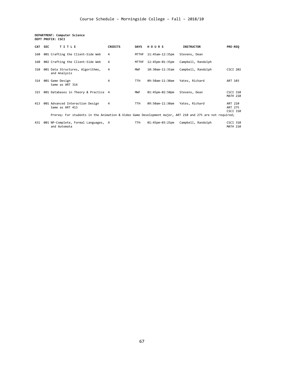| DEPARTMENT: Computer Science |  |
|------------------------------|--|
| DEPT PREFIX: CSCI            |  |

| CAT SEC | TITLE                                                                                                   | <b>CREDITS</b> | <b>DAYS</b>  | HOURS           | <b>INSTRUCTOR</b>  | <b>PRE-REQ</b>                 |
|---------|---------------------------------------------------------------------------------------------------------|----------------|--------------|-----------------|--------------------|--------------------------------|
|         | 160 001 Crafting the Client-Side Web                                                                    | 4              | MTTHF        | 11:45am-12:35pm | Stevens, Dean      |                                |
| 160     | 002 Crafting the Client-Side Web                                                                        | 4              | <b>MTTHF</b> | 12:45pm-01:35pm | Campbell, Randolph |                                |
| 310     | 001 Data Structures, Algorithms,<br>and Analysis                                                        | 4              | MWF          | 10:30am-11:35am | Campbell, Randolph | CSCI 202                       |
| 314     | 001 Game Design<br>Same as ART 314                                                                      | 4              | TTH.         | 09:50am-11:30am | Yates, Richard     | ART 103                        |
| 315     | 001 Databases in Theory & Practice 4                                                                    |                | <b>MWF</b>   | 01:45pm-02:50pm | Stevens, Dean      | CSCI 310<br><b>MATH 210</b>    |
| 413     | 001 Advanced Interaction Design<br>Same as ART 413                                                      | 4              | TTH.         | 09:50am-11:30am | Yates, Richard     | ART 210<br>ART 275<br>CSCI 310 |
|         | Prereq: For students in the Animation & Video Game Development major, ART 210 and 275 are not required; |                |              |                 |                    |                                |
| 431     | 001 NP-Complete, Formal Languages, 4<br>and Automata                                                    |                | TTH.         | 01:45pm-03:25pm | Campbell, Randolph | CSCI 310<br><b>MATH 210</b>    |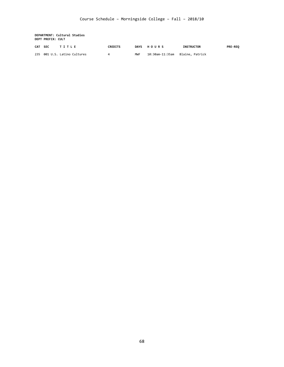**DEPARTMENT: Cultural Studies DEPT PREFIX: CULT**

| CAT SEC | TITLE                        | <b>CREDITS</b> |            | DAYS HOURS                      | INSTRUCTOR | <b>PRE-REQ</b> |
|---------|------------------------------|----------------|------------|---------------------------------|------------|----------------|
|         | 235 001 U.S. Latino Cultures |                | <b>MWF</b> | 10:30am-11:35am Blaine, Patrick |            |                |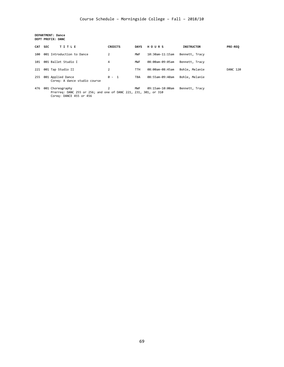#### **DEPARTMENT: Dance DEPT PREFIX: DANC**

Coreq: DANCE 455 or 456

| CAT SEC | TITLE                                                                               | <b>CREDITS</b> | DAYS       | HOURS           | <b>INSTRUCTOR</b> | <b>PRE-REQ</b> |
|---------|-------------------------------------------------------------------------------------|----------------|------------|-----------------|-------------------|----------------|
|         | 100 001 Introduction to Dance                                                       | $\overline{2}$ | MWF        | 10:30am-11:15am | Bennett, Tracy    |                |
|         | 101 001 Ballet Studio I                                                             | 4              | MWF        | 08:00am-09:05am | Bennett, Tracy    |                |
|         | 221 001 Tap Studio II                                                               | 2              | TTH        | 08:00am-08:45am | Bohle, Melanie    | DANC 120       |
| 255     | 001 Applied Dance<br>Coreg: A dance studio course                                   | $0 - 1$        | TBA        | 08:55am-09:40am | Bohle, Melanie    |                |
| 476     | 001 Choreography<br>Prerreq: DANC 255 or 256; and one of DANC 221, 231, 301, or 310 |                | <b>MWF</b> | 09:15am-10:00am | Bennett, Tracy    |                |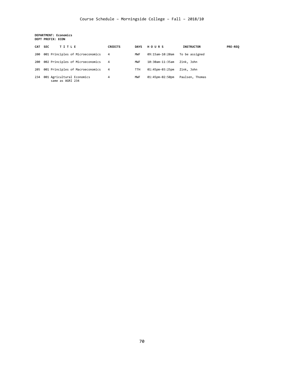#### **DEPARTMENT: Economics DEPT PREFIX: ECON**

| CAT SEC | TITLE                                          | <b>CREDITS</b> | DAYS | <b>HOURS</b>    | <b>INSTRUCTOR</b> | <b>PRE-REQ</b> |
|---------|------------------------------------------------|----------------|------|-----------------|-------------------|----------------|
|         | 200 001 Principles of Microeconomics           | $\overline{4}$ | MWF  | 09:15am-10:20am | To be assigned    |                |
|         | 200 002 Principles of Microeconomics           | $\overline{4}$ | MWF  | 10:30am-11:35am | Zink, John        |                |
|         | 205 001 Principles of Macroeconomics           | $\overline{4}$ | TTH. | 01:45pm-03:25pm | Zink, John        |                |
| 234     | 001 Agricultural Economics<br>same as AGRI 234 | 4              | MWF  | 01:45pm-02:50pm | Paulsen, Thomas   |                |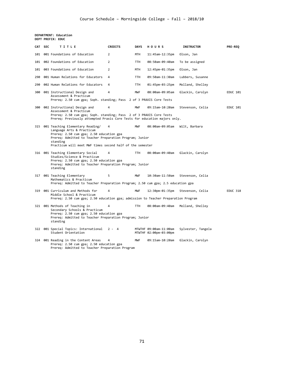**DEPARTMENT: Education DEPT PREFIX: EDUC**

|     | CAT SEC<br>TITLE                                                                                                                                                             | <b>CREDITS</b> | <b>DAYS</b> | HOURS                                            | <b>INSTRUCTOR</b>  | PRE-REQ         |  |  |
|-----|------------------------------------------------------------------------------------------------------------------------------------------------------------------------------|----------------|-------------|--------------------------------------------------|--------------------|-----------------|--|--|
| 101 | 001 Foundations of Education                                                                                                                                                 | $\overline{2}$ | MTH         | $11:45am-12:35pm$                                | Olson, Jan         |                 |  |  |
| 101 | 002 Foundations of Education                                                                                                                                                 | $\overline{2}$ | TTH         | 08:50am-09:40am                                  | To be assigned     |                 |  |  |
| 101 | 003 Foundations of Education                                                                                                                                                 | 2              | MTH         | 12:45pm-01:35pm                                  | Olson, Jan         |                 |  |  |
| 290 | 001 Human Relations for Educators                                                                                                                                            | 4              | TTH.        | 09:50am-11:30am                                  | Lubbers, Susanne   |                 |  |  |
| 290 | 002 Human Relations for Educators                                                                                                                                            | 4              | <b>TTH</b>  | $01:45$ pm- $03:25$ pm                           | Molland, Shelley   |                 |  |  |
| 300 | 001 Instructional Design and<br>Assessment & Practicum<br>Prereq: 2.50 cum gpa; Soph. standing; Pass 2 of 3 PRAXIS Core Tests                                                | 4              | <b>MWF</b>  | 08:00am-09:05am                                  | Glackin, Carolyn   | <b>EDUC 101</b> |  |  |
|     |                                                                                                                                                                              |                |             |                                                  |                    |                 |  |  |
| 300 | 002 Instructional Design and<br>Assessment & Practicum                                                                                                                       | 4              | <b>MWF</b>  | 09:15am-10:20am                                  | Stevenson, Celia   | <b>EDUC 101</b> |  |  |
|     | Prereq: 2.50 cum gpa; Soph. standing; Pass 2 of 3 PRAXIS Core Tests<br>Prereq: Previously attempted Praxis Core Tests for education majors only.                             |                |             |                                                  |                    |                 |  |  |
|     | 315 001 Teaching Elementary Reading/<br>Language Arts & Practicum                                                                                                            | 4              | <b>MWF</b>  | 08:00am-09:05am                                  | Wilt, Barbara      |                 |  |  |
|     | Prereq: 2.50 cum gpa; 2.50 education gpa<br>Prereq: Admitted to Teacher Preparation Program; Junior<br>standing<br>Practicum will meet MWF times second half of the semester |                |             |                                                  |                    |                 |  |  |
|     | 316 001 Teaching Elementary Social<br>Studies/Science & Practicum                                                                                                            | 4              | TTH         | 08:00am-09:40am                                  | Glackin, Carolyn   |                 |  |  |
|     | Prereq: 2.50 cum gpa; 2.50 education gpa<br>Prereq: Admitted to Teacher Preparation Program; Junior<br>standing                                                              |                |             |                                                  |                    |                 |  |  |
|     | 317 001 Teaching Elementary<br>Mathematics & Practicum                                                                                                                       | 5              | MWF         | 10:30am-11:50am                                  | Stevenson, Celia   |                 |  |  |
|     | Prereq: Admitted to Teacher Preparation Program; 2.50 cum gpa; 2.5 education gpa                                                                                             |                |             |                                                  |                    |                 |  |  |
|     | 319 001 Curriculum and Methods for<br>Middle School & Practicum                                                                                                              | 4              | <b>MWF</b>  | 12:30pm-01:35pm                                  | Stevenson, Celia   | <b>EDUC 318</b> |  |  |
|     | Prereq: 2.50 cum gpa; 2.50 education gpa; admission to Teacher Preparation Program                                                                                           |                |             |                                                  |                    |                 |  |  |
|     | 321 001 Methods of Teaching in<br>Secondary Schools & Practicum                                                                                                              | 4              | TTH         | 08:00am-09:40am                                  | Molland, Shelley   |                 |  |  |
|     | Prereq: 2.50 cum gpa; 2.50 education gpa<br>Prereq: Admitted to Teacher Preparation Program; Junior<br>standing                                                              |                |             |                                                  |                    |                 |  |  |
|     | 322 001 Special Topics: International<br>Student Orientation                                                                                                                 | $2 - 4$        |             | MTWTHF 09:00am-11:00am<br>MTWTHF 02:00pm-03:00pm | Sylvester, Tangela |                 |  |  |
|     | 324 001 Reading in the Content Areas<br>Prereq: 2.50 cum gpa; 2.50 education gpa<br>Prereq: Admitted to Teacher Preparation Program                                          |                | MWF         | 09:15am-10:20am                                  | Glackin, Carolyn   |                 |  |  |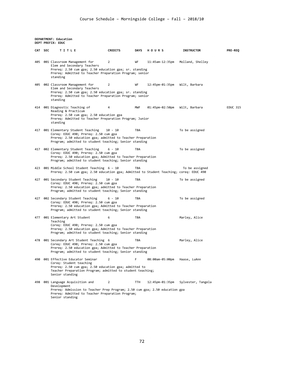**DEPARTMENT: Education DEPT PREFIX: EDUC**

| CAT SEC | TITLE                                                                                                                                                                                                        | <b>CREDITS</b> | DAYS | <b>HOURS</b>                  | <b>INSTRUCTOR</b>  | <b>PRE-REQ</b>  |
|---------|--------------------------------------------------------------------------------------------------------------------------------------------------------------------------------------------------------------|----------------|------|-------------------------------|--------------------|-----------------|
|         | 405 001 Classroom Management for<br>Elem and Secondary Teachers<br>Prereq: 2.50 cum gpa; 2.50 education gpa; sr. standing<br>Prereq: Admitted to Teacher Preparation Program; senior<br>standing             | 2              | WF   | 11:45am-12:35pm               | Molland, Shelley   |                 |
|         | 405 002 Classroom Management for<br>Elem and Secondary Teachers<br>Prereq: 2.50 cum gpa; 2.50 education gpa; sr. standing<br>Prereq: Admitted to Teacher Preparation Program; senior<br>standing             | $\overline{2}$ | WF   | 12:45pm-01:35pm Wilt, Barbara |                    |                 |
|         | 414 001 Diagnostic Teaching of<br>Reading & Practicum<br>Prereq: 2.50 cum gpa; 2.50 education gpa<br>Prereq: Admitted to Teacher Preparation Program; Junior<br>standing                                     | 4              | MWF  | 01:45pm-02:50pm               | Wilt, Barbara      | <b>EDUC 315</b> |
|         | 417 001 Elementary Student Teaching<br>Coreq: EDUC 490; Prereq: 2.50 cum gpa<br>Prereq: 2.50 education gpa; admitted to Teacher Preparation<br>Program; admitted to student teaching; Senior standing        | $10 - 10$      | TBA  |                               | To be assigned     |                 |
|         | 417 002 Elementary Student Teaching<br>Coreq: EDUC 490; Prereq: 2.50 cum gpa<br>Prereq: 2.50 education gpa; Admitted to Teacher Preparation<br>Program; admitted to student teaching; Senior standing        | $6 - 10$       | TBA  |                               | To be assigned     |                 |
|         | 423  001 Middle School Student Teaching  6 – 10<br>Prereq: 2.50 cum gpa; 2.50 education gpa; Admitted to Student Teaching; coreq: EDUC 490                                                                   |                | TBA  |                               | To be assigned     |                 |
| 427     | 001 Secondary Student Teaching<br>Coreq: EDUC 490; Prereq: 2.50 cum gpa<br>Prereq: 2.50 education gpa; admitted to Teacher Preparation<br>Program; admitted to student teaching; Senior standing             | 10 - 10        | TBA  |                               | To be assigned     |                 |
|         | 427 002 Secondary Student Teaching<br>Coreq: EDUC 490; Prereq: 2.50 cum gpa<br>Prereq: 2.50 education gpa; Admitted to Teacher Preparation<br>Program; admitted to student teaching; Senior standing         | $6 - 10$       | TBA  |                               | To be assigned     |                 |
|         | 477 001 Elementary Art Student<br>Teaching<br>Coreq: EDUC 490; Prereq: 2.50 cum gpa<br>Prereq: 2.50 education gpa; Admitted to Teacher Preparation<br>Program; admitted to student teaching; Senior standing | 6              | TBA  |                               | Marley, Alice      |                 |
|         | 478 001 Secondary Art Student Teaching 6<br>Coreq: EDUC 490; Prereq: 2.50 cum gpa<br>Prereq: 2.50 education gpa; Admitted to Teacher Preparation<br>Program; admitted to student teaching; Senior standing   |                | TBA  |                               | Marley, Alice      |                 |
| 490     | 001 Effective Educator Seminar<br>Coreq: Student teaching<br>Prereq: 2.50 cum gpa; 2.50 education gpa; admitted to<br>Teacher Preparation Program; admitted to student teaching;<br>Senior standing          | 2              | F.   | 08:00am-05:00pm               | Haase, LuAnn       |                 |
| 498     | 001 Language Acquisition and<br>Development<br>Prereq: Admission to Teacher Prep Program; 2.50 cum gpa; 2.50 education gpa<br>Prereq: Admitted to Teacher Preparation Program;<br>Senior standing            | $\overline{2}$ | TTH  | 12:45pm-01:35pm               | Sylvester, Tangela |                 |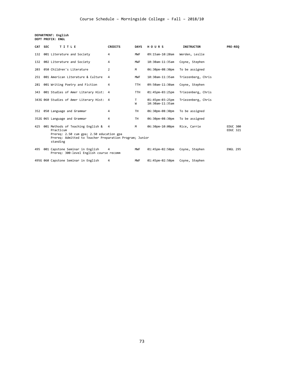### **DEPARTMENT: English DEPT PREFIX: ENGL**

| CAT SEC | TITLE                                                                                                                                                             | <b>CREDITS</b> | <b>DAYS</b> | HOURS                                 | <b>INSTRUCTOR</b>  | PRE-REO                            |
|---------|-------------------------------------------------------------------------------------------------------------------------------------------------------------------|----------------|-------------|---------------------------------------|--------------------|------------------------------------|
|         | 132 001 Literature and Society                                                                                                                                    | 4              | <b>MWF</b>  | 09:15am-10:20am                       | Werden, Leslie     |                                    |
|         | 132 002 Literature and Society                                                                                                                                    | 4              | <b>MWF</b>  | $10:30$ am- $11:35$ am                | Coyne, Stephen     |                                    |
| 203     | 050 Children's Literature                                                                                                                                         | $\overline{2}$ | M           | 06:30pm-08:30pm                       | To be assigned     |                                    |
|         | 251 001 American Literature & Culture                                                                                                                             | 4              | <b>MWF</b>  | $10:30$ am- $11:35$ am                | Triezenberg, Chris |                                    |
| 281     | 001 Writing Poetry and Fiction                                                                                                                                    | 4              | <b>TTH</b>  | 09:50am-11:30am                       | Coyne, Stephen     |                                    |
|         | 343 001 Studies of Amer Literary Hist: 4                                                                                                                          |                | <b>TTH</b>  | 01:45pm-03:25pm                       | Triezenberg, Chris |                                    |
|         | 343G 060 Studies of Amer Literary Hist: 4                                                                                                                         |                | Τ<br>W      | $01:45$ pm-03:25pm<br>10:30am-11:35am | Triezenberg, Chris |                                    |
|         | 352 050 Language and Grammar                                                                                                                                      | 4              | TH          | 06:30pm-08:30pm                       | To be assigned     |                                    |
|         | 352G 065 Language and Grammar                                                                                                                                     | 4              | <b>TH</b>   | 06:30pm-08:30pm                       | To be assigned     |                                    |
| 425     | 001 Methods of Teaching English &<br>Practicum<br>Prereq: 2.50 cum gpa; 2.50 education gpa<br>Prereq: Admitted to Teacher Preparation Program; Junior<br>standing | 4              | M           | 06:30pm-10:00pm                       | Rice, Carrie       | <b>EDUC 300</b><br><b>EDUC 321</b> |
| 495     | 001 Capstone Seminar in English<br>Prereg: 300-level English course recomm                                                                                        | 4              | <b>MWF</b>  | 01:45pm-02:50pm                       | Coyne, Stephen     | <b>ENGL 295</b>                    |
|         | 495G 060 Capstone Seminar in English                                                                                                                              | 4              | <b>MWF</b>  | 01:45pm-02:50pm                       | Coyne, Stephen     |                                    |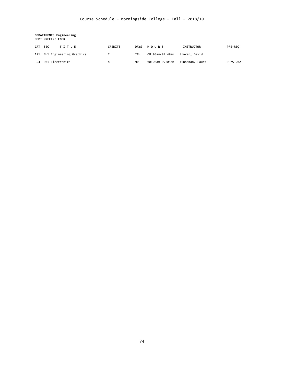**DEPARTMENT: Engineering DEPT PREFIX: ENGR**

| CAT SEC |                              | TITLE | <b>CREDITS</b> | <b>DAYS</b> | HOURS                         | <b>INSTRUCTOR</b> | <b>PRE-REQ</b>  |
|---------|------------------------------|-------|----------------|-------------|-------------------------------|-------------------|-----------------|
|         | 121 FH1 Engineering Graphics |       |                | ттн         | 08:00am-09:40am Slaven. David |                   |                 |
|         | 324 001 Electronics          |       | 4              | MWF         | 08:00am-09:05am               | Kinnaman, Laura   | <b>PHYS 202</b> |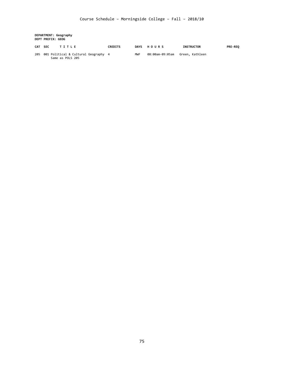**DEPARTMENT: Geography DEPT PREFIX: GEOG**

| CAT SEC | TITLE                                                        | <b>CREDITS</b> |     | DAYS HOURS                      | <b>INSTRUCTOR</b> | <b>PRE-REQ</b> |
|---------|--------------------------------------------------------------|----------------|-----|---------------------------------|-------------------|----------------|
|         | 205 001 Political & Cultural Geography 4<br>Same as POLS 205 |                | MWF | 08:00am-09:05am Green. Kathleen |                   |                |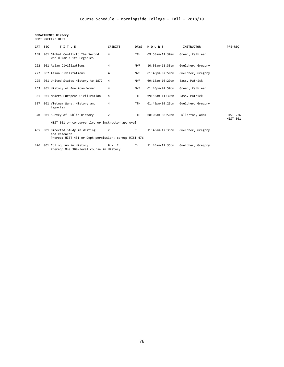### **DEPARTMENT: History DEPT PREFIX: HIST**

| CAT SEC |                                                      | TITLE                                                                | <b>CREDITS</b> | <b>DAYS</b> | HOURS                  | <b>INSTRUCTOR</b> | <b>PRE-REO</b>                     |  |
|---------|------------------------------------------------------|----------------------------------------------------------------------|----------------|-------------|------------------------|-------------------|------------------------------------|--|
|         |                                                      | 158 001 Global Conflict: The Second<br>World War & its Legacies      | 4              | <b>TTH</b>  | 09:50am-11:30am        | Green, Kathleen   |                                    |  |
|         |                                                      | 222 001 Asian Civilizations                                          | 4              | <b>MWF</b>  | $10:30$ am- $11:35$ am | Guelcher, Gregory |                                    |  |
|         |                                                      | 222 002 Asian Civilizations                                          | 4              | <b>MWF</b>  | 01:45pm-02:50pm        | Guelcher, Gregory |                                    |  |
|         |                                                      | 225 001 United States History to 1877                                | 4              | <b>MWF</b>  | 09:15am-10:20am        | Bass, Patrick     |                                    |  |
|         |                                                      | 263 001 History of American Women                                    | 4              | <b>MWF</b>  | 01:45pm-02:50pm        | Green, Kathleen   |                                    |  |
|         |                                                      | 301 001 Modern European Civilization                                 | 4              | TTH.        | 09:50am-11:30am        | Bass, Patrick     |                                    |  |
| 337     |                                                      | 001 Vietnam Wars: History and<br>Legacies                            | 4              | <b>TTH</b>  | 01:45pm-03:25pm        | Guelcher, Gregory |                                    |  |
|         |                                                      | 370 001 Survey of Public History                                     | $\overline{2}$ | TTH.        | 08:00am-08:50am        | Fullerton, Adam   | <b>HIST 226</b><br><b>HIST 301</b> |  |
|         |                                                      | HIST 301 or concurrently, or instructor approval                     |                |             |                        |                   |                                    |  |
|         |                                                      | 465 001 Directed Study in Writing<br>and Research                    | 2              | T           | $11:45$ am- $12:35$ pm | Guelcher, Gregory |                                    |  |
|         | Prereq: HIST 431 or Dept permission; coreq: HIST 476 |                                                                      |                |             |                        |                   |                                    |  |
| 476     |                                                      | 001 Colloquium in History<br>Prereq: One 300-level course in History | $0 - 2$        | TH.         | 11:45am-12:35pm        | Guelcher, Gregory |                                    |  |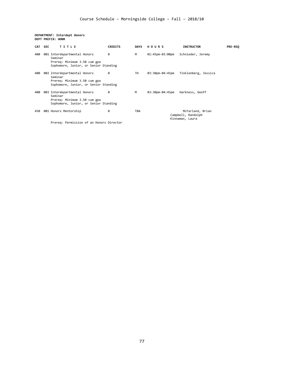| DEPARTMENT: Interdept Honors |  |
|------------------------------|--|
| <b>DEPT PREFIX: HONR</b>     |  |

| CAT SEC | TITLE                                                                                                            | <b>CREDITS</b> | <b>DAYS</b> | HOURS           | <b>INSTRUCTOR</b>                     | <b>PRE-REQ</b> |
|---------|------------------------------------------------------------------------------------------------------------------|----------------|-------------|-----------------|---------------------------------------|----------------|
| 400     | 001 Interdepartmental Honors<br>Seminar<br>Prereq: Minimum 3.50 cum gpa<br>Sophomore, Junior, or Senior Standing | 0              | M           | 01:45pm-03:00pm | Schnieder, Jeremy                     |                |
|         |                                                                                                                  |                |             |                 |                                       |                |
| 400     | 002 Interdepartmental Honors<br>Seminar                                                                          | 0              | TH          |                 | 03:30pm-04:45pm Tinklenberg, Jessica  |                |
|         | Prereq: Minimum 3.50 cum gpa<br>Sophomore, Junior, or Senior Standing                                            |                |             |                 |                                       |                |
| 400     | 003 Interdepartmental Honors<br>Seminar                                                                          | 0              | M           | 03:30pm-04:45pm | Harkness, Geoff                       |                |
|         | Prereg: Minimum 3.50 cum gpa<br>Sophomore, Junior, or Senior Standing                                            |                |             |                 |                                       |                |
| 450     | 001 Honors Mentorship                                                                                            | ø              | TBA         |                 | McFarland, Brian                      |                |
|         |                                                                                                                  |                |             |                 | Campbell, Randolph<br>Kinnaman, Laura |                |
|         | Prereg: Permission of an Honors Director                                                                         |                |             |                 |                                       |                |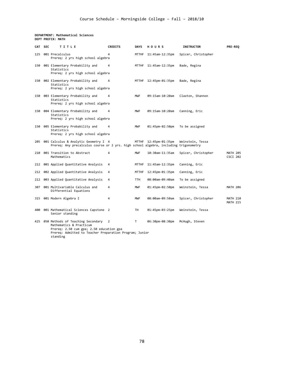|                   | DEPARTMENT: Mathematical Sciences |  |
|-------------------|-----------------------------------|--|
| DEPT PREFIX: MATH |                                   |  |

| CAT | SEC | TITLE                                                                                                                                                                           | <b>CREDITS</b> | DAYS       | HOURS                 | <b>INSTRUCTOR</b>   | <b>PRE-REQ</b>                     |
|-----|-----|---------------------------------------------------------------------------------------------------------------------------------------------------------------------------------|----------------|------------|-----------------------|---------------------|------------------------------------|
| 125 |     | 001 Precalculus<br>Prereq: 2 yrs high school algebra                                                                                                                            |                |            | MTTHF 11:45am-12:35pm | Spicer, Christopher |                                    |
|     |     | 150 001 Elementary Probability and<br>Statistics<br>Prereq: 2 yrs high school algebra                                                                                           | 4              |            | MTTHF 11:45am-12:35pm | Bade, Regina        |                                    |
|     |     | 150 002 Elementary Probability and<br>Statistics<br>Prereq: 2 yrs high school algebra                                                                                           | 4              |            | MTTHF 12:45pm-01:35pm | Bade, Regina        |                                    |
|     |     | 150 003 Elementary Probability and<br>Statistics<br>Prereq: 2 yrs high school algebra                                                                                           | 4              | <b>MWF</b> | 09:15am-10:20am       | Claxton, Shannon    |                                    |
|     |     | 150 004 Elementary Probability and<br>Statistics<br>Prereq: 2 yrs high school algebra                                                                                           | 4              | MWF        | 09:15am-10:20am       | Canning, Eric       |                                    |
|     |     | 150 005 Elementary Probability and<br>Statistics<br>Prereq: 2 yrs high school algebra                                                                                           | 4              | MWF        | 01:45pm-02:50pm       | To be assigned      |                                    |
|     |     | 205 001 Calculus & Analytic Geometry I 4<br>Prereq: Any precalculus course or 2 yrs. high school algebra, including trigonometry                                                |                |            | MTTHF 12:45pm-01:35pm | Weinstein, Tessa    |                                    |
| 210 |     | 001 Transition to Abstract<br>Mathematics                                                                                                                                       | 4              | MWF        | 10:30am-11:35am       | Spicer, Christopher | <b>MATH 205</b><br>CSCI 202        |
|     |     | 212 001 Applied Quantitative Analysis                                                                                                                                           | 4              | MTTHF      | 11:45am-12:35pm       | Canning, Eric       |                                    |
|     |     | 212 002 Applied Quantitative Analysis                                                                                                                                           | 4              | MTTHF      | 12:45pm-01:35pm       | Canning, Eric       |                                    |
|     |     | 212 003 Applied Quantitative Analysis                                                                                                                                           | 4              | TTH.       | 08:00am-09:40am       | To be assigned      |                                    |
|     |     | 307 001 Multivariable Calculus and<br>Differential Equations                                                                                                                    | 4              | <b>MWF</b> | 01:45pm-02:50pm       | Weinstein, Tessa    | <b>MATH 206</b>                    |
|     |     | 315 001 Modern Algebra I                                                                                                                                                        | 4              | <b>MWF</b> | 08:00am-09:50am       | Spicer, Christopher | <b>MATH 210</b><br><b>MATH 215</b> |
|     |     | 400 001 Mathematical Sciences Capstone 2<br>Senior standing                                                                                                                     |                | TH         | 01:45pm-03:25pm       | Weinstein, Tessa    |                                    |
| 425 |     | 050 Methods of Teaching Secondary<br>Mathematics & Practicum<br>Prereq: 2.50 cum gpa; 2.50 education gpa<br>Prereq: Admitted to Teacher Preparation Program; Junior<br>standing | 2              | T          | 06:30pm-08:30pm       | McHugh, Steven      |                                    |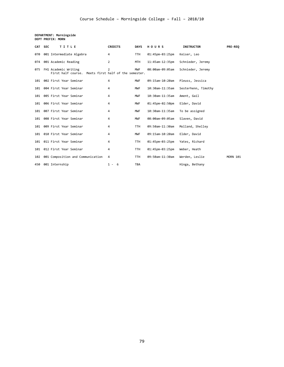**DEPARTMENT: Morningside DEPT PREFIX: MORN**

| CAT SEC | TITLE                                      | <b>CREDITS</b>                                      | <b>DAYS</b> | HOURS                  | <b>INSTRUCTOR</b>   | <b>PRE-REO</b>  |
|---------|--------------------------------------------|-----------------------------------------------------|-------------|------------------------|---------------------|-----------------|
| 070     | 001 Intermediate Algebra                   | 4                                                   | TTH         | 01:45pm-03:25pm        | Keiser, Leo         |                 |
| 074     | 001 Academic Reading                       | $\overline{2}$                                      | MTH         | 11:45am-12:35pm        | Schnieder, Jeremy   |                 |
| 075     | FH1 Academic Writing<br>First half course. | $\overline{2}$<br>Meets first half of the semester. | <b>MWF</b>  | 08:00am-09:05am        | Schnieder, Jeremy   |                 |
|         | 101 002 First Year Seminar                 | 4                                                   | <b>MWF</b>  | 09:15am-10:20am        | Pleuss, Jessica     |                 |
|         | 101 004 First Year Seminar                 | 4                                                   | <b>MWF</b>  | 10:30am-11:35am        | Sesterhenn, Timothy |                 |
| 101     | 005 First Year Seminar                     | 4                                                   | <b>MWF</b>  | $10:30$ am- $11:35$ am | Ament, Gail         |                 |
| 101     | 006 First Year Seminar                     | 4                                                   | MWF         | 01:45pm-02:50pm        | Elder, David        |                 |
|         | 101 007 First Year Seminar                 | 4                                                   | MWF         | 10:30am-11:35am        | To be assigned      |                 |
|         | 101 008 First Year Seminar                 | 4                                                   | <b>MWF</b>  | 08:00am-09:05am        | Slaven, David       |                 |
| 101     | 009 First Year Seminar                     | 4                                                   | TTH.        | 09:50am-11:30am        | Molland, Shelley    |                 |
| 101     | 010 First Year Seminar                     | 4                                                   | <b>MWF</b>  | 09:15am-10:20am        | Elder, David        |                 |
|         | 101 011 First Year Seminar                 | 4                                                   | TTH         | 01:45pm-03:25pm        | Yates, Richard      |                 |
| 101     | 012 First Year Seminar                     | 4                                                   | TTH.        | 01:45pm-03:25pm        | Weber, Heath        |                 |
| 102     | 001 Composition and Communication          | 4                                                   | TTH.        | 09:50am-11:30am        | Werden, Leslie      | <b>MORN 101</b> |
| 450     | 001 Internship                             | - 6<br>$1 -$                                        | <b>TBA</b>  |                        | Hinga, Bethany      |                 |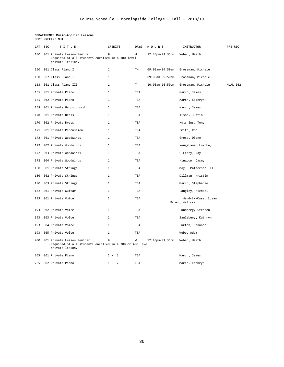### **DEPARTMENT: Music-Applied Lessons DEPT PREFIX: MUAL**

| CAT | SEC<br>TITLE                                                                                             | <b>CREDITS</b> | DAYS       | HOURS           | <b>INSTRUCTOR</b>                     | <b>PRE-REQ</b>  |
|-----|----------------------------------------------------------------------------------------------------------|----------------|------------|-----------------|---------------------------------------|-----------------|
| 100 | 001 Private Lesson Seminar<br>Required of all students enrolled in a 100 level<br>private lession.       | 0              | W          | 12:45pm-01:35pm | Weber, Heath                          |                 |
| 160 | 001 Class Piano I                                                                                        | 1              | TH         | 09:00am-09:50am | Grossman, Michele                     |                 |
| 160 | 002 Class Piano I                                                                                        | $\mathbf{1}$   | T          | 09:00am-09:50am | Grossman, Michele                     |                 |
| 163 | 001 Class Piano III                                                                                      | 1              | T.         | 10:00am-10:50am | Grossman, Michele                     | <b>MUAL 162</b> |
| 165 | 001 Private Piano                                                                                        | 1              | TBA        |                 | March, James                          |                 |
| 165 | 002 Private Piano                                                                                        | 1              | TBA        |                 | March, Kathryn                        |                 |
| 168 | 001 Private Harpsichord                                                                                  | 1              | TBA        |                 | March, James                          |                 |
| 170 | 001 Private Brass                                                                                        | 1              | TBA        |                 | Kisor, Justin                         |                 |
| 170 | 002 Private Brass                                                                                        | 1              | TBA        |                 | Hutchins, Tony                        |                 |
| 171 | 001 Private Percussion                                                                                   | 1              | TBA        |                 | Smith, Ron                            |                 |
| 172 | 001 Private Woodwinds                                                                                    | 1              | TBA        |                 | Gross, Diane                          |                 |
| 172 | 002 Private Woodwinds                                                                                    | 1              | TBA        |                 | Neugebauer Luebke,                    |                 |
| 172 | 003 Private Woodwinds                                                                                    | 1              | TBA        |                 | O'Leary, Jay                          |                 |
| 172 | 004 Private Woodwinds                                                                                    | 1              | TBA        |                 | Kingdon, Casey                        |                 |
| 180 | 001 Private Strings                                                                                      | 1              | TBA        |                 | May - Patterson, El                   |                 |
| 180 | 002 Private Strings                                                                                      | 1              | TBA        |                 | Dillman, Kristin                      |                 |
| 180 | 003 Private Strings                                                                                      | 1              | TBA        |                 | March, Stephanie                      |                 |
| 182 | 001 Private Guitar                                                                                       | 1              | TBA        |                 | Langley, Michael                      |                 |
| 193 | 001 Private Voice                                                                                        | 1              | TBA        |                 | Hendrix-Case, Suzan<br>Brown, Melissa |                 |
| 193 | 002 Private Voice                                                                                        | 1              | TBA        |                 | Lundberg, Stephen                     |                 |
| 193 | 003 Private Voice                                                                                        | 1              | TBA        |                 | Saulsbury, Kathryn                    |                 |
| 193 | 004 Private Voice                                                                                        | 1              | TBA        |                 | Burton, Shannon                       |                 |
| 193 | 005 Private Voice                                                                                        | 1              | TBA        |                 | Webb, Adam                            |                 |
| 200 | 001 Private Lesson Seminar<br>Required of all students enrolled in a 200 or 400 level<br>private lesson. | 0              | W          | 12:45pm-01:35pm | Weber, Heath                          |                 |
| 265 | 001 Private Piano                                                                                        | $1 - 2$        | TBA        |                 | March, James                          |                 |
| 265 | 002 Private Piano                                                                                        | $1 - 2$        | <b>TBA</b> |                 | March, Kathryn                        |                 |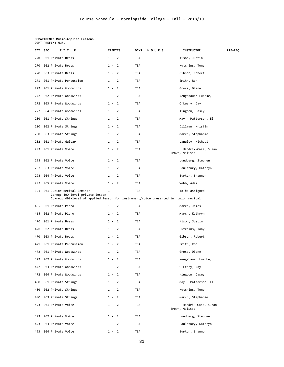|                   | DEPARTMENT: Music-Applied Lessons |  |
|-------------------|-----------------------------------|--|
| DEPT PREFIX: MUAL |                                   |  |

|     | CAT SEC<br>TITLE                                                                                                                                          | <b>CREDITS</b>     | DAYS<br>HOURS | <b>INSTRUCTOR</b><br><b>PRE-REQ</b>   |  |
|-----|-----------------------------------------------------------------------------------------------------------------------------------------------------------|--------------------|---------------|---------------------------------------|--|
| 270 | 001 Private Brass                                                                                                                                         | $1 - 2$            | TBA           | Kisor, Justin                         |  |
| 270 | 002 Private Brass                                                                                                                                         | $1 - 2$            | TBA           | Hutchins, Tony                        |  |
| 270 | 003 Private Brass                                                                                                                                         | $1 - 2$            | TBA           | Gibson, Robert                        |  |
|     | 271 001 Private Percussion                                                                                                                                | $1 - 2$            | TBA           | Smith, Ron                            |  |
|     | 272 001 Private Woodwinds                                                                                                                                 | $1 - 2$            | TBA           | Gross, Diane                          |  |
|     | 272 002 Private Woodwinds                                                                                                                                 | $1 - 2$            | TBA           | Neugebauer Luebke,                    |  |
|     | 272 003 Private Woodwinds                                                                                                                                 | $1 - 2$            | TBA           | O'Leary, Jay                          |  |
|     | 272 004 Private Woodwinds                                                                                                                                 | $1 - 2$            | TBA           | Kingdon, Casey                        |  |
| 280 | 001 Private Strings                                                                                                                                       | $1 - 2$            | TBA           | May - Patterson, El                   |  |
| 280 | 002 Private Strings                                                                                                                                       | $1 - 2$            | TBA           | Dillman, Kristin                      |  |
| 280 | 003 Private Strings                                                                                                                                       | $1 - 2$            | TBA           | March, Stephanie                      |  |
|     | 282 001 Private Guitar                                                                                                                                    | $1 - 2$            | TBA           | Langley, Michael                      |  |
|     | 293 001 Private Voice                                                                                                                                     | $1 - 2$            | TBA           | Hendrix-Case, Suzan<br>Brown, Melissa |  |
| 293 | 002 Private Voice                                                                                                                                         | $1 - 2$            | TBA           | Lundberg, Stephen                     |  |
| 293 | 003 Private Voice                                                                                                                                         | $1 - 2$            | TBA           | Saulsbury, Kathryn                    |  |
| 293 | 004 Private Voice                                                                                                                                         | $1 - 2$            | TBA           | Burton, Shannon                       |  |
|     | 293 005 Private Voice                                                                                                                                     | $1 - 2$            | TBA           | Webb, Adam                            |  |
|     | 321 001 Junior Recital Seminar<br>Coreq: 400-level private lesson<br>Co-req: 400-level of applied lesson for instrument/voice presented in junior recital | 1                  | TBA           | To be assigned                        |  |
|     | 465 001 Private Piano                                                                                                                                     | $1 - 2$            | TBA           | March, James                          |  |
| 465 | 002 Private Piano                                                                                                                                         | $1 - 2$            | TBA           | March, Kathryn                        |  |
| 470 | 001 Private Brass                                                                                                                                         | $1 - 2$            | TBA           | Kisor, Justin                         |  |
| 470 | 002 Private Brass                                                                                                                                         | $1 - 2$            | TBA           |                                       |  |
|     |                                                                                                                                                           | $1 - 2$            |               | Hutchins, Tony                        |  |
| 470 | 003 Private Brass                                                                                                                                         | $1 - 2$            | TBA           | Gibson, Robert                        |  |
|     | 471 001 Private Percussion                                                                                                                                |                    | TBA           | Smith, Ron                            |  |
|     | 472 001 Private Woodwinds                                                                                                                                 | $1 - 2$            | TBA           | Gross, Diane                          |  |
|     | 472 002 Private Woodwinds<br>472 003 Private Woodwinds                                                                                                    | $1 - 2$<br>$1 - 2$ | TBA           | Neugebauer Luebke,<br>O'Leary, Jay    |  |
|     |                                                                                                                                                           |                    | TBA           |                                       |  |
|     | 472 004 Private Woodwinds                                                                                                                                 | $1 - 2$            | TBA           | Kingdon, Casey                        |  |
| 480 | 001 Private Strings                                                                                                                                       | $1 - 2$            | TBA           | May - Patterson, El                   |  |
| 480 | 002 Private Strings                                                                                                                                       | $1 - 2$            | TBA           | Hutchins, Tony                        |  |
| 480 | 003 Private Strings                                                                                                                                       | $1 - 2$            | TBA           | March, Stephanie                      |  |
| 493 | 001 Private Voice                                                                                                                                         | $1 - 2$            | TBA           | Hendrix-Case, Suzan<br>Brown, Melissa |  |
| 493 | 002 Private Voice                                                                                                                                         | $1 - 2$            | TBA           | Lundberg, Stephen                     |  |
| 493 | 003 Private Voice                                                                                                                                         | $1 - 2$            | TBA           | Saulsbury, Kathryn                    |  |
|     | 493 004 Private Voice                                                                                                                                     | $1 - 2$            | TBA           | Burton, Shannon                       |  |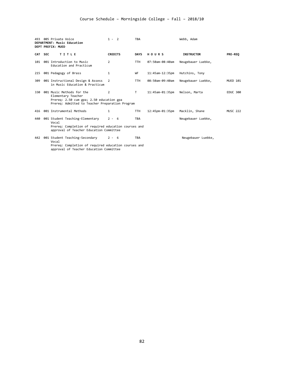|         | 493 005 Private Voice<br>DEPARTMENT: Music Education<br>DEPT PREFIX: MUED                                                                      | $1 - 2$        | <b>TBA</b>  |                 | Webb, Adam         |                 |
|---------|------------------------------------------------------------------------------------------------------------------------------------------------|----------------|-------------|-----------------|--------------------|-----------------|
| CAT SEC | TITLE                                                                                                                                          | <b>CREDITS</b> | <b>DAYS</b> | HOURS           | <b>INSTRUCTOR</b>  | <b>PRE-REO</b>  |
| 101     | 001 Introduction to Music<br>Education and Practicum                                                                                           | $\overline{2}$ | <b>TTH</b>  | 07:50am-08:40am | Neugebauer Luebke, |                 |
| 215     | 001 Pedagogy of Brass                                                                                                                          | 1              | WF          | 11:45am-12:35pm | Hutchins, Tony     |                 |
| 309     | 001 Instructional Design & Assess<br>in Music Education & Practicum                                                                            | $\overline{2}$ | <b>TTH</b>  | 08:50am-09:40am | Neugebauer Luebke, | <b>MUED 101</b> |
| 330     | 001 Music Methods for the<br>Elementary Teacher<br>Prereq: 2.50 cum gpa; 2.50 education gpa<br>Prereg: Admitted to Teacher Preparation Program | $\overline{2}$ | T           | 11:45am-01:35pm | Nelson, Marta      | <b>EDUC 300</b> |
| 416     | 001 Instrumental Methods                                                                                                                       | 1              | <b>TTH</b>  | 12:45pm-01:35pm | Macklin, Shane     | <b>MUSC 222</b> |
| 440     | 001 Student Teaching-Elementary<br>Vocal<br>Prereq: Completion of required education courses and<br>approval of Teacher Education Committee    | $2 - 6$        | <b>TBA</b>  |                 | Neugebauer Luebke, |                 |
| 442     | 001 Student Teaching-Secondary<br>Vocal<br>Prereg: Completion of required education courses and<br>approval of Teacher Education Committee     | $2 - 6$        | <b>TBA</b>  |                 | Neugebauer Luebke, |                 |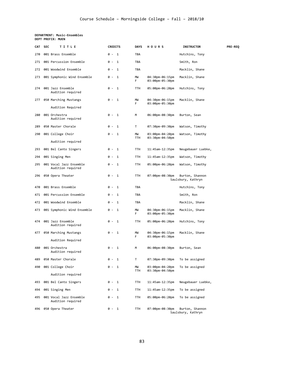### **DEPARTMENT: Music-Ensembles DEPT PREFIX: MUEN**

| <b>CAT</b> | <b>SEC</b><br>TITLE                          | <b>CREDITS</b> | DAYS      | HOURS                              | <b>INSTRUCTOR</b>                     | <b>PRE-REQ</b> |
|------------|----------------------------------------------|----------------|-----------|------------------------------------|---------------------------------------|----------------|
| 270        | 001 Brass Ensemble                           | 0 - 1          | TBA       |                                    | Hutchins, Tony                        |                |
| 271        | 001 Percussion Ensemble                      | 0 - 1          | TBA       |                                    | Smith, Ron                            |                |
| 272        | 001 Woodwind Ensemble                        | $0 - 1$        | TBA       |                                    | Macklin, Shane                        |                |
| 273        | 001 Symphonic Wind Ensemble                  | 0-1            | MW<br>F.  | 04:30pm-06:15pm<br>03:00pm-05:30pm | Macklin, Shane                        |                |
| 274        | 001 Jazz Ensemble<br>Audition required       | 0-1            | TTH       | 05:00pm-06:20pm                    | Hutchins, Tony                        |                |
|            | 277 050 Marching Mustangs                    | 0 - 1          | MW<br>F.  | 04:30pm-06:15pm<br>03:00pm-05:30pm | Macklin, Shane                        |                |
|            | Audition Required                            |                |           |                                    |                                       |                |
| 280        | 001 Orchestra<br>Audition required           | 0 - 1          | М         | 06:00pm-08:30pm                    | Burton, Sean                          |                |
| 289        | 050 Master Chorale                           | 0 - 1          | Τ         | 07:30pm-09:30pm                    | Watson, Timothy                       |                |
| 290        | 001 College Choir                            | 0 - 1          | MW<br>TTH | 03:00pm-04:20pm<br>03:30pm-04:50pm | Watson, Timothy                       |                |
|            | Audition required                            |                |           |                                    |                                       |                |
| 293        | 001 Bel Canto Singers                        | 0 - 1          | TTH       | 11:45am-12:35pm                    | Neugebauer Luebke,                    |                |
| 294        | 001 Singing Men                              | 0 - 1          | TTH       | 11:45am-12:35pm                    | Watson, Timothy                       |                |
| 295        | 001 Vocal Jazz Ensemble<br>Audition required | 0-1            | TTH       | 05:00pm-06:20pm                    | Watson, Timothy                       |                |
| 296        | 050 Opera Theater                            | 0 - 1          | TTH       | 07:00pm-08:30pm                    | Burton, Shannon<br>Saulsbury, Kathryn |                |
| 470        | 001 Brass Ensemble                           | 0 - 1          | TBA       |                                    | Hutchins, Tony                        |                |
| 471        | 001 Percussion Ensemble                      | 0 - 1          | TBA       |                                    | Smith, Ron                            |                |
| 472        | 001 Woodwind Ensemble                        | $0 - 1$        | TBA       |                                    | Macklin, Shane                        |                |
| 473        | 001 Symphonic Wind Ensemble                  | $0 - 1$        | МW<br>F.  | 04:30pm-06:15pm<br>03:00pm-05:30pm | Macklin, Shane                        |                |
| 474        | 001 Jazz Ensemble<br>Audition required       | 0-1            | TTH       | 05:00pm-06:20pm                    | Hutchins, Tony                        |                |
| 477        | 050 Marching Mustangs                        | 0 - 1          | MW        | 04:30pm-06:15pm                    | Macklin, Shane                        |                |
|            | Audition Required                            |                | F.        | 03:00pm-05:30pm                    |                                       |                |
| 480        | 001 Orchestra<br>Audition required           | $0 - 1$        | м         | 06:00pm-08:30pm                    | Burton, Sean                          |                |
| 489        | 050 Master Chorale                           | 0 - 1          | Τ         | 07:30pm-09:30pm                    | To be assigned                        |                |
| 490        | 001 College Choir                            | 0 - 1          | МW        | 03:00pm-04:20pm                    | To be assigned                        |                |
|            | Audition required                            |                | TTH       | 03:30pm-04:50pm                    |                                       |                |
| 493        | 001 Bel Canto Singers                        | $0 - 1$        | TTH       | $11:45$ am- $12:35$ pm             | Neugebauer Luebke,                    |                |
| 494        | 001 Singing Men                              | $0 - 1$        | TTH       | 11:45am-12:35pm                    | To be assigned                        |                |
| 495        | 001 Vocal Jazz Ensemble<br>Audition required | 0 -<br>1       | TTH       | 05:00pm-06:20pm                    | To be assigned                        |                |
| 496        | 050 Opera Theater                            | 0 - 1          | TTH       | 07:00pm-08:30pm                    | Burton, Shannon<br>Saulsbury, Kathryn |                |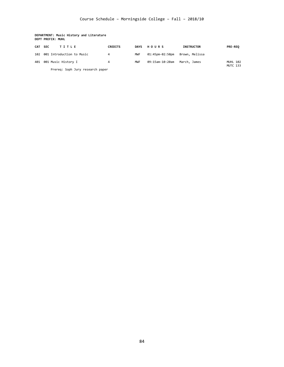### **DEPARTMENT: Music History and Literature DEPT PREFIX: MUHL**

| CAT SEC | TITLE                            | <b>CREDITS</b> | <b>DAYS</b> | <b>HOURS</b>    | <b>INSTRUCTOR</b> | <b>PRE-REQ</b>                     |
|---------|----------------------------------|----------------|-------------|-----------------|-------------------|------------------------------------|
|         | 102 001 Introduction to Music    | 4              | <b>MWF</b>  | 01:45pm-02:50pm | Brown, Melissa    |                                    |
|         | 401 001 Music History I          | $\overline{4}$ | MWF         | 09:15am-10:20am | March. James      | <b>MUHL 102</b><br><b>MUTC 133</b> |
|         | Prereq: Soph Jury research paper |                |             |                 |                   |                                    |

84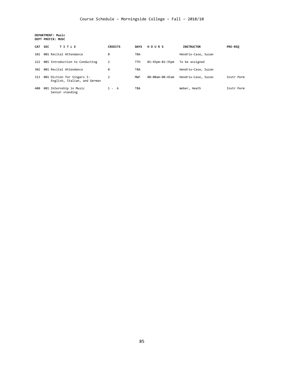### **DEPARTMENT: Music DEPT PREFIX: MUSC**

|     | CAT SEC<br>TITLE                                           | <b>CREDITS</b> | <b>DAYS</b> | HOURS           | <b>INSTRUCTOR</b>   | PRE-REO    |
|-----|------------------------------------------------------------|----------------|-------------|-----------------|---------------------|------------|
|     | 102 001 Recital Attendance                                 | 0              | TBA         |                 | Hendrix-Case, Suzan |            |
|     | 222 001 Introduction to Conducting                         | 2              | TTH         | 01:45pm-02:35pm | To be assigned      |            |
|     | 302 001 Recital Attendance                                 | 0              | TBA         |                 | Hendrix-Case, Suzan |            |
| 313 | 001 Diction for Singers I:<br>English, Italian, and German | $\overline{2}$ | <b>MWF</b>  | 08:00am-08:45am | Hendrix-Case, Suzan | Instr Perm |
| 400 | 001 Internship in Music<br>Senior standing                 | $1 - 6$        | TBA         |                 | Weber, Heath        | Instr Perm |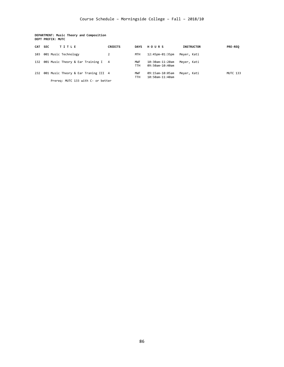## **DEPARTMENT: Music Theory and Composition DEPT PREFIX: MUTC**

| CAT | <b>SEC</b> | TITLE                                    | <b>CREDITS</b> | DAYS              | HOURS                              | <b>INSTRUCTOR</b> | <b>PRE-REQ</b>  |
|-----|------------|------------------------------------------|----------------|-------------------|------------------------------------|-------------------|-----------------|
| 103 |            | 001 Music Technology                     | 2              | MTH               | 12:45pm-01:35pm                    | Meyer, Kati       |                 |
|     |            | 132 001 Music Theory & Ear Training I 4  |                | <b>MWF</b><br>TTH | 10:30am-11:20am<br>09:50am-10:40am | Meyer, Kati       |                 |
|     |            | 232 001 Music Theory & Ear Traning III 4 |                | <b>MWF</b><br>TTH | 09:15am-10:05am<br>10:50am-11:40am | Meyer, Kati       | <b>MUTC 133</b> |
|     |            | Prereg: MUTC 133 with C- or better       |                |                   |                                    |                   |                 |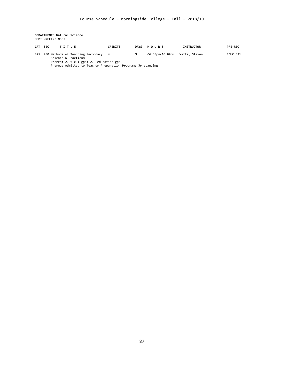**DEPARTMENT: Natural Science DEPT PREFIX: NSCI**

| CAT SEC | TITLE                                                                                                     | <b>CREDITS</b> | DAYS | HOURS                         | <b>INSTRUCTOR</b> | <b>PRE-REQ</b> |
|---------|-----------------------------------------------------------------------------------------------------------|----------------|------|-------------------------------|-------------------|----------------|
|         | 425 050 Methods of Teaching Secondary 4<br>Science & Practicum<br>Prereq: 2.50 cum gpa; 2.5 education gpa |                | M    | 06:30pm-10:00pm Watts, Steven |                   | EDUC 321       |

Prereq: Admitted to Teacher Preparation Program; Jr standing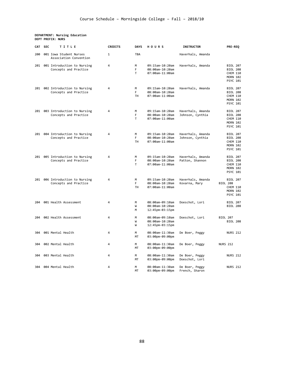### **DEPARTMENT: Nursing Education DEPT PREFIX: NURS**

| CAT | TITLE<br><b>SEC</b>                                      | <b>CREDITS</b> | <b>DAYS</b>           | HOURS                                                 | <b>INSTRUCTOR</b>                     | <b>PRE-REQ</b>                                                                              |
|-----|----------------------------------------------------------|----------------|-----------------------|-------------------------------------------------------|---------------------------------------|---------------------------------------------------------------------------------------------|
| 200 | 001 Iowa Student Nurses<br>Association Convention        | 1              | TBA                   |                                                       | Haverhals, Amanda                     |                                                                                             |
|     | 201 001 Introduction to Nursing<br>Concepts and Practice | 4              | M<br>F<br>T           | 09:15am-10:20am<br>08:00am-10:20am<br>07:00am-11:00am | Haverhals, Amanda                     | <b>BIOL 207</b><br><b>BIOL 208</b><br><b>CHEM 110</b><br><b>MORN 102</b><br><b>PSYC 101</b> |
| 201 | 002 Introduction to Nursing<br>Concepts and Practice     | 4              | M<br>F.<br><b>TH</b>  | 09:15am-10:20am<br>08:00am-10:20am<br>07:00am-11:00am | Haverhals, Amanda                     | <b>BIOL 207</b><br><b>BIOL 208</b><br><b>CHEM 110</b><br><b>MORN 102</b><br><b>PSYC 101</b> |
|     | 201 003 Introduction to Nursing<br>Concepts and Practice | 4              | М<br>F<br>$\mathsf T$ | 09:15am-10:20am<br>08:00am-10:20am<br>07:00am-11:00am | Haverhals, Amanda<br>Johnson, Cynthia | BIOL 207<br>BIOL 208<br><b>CHEM 110</b><br><b>MORN 102</b><br>PSYC 101                      |
| 201 | 004 Introduction to Nursing<br>Concepts and Practice     | 4              | M<br>F<br>TH          | 09:15am-10:20am<br>08:00am-10:20am<br>07:00am-11:00am | Haverhals, Amanda<br>Johnson, Cynthia | <b>BIOL 207</b><br><b>BIOL 208</b><br><b>CHEM 110</b><br><b>MORN 102</b><br><b>PSYC 101</b> |
| 201 | 005 Introduction to Nursing<br>Concepts and Practice     | 4              | M<br>F<br>T           | 09:15am-10:20am<br>08:00am-10:20am<br>07:00am-11:00am | Haverhals, Amanda<br>Patton, Shannon  | <b>BIOL 207</b><br><b>BIOL 208</b><br><b>CHEM 110</b><br><b>MORN 102</b><br><b>PSYC 101</b> |
| 201 | 006 Introduction to Nursing<br>Concepts and Practice     | 4              | M<br>F<br>TH          | 09:15am-10:20am<br>08:00am-10:20am<br>07:00am-11:00am | Haverhals, Amanda<br>Kovarna, Mary    | BIOL 207<br>BIOL 208<br><b>CHEM 110</b><br><b>MORN 102</b><br><b>PSYC 101</b>               |
| 204 | 001 Health Assessment                                    | 4              | M<br>W<br>M           | 08:00am-09:10am<br>08:00am-10:20am<br>12:45pm-03:15pm | Doeschot, Lori                        | <b>BIOL 207</b><br><b>BIOL 208</b>                                                          |
| 204 | 002 Health Assessment                                    | 4              | M<br>W<br>W           | 08:00am-09:10am<br>08:00am-10:20am<br>12:45pm-03:15pm | Doeschot, Lori                        | BIOL 207<br><b>BIOL 208</b>                                                                 |
| 304 | 001 Mental Health                                        | 4              | М<br>МT               | 08:00am-11:30am<br>03:00pm-09:00pm                    | De Boer, Peggy                        | <b>NURS 212</b>                                                                             |
| 304 | 002 Mental Health                                        | 4              | М<br>МT               | 08:00am-11:30am<br>03:00pm-09:00pm                    | De Boer, Peggy                        | <b>NURS 212</b>                                                                             |
| 304 | 003 Mental Health                                        | 4              | М<br>МT               | 08:00am-11:30am<br>03:00pm-09:00pm                    | De Boer, Peggy<br>Doeschot, Lori      | <b>NURS 212</b>                                                                             |
| 304 | 004 Mental Health                                        | 4              | M<br>МT               | 08:00am-11:30am<br>03:00pm-09:00pm                    | De Boer, Peggy<br>French, Sharon      | <b>NURS 212</b>                                                                             |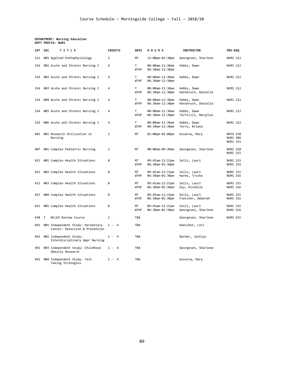# **DEPARTMENT: Nursing Education DEPT PREFIX: NURS**

|     | CAT SEC<br>TITLE                                                        | <b>CREDITS</b> | <b>DAYS</b>       | HOURS                                 | <b>INSTRUCTOR</b>                   | <b>PRE-REQ</b>                                        |
|-----|-------------------------------------------------------------------------|----------------|-------------------|---------------------------------------|-------------------------------------|-------------------------------------------------------|
| 311 | 001 Applied Pathophysiology                                             | 2              | МT                | 12:00pm-01:30pm                       | Georgesen, Sharlene                 | <b>NURS 212</b>                                       |
| 314 | 001 Acute and Chronic Nursing I                                         | 4              | T<br><b>WTHF</b>  | 08:00am-11:30am<br>06:30am-12:30pm    | Hobbs, Dawn                         | <b>NURS 212</b>                                       |
|     | 314 002 Acute and Chronic Nursing I                                     | 4              | T<br><b>WTHF</b>  | 08:00am-11:30am<br>06:30am-12:30pm    | Hobbs, Dawn                         | <b>NURS 212</b>                                       |
|     | 314 003 Acute and Chronic Nursing I                                     | 4              | T<br><b>WTHF</b>  | 08:00am-11:30am<br>06:30am-12:30pm    | Hobbs, Dawn<br>Honsbruch, Danielle  | <b>NURS 212</b>                                       |
| 314 | 004 Acute and Chronic Nursing I                                         | 4              | T<br>WTHF         | 08:00am-11:30am<br>06:30am-12:30pm    | Hobbs, Dawn<br>Honsbruch, Danielle  | <b>NURS 212</b>                                       |
| 314 | 005 Acute and Chronic Nursing I                                         | 4              | T<br><b>WTHF</b>  | 08:00am-11:30am<br>06:30am-12:30pm    | Hobbs, Dawn<br>Torticill, MaryClai  | <b>NURS 212</b>                                       |
|     | 314 006 Acute and Chronic Nursing I                                     | 4              | T<br><b>WTHF</b>  | 08:00am-11:30am<br>06:30am-12:30pm    | Hobbs, Dawn<br>Terry, Briana        | <b>NURS 212</b>                                       |
| 403 | 001 Research Utilization in<br>Nursing                                  | 2              | МT                | 01:00pm-02:00pm                       | Kovarna, Mary                       | <b>MATH 150</b><br><b>NURS 306</b><br><b>NURS 315</b> |
| 407 | 001 Complex Pediatric Nursing                                           | 2              | МT                | 08:00am-09:30am                       | Georgesen, Sharlene                 | <b>NURS 210</b><br><b>NURS 315</b>                    |
| 415 | 001 Complex Health Situations                                           | 8              | МT<br><b>WTHF</b> | 09:45am-12:15pm<br>06:30am-01:30pm    | Sells, Lauri                        | <b>NURS 315</b><br><b>NURS 316</b>                    |
| 415 | 002 Complex Health Situations                                           | 8              | МT<br><b>WTHF</b> | 09:45am-12:15pm<br>06:30am-01:30pm    | Sells, Lauri<br>Harms, Trisha       | <b>NURS 315</b><br><b>NURS 316</b>                    |
| 415 | 003 Complex Health Situations                                           | 8              | МT<br>WTHF        | 09:45am-12:15pm<br>06:30am-01:30pm    | Sells, Lauri<br>Guy, Richelle       | <b>NURS 315</b><br><b>NURS 316</b>                    |
| 415 | 004 Complex Health Situations                                           | 8              | МT<br><b>WTHF</b> | $09:45$ am-12:15pm<br>06:30am-01:30pm | Sells, Lauri<br>Fletcher, Deborah   | <b>NURS 315</b><br><b>NURS 316</b>                    |
| 415 | 005 Complex Health Situations                                           | 8              | МT<br><b>WTHF</b> | 09:45am-12:15pm<br>06:30am-01:30pm    | Sells, Lauri<br>Georgesen, Sharlene | <b>NURS 315</b><br><b>NURS 316</b>                    |
| 430 | NCLEX Review Course<br>$\top$                                           | $\overline{2}$ | TBA               |                                       | Georgesen, Sharlene                 | <b>NURS 415</b>                                       |
|     | 491 001 Independent Study: Hereditary<br>Cancer: Detection & Prevention | $1 - 4$        | <b>TBA</b>        |                                       | Doeschot, Lori                      |                                                       |
|     | 491 002 Independent Study:<br>Interdisciplinary Appr Nursing            | $1 - 4$        | TBA               |                                       | Barber, Jacklyn                     |                                                       |
|     | 491 003 Independent Study: Childhood<br>Obesity Research                | $1 - 4$        | TBA               |                                       | Georgesen, Sharlene                 |                                                       |
|     | 491 004 Independent Study: Test<br>Taking Strategies                    | $1 - 4$        | TBA               |                                       | Kovarna, Mary                       |                                                       |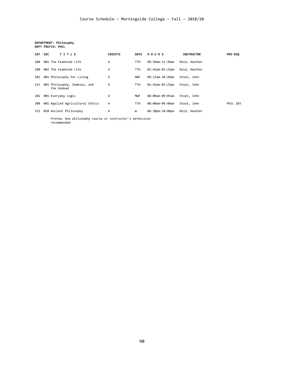# **DEPARTMENT: Philosophy DEPT PREFIX: PHIL**

| CAT SEC | TITLE                                      | <b>CREDITS</b> | <b>DAYS</b> | HOURS              | <b>INSTRUCTOR</b> | PRE-REO         |
|---------|--------------------------------------------|----------------|-------------|--------------------|-------------------|-----------------|
|         | 100 001 The Examined Life                  | 4              | TTH.        | 09:50am-11:30am    | Reid, Heather     |                 |
|         | 100 002 The Examined Life                  | 4              | TTH.        | $01:45$ pm-03:25pm | Reid, Heather     |                 |
|         | 101 001 Philosophy for Living              | 4              | <b>MWF</b>  | 09:15am-10:20am    | Stout, John       |                 |
| 115     | 001 Philosophy, Zombies, and<br>the Undead | 4              | TTH.        | 01:45pm-03:25pm    | Stout, John       |                 |
|         | 202 001 Everyday Logic                     | 4              | <b>MWF</b>  | 08:00am-09:05am    | Stout, John       |                 |
|         | 308 001 Applied Agricultural Ethics        | 4              | TTH.        | 08:00am-09:40am    | Stout, John       | <b>PHIL 103</b> |
|         | 325 050 Ancient Philosophy                 | 4              | W           | 06:30pm-10:00pm    | Reid, Heather     |                 |

 Prereq: One philosophy course or instructor's permission recommended

90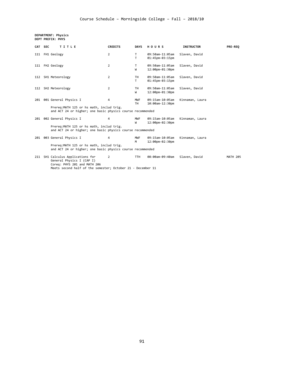### **DEPARTMENT: Physics DEPT PREFIX: PHYS**

| CAT SEC | TITLE                                                                                                                                                         | <b>CREDITS</b> | <b>DAYS</b>       | HOURS                              | <b>INSTRUCTOR</b> | PRE-REO         |
|---------|---------------------------------------------------------------------------------------------------------------------------------------------------------------|----------------|-------------------|------------------------------------|-------------------|-----------------|
|         | 111 FH1 Geology                                                                                                                                               | $\overline{2}$ | T<br>T.           | 09:50am-11:05am<br>01:45pm-03:15pm | Slaven, David     |                 |
|         | 111 FH2 Geology                                                                                                                                               | $\overline{2}$ | т<br>W            | 09:50am-11:05am<br>12:00pm-01:30pm | Slaven, David     |                 |
|         | 112 SH1 Meteorology                                                                                                                                           | $\overline{2}$ | TH<br>T.          | 09:50am-11:05am<br>01:45pm-03:15pm | Slaven, David     |                 |
|         | 112 SH2 Meteorology                                                                                                                                           | 2              | TH<br>W           | 09:50am-11:05am<br>12:00pm-01:30pm | Slaven, David     |                 |
|         | 201 001 General Physics I<br>Prereq: MATH 125 or hs math, includ trig.                                                                                        | 4              | <b>MWF</b><br>TH. | 09:15am-10:05am<br>10:00am-12:30pm | Kinnaman, Laura   |                 |
|         | and ACT 24 or higher; one basic physics course recommended                                                                                                    |                |                   |                                    |                   |                 |
|         | 201 002 General Physics I                                                                                                                                     | 4              | <b>MWF</b><br>W   | 09:15am-10:05am<br>12:00pm-02:30pm | Kinnaman, Laura   |                 |
|         | Prereq: MATH 125 or hs math, includ trig.<br>and ACT 24 or higher; one basic physics course recommended                                                       |                |                   |                                    |                   |                 |
|         | 201 003 General Physics I                                                                                                                                     | 4              | <b>MWF</b><br>M   | 09:15am-10:05am<br>12:00pm-02:30pm | Kinnaman, Laura   |                 |
|         | Prereq: MATH 125 or hs math, includ trig.<br>and ACT 24 or higher; one basic physics course recommended                                                       |                |                   |                                    |                   |                 |
|         | 211 SH1 Calculus Applications for<br>General Physics I (CAP I)<br>Coreg: PHYS 201 and MATH 206<br>Meets second half of the semester; October 21 - December 11 | $\overline{2}$ | <b>TTH</b>        | 08:00am-09:40am                    | Slaven, David     | <b>MATH 205</b> |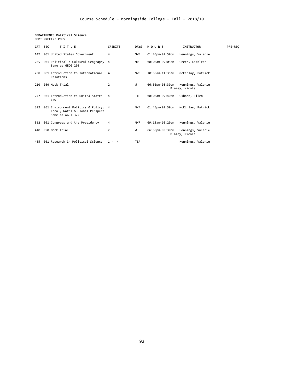|                   | DEPARTMENT: Political Science |  |
|-------------------|-------------------------------|--|
| DEPT PREFIX: POLS |                               |  |

| CAT SEC<br>TITLE                                                                               | <b>CREDITS</b> | <b>DAYS</b> | HOURS                           | <b>INSTRUCTOR</b>                                   | PRE-REO |
|------------------------------------------------------------------------------------------------|----------------|-------------|---------------------------------|-----------------------------------------------------|---------|
| 147 001 United States Government                                                               | 4              | <b>MWF</b>  |                                 | 01:45pm-02:50pm Hennings, Valerie                   |         |
| 205 001 Political & Cultural Geography 4<br>Same as GEOG 205                                   |                | <b>MWF</b>  | 08:00am-09:05am Green, Kathleen |                                                     |         |
| 208 001 Introduction to International<br>Relations                                             | 4              | <b>MWF</b>  | 10:30am-11:35am                 | McKinlay, Patrick                                   |         |
| 210 050 Mock Trial                                                                             | $\overline{2}$ | W           |                                 | 06:30pm-08:30pm Hennings, Valerie<br>Blazey, Nicole |         |
| 277 001 Introduction to United States<br>Law                                                   | 4              | TTH.        | 08:00am-09:40am Osborn, Ellen   |                                                     |         |
| 322 001 Environment Politics & Policy: 4<br>Local, Nat'l & Global Perspect<br>Same as AGRI 322 |                | <b>MWF</b>  | 01:45pm-02:50pm                 | McKinlay, Patrick                                   |         |
| 362 001 Congress and the Presidency                                                            | 4              | <b>MWF</b>  |                                 | 09:15am-10:20am Hennings, Valerie                   |         |
| 410 050 Mock Trial                                                                             | $\overline{2}$ | W           |                                 | 06:30pm-08:30pm Hennings, Valerie<br>Blazey, Nicole |         |
| 455 001 Research in Political Science                                                          | $1 - 4$        | TBA         |                                 | Hennings, Valerie                                   |         |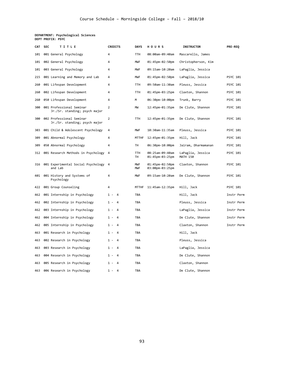### **DEPARTMENT: Psychological Sciences DEPT PREFIX: PSYC**

| CAT | SEC<br>TITLE                                              | <b>CREDITS</b>          | DAYS             | HOURS                                 | <b>INSTRUCTOR</b>                    | <b>PRE-REQ</b>  |
|-----|-----------------------------------------------------------|-------------------------|------------------|---------------------------------------|--------------------------------------|-----------------|
| 101 | 001 General Psychology                                    | 4                       | TTH              | 08:00am-09:40am                       | Mascarello, James                    |                 |
| 101 | 002 General Psychology                                    | 4                       | MWF              | 01:45pm-02:50pm                       | Christopherson, Kim                  |                 |
| 101 | 003 General Psychology                                    | 4                       | MWF              | 09:15am-10:20am                       | LaPaglia, Jessica                    |                 |
| 215 | 001 Learning and Memory and Lab                           | 4                       | MWF              | $01:45$ pm- $02:50$ pm                | LaPaglia, Jessica                    | <b>PSYC 101</b> |
| 260 | 001 Lifespan Development                                  | 4                       | TTH              | 09:50am-11:30am                       | Pleuss, Jessica                      | PSYC 101        |
| 260 | 002 Lifespan Development                                  | 4                       | TTH              | $01:45$ pm-03:25pm                    | Claxton, Shannon                     | <b>PSYC 101</b> |
| 260 | 050 Lifespan Development                                  | 4                       | М                | 06:30pm-10:00pm                       | Trunk, Barry                         | PSYC 101        |
| 300 | 001 Professional Seminar<br>Jr./Sr. standing; psych major | 2                       | MW               | 12:45pm-01:35pm                       | De Clute, Shannon                    | <b>PSYC 101</b> |
| 300 | 002 Professional Seminar<br>Jr./Sr. standing; psych major | 2                       | TTH              | 12:45pm-01:35pm                       | De Clute, Shannon                    | <b>PSYC 101</b> |
| 303 | 001 Child & Adolescent Psychology                         | 4                       | MWF              | 10:30am-11:35am                       | Pleuss, Jessica                      | <b>PSYC 101</b> |
| 309 | 001 Abnormal Psychology                                   | 4                       | <b>MTTHF</b>     | 12:45pm-01:35pm                       | Hill, Jack                           | <b>PSYC 101</b> |
| 309 | 050 Abnormal Psychology                                   | 4                       | TH               | 06:30pm-10:00pm                       | Jairam, Dharmamanan                  | <b>PSYC 101</b> |
| 312 | 001 Research Methods in Psychology 4                      |                         | <b>TTH</b><br>TH | 08:25am-09:40am<br>$01:45$ pm-03:25pm | LaPaglia, Jessica<br><b>MATH 150</b> | <b>PSYC 101</b> |
| 316 | 001 Experimental Social Psychology 4<br>and Lab           |                         | MWF<br>MWF       | 01:45pm-02:50pm<br>03:00pm-03:25pm    | Claxton, Shannon                     | <b>PSYC 101</b> |
| 401 | 001 History and Systems of<br>Psychology                  | 4                       | MWF              | 09:15am-10:20am                       | De Clute, Shannon                    | PSYC 101        |
| 422 | 001 Group Counseling                                      | 4                       | <b>MTTHF</b>     | 11:45am-12:35pm                       | Hill, Jack                           | <b>PSYC 101</b> |
| 462 | 001 Internship in Psychology                              | $\overline{4}$<br>1 -   | TBA              |                                       | Hill, Jack                           | Instr Perm      |
| 462 | 002 Internship in Psychology                              | 4<br>1 -                | TBA              |                                       | Pleuss, Jessica                      | Instr Perm      |
| 462 | 003 Internship in Psychology                              | 4<br>1 -                | <b>TBA</b>       |                                       | LaPaglia, Jessica                    | Instr Perm      |
| 462 | 004 Internship in Psychology                              | 4<br>1 -                | TBA              |                                       | De Clute, Shannon                    | Instr Perm      |
| 462 | 005 Internship in Psychology                              | 4<br>$1 -$              | TBA              |                                       | Claxton, Shannon                     | Instr Perm      |
| 463 | 001 Research in Psychology                                | $1 -$<br>4              | TBA              |                                       | Hill, Jack                           |                 |
| 463 | 002 Research in Psychology                                | 4<br>$1 -$              | TBA              |                                       | Pleuss, Jessica                      |                 |
| 463 | 003 Research in Psychology                                | 4<br>$1 -$              | TBA              |                                       | LaPaglia, Jessica                    |                 |
| 463 | 004 Research in Psychology                                | 4<br>1 -                | TBA              |                                       | De Clute, Shannon                    |                 |
| 463 | 005 Research in Psychology                                | 4<br>1 -                | TBA              |                                       | Claxton, Shannon                     |                 |
| 463 | 006 Research in Psychology                                | $\overline{4}$<br>$1 -$ | TBA              |                                       | De Clute, Shannon                    |                 |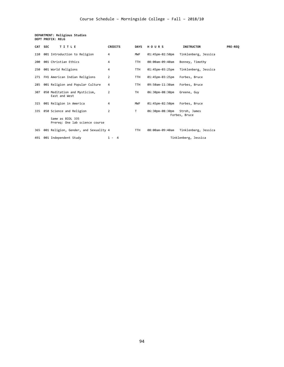### **DEPARTMENT: Religious Studies DEPT PREFIX: RELG**

| CAT SEC | TITLE                                              | <b>CREDITS</b> | <b>DAYS</b> | <b>HOURS</b>                  | <b>INSTRUCTOR</b>                    | PRE-REO |
|---------|----------------------------------------------------|----------------|-------------|-------------------------------|--------------------------------------|---------|
|         | 110 001 Introduction to Religion                   | 4              | <b>MWF</b>  | 01:45pm-02:50pm               | Tinklenberg, Jessica                 |         |
|         | 200 001 Christian Ethics                           | 4              | <b>TTH</b>  | 08:00am-09:40am               | Bonney, Timothy                      |         |
|         | 250 001 World Religions                            | 4              | TTH.        | 01:45pm-03:25pm               | Tinklenberg, Jessica                 |         |
|         | 271 FH1 American Indian Religions                  | 2              | TTH         | 01:45pm-03:25pm               | Forbes, Bruce                        |         |
|         | 285 001 Religion and Popular Culture               | 4              | <b>TTH</b>  | 09:50am-11:30am               | Forbes, Bruce                        |         |
|         | 307 050 Meditation and Mysticism,<br>East and West | $\overline{2}$ | TH          | 06:30pm-08:30pm               | Greene, Guy                          |         |
|         | 315 001 Religion in America                        | 4              | <b>MWF</b>  | 01:45pm-02:50pm Forbes, Bruce |                                      |         |
|         | 335 050 Science and Religion<br>Same as BIOL 335   | $\overline{2}$ | T.          | 06:30pm-08:30pm Stroh, James  | Forbes, Bruce                        |         |
|         | Prereq: One lab science course                     |                |             |                               |                                      |         |
|         | 365 001 Religion, Gender, and Sexuality 4          |                | <b>TTH</b>  |                               | 08:00am-09:40am Tinklenberg, Jessica |         |
|         | 491 001 Independent Study                          | $1 - 4$        |             |                               | Tinklenberg, Jessica                 |         |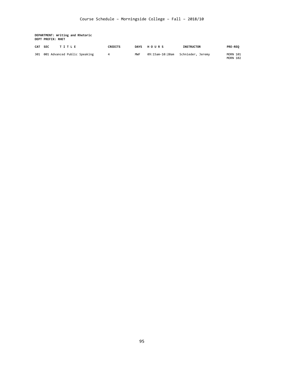**DEPARTMENT: Writing and Rhetoric DEPT PREFIX: RHET**

| CAT SEC | TITLE                            | <b>CREDITS</b> |            | DAYS HOURS                        | <b>INSTRUCTOR</b> | <b>PRE-REQ</b>              |
|---------|----------------------------------|----------------|------------|-----------------------------------|-------------------|-----------------------------|
|         | 301 001 Advanced Public Speaking |                | <b>MWF</b> | 09:15am-10:20am Schnieder, Jeremy |                   | MORN 101<br><b>MORN 102</b> |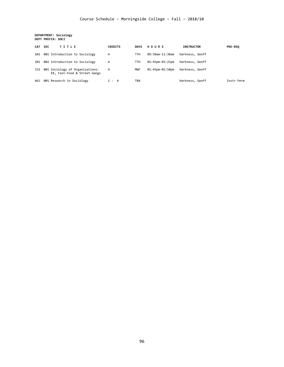### **DEPARTMENT: Sociology DEPT PREFIX: SOCI**

| CAT SEC<br>TITLE                                                    | <b>CREDITS</b> | DAYS       | <b>HOURS</b>    | <b>INSTRUCTOR</b> | PRE-REO    |
|---------------------------------------------------------------------|----------------|------------|-----------------|-------------------|------------|
| 101 001 Introduction to Sociology                                   | 4              | <b>TTH</b> | 09:50am-11:30am | Harkness, Geoff   |            |
| 101 002 Introduction to Sociology                                   | 4              | TTH        | 01:45pm-03:25pm | Harkness, Geoff   |            |
| 332 001 Sociology of Organizations:<br>ER, Fast-Food & Street Gangs | 4              | <b>MWF</b> | 01:45pm-02:50pm | Harkness, Geoff   |            |
| 461 001 Research in Sociology                                       | $1 - 4$        | <b>TBA</b> |                 | Harkness, Geoff   | Instr Perm |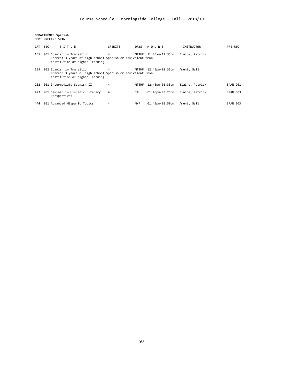| DEPARTMENT: Spanish      |  |
|--------------------------|--|
| <b>DEPT PREFIX: SPAN</b> |  |

| CAT SEC | TITLE                                                                                                                    | <b>CREDITS</b> | <b>DAYS</b> | <b>HOURS</b>          | <b>INSTRUCTOR</b> | PRE-REO         |
|---------|--------------------------------------------------------------------------------------------------------------------------|----------------|-------------|-----------------------|-------------------|-----------------|
| 155     | 001 Spanish in Transition<br>Prereq: 3 years of high school Spanish or equivalent from<br>institution of higher learning | 4              |             | MTTHF 11:45am-12:35pm | Blaine, Patrick   |                 |
| 155     | 002 Spanish in Transition<br>Prereq: 3 years of high school Spanish or equivalent from<br>institution of higher learning | 4              |             | MTTHF 12:45pm-01:35pm | Ament, Gail       |                 |
|         | 202 001 Intermediate Spanish II                                                                                          | 4              | MTTHF       | 12:45pm-01:35pm       | Blaine, Patrick   | SPAN 201        |
|         | 423 001 Seminar in Hispanic Literary<br>Perspectives                                                                     | 4              | TTH         | 01:45pm-03:25pm       | Blaine, Patrick   | <b>SPAN 303</b> |
| 444     | 001 Advanced Hispanic Topics                                                                                             | 4              | <b>MWF</b>  | 01:45pm-02:50pm       | Ament. Gail       | <b>SPAN 303</b> |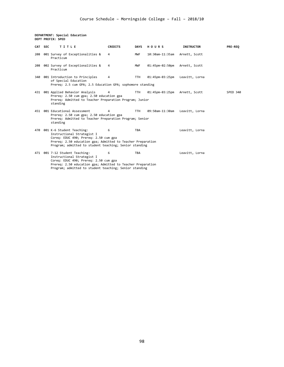|                   | DEPARTMENT: Special Education |
|-------------------|-------------------------------|
| DEPT PREFIX: SPED |                               |

| CAT SEC | TITLE                                                                                                                                                                                                                          | <b>CREDITS</b> | <b>DAYS</b> | HOURS           | <b>INSTRUCTOR</b> | <b>PRE-REO</b> |
|---------|--------------------------------------------------------------------------------------------------------------------------------------------------------------------------------------------------------------------------------|----------------|-------------|-----------------|-------------------|----------------|
|         | 208 001 Survey of Exceptionalities &<br>Practicum                                                                                                                                                                              | 4              | MWF         | 10:30am-11:35am | Arnett, Scott     |                |
|         | 208 002 Survey of Exceptionalities &<br>Practicum                                                                                                                                                                              | 4              | MWF         | 01:45pm-02:50pm | Arnett, Scott     |                |
|         | 340 001 Introduction to Principles<br>of Special Education<br>Prereq: 2.5 cum GPA; 2.5 Education GPA; sophomore standing                                                                                                       | 4              | <b>TTH</b>  | 01:45pm-03:25pm | Leavitt, Lorna    |                |
|         | 431 001 Applied Behavior Analysis<br>Prereq: 2.50 cum gpa; 2.50 education gpa<br>Prereq: Admitted to Teacher Preparation Program; Junior<br>standing                                                                           | 4              | <b>TTH</b>  | 01:45pm-03:25pm | Arnett, Scott     | SPED 340       |
|         | 451 001 Educational Assessment<br>Prereq: 2.50 cum gpa; 2.50 education gpa<br>Prereq: Admitted to Teacher Preparation Program; Senior<br>standing                                                                              | 4              | <b>TTH</b>  | 09:50am-11:30am | Leavitt, Lorna    |                |
|         | 470 001 K-6 Student Teaching:<br>Instructional Strategist I<br>Coreg: EDUC 490; Prereg: 2.50 cum gpa<br>Prereq: 2.50 education gpa; Admitted to Teacher Preparation<br>Program; admitted to student teaching; Senior standing  | 6              | <b>TBA</b>  |                 | Leavitt, Lorna    |                |
|         | 471 001 7-12 Student Teaching:<br>Instructional Strategist I<br>Coreq: EDUC 490; Prereq: 2.50 cum gpa<br>Prereq: 2.50 education gpa; Admitted to Teacher Preparation<br>Program; admitted to student teaching; Senior standing | 6              | <b>TBA</b>  |                 | Leavitt, Lorna    |                |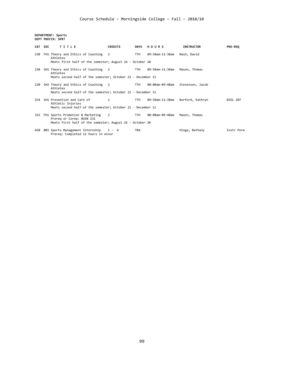| DEPARTMENT: Sports       |  |
|--------------------------|--|
| <b>DEPT PREFIX: SPRT</b> |  |

|  | CAT SEC TITLE                                                                     | <b>CREDITS</b> |            | DAYS HOURS                        | <b>INSTRUCTOR</b> | <b>PRE-REQ</b> |
|--|-----------------------------------------------------------------------------------|----------------|------------|-----------------------------------|-------------------|----------------|
|  | 230 FH1 Theory and Ethics of Coaching 2<br>Athletes                               |                |            | TTH 09:50am-11:30am Nash, David   |                   |                |
|  | Meets first half of the semester; August 26 - October 20                          |                |            |                                   |                   |                |
|  | 230 SH1 Theory and Ethics of Coaching 2<br>Athletes                               |                |            | TTH 09:50am-11:30am Maxon, Thomas |                   |                |
|  | Meets second half of the semester; October 21 - December 11                       |                |            |                                   |                   |                |
|  | 230 SH2 Theory and Ethics of Coaching 2<br>Athletes                               |                |            | TTH 08:00am-09:40am               | Stevenson, Jacob  |                |
|  | Meets second half of the semester; October 21 - December 11                       |                |            |                                   |                   |                |
|  | 254 SH1 Prevention and Care of<br>Athletic Injuries                               | 2              | <b>TTH</b> | 09:50am-11:30am                   | Burford, Kathryn  | BIOL 207       |
|  | Meets second half of the semester; October 21 - December 11                       |                |            |                                   |                   |                |
|  | 325 FH1 Sports Promotion & Marketing 2<br>Prereg or Coreg: BUSN 231               |                | <b>TTH</b> | 08:00am-09:40am                   | Maxon, Thomas     |                |
|  | Meets first half of the semester; August 26 - October 20                          |                |            |                                   |                   |                |
|  | 450 001 Sports Management Internship 1 - 4<br>Prereq: Completed 12 hours in minor |                | TBA        |                                   | Hinga, Bethany    | Instr Perm     |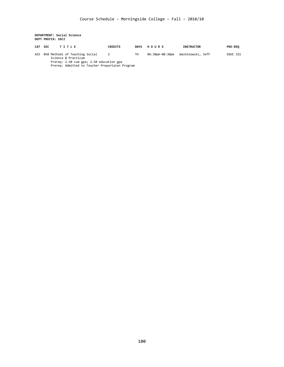**DEPARTMENT: Social Science DEPT PREFIX: SSCI**

| CAT SEC | TITLE                                                                                                 | <b>CREDITS</b> | DAYS | HOURS | <b>INSTRUCTOR</b>                 | <b>PRE-REQ</b> |
|---------|-------------------------------------------------------------------------------------------------------|----------------|------|-------|-----------------------------------|----------------|
|         | 425 050 Methods of Teaching Social<br>Science & Practicum<br>Prereg: 2.50 cum gpa; 2.50 education gpa | $\overline{2}$ | TH   |       | 06:30pm-08:30pm Washinowski, Jeff | EDUC 321       |

Prereq: Admitted to Teacher Prepartaion Program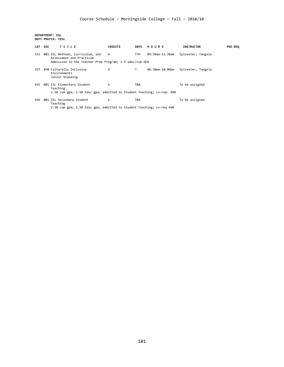**DEPARTMENT: ESL DEPT PREFIX: TESL**

| CAT SEC | TITLE                                                                  | <b>CREDITS</b> |     | DAYS HOURS      | <b>INSTRUCTOR</b>                  | <b>PRE-REQ</b> |
|---------|------------------------------------------------------------------------|----------------|-----|-----------------|------------------------------------|----------------|
|         | 333 001 ESL Methods, Curriculum, and<br>Assessment and Practicum       | 4              | TTH | 09:50am-11:30am | Sylvester, Tangela                 |                |
|         | Admission to the Teacher Prep Program; 2.5 educ/cum GPA                |                |     |                 |                                    |                |
| 337     | 050 Culturally Inclusive<br>Environments<br>Junior Standing            | 4              | T.  |                 | 06:30pm-10:00pm Sylvester, Tangela |                |
|         | 435 001 ESL Elementary Student<br>Teaching                             | 6              | TBA |                 | To be assigned                     |                |
|         | 2.50 cum gpa; 2.50 Educ gpa; admitted to Student Teaching; co-req: 490 |                |     |                 |                                    |                |
| 436     | 001 ESL Secondary Student<br>Teaching                                  | 6              | TBA |                 | To be assigned                     |                |
|         | 2.50 cum gpa; 2.50 Educ gpa; admitted to Student Teaching; co-req 490  |                |     |                 |                                    |                |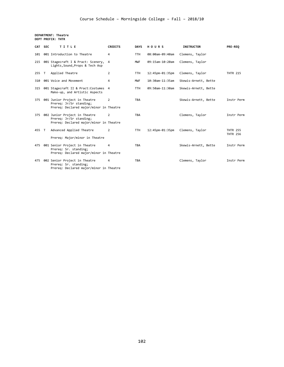|                          | DEPARTMENT: Theatre |
|--------------------------|---------------------|
| <b>DEPT PREFIX: THTR</b> |                     |

| CAT SEC |        | TITLE                                                                                               | <b>CREDITS</b> | <b>DAYS</b> | HOURS           | <b>INSTRUCTOR</b>    | PRE-REO                            |
|---------|--------|-----------------------------------------------------------------------------------------------------|----------------|-------------|-----------------|----------------------|------------------------------------|
|         |        | 101 001 Introduction to Theatre                                                                     | 4              | <b>TTH</b>  | 08:00am-09:40am | Clemens, Taylor      |                                    |
|         |        | 215 001 Stagecraft I & Pract: Scenery,<br>Lights, Sound, Props & Tech Asp                           | 4              | <b>MWF</b>  | 09:15am-10:20am | Clemens, Taylor      |                                    |
| 255     | $\top$ | Applied Theatre                                                                                     | 2              | <b>TTH</b>  | 12:45pm-01:35pm | Clemens, Taylor      | <b>THTR 215</b>                    |
| 310     |        | 001 Voice and Movement                                                                              | 4              | <b>MWF</b>  | 10:30am-11:35am | Skewis-Arnett, Bette |                                    |
|         |        | 315 001 Stagecraft II & Pract: Costumes 4<br>Make-up, and Artistic Aspects                          |                | <b>TTH</b>  | 09:50am-11:30am | Skewis-Arnett, Bette |                                    |
| 375     |        | 001 Junior Project in Theatre<br>Prereq: Jr/Sr standing;<br>Prereq: Declared major/minor in Theatre | 2              | <b>TBA</b>  |                 | Skewis-Arnett, Bette | Instr Perm                         |
| 375     |        | 002 Junior Project in Theatre<br>Prereq: Jr/Sr standing;<br>Prereq: Declared major/minor in Theatre | 2              | <b>TBA</b>  |                 | Clemens, Taylor      | Instr Perm                         |
| 455 T   |        | Advanced Applied Theatre<br>Prereq: Major/minor in Theatre                                          | 2              | <b>TTH</b>  | 12:45pm-01:35pm | Clemens, Taylor      | <b>THTR 255</b><br><b>THTR 256</b> |
| 475     |        | 001 Senior Project in Theatre<br>Prereq: Sr. standing;<br>Prereg: Declared major/minor in Theatre   | 4              | TBA         |                 | Skewis-Arnett, Bette | Instr Perm                         |
| 475     |        | 002 Senior Project in Theatre<br>Prereq: Sr. standing;<br>Prereq: Declared major/minor in Theatre   | 4              | TBA         |                 | Clemens, Taylor      | Instr Perm                         |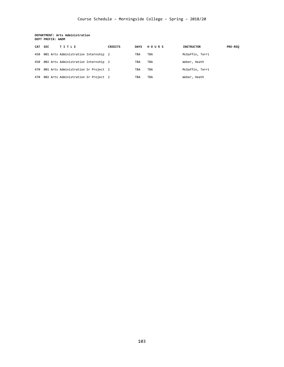### **DEPARTMENT: Arts Administration DEPT PREFIX: AADM**

| CAT SEC | TITLE                                    | <b>CREDITS</b> | DAYS | <b>HOURS</b> | <b>INSTRUCTOR</b> | PRE-REO |
|---------|------------------------------------------|----------------|------|--------------|-------------------|---------|
|         | 450 001 Arts Administration Internship 2 |                | TBA  | TBA          | McGaffin, Terri   |         |
|         | 450 002 Arts Administration Internship 2 |                | TBA  | TBA          | Weber, Heath      |         |
|         | 470 001 Arts Administration Sr Project 2 |                | TBA  | TBA          | McGaffin, Terri   |         |
|         | 470 002 Arts Administration Sr Project 2 |                | TBA  | TBA          | Weber, Heath      |         |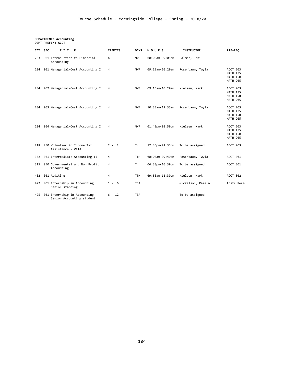|                   | DEPARTMENT: Accounting |
|-------------------|------------------------|
| DEPT PREFIX: ACCT |                        |

| CAT SEC | TITLE                                                     | <b>CREDITS</b> | <b>DAYS</b> | HOURS           | <b>INSTRUCTOR</b> | PRE-REO                                                           |
|---------|-----------------------------------------------------------|----------------|-------------|-----------------|-------------------|-------------------------------------------------------------------|
| 203     | 001 Introduction to Financial<br>Accounting               | 4              | <b>MWF</b>  | 08:00am-09:05am | Palmer, Joni      |                                                                   |
| 204     | 001 Managerial/Cost Accounting I                          | 4              | MWF         | 09:15am-10:20am | Rosenbaum, Twyla  | ACCT 203<br><b>MATH 125</b><br><b>MATH 150</b><br><b>MATH 205</b> |
| 204     | 002 Managerial/Cost Accounting I                          | 4              | <b>MWF</b>  | 09:15am-10:20am | Nielsen, Mark     | ACCT 203<br><b>MATH 125</b><br><b>MATH 150</b><br><b>MATH 205</b> |
| 204     | 003 Managerial/Cost Accounting I                          | 4              | <b>MWF</b>  | 10:30am-11:35am | Rosenbaum, Twyla  | ACCT 203<br><b>MATH 125</b><br><b>MATH 150</b><br><b>MATH 205</b> |
| 204     | 004 Managerial/Cost Accounting I                          | 4              | <b>MWF</b>  | 01:45pm-02:50pm | Nielsen, Mark     | ACCT 203<br><b>MATH 125</b><br><b>MATH 150</b><br><b>MATH 205</b> |
| 218     | 050 Volunteer in Income Tax<br>Assistance - VITA          | $2 - 2$        | TH          | 12:45pm-01:35pm | To be assigned    | ACCT 203                                                          |
| 302.    | 001 Intermediate Accounting II                            | 4              | <b>TTH</b>  | 08:00am-09:40am | Rosenbaum, Twyla  | ACCT 301                                                          |
| 315     | 050 Governmental and Non Profit<br>Accounting             | 4              | T.          | 06:30pm-10:30pm | To be assigned    | <b>ACCT 301</b>                                                   |
| 402     | 001 Auditing                                              | 4              | <b>TTH</b>  | 09:50am-11:30am | Nielsen, Mark     | ACCT 302                                                          |
|         | 472 001 Internship in Accounting<br>Senior standing       | $1 - 6$        | <b>TBA</b>  |                 | Mickelson, Pamela | Instr Perm                                                        |
| 495     | 001 Externship in Accounting<br>Senior Accounting student | $6 - 12$       | <b>TBA</b>  |                 | To be assigned    |                                                                   |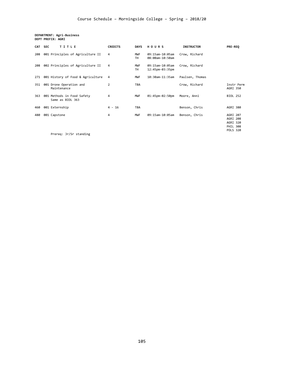**DEPARTMENT: Agri-Business DEPT PREFIX: AGRI**

| CAT SEC | TITLE                                          | <b>CREDITS</b> | <b>DAYS</b>       | HOURS                              | <b>INSTRUCTOR</b> | PRE-REO                                                                |            |
|---------|------------------------------------------------|----------------|-------------------|------------------------------------|-------------------|------------------------------------------------------------------------|------------|
| 208     | 001 Principles of Agriculture II               | 4              | <b>MWF</b><br>TH. | 09:15am-10:05am<br>08:00am-10:50am | Crow, Richard     |                                                                        |            |
| 208     | 002 Principles of Agriculture II               | 4              | <b>MWF</b><br>TH  | 09:15am-10:05am<br>12:45pm-03:35pm | Crow, Richard     |                                                                        |            |
| 271     | 001 History of Food & Agriculture              | 4              | <b>MWF</b>        | 10:30am-11:35am                    | Paulsen, Thomas   |                                                                        |            |
| 351     | 001 Drone Operation and<br>Maintenance         | 2              | <b>TBA</b>        |                                    | Crow, Richard     | AGRI 350                                                               | Instr Perm |
| 363     | 001 Methods in Food Safety<br>Same as BIOL 363 | 4              | <b>MWF</b>        | 01:45pm-02:50pm                    | Moore, Anni       | BIOL 252                                                               |            |
| 460     | 001 Externship                                 | $4 - 16$       | <b>TBA</b>        |                                    | Benson, Chris     | AGRI 380                                                               |            |
| 480     | 001 Capstone                                   | 4              | <b>MWF</b>        | 09:15am-10:05am                    | Benson, Chris     | AGRI 207<br>AGRI 208<br>AGRI 320<br><b>PHIL 308</b><br><b>POLS 320</b> |            |

Prereq: Jr/Sr standing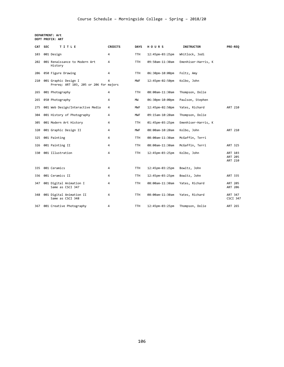**DEPARTMENT: Art DEPT PREFIX: ART**

| CAT SEC | TITLE                                                          | <b>CREDITS</b> | <b>DAYS</b> | HOURS              | <b>INSTRUCTOR</b>   | PRE-REQ                       |
|---------|----------------------------------------------------------------|----------------|-------------|--------------------|---------------------|-------------------------------|
| 103     | 001 Design                                                     | 4              | TTH         | 12:45pm-03:25pm    | Whitlock, Jodi      |                               |
| 202     | 001 Renaissance to Modern Art<br>History                       | 4              | TTH         | 09:50am-11:30am    | Emenhiser-Harris, K |                               |
| 206     | 050 Figure Drawing                                             | 4              | TTH         | 06:30pm-10:00pm    | Foltz, Amy          |                               |
| 210     | 001 Graphic Design I<br>Prereq: ART 103, 205 or 206 for majors | 4              | <b>MWF</b>  | 12:45pm-02:50pm    | Kolbo, John         |                               |
| 265     | 001 Photography                                                | 4              | TTH         | 08:00am-11:30am    | Thompson, Dolie     |                               |
| 265     | 050 Photography                                                | 4              | MW          | 06:30pm-10:00pm    | Paulson, Stephen    |                               |
| 275     | 001 Web Design/Interactive Media                               | 4              | <b>MWF</b>  | 12:45pm-02:50pm    | Yates, Richard      | ART 210                       |
| 304     | 001 History of Photography                                     | 4              | <b>MWF</b>  | 09:15am-10:20am    | Thompson, Dolie     |                               |
| 305     | 001 Modern Art History                                         | 4              | TTH         | $01:45$ pm-03:25pm | Emenhiser-Harris, K |                               |
| 320     | 001 Graphic Design II                                          | 4              | <b>MWF</b>  | 08:00am-10:20am    | Kolbo, John         | ART 210                       |
| 325     | 001 Painting                                                   | 4              | TTH         | 08:00am-11:30am    | McGaffin, Terri     |                               |
| 326     | 001 Painting II                                                | 4              | TTH         | 08:00am-11:30am    | McGaffin, Terri     | ART 325                       |
| 330     | 001 Illustration                                               | 4              | TTH         | 12:45pm-03:25pm    | Kolbo, John         | ART 103<br>ART 205<br>ART 210 |
| 335     | 001 Ceramics                                                   | 4              | TTH.        | 12:45pm-03:25pm    | Bowitz, John        |                               |
| 336     | 001 Ceramics II                                                | 4              | TTH         | 12:45pm-03:25pm    | Bowitz, John        | ART 335                       |
| 347     | 001 Digital Animation I<br>Same as CSCI 347                    | 4              | TTH         | 08:00am-11:30am    | Yates, Richard      | ART 205<br>ART 206            |
| 348     | 001 Digital Animation II<br>Same as CSCI 348                   | 4              | TTH         | 08:00am-11:30am    | Yates, Richard      | ART 347<br>CSCI 347           |
| 367     | 001 Creative Photography                                       | 4              | TTH         | 12:45pm-03:25pm    | Thompson, Dolie     | ART 265                       |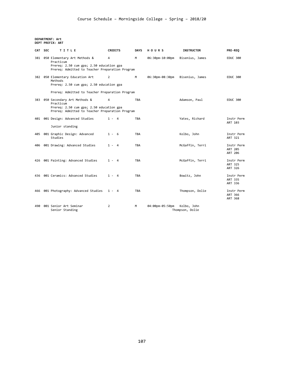| <b>DEPARTMENT: Art</b> |  |
|------------------------|--|
| DEPT PREFIX: ART       |  |

| CAT | <b>SEC</b> | TITLE                                                                                                                                        | <b>CREDITS</b> | <b>DAYS</b> | <b>HOURS</b>    | <b>INSTRUCTOR</b>              | <b>PRE-REO</b>                   |
|-----|------------|----------------------------------------------------------------------------------------------------------------------------------------------|----------------|-------------|-----------------|--------------------------------|----------------------------------|
|     |            | 381 050 Elementary Art Methods &<br>Practicum<br>Prereq: 2.50 cum gpa; 2.50 education gpa<br>Prereq: Admitted to Teacher Preparation Program | 4              | м           | 06:30pm-10:00pm | Bisenius, James                | <b>EDUC 300</b>                  |
|     |            | 382 050 Elementary Education Art<br>Methods<br>Prereq: 2.50 cum gpa; 2.50 education gpa                                                      | 2              | M           | 06:30pm-08:30pm | Bisenius, James                | <b>EDUC 300</b>                  |
|     |            | Prereq: Admitted to Teacher Preparation Program                                                                                              |                |             |                 |                                |                                  |
| 383 |            | 050 Secondary Art Methods &<br>Practicum<br>Prereq: 2.50 cum gpa; 2.50 education gpa<br>Prereq: Admitted to Teacher Preparation Program      | 4              | <b>TBA</b>  |                 | Adamson, Paul                  | <b>EDUC 300</b>                  |
|     |            | 401 001 Design: Advanced Studies                                                                                                             | $1 - 4$        | <b>TBA</b>  |                 | Yates, Richard                 | Instr Perm<br>ART 103            |
|     |            | Junior standing                                                                                                                              |                |             |                 |                                |                                  |
| 405 |            | 001 Graphic Design: Advanced<br>Studies                                                                                                      | $1 - 6$        | <b>TBA</b>  |                 | Kolbo, John                    | Instr Perm<br>ART 321            |
| 406 |            | 001 Drawing: Advanced Studies                                                                                                                | $1 - 4$        | <b>TBA</b>  |                 | McGaffin, Terri                | Instr Perm<br>ART 205<br>ART 206 |
|     |            | 426 001 Painting: Advanced Studies                                                                                                           | $1 - 4$        | <b>TBA</b>  |                 | McGaffin, Terri                | Instr Perm<br>ART 325<br>ART 326 |
|     |            | 436 001 Ceramics: Advanced Studies                                                                                                           | $1 - 4$        | TBA         |                 | Bowitz, John                   | Instr Perm<br>ART 335<br>ART 336 |
|     |            | 466 001 Photography: Advanced Studies                                                                                                        | $1 - 4$        | <b>TBA</b>  |                 | Thompson, Dolie                | Instr Perm<br>ART 366<br>ART 368 |
| 490 |            | 001 Senior Art Seminar<br>Senior Standing                                                                                                    | 2              | м           | 04:00pm-05:50pm | Kolbo, John<br>Thompson, Dolie |                                  |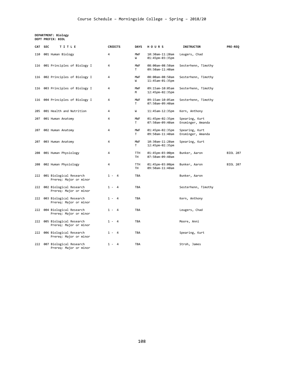**DEPARTMENT: Biology DEPT PREFIX: BIOL**

|     | CAT SEC<br>TITLE                                      | <b>CREDITS</b>          | <b>DAYS</b>      | HOURS                              | <b>INSTRUCTOR</b>                   | <b>PRE-REQ</b> |
|-----|-------------------------------------------------------|-------------------------|------------------|------------------------------------|-------------------------------------|----------------|
| 110 | 001 Human Biology                                     | 4                       | <b>MWF</b><br>W  | 10:30am-11:20am<br>01:45pm-03:35pm | Leugers, Chad                       |                |
| 116 | 001 Principles of Biology I                           | 4                       | <b>MWF</b><br>T. | 08:00am-08:50am<br>09:50am-11:40am | Sesterhenn, Timothy                 |                |
| 116 | 002 Principles of Biology I                           | 4                       | <b>MWF</b><br>W  | 08:00am-08:50am<br>11:45am-01:35pm | Sesterhenn, Timothy                 |                |
| 116 | 003 Principles of Biology I                           | 4                       | <b>MWF</b><br>M  | 09:15am-10:05am<br>12:45pm-02:35pm | Sesterhenn, Timothy                 |                |
| 116 | 004 Principles of Biology I                           | 4                       | <b>MWF</b><br>T. | 09:15am-10:05am<br>07:50am-09:40am | Sesterhenn, Timothy                 |                |
| 205 | 001 Health and Nutrition                              | 4                       | W                | 11:45am-12:35pm                    | Kern, Anthony                       |                |
| 207 | 001 Human Anatomy                                     | 4                       | MWF<br>T.        | 01:45pm-02:35pm<br>07:50am-09:40am | Spearing, Kurt<br>Ensminger, Amanda |                |
| 207 | 002 Human Anatomy                                     | 4                       | <b>MWF</b><br>T. | 01:45pm-02:35pm<br>09:50am-11:40am | Spearing, Kurt<br>Ensminger, Amanda |                |
| 207 | 003 Human Anatomy                                     | 4                       | <b>MWF</b><br>T. | 10:30am-11:20am<br>12:45pm-02:35pm | Spearing, Kurt                      |                |
| 208 | 001 Human Physiology                                  | 4                       | TTH<br>TH        | 01:45pm-03:00pm<br>07:50am-09:40am | Bunker, Aaron                       | BIOL 207       |
| 208 | 002 Human Physiology                                  | 4                       | TTH<br>TH        | 01:45pm-03:00pm<br>09:50am-11:40am | Bunker, Aaron                       | BIOL 207       |
| 222 | 001 Biological Research<br>Prereq: Major or minor     | $\overline{4}$<br>$1 -$ | TBA              |                                    | Bunker, Aaron                       |                |
| 222 | 002 Biological Research<br>Prereq: Major or minor     | $\overline{4}$<br>1 -   | <b>TBA</b>       |                                    | Sesterhenn, Timothy                 |                |
| 222 | 003 Biological Research<br>Prereq: Major or minor     | $\overline{4}$<br>1 -   | TBA              |                                    | Kern, Anthony                       |                |
| 222 | 004 Biological Research<br>Prereq: Major or minor     | $1 - 4$                 | <b>TBA</b>       |                                    | Leugers, Chad                       |                |
|     | 222 005 Biological Research<br>Prereq: Major or minor | $1 - 4$                 | TBA              |                                    | Moore, Anni                         |                |
| 222 | 006 Biological Research<br>Prereq: Major or minor     | $1 - 4$                 | <b>TBA</b>       |                                    | Spearing, Kurt                      |                |
| 222 | 007 Biological Research<br>Prereq: Major or minor     | $1 - 4$                 | TBA              |                                    | Stroh, James                        |                |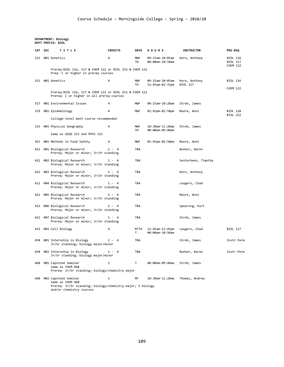**DEPARTMENT: Biology DEPT PREFIX: BIOL**

| CAT SEC | TITLE                                                                                               | <b>CREDITS</b> | DAYS             | HOURS                              | <b>INSTRUCTOR</b>         | <b>PRE-REQ</b>                          |
|---------|-----------------------------------------------------------------------------------------------------|----------------|------------------|------------------------------------|---------------------------|-----------------------------------------|
|         | 251 001 Genetics                                                                                    | 4              | <b>MWF</b><br>TH | 09:15am-10:05am<br>08:00am-10:50am | Kern, Anthony             | BIOL 116<br>BIOL 117<br><b>CHEM 122</b> |
|         | Prereq:BIOL 116, 117 & CHEM 122 or BIOL 252 & CHEM 122<br>Preq: C or higher in prereq courses       |                |                  |                                    |                           |                                         |
|         | 251 002 Genetics                                                                                    | 4              | MWF<br>TH        | 09:15am-10:05am<br>11:45am-02:35pm | Kern, Anthony<br>BIOL 117 | BIOL 116                                |
|         | Prereq:BIOL 116, 117 & CHEM 122 or BIOL 252 & CHEM 122<br>Prereq: C or higher in all prereq courses |                |                  |                                    |                           | <b>CHEM 122</b>                         |
| 317     | 001 Environmental Issues                                                                            | 4              | MWF              | 09:15am-10:20am                    | Stroh, James              |                                         |
| 319     | 001 Epidemiology                                                                                    | 4              | MWF              | 01:45pm-02:50pm                    | Moore, Anni               | <b>BIOL 110</b><br>BIOL 252             |
|         | College-level math course recommended                                                               |                |                  |                                    |                           |                                         |
|         | 323 001 Physical Geography                                                                          | 4              | MWF<br>TH        | 10:30am-11:20am<br>08:00am-09:40am | Stroh, James              |                                         |
|         | Same as GEOG 323 and PHYS 323                                                                       |                |                  |                                    |                           |                                         |
| 363     | 001 Methods in Food Safety                                                                          | 4              | MWF              | $01:45$ pm-02:50pm                 | Moore, Anni               |                                         |
|         | 422 001 Biological Research<br>Prereq: Major or minor; Jr/Sr standing                               | $1 - 4$        | TBA              |                                    | Bunker, Aaron             |                                         |
|         | 422 002 Biological Research<br>Prereq: Major or minor; Jr/Sr standing                               | $1 - 4$        | TBA              |                                    | Sesterhenn, Timothy       |                                         |
|         | 422 003 Biological Research<br>Prereq: Major or minor; Jr/Sr standing                               | $1 - 4$        | TBA              |                                    | Kern, Anthony             |                                         |
|         | 422 004 Biological Research<br>Prereq: Major or minor; Jr/Sr standing                               | $1 - 4$        | TBA              |                                    | Leugers, Chad             |                                         |
| 422     | 005 Biological Research<br>Prereq: Major or minor; Jr/Sr standing                                   | 1 - 4          | TBA              |                                    | Moore, Anni               |                                         |
|         | 422 006 Biological Research<br>Prereq: Major or minor; Jr/Sr standing                               | $1 - 4$        | TBA              |                                    | Spearing, Kurt            |                                         |
|         | 422 007 Biological Research<br>Prereq: Major or minor; Jr/Sr standing                               | $1 - 4$        | TBA              |                                    | Stroh, James              |                                         |
|         | 432 001 Cell Biology                                                                                | 4              | MTTH<br>Τ        | 11:45am-12:45pm<br>08:00am-10:50am | Leugers, Chad             | BIOL 117                                |
|         | 450 001 Internship in Biology<br>Jr/Sr standing; biology major/minor                                | $1 - 4$        | TBA              |                                    | Stroh, James              | Instr Perm                              |
|         | 450 002 Internship in Biology<br>Jr/Sr standing; biology major/minor                                | $1 - 4$        | TBA              |                                    | Bunker, Aaron             | Instr Perm                              |
| 460     | 001 Capstone Seminar<br>Same as CHEM 460<br>Prereq: Jr/Sr standing; biology/chemistry major         | 2              | Τ                | 08:00am-09:40am                    | Stroh, James              |                                         |
| 460     | 002 Capstone Seminar                                                                                | $\overline{2}$ | ΜF               | 10:30am-11:20am                    | Thomas, Andrew            |                                         |
|         | Same as CHEM 460<br>Prereq: Jr/Sr standing; biology/chemistry major; 5 biology                      |                |                  |                                    |                           |                                         |
|         | and/or chemistry courses                                                                            |                |                  |                                    |                           |                                         |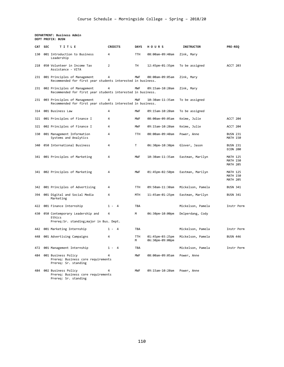|                          | DEPARTMENT: Business Admin |  |
|--------------------------|----------------------------|--|
| <b>DEPT PREFIX: BUSN</b> |                            |  |

Prereq: Sr. standing

| CAT | <b>SEC</b> | TITLE                                                                                           | <b>CREDITS</b>          | <b>DAYS</b>     | HOURS                              | <b>INSTRUCTOR</b> | <b>PRE-REQ</b>                                        |
|-----|------------|-------------------------------------------------------------------------------------------------|-------------------------|-----------------|------------------------------------|-------------------|-------------------------------------------------------|
| 130 |            | 001 Introduction to Business<br>Leadership                                                      | 4                       | TTH             | 08:00am-09:40am                    | Zink, Mary        |                                                       |
| 218 |            | 050 Volunteer in Income Tax<br>Assistance - VITA                                                | 2                       | TН              | 12:45pm-01:35pm                    | To be assigned    | ACCT 203                                              |
|     |            | 231 001 Principles of Management<br>Recommended for first year students interested in business. |                         | MWF             | 08:00am-09:05am                    | Zink, Mary        |                                                       |
|     |            | 231 002 Principles of Management<br>Recommended for first year students interested in business. | 4                       | <b>MWF</b>      | 09:15am-10:20am                    | Zink, Mary        |                                                       |
| 231 |            | 003 Principles of Management<br>Recommended for first year students interested in business.     | 4                       | MWF             | 10:30am-11:35am                    | To be assigned    |                                                       |
| 314 |            | 001 Business Law                                                                                | 4                       | <b>MWF</b>      | 09:15am-10:20am                    | To be assigned    |                                                       |
| 321 |            | 001 Principles of Finance I                                                                     | 4                       | MWF             | 08:00am-09:05am                    | Keime, Julie      | ACCT 204                                              |
| 321 |            | 002 Principles of Finance I                                                                     | 4                       | MWF             | 09:15am-10:20am                    | Keime, Julie      | ACCT 204                                              |
| 330 |            | 001 Management Information<br>Systems and Analytics                                             | 4                       | TTH             | 08:00am-09:40am                    | Power, Anne       | <b>BUSN 231</b><br><b>MATH 150</b>                    |
| 340 |            | 050 International Business                                                                      | 4                       | T.              | 06:30pm-10:30pm                    | Glover, Jason     | <b>BUSN 231</b><br><b>ECON 200</b>                    |
| 341 |            | 001 Principles of Marketing                                                                     | 4                       | MWF             | 10:30am-11:35am                    | Eastman, Marilyn  | <b>MATH 125</b><br><b>MATH 150</b><br><b>MATH 205</b> |
|     |            | 341 002 Principles of Marketing                                                                 | 4                       | MWF             | 01:45pm-02:50pm                    | Eastman, Marilyn  | <b>MATH 125</b><br><b>MATH 150</b><br><b>MATH 205</b> |
| 342 |            | 001 Principles of Advertising                                                                   | 4                       | TTH             | 09:50am-11:30am                    | Mickelson, Pamela | <b>BUSN 341</b>                                       |
| 394 |            | 001 Digital and Social Media<br>Marketing                                                       | 4                       | MTH             | 11:45am-01:25pm                    | Eastman, Marilyn  | <b>BUSN 341</b>                                       |
|     |            | 422 001 Finance Internship                                                                      | 4<br>$1 -$              | TBA             |                                    | Mickelson, Pamela | Instr Perm                                            |
| 430 |            | 050 Contemporary Leadership and<br>Ethics<br>Prereq:Sr. standing;major in Bus. Dept.            | 4                       | М               | 06:30pm-10:00pm                    | Delperdang, Cody  |                                                       |
|     |            | 442 001 Marketing Internship                                                                    | $1 - 4$                 | TBA             |                                    | Mickelson, Pamela | Instr Perm                                            |
| 448 |            | 001 Advertising Campaigns                                                                       | 4                       | <b>TTH</b><br>М | 01:45pm-03:25pm<br>06:30pm-09:00pm | Mickelson, Pamela | <b>BUSN 446</b>                                       |
| 472 |            | 001 Management Internship                                                                       | $1 -$<br>$\overline{a}$ | <b>TBA</b>      |                                    | Mickelson, Pamela | Instr Perm                                            |
| 484 |            | 001 Business Policy<br>Prereq: Business core requirements<br>Prereq: Sr. standing               |                         | MWF             | 08:00am-09:05am                    | Power, Anne       |                                                       |
|     |            | 484 002 Business Policy<br>Prereq: Business core requirements                                   | 4                       | MWF             | 09:15am-10:20am                    | Power, Anne       |                                                       |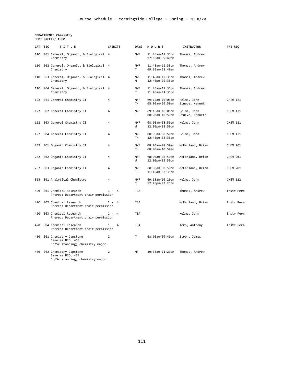**DEPARTMENT: Chemistry DEPT PREFIX: CHEM**

| CAT | <b>SEC</b> | TITLE                                                                         | <b>CREDITS</b>        | <b>DAYS</b>      | HOURS                              | <b>INSTRUCTOR</b>              | <b>PRE-REQ</b>  |
|-----|------------|-------------------------------------------------------------------------------|-----------------------|------------------|------------------------------------|--------------------------------|-----------------|
| 110 |            | 001 General, Organic, & Biological 4<br>Chemistry                             |                       | MWF<br>T.        | 11:45am-12:35pm<br>07:50am-09:40am | Thomas, Andrew                 |                 |
|     |            | 110 002 General, Organic, & Biological 4<br>Chemistry                         |                       | MWF<br>T.        | 11:45am-12:35pm<br>09:50am-11:40am | Thomas, Andrew                 |                 |
| 110 |            | 003 General, Organic, & Biological 4<br>Chemistry                             |                       | <b>MWF</b><br>м  | 11:45am-12:35pm<br>12:45pm-02:35pm | Thomas, Andrew                 |                 |
| 110 |            | 004 General, Organic, & Biological 4<br>Chemistry                             |                       | <b>MWF</b><br>T. | 11:45am-12:35pm<br>11:45am-01:35pm | Thomas, Andrew                 |                 |
|     |            | 122 001 General Chemistry II                                                  | 4                     | <b>MWF</b><br>TH | 09:15am-10:05am<br>08:00am-10:50am | Helms, John<br>Stueve, Kenneth | <b>CHEM 121</b> |
|     |            | 122 002 General Chemistry II                                                  | 4                     | <b>MWF</b><br>T. | 09:15am-10:05am<br>08:00am-10:50am | Helms, John<br>Stueve, Kenneth | <b>CHEM 121</b> |
|     |            | 122 003 General Chemistry II                                                  | 4                     | MWF<br>W         | 08:00am-08:50am<br>12:00pm-02:50pm | Helms, John                    | <b>CHEM 121</b> |
|     |            | 122 004 General Chemistry II                                                  | 4                     | <b>MWF</b><br>TH | 08:00am-08:50am<br>12:45pm-03:35pm | Helms, John                    | <b>CHEM 121</b> |
|     |            | 202 001 Organic Chemistry II                                                  | 4                     | <b>MWF</b><br>TH | 08:00am-08:50am<br>08:00am-10:50am | McFarland, Brian               | <b>CHEM 201</b> |
| 202 |            | 002 Organic Chemistry II                                                      | 4                     | MWF<br>W         | 08:00am-08:50am<br>12:00pm-02:50pm | McFarland, Brian               | <b>CHEM 201</b> |
| 202 |            | 003 Organic Chemistry II                                                      | 4                     | MWF<br>TH        | 08:00am-08:50am<br>11:45am-02:35pm | McFarland, Brian               | <b>CHEM 201</b> |
| 305 |            | 001 Analytical Chemistry                                                      | 4                     | <b>MWF</b><br>T. | 09:15am-10:20am<br>12:45pm-03:25pm | Helms, John                    | <b>CHEM 122</b> |
| 420 |            | 001 Chemical Research<br>Prereq: Department chair permission                  | $\overline{4}$<br>1 - | TBA              |                                    | Thomas, Andrew                 | Instr Perm      |
| 420 |            | 002 Chemical Research<br>Prereq: Department chair permission                  | 1 -<br>4              | TBA              |                                    | McFarland, Brian               | Instr Perm      |
| 420 |            | 003 Chemical Research<br>Prereq: Department chair permission                  | 4<br>1 -              | <b>TBA</b>       |                                    | Helms, John                    | Instr Perm      |
| 420 |            | 004 Chemical Research<br>Prereq: Department chair permission                  | 4<br>1 -              | <b>TBA</b>       |                                    | Kern, Anthony                  | Instr Perm      |
| 460 |            | 001 Chemistry Capstone<br>Same as BIOL 460<br>Jr/Sr standing; chemistry major | $\overline{2}$        | T                | 08:00am-09:40am                    | Stroh, James                   |                 |
| 460 |            | 002 Chemistry Capstone<br>Same as BIOL 460<br>Jr/Sr standing; chemistry major | 2                     | ΜF               | 10:30am-11:20am                    | Thomas, Andrew                 |                 |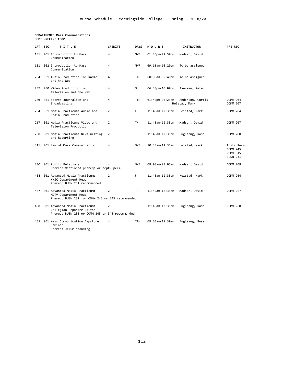|                   | DEPARTMENT: Mass Communications |
|-------------------|---------------------------------|
| DEPT PREFIX: COMM |                                 |

| CAT SEC | TITLE                                                                                                         | <b>CREDITS</b> | <b>DAYS</b> | HOURS           | <b>INSTRUCTOR</b>                 | PRE-REQ                                               |
|---------|---------------------------------------------------------------------------------------------------------------|----------------|-------------|-----------------|-----------------------------------|-------------------------------------------------------|
| 101     | 001 Introduction to Mass<br>Communication                                                                     | 4              | <b>MWF</b>  | 01:45pm-02:50pm | Madsen, David                     |                                                       |
|         | 101 002 Introduction to Mass<br>Communication                                                                 | 4              | <b>MWF</b>  | 09:15am-10:20am | To be assigned                    |                                                       |
| 204     | 001 Audio Production for Radio<br>and the Web                                                                 | 4              | <b>TTH</b>  | 08:00am-09:40am | To be assigned                    |                                                       |
| 207     | 050 Video Production for<br>Television and the Web                                                            | 4              | М           | 06:30pm-10:00pm | Iversen, Peter                    |                                                       |
| 260     | 001 Sports Journalism and<br>Broadcasting                                                                     | 4              | TTH.        | 01:45pm-03:25pm | Anderson, Curtis<br>Heistad, Mark | COMM 204<br>COMM 207                                  |
|         | 264 001 Media Practicum: Audio and<br>Radio Production                                                        | $\overline{2}$ | F.          | 11:45am-12:35pm | Heistad, Mark                     | COMM 204                                              |
| 267     | 001 Media Practicum: Video and<br>Television Production                                                       | 2              | TH          | 11:45am-12:35pm | Madsen, David                     | COMM 207                                              |
| 268     | 001 Media Practicum: News Writing<br>and Reporting                                                            | 2              | T           | 11:45am-12:35pm | Fuglsang, Ross                    | <b>COMM 208</b>                                       |
|         | 311 001 Law of Mass Communication                                                                             | 4              | <b>MWF</b>  | 10:30am-11:35am | Heistad, Mark                     | Instr Perm<br>COMM 245<br>COMM 345<br><b>BUSN 231</b> |
| 330     | 001 Public Relations<br>Prereq: Mentioned prereqs or dept. perm                                               | 4              | <b>MWF</b>  | 08:00am-09:05am | Madsen, David                     | COMM 208                                              |
| 404     | 001 Advanced Media Practicum:<br>KMSC Department Head<br>Prereq: BUSN 231 recommended                         | $\overline{2}$ | F.          | 11:45am-12:35pm | Heistad, Mark                     | COMM 264                                              |
| 407     | 001 Advanced Media Practicum:<br>MCTV Department Head<br>Prereq: BUSN 231 or COMM 245 or 345 recommended      | $\overline{2}$ | TH          | 11:45am-12:35pm | Madsen, David                     | COMM 267                                              |
| 408     | 001 Advanced Media Practicum:<br>Collegian Reporter Editor<br>Prereq: BUSN 231 or COMM 245 or 345 recommended | $\overline{2}$ | Τ           | 11:45am-12:35pm | Fuglsang, Ross                    | <b>COMM 268</b>                                       |
| 455     | 001 Mass Communication Capstone<br>Seminar<br>Prereq: Jr/Sr standing                                          | 4              | <b>TTH</b>  | 09:50am-11:30am | Fuglsang, Ross                    |                                                       |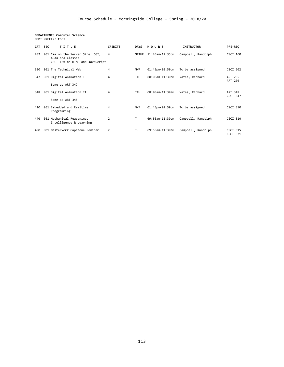## **DEPARTMENT: Computer Science DEPT PREFIX: CSCI**

| CAT SEC | TITLE                                                                                   | <b>CREDITS</b> | <b>DAYS</b> | HOURS           | <b>INSTRUCTOR</b>  | PRE-REO              |
|---------|-----------------------------------------------------------------------------------------|----------------|-------------|-----------------|--------------------|----------------------|
| 202     | 001 C++ on the Server Side: CGI,<br>AJAX and Classes<br>CSCI 160 or HTML and JavaScript | 4              | MTTHF       | 11:45am-12:35pm | Campbell, Randolph | CSCI 160             |
| 320     | 001 The Technical Web                                                                   | 4              | <b>MWF</b>  | 01:45pm-02:50pm | To be assigned     | CSCI 202             |
| 347     | 001 Digital Animation I<br>Same as ART 347                                              | 4              | <b>TTH</b>  | 08:00am-11:30am | Yates, Richard     | ART 205<br>ART 206   |
| 348     | 001 Digital Animation II<br>Same as ART 348                                             | 4              | <b>TTH</b>  | 08:00am-11:30am | Yates, Richard     | ART 347<br>CSCI 347  |
| 410     | 001 Embedded and Realtime<br>Programming                                                | 4              | <b>MWF</b>  | 01:45pm-02:50pm | To be assigned     | CSCI 310             |
| 440     | 001 Mechanical Reasoning,<br>Intelligence & Learning                                    | 2              | T.          | 09:50am-11:30am | Campbell, Randolph | CSCI 310             |
| 490     | 001 Masterwork Capstone Seminar                                                         | 2              | TH          | 09:50am-11:30am | Campbell, Randolph | CSCI 315<br>CSCI 331 |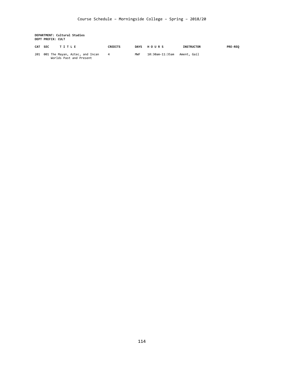**DEPARTMENT: Cultural Studies DEPT PREFIX: CULT**

| CAT SEC | TITLE                                                          | <b>CREDITS</b> |            | DAYS HOURS                  | <b>INSTRUCTOR</b> | <b>PRE-REQ</b> |
|---------|----------------------------------------------------------------|----------------|------------|-----------------------------|-------------------|----------------|
|         | 201 001 The Mayan, Aztec, and Incan<br>Worlds Past and Present |                | <b>MWF</b> | 10:30am-11:35am Ament, Gail |                   |                |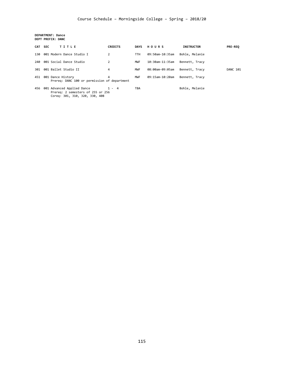### **DEPARTMENT: Dance DEPT PREFIX: DANC**

| CAT SEC | TITLE                         |                                                                     | <b>CREDITS</b> | <b>DAYS</b> | <b>HOURS</b>    | <b>INSTRUCTOR</b> | <b>PRE-REO</b> |
|---------|-------------------------------|---------------------------------------------------------------------|----------------|-------------|-----------------|-------------------|----------------|
|         | 130 001 Modern Dance Studio I |                                                                     | $\overline{2}$ | TTH         | 09:50am-10:35am | Bohle, Melanie    |                |
|         | 240 001 Social Dance Studio   |                                                                     | $\overline{2}$ | <b>MWF</b>  | 10:30am-11:35am | Bennett, Tracy    |                |
|         | 301 001 Ballet Studio II      |                                                                     | 4              | <b>MWF</b>  | 08:00am-09:05am | Bennett, Tracy    | DANC 101       |
|         | 451 001 Dance History         | Prereg: DANC 100 or permission of department                        | 4              | <b>MWF</b>  | 09:15am-10:20am | Bennett, Tracy    |                |
| 456     | 001 Advanced Applied Dance    | Prereg: 2 semesters of 255 or 256<br>Coreg: 301, 310, 320, 330, 408 | $1 - 4$        | TBA         |                 | Bohle, Melanie    |                |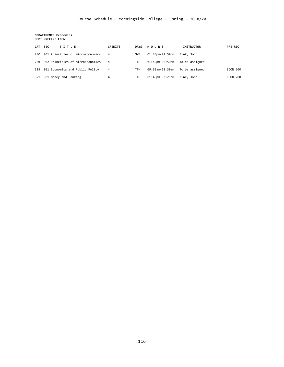**DEPARTMENT: Economics DEPT PREFIX: ECON**

| CAT SEC | TITLE                                                  | <b>CREDITS</b> | <b>DAYS</b> | <b>HOURS</b>    | <b>INSTRUCTOR</b> | <b>PRE-REQ</b>  |
|---------|--------------------------------------------------------|----------------|-------------|-----------------|-------------------|-----------------|
|         | 200 001 Principles of Microeconomics                   | $\overline{4}$ | <b>MWF</b>  | 01:45pm-02:50pm | Zink, John        |                 |
|         | 200 002 Principles of Microeconomics<br>$\overline{4}$ |                | TTH.        | 01:45pm-02:50pm | To be assigned    |                 |
|         | 315 001 Economics and Public Policy                    | 4              | TTH.        | 09:50am-11:30am | To be assigned    | <b>ECON 200</b> |
|         | 321 001 Money and Banking                              | 4              | TTH         | 01:45pm-03:25pm | Zink, John        | ECON 200        |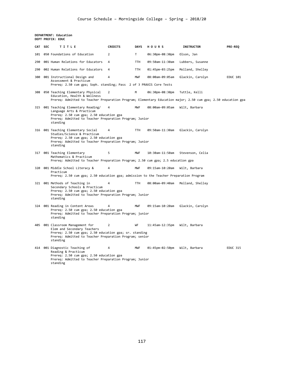**DEPARTMENT: Education DEPT PREFIX: EDUC**

| CAT SEC | TITLE                                                                                                                                                                                            | <b>CREDITS</b> | <b>DAYS</b> | HOURS           | <b>INSTRUCTOR</b> | PRE-REQ         |
|---------|--------------------------------------------------------------------------------------------------------------------------------------------------------------------------------------------------|----------------|-------------|-----------------|-------------------|-----------------|
|         | 101 050 Foundations of Education                                                                                                                                                                 | 2              | T.          | 06:30pm-08:30pm | Olson, Jan        |                 |
| 290     | 001 Human Relations for Educators                                                                                                                                                                | 4              | TTH.        | 09:50am-11:30am | Lubbers, Susanne  |                 |
| 290     | 002 Human Relations for Educators                                                                                                                                                                | 4              | <b>TTH</b>  | 01:45pm-03:25pm | Molland, Shelley  |                 |
| 300     | 001 Instructional Design and<br>Assessment & Practicum<br>Prereq: 2.50 cum gpa; Soph. standing; Pass 2 of 3 PRAXIS Core Tests                                                                    | 4              | <b>MWF</b>  | 08:00am-09:05am | Glackin, Carolyn  | <b>EDUC 101</b> |
| 308     | 050 Teaching Elementary Physical<br>Education, Health & Wellness<br>Prereq: Admitted to Teacher Preparation Program; Elementary Education major; 2.50 cum gpa; 2.50 education gpa                | 2              | М           | 06:30pm-08:30pm | Tuttle, Kelli     |                 |
|         | 315 001 Teaching Elementary Reading/                                                                                                                                                             | 4              | <b>MWF</b>  | 08:00am-09:05am | Wilt, Barbara     |                 |
|         | Language Arts & Practicum<br>Prereq: 2.50 cum gpa; 2.50 education gpa<br>Prereq: Admitted to Teacher Preparation Program; Junior<br>standing                                                     |                |             |                 |                   |                 |
|         | 316 001 Teaching Elementary Social<br>Studies/Science & Practicum<br>Prereq: 2.50 cum gpa; 2.50 education gpa<br>Prereq: Admitted to Teacher Preparation Program; Junior<br>standing             | 4              | TTH         | 09:50am-11:30am | Glackin, Carolyn  |                 |
|         | 317 001 Teaching Elementary<br>Mathematics & Practicum<br>Prereq: Admitted to Teacher Preparation Program; 2.50 cum gpa; 2.5 education gpa                                                       | 5              | MWF         | 10:30am-11:50am | Stevenson, Celia  |                 |
| 320     | 001 Middle School Literacy &<br>Practicum<br>Prereq: 2.50 cum gpa; 2.50 education gpa; admission to the Teacher Preparation Program                                                              | 4              | MWF         | 09:15am-10:20am | Wilt, Barbara     |                 |
|         | 321 001 Methods of Teaching in                                                                                                                                                                   | 4              | TTH         | 08:00am-09:40am | Molland, Shelley  |                 |
|         | Secondary Schools & Practicum<br>Prereq: 2.50 cum gpa; 2.50 education gpa<br>Prereq: Admitted to Teacher Preparation Program; Junior<br>standing                                                 |                |             |                 |                   |                 |
|         | 324 001 Reading in Content Areas<br>Prereq: 2.50 cum gpa; 2.50 education gpa<br>Prereq: Admitted to Teacher Preparation Program; junior<br>standing                                              | 4              | <b>MWF</b>  | 09:15am-10:20am | Glackin, Carolyn  |                 |
|         | 405 001 Classroom Management for<br>Elem and Secondary Teachers<br>Prereq: 2.50 cum gpa; 2.50 education gpa; sr. standing<br>Prereq: Admitted to Teacher Preparation Program; senior<br>standing | 2              | WF          | 11:45am-12:35pm | Wilt, Barbara     |                 |
|         | 414 001 Diagnostic Teaching of<br>Reading & Practicum<br>Prereq: 2.50 cum gpa; 2.50 education gpa<br>Prereq: Admitted to Teacher Preparation Program; Junior<br>standing                         | 4              | MWF         | 01:45pm-02:50pm | Wilt, Barbara     | <b>EDUC 315</b> |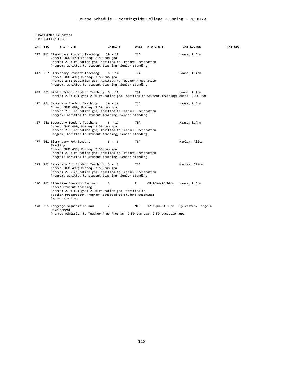|                   | DEPARTMENT: Education |
|-------------------|-----------------------|
| DEPT PREFIX: EDUC |                       |

|     | CAT SEC | TITLE                                                                                                                                                                                                          | <b>CREDITS</b> | DAYS       | <b>HOURS</b> |                 |               | <b>INSTRUCTOR</b>                  | <b>PRE-REQ</b> |
|-----|---------|----------------------------------------------------------------------------------------------------------------------------------------------------------------------------------------------------------------|----------------|------------|--------------|-----------------|---------------|------------------------------------|----------------|
| 417 |         | 001 Elementary Student Teaching<br>Coreq: EDUC 490; Prereq: 2.50 cum gpa<br>Prereq: 2.50 education gpa; admitted to Teacher Preparation<br>Program; admitted to student teaching; Senior standing              | $10 - 10$      | <b>TBA</b> |              |                 | Haase, LuAnn  |                                    |                |
|     |         | 417 002 Elementary Student Teaching<br>Coreq: EDUC 490; Prereq: 2.50 cum gpa<br>Prereq: 2.50 education gpa; Admitted to Teacher Preparation<br>Program; admitted to student teaching; Senior standing          | $6 - 10$       | TBA        |              |                 | Haase, LuAnn  |                                    |                |
|     |         | 423 001 Middle School Student Teaching 6 - 10<br>Prereq: 2.50 cum gpa; 2.50 education gpa; Admitted to Student Teaching; coreq: EDUC 490                                                                       |                | TBA        |              |                 | Haase, LuAnn  |                                    |                |
|     |         | 427 001 Secondary Student Teaching<br>Coreq: EDUC 490; Prereq: 2.50 cum gpa<br>Prereq: 2.50 education gpa; admitted to Teacher Preparation<br>Program; admitted to student teaching; Senior standing           | $10 - 10$      | <b>TBA</b> |              |                 | Haase, LuAnn  |                                    |                |
|     |         | 427 002 Secondary Student Teaching<br>Coreq: EDUC 490; Prereq: 2.50 cum gpa<br>Prereq: 2.50 education gpa; Admitted to Teacher Preparation<br>Program; admitted to student teaching; Senior standing           | $6 - 10$       | <b>TBA</b> |              |                 | Haase, LuAnn  |                                    |                |
|     |         | 477 001 Elementary Art Student<br>Teaching<br>Coreq: EDUC 490; Prereq: 2.50 cum gpa<br>Prereq: 2.50 education gpa; admitted to Teacher Preparation<br>Program; admitted to student teaching; Senior standing   | $6 - 6$        | <b>TBA</b> |              |                 | Marley, Alice |                                    |                |
|     |         | 478 001 Secondary Art Student Teaching 6 - 6<br>Coreq: EDUC 490; Prereq: 2.50 cum gpa<br>Prereq: 2.50 education gpa; admitted to Teacher Preparation<br>Program; admitted to student teaching; Senior standing |                | TBA        |              |                 | Marley, Alice |                                    |                |
| 490 |         | 001 Effective Educator Seminar<br>Coreq: Student teaching<br>Prereq: 2.50 cum gpa; 2.50 education gpa; admitted to<br>Teacher Preparation Program; admitted to student teaching;<br>Senior standing            | 2              | F.         |              | 08:00am-05:00pm | Haase, LuAnn  |                                    |                |
| 498 |         | 001 Language Acquisition and<br>Development                                                                                                                                                                    | 2              | <b>MTH</b> |              |                 |               | 12:45pm-01:35pm Sylvester, Tangela |                |

Prereq: Admission to Teacher Prep Program; 2.50 cum gpa; 2.50 education gpa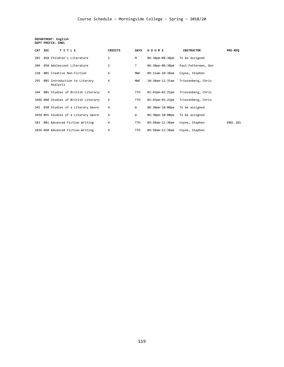**DEPARTMENT: English DEPT PREFIX: ENGL**

| CAT SEC | TITLE                                    | <b>CREDITS</b> | <b>DAYS</b> | <b>HOURS</b>    | <b>INSTRUCTOR</b>   | <b>PRE-REQ</b>  |
|---------|------------------------------------------|----------------|-------------|-----------------|---------------------|-----------------|
| 203     | 050 Children's Literature                | $\overline{2}$ | M           | 06:30pm-08:30pm | To be assigned      |                 |
|         | 204 050 Adolescent Literature            | $\overline{2}$ | т           | 06:30pm-08:30pm | Paul-Fetterman, Gen |                 |
| 210     | 001 Creative Non-Fiction                 | 4              | <b>MWF</b>  | 09:15am-10:30am | Coyne, Stephen      |                 |
| 295     | 001 Introduction to Literary<br>Analysis | 4              | MWF         | 10:30am-11:35am | Triezenberg, Chris  |                 |
|         | 344 001 Studies of British Literary:     | 4              | TTH         | 01:45pm-03:25pm | Triezenberg, Chris  |                 |
|         | 344G 060 Studies of British Literary:    | 4              | TTH.        | 01:45pm-03:25pm | Triezenberg, Chris  |                 |
|         | 345 050 Studies of a Literary Genre      | 4              | W           | 06:30pm-10:00pm | To be assigned      |                 |
|         | 345G 065 Studies of a Literary Genre     | 4              | W           | 06:30pm-10:00pm | To be assigned      |                 |
|         | 383 001 Advanced Fiction Writing         | 4              | <b>TTH</b>  | 09:50am-11:30am | Coyne, Stephen      | <b>ENGL 281</b> |
|         | 383G 060 Advanced Fiction Writing        | 4              | TTH.        | 09:50am-11:30am | Coyne, Stephen      |                 |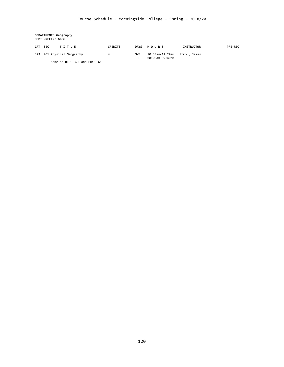**DEPARTMENT: Geography DEPT PREFIX: GEOG**

| CAT SEC | TITLE                         | <b>CREDITS</b> |           | DAYS HOURS                                      | <b>INSTRUCTOR</b> | <b>PRE-REQ</b> |
|---------|-------------------------------|----------------|-----------|-------------------------------------------------|-------------------|----------------|
|         | 323 001 Physical Geography    | 4              | MWF<br>тн | 10:30am-11:20am Stroh, James<br>08:00am-09:40am |                   |                |
|         | Same as BIOL 323 and PHYS 323 |                |           |                                                 |                   |                |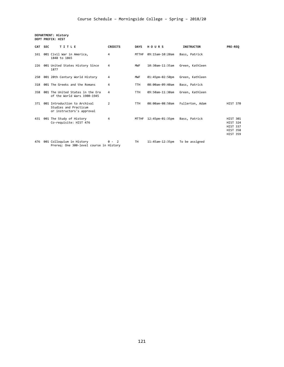|                          | DEPARTMENT: History |
|--------------------------|---------------------|
| <b>DEPT PREFIX: HIST</b> |                     |

| CAT SEC | TITLE                                                                              | <b>CREDITS</b> | <b>DAYS</b>  | HOURS                  | <b>INSTRUCTOR</b> | PRE-REO                                                                                     |
|---------|------------------------------------------------------------------------------------|----------------|--------------|------------------------|-------------------|---------------------------------------------------------------------------------------------|
|         | 161 001 Civil War in America,<br>1848 to 1865                                      | 4              | MTTHF        | 09:15am-10:20am        | Bass, Patrick     |                                                                                             |
| 226     | 001 United States History Since<br>1877                                            | 4              | <b>MWF</b>   | $10:30$ am- $11:35$ am | Green, Kathleen   |                                                                                             |
|         | 250 001 20th Century World History                                                 | 4              | <b>MWF</b>   | 01:45pm-02:50pm        | Green, Kathleen   |                                                                                             |
| 318     | 001 The Greeks and the Romans                                                      | 4              | TTH.         | 08:00am-09:40am        | Bass, Patrick     |                                                                                             |
| 358     | 001 The United States in the Era<br>of the World Wars 1900-1945                    | 4              | <b>TTH</b>   | 09:50am-11:30am        | Green, Kathleen   |                                                                                             |
| 371     | 001 Introduction to Archival<br>Studies and Practicum<br>or instructors's approval | $\overline{2}$ | TTH.         | 08:00am-08:50am        | Fullerton, Adam   | <b>HIST 370</b>                                                                             |
| 431     | 001 The Study of History<br>Co-requisite: HIST 476                                 | 4              | <b>MTTHF</b> | 12:45pm-01:35pm        | Bass, Patrick     | <b>HIST 301</b><br><b>HIST 324</b><br><b>HIST 337</b><br><b>HIST 358</b><br><b>HIST 359</b> |
|         | 476 001 Colloquium in History<br>Prereq: One 300-level course in History           | $0 - 2$        | TH           | 11:45am-12:35pm        | To be assigned    |                                                                                             |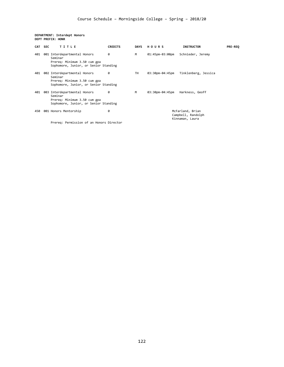|                   | DEPARTMENT: Interdept Honors |  |
|-------------------|------------------------------|--|
| DEPT PREFIX: HONR |                              |  |

| CAT SEC | TITLE                                                                                                            | <b>CREDITS</b> | <b>DAYS</b> | <b>HOURS</b>                    | <b>INSTRUCTOR</b>                                         | <b>PRE-REQ</b> |
|---------|------------------------------------------------------------------------------------------------------------------|----------------|-------------|---------------------------------|-----------------------------------------------------------|----------------|
| 401     | 001 Interdepartmental Honors<br>Seminar<br>Prereq: Minimum 3.50 cum gpa<br>Sophomore, Junior, or Senior Standing | 0              | M           | 01:45pm-03:00pm                 | Schnieder, Jeremy                                         |                |
| 401     | 002 Interdepartmental Honors<br>Seminar<br>Prereg: Minimum 3.50 cum gpa<br>Sophomore, Junior, or Senior Standing | 0              | TH          | 03:30pm-04:45pm                 | Tinklenberg, Jessica                                      |                |
| 401     | 003 Interdepartmental Honors<br>Seminar<br>Prereq: Minimum 3.50 cum gpa<br>Sophomore, Junior, or Senior Standing | 0              | M           | 03:30pm-04:45pm Harkness, Geoff |                                                           |                |
| 450     | 001 Honors Mentorship                                                                                            | 0              |             |                                 | McFarland, Brian<br>Campbell, Randolph<br>Kinnaman, Laura |                |
|         | Prereq: Permission of an Honors Director                                                                         |                |             |                                 |                                                           |                |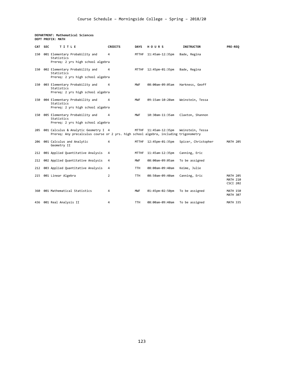|                   | DEPARTMENT: Mathematical Sciences |  |
|-------------------|-----------------------------------|--|
| DEPT PREFIX: MATH |                                   |  |

| CAT SEC | TITLE                                                                                                                            | <b>CREDITS</b> | <b>DAYS</b>  | HOURS                 | <b>INSTRUCTOR</b>   | PRE-REO                                 |
|---------|----------------------------------------------------------------------------------------------------------------------------------|----------------|--------------|-----------------------|---------------------|-----------------------------------------|
|         | 150 001 Elementary Probability and<br>Statistics<br>Prereq: 2 yrs high school algebra                                            | 4              | MTTHF        | 11:45am-12:35pm       | Bade, Regina        |                                         |
|         | 150 002 Elementary Probability and<br>Statistics<br>Prereq: 2 yrs high school algebra                                            | 4              | MTTHF        | 12:45pm-01:35pm       | Bade, Regina        |                                         |
|         | 150 003 Elementary Probability and<br>Statistics<br>Prereq: 2 yrs high school algebra                                            | 4              | MWF          | 08:00am-09:05am       | Harkness, Geoff     |                                         |
|         | 150 004 Elementary Probability and<br>Statistics<br>Prereq: 2 yrs high school algebra                                            | 4              | <b>MWF</b>   | 09:15am-10:20am       | Weinstein, Tessa    |                                         |
|         | 150 005 Elementary Probability and<br>Statistics<br>Prereq: 2 yrs high school algebra                                            | 4              | <b>MWF</b>   | 10:30am-11:35am       | Claxton, Shannon    |                                         |
|         | 205 001 Calculus & Analytic Geometry I 4<br>Prereq: Any precalculus course or 2 yrs. high school algebra, including trigonometry |                |              | MTTHF 11:45am-12:35pm | Weinstein, Tessa    |                                         |
|         | 206 001 Calculus and Analytic<br>Geometry II                                                                                     | 4              | MTTHF        | 12:45pm-01:35pm       | Spicer, Christopher | <b>MATH 205</b>                         |
|         | 212 001 Applied Quantitative Analysis                                                                                            | 4              | <b>MTTHF</b> | 11:45am-12:35pm       | Canning, Eric       |                                         |
|         | 212 002 Applied Quantitative Analysis                                                                                            | 4              | <b>MWF</b>   | 08:00am-09:05am       | To be assigned      |                                         |
|         | 212 003 Applied Quantitative Analysis                                                                                            | 4              | TTH          | 08:00am-09:40am       | Keime, Julie        |                                         |
|         | 215 001 Linear Algebra                                                                                                           | 2              | TTH          | 08:50am-09:40am       | Canning, Eric       | MATH 205<br><b>MATH 210</b><br>CSCI 202 |
| 360 -   | 001 Mathematical Statistics                                                                                                      | 4              | <b>MWF</b>   | 01:45pm-02:50pm       | To be assigned      | <b>MATH 150</b><br><b>MATH 307</b>      |
|         | 436 001 Real Analysis II                                                                                                         | 4              | TTH          | 08:00am-09:40am       | To be assigned      | MATH 335                                |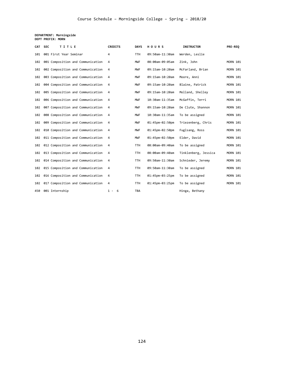### **DEPARTMENT: Morningside DEPT PREFIX: MORN**

| CAT SEC | TITLE                             | <b>CREDITS</b> | <b>DAYS</b> | HOURS           | <b>INSTRUCTOR</b>    | PRE-REO         |
|---------|-----------------------------------|----------------|-------------|-----------------|----------------------|-----------------|
| 101     | 001 First Year Seminar            | 4              | <b>TTH</b>  | 09:50am-11:30am | Werden, Leslie       |                 |
| 102     | 001 Composition and Communication | 4              | <b>MWF</b>  | 08:00am-09:05am | Zink, John           | <b>MORN 101</b> |
| 102     | 002 Composition and Communication | 4              | <b>MWF</b>  | 09:15am-10:20am | McFarland, Brian     | <b>MORN 101</b> |
| 102     | 003 Composition and Communication | 4              | <b>MWF</b>  | 09:15am-10:20am | Moore, Anni          | <b>MORN 101</b> |
| 102     | 004 Composition and Communication | 4              | <b>MWF</b>  | 09:15am-10:20am | Blaine, Patrick      | <b>MORN 101</b> |
| 102     | 005 Composition and Communication | 4              | <b>MWF</b>  | 09:15am-10:20am | Molland, Shelley     | <b>MORN 101</b> |
| 102     | 006 Composition and Communication | 4              | MWF         | 10:30am-11:35am | McGaffin, Terri      | <b>MORN 101</b> |
| 102     | 007 Composition and Communication | 4              | <b>MWF</b>  | 09:15am-10:20am | De Clute, Shannon    | <b>MORN 101</b> |
| 102     | 008 Composition and Communication | 4              | <b>MWF</b>  | 10:30am-11:35am | To be assigned       | <b>MORN 101</b> |
| 102     | 009 Composition and Communication | 4              | <b>MWF</b>  | 01:45pm-02:50pm | Triezenberg, Chris   | <b>MORN 101</b> |
| 102     | 010 Composition and Communication | 4              | MWF         | 01:45pm-02:50pm | Fuglsang, Ross       | <b>MORN 101</b> |
| 102     | 011 Composition and Communication | 4              | <b>MWF</b>  | 01:45pm-02:50pm | Elder, David         | <b>MORN 101</b> |
| 102     | 012 Composition and Communication | 4              | <b>TTH</b>  | 08:00am-09:40am | To be assigned       | <b>MORN 101</b> |
| 102     | 013 Composition and Communication | 4              | <b>TTH</b>  | 08:00am-09:40am | Tinklenberg, Jessica | <b>MORN 101</b> |
| 102     | 014 Composition and Communication | 4              | <b>TTH</b>  | 09:50am-11:30am | Schnieder, Jeremy    | <b>MORN 101</b> |
| 102     | 015 Composition and Communication | 4              | <b>TTH</b>  | 09:50am-11:30am | To be assigned       | <b>MORN 101</b> |
| 102     | 016 Composition and Communication | 4              | <b>TTH</b>  | 01:45pm-03:25pm | To be assigned       | <b>MORN 101</b> |
| 102     | 017 Composition and Communication | 4              | TTH         | 01:45pm-03:25pm | To be assigned       | <b>MORN 101</b> |
| 450     | 001 Internship                    | 1 - 6          | <b>TBA</b>  |                 | Hinga, Bethany       |                 |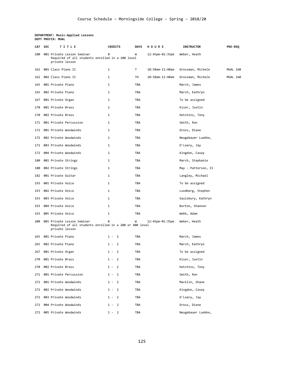## **DEPARTMENT: Music-Applied Lessons DEPT PREFIX: MUAL**

|     | CAT SEC<br>TITLE                                                                                        | <b>CREDITS</b> | DAYS<br>HOURS         | <b>INSTRUCTOR</b>   | <b>PRE-REQ</b>  |
|-----|---------------------------------------------------------------------------------------------------------|----------------|-----------------------|---------------------|-----------------|
| 100 | 001 Private Lesson Seminar<br>Required of all students enrolled in a 100 level<br>private lesson        | 0              | W<br>12:45pm-01:35pm  | Weber, Heath        |                 |
|     | 162 001 Class Piano II                                                                                  | 1              | T.<br>10:50am-11:40am | Grossman, Michele   | <b>MUAL 160</b> |
| 162 | 002 Class Piano II                                                                                      | 1              | TH<br>10:50am-11:40am | Grossman, Michele   | MUAL 160        |
| 165 | 001 Private Piano                                                                                       | 1              | TBA                   | March, James        |                 |
| 165 | 002 Private Piano                                                                                       | 1              | TBA                   | March, Kathryn      |                 |
| 167 | 001 Private Organ                                                                                       | 1              | TBA                   | To be assigned      |                 |
| 170 | 001 Private Brass                                                                                       | 1              | TBA                   | Kisor, Justin       |                 |
| 170 | 002 Private Brass                                                                                       | 1              | TBA                   | Hutchins, Tony      |                 |
| 171 | 001 Private Percussion                                                                                  | 1              | TBA                   | Smith, Ron          |                 |
| 172 | 001 Private Woodwinds                                                                                   | 1              | TBA                   | Gross, Diane        |                 |
|     | 172 002 Private Woodwinds                                                                               | 1              | TBA                   | Neugebauer Luebke,  |                 |
|     | 172 003 Private Woodwinds                                                                               | 1              | TBA                   | O'Leary, Jay        |                 |
|     | 172 004 Private Woodwinds                                                                               | 1              | TBA                   | Kingdon, Casey      |                 |
| 180 | 001 Private Strings                                                                                     | 1              | TBA                   | March, Stephanie    |                 |
| 180 | 002 Private Strings                                                                                     | 1              | TBA                   | May - Patterson, El |                 |
| 182 | 001 Private Guitar                                                                                      | 1              | TBA                   | Langley, Michael    |                 |
| 193 | 001 Private Voice                                                                                       | 1              | TBA                   | To be assigned      |                 |
| 193 | 002 Private Voice                                                                                       | 1              | TBA                   | Lundberg, Stephen   |                 |
| 193 | 003 Private Voice                                                                                       | 1              | TBA                   | Saulsbury, Kathryn  |                 |
| 193 | 004 Private Voice                                                                                       | 1              | TBA                   | Burton, Shannon     |                 |
| 193 | 005 Private Voice                                                                                       | 1              | TBA                   | Webb, Adam          |                 |
| 200 | 001 Private Lesson Seminar<br>Required of all students enrolled in a 200 or 400 level<br>private lesson | 0              | 12:45pm-01:35pm<br>W  | Weber, Heath        |                 |
| 265 | 001 Private Piano                                                                                       | $1 - 2$        | TBA                   | March, James        |                 |
| 265 | 002 Private Piano                                                                                       | $1 - 2$        | TBA                   | March, Kathryn      |                 |
| 267 | 001 Private Organ                                                                                       | $1 - 2$        | TBA                   | To be assigned      |                 |
| 270 | 001 Private Brass                                                                                       | $1 - 2$        | TBA                   | Kisor, Justin       |                 |
| 270 | 002 Private Brass                                                                                       | $1 - 2$        | TBA                   | Hutchins, Tony      |                 |
| 271 | 001 Private Percussion                                                                                  | $1 - 2$        | TBA                   | Smith, Ron          |                 |
| 272 | 001 Private Woodwinds                                                                                   | $1 - 2$        | TBA                   | Macklin, Shane      |                 |
| 272 | 002 Private Woodwinds                                                                                   | $1 - 2$        | TBA                   | Kingdon, Casey      |                 |
| 272 | 003 Private Woodwinds                                                                                   | $1 - 2$        | TBA                   | O'Leary, Jay        |                 |
| 272 | 004 Private Woodwinds                                                                                   | $1 - 2$        | TBA                   | Gross, Diane        |                 |
|     | 272 005 Private Woodwinds                                                                               | $1 - 2$        | TBA                   | Neugebauer Luebke,  |                 |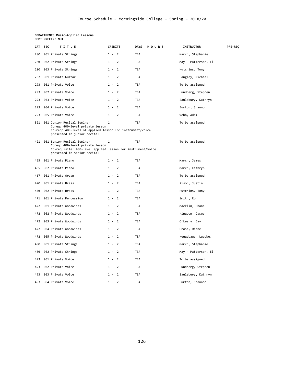### **DEPARTMENT: Music-Applied Lessons DEPT PREFIX: MUAL**

| CAT | <b>SEC</b><br>TITLE                                                                        | <b>CREDITS</b>                    | DAYS<br>HOURS | <b>INSTRUCTOR</b><br><b>PRE-REQ</b> |  |
|-----|--------------------------------------------------------------------------------------------|-----------------------------------|---------------|-------------------------------------|--|
| 280 | 001 Private Strings                                                                        | $1 - 2$                           | TBA           | March, Stephanie                    |  |
| 280 | 002 Private Strings                                                                        | $1 - 2$                           | TBA           | May - Patterson, El                 |  |
| 280 | 003 Private Strings                                                                        | $1 - 2$                           | TBA           | Hutchins, Tony                      |  |
| 282 | 001 Private Guitar                                                                         | $1 - 2$                           | TBA           | Langley, Michael                    |  |
| 293 | 001 Private Voice                                                                          | $\overline{2}$<br>$1 -$           | TBA           | To be assigned                      |  |
| 293 | 002 Private Voice                                                                          | $1 - 2$                           | TBA           | Lundberg, Stephen                   |  |
| 293 | 003 Private Voice                                                                          | $1 - 2$                           | TBA           | Saulsbury, Kathryn                  |  |
| 293 | 004 Private Voice                                                                          | $\overline{\phantom{0}}$<br>$1 -$ | TBA           | Burton, Shannon                     |  |
| 293 | 005 Private Voice                                                                          | $1 - 2$                           | TBA           | Webb, Adam                          |  |
| 321 | 001 Junior Recital Seminar<br>Coreq: 400-level private lesson                              | 1                                 | TBA           | To be assigned                      |  |
|     | Co-req: 400-level of applied lesson for instrument/voice<br>presented in junior recital    |                                   |               |                                     |  |
|     | 421 001 Senior Recital Seminar<br>Coreq: 400-level private lesson                          | 1                                 | TBA           | To be assigned                      |  |
|     | Co-requisite: 400-level applied lesson for instrument/voice<br>presented in senior recital |                                   |               |                                     |  |
| 465 | 001 Private Piano                                                                          | $1 - 2$                           | TBA           | March, James                        |  |
| 465 | 002 Private Piano                                                                          | $1 - 2$                           | TBA           | March, Kathryn                      |  |
| 467 | 001 Private Organ                                                                          | $1 - 2$                           | TBA           | To be assigned                      |  |
| 470 | 001 Private Brass                                                                          | $1 - 2$                           | TBA           | Kisor, Justin                       |  |
| 470 | 002 Private Brass                                                                          | $1 - 2$                           | TBA           | Hutchins, Tony                      |  |
| 471 | 001 Private Percussion                                                                     | $1 - 2$                           | TBA           | Smith, Ron                          |  |
| 472 | 001 Private Woodwinds                                                                      | $1 - 2$                           | TBA           | Macklin, Shane                      |  |
| 472 | 002 Private Woodwinds                                                                      | $\overline{\mathbf{2}}$<br>$1 -$  | TBA           | Kingdon, Casey                      |  |
| 472 | 003 Private Woodwinds                                                                      | $1 - 2$                           | TBA           | O'Leary, Jay                        |  |
| 472 | 004 Private Woodwinds                                                                      | $1 - 2$                           | TBA           | Gross, Diane                        |  |
| 472 | 005 Private Woodwinds                                                                      | $1 - 2$                           | TBA           | Neugebauer Luebke,                  |  |
| 480 | 001 Private Strings                                                                        | $1 - 2$                           | TBA           | March, Stephanie                    |  |
| 480 | 002 Private Strings                                                                        | $1 - 2$                           | TBA           | May - Patterson, El                 |  |
| 493 | 001 Private Voice                                                                          | $1 - 2$                           | TBA           | To be assigned                      |  |
| 493 | 002 Private Voice                                                                          | $1 - 2$                           | TBA           | Lundberg, Stephen                   |  |
| 493 | 003 Private Voice                                                                          | $1 - 2$                           | TBA           | Saulsbury, Kathryn                  |  |
| 493 | 004 Private Voice                                                                          | $1 - 2$                           | TBA           | Burton, Shannon                     |  |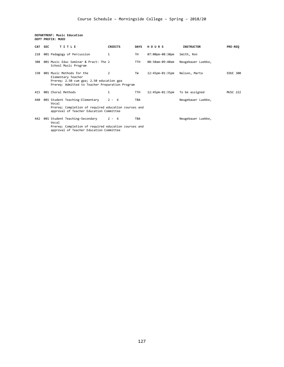**DEPARTMENT: Music Education DEPT PREFIX: MUED**

| CAT SEC |                                                                                                                                                                                                            | TITLE                                                                                                                                       | <b>CREDITS</b> | <b>DAYS</b> | HOURS           | <b>INSTRUCTOR</b>  | <b>PRE-REQ</b>  |
|---------|------------------------------------------------------------------------------------------------------------------------------------------------------------------------------------------------------------|---------------------------------------------------------------------------------------------------------------------------------------------|----------------|-------------|-----------------|--------------------|-----------------|
|         |                                                                                                                                                                                                            | 218 001 Pedagogy of Percussion                                                                                                              | 1              | TH          | 07:00pm-08:30pm | Smith, Ron         |                 |
| 308     |                                                                                                                                                                                                            | 001 Music Educ Seminar & Pract: The 2<br>School Music Program                                                                               |                | TTH.        | 08:50am-09:40am | Neugebauer Luebke, |                 |
| 330     | $\overline{2}$<br>TW<br>001 Music Methods for the<br>Nelson, Marta<br>12:45pm-01:35pm<br>Elementary Teacher<br>Prereq: 2.50 cum gpa; 2.50 education gpa<br>Prereg: Admitted to Teacher Preparation Program |                                                                                                                                             |                |             |                 | <b>EDUC 300</b>    |                 |
| 415     |                                                                                                                                                                                                            | 001 Choral Methods                                                                                                                          | 1              | TTH.        | 12:45pm-01:35pm | To be assigned     | <b>MUSC 222</b> |
| 440     |                                                                                                                                                                                                            | 001 Student Teaching-Elementary<br>Vocal<br>Prereq: Completion of required education courses and<br>approval of Teacher Education Committee | $2 - 6$        | <b>TBA</b>  |                 | Neugebauer Luebke, |                 |
| 442     |                                                                                                                                                                                                            | 001 Student Teaching-Secondary<br>Vocal<br>Prereq: Completion of required education courses and<br>approval of Teacher Education Committee  | $2 - 6$        | TBA         |                 | Neugebauer Luebke, |                 |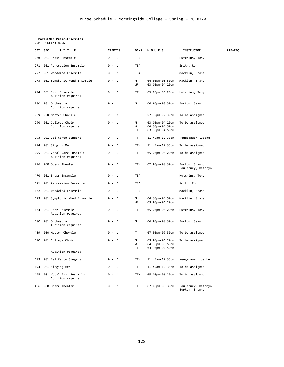**DEPARTMENT: Music-Ensembles DEPT PREFIX: MUEN**

| CAT | TITLE<br><b>SEC</b>                          | <b>CREDITS</b>      | DAYS                 | HOURS                                                 | <b>INSTRUCTOR</b>                     | <b>PRE-REQ</b> |
|-----|----------------------------------------------|---------------------|----------------------|-------------------------------------------------------|---------------------------------------|----------------|
| 270 | 001 Brass Ensemble                           | $0 - 1$             | TBA                  |                                                       | Hutchins, Tony                        |                |
| 271 | 001 Percussion Ensemble                      | 0 - 1               | TBA                  |                                                       | Smith, Ron                            |                |
| 272 | 001 Woodwind Ensemble                        | $0 - 1$             | TBA                  |                                                       | Macklin, Shane                        |                |
| 273 | 001 Symphonic Wind Ensemble                  | 0 -<br>1            | М<br>WF              | 04:30pm-05:50pm<br>03:00pm-04:20pm                    | Macklin, Shane                        |                |
| 274 | 001 Jazz Ensemble<br>Audition required       | 0 -<br>1            | TTH                  | 05:00pm-06:20pm                                       | Hutchins, Tony                        |                |
| 280 | 001 Orchestra<br>Audition required           | 0 -<br>1            | м                    | 06:00pm-08:30pm                                       | Burton, Sean                          |                |
| 289 | 050 Master Chorale                           | 1<br>0 -            | Τ                    | 07:30pm-09:30pm                                       | To be assigned                        |                |
| 290 | 001 College Choir<br>Audition required       | 0 - 1               | М<br>W<br><b>TTH</b> | 03:00pm-04:20pm<br>04:30pm-05:50pm<br>03:30pm-04:50pm | To be assigned                        |                |
| 293 | 001 Bel Canto Singers                        | 0 - 1               | TTH                  | 11:45am-12:35pm                                       | Neugebauer Luebke,                    |                |
| 294 | 001 Singing Men                              | 0 - 1               | TTH                  | 11:45am-12:35pm                                       | To be assigned                        |                |
| 295 | 001 Vocal Jazz Ensemble<br>Audition required | 0 -<br>1            | TTH                  | 05:00pm-06:20pm                                       | To be assigned                        |                |
| 296 | 050 Opera Theater                            | 0 -<br>1            | TTH                  | 07:00pm-08:30pm                                       | Burton, Shannon<br>Saulsbury, Kathryn |                |
| 470 | 001 Brass Ensemble                           | 0 - 1               | TBA                  |                                                       | Hutchins, Tony                        |                |
| 471 | 001 Percussion Ensemble                      | 0 - 1               | TBA                  |                                                       | Smith, Ron                            |                |
| 472 | 001 Woodwind Ensemble                        | 0 -<br>$\mathbf{1}$ | TBA                  |                                                       | Macklin, Shane                        |                |
| 473 | 001 Symphonic Wind Ensemble                  | 0 - 1               | М<br>WF              | 04:30pm-05:50pm<br>03:00pm-04:20pm                    | Macklin, Shane                        |                |
| 474 | 001 Jazz Ensemble<br>Audition required       | 0 - 1               | TTH                  | 05:00pm-06:20pm                                       | Hutchins, Tony                        |                |
| 480 | 001 Orchestra<br>Audition required           | 0 - 1               | м                    | 06:00pm-08:30pm                                       | Burton, Sean                          |                |
| 489 | 050 Master Chorale                           | 0 - 1               | Τ                    | 07:30pm-09:30pm                                       | To be assigned                        |                |
| 490 | 001 College Choir                            | 0 - 1               | м<br>W<br>TTH        | 03:00pm-04:20pm<br>04:30pm-05:50pm<br>03:30pm-04:50pm | To be assigned                        |                |
|     | Audition required                            |                     |                      |                                                       |                                       |                |
| 493 | 001 Bel Canto Singers                        | 0 - 1               | TTH                  | 11:45am-12:35pm                                       | Neugebauer Luebke,                    |                |
| 494 | 001 Singing Men                              | 0 - 1               | TTH                  | 11:45am-12:35pm                                       | To be assigned                        |                |
| 495 | 001 Vocal Jazz Ensemble<br>Audition required | 0 - 1               | TTH                  | 05:00pm-06:20pm                                       | To be assigned                        |                |
| 496 | 050 Opera Theater                            | $0 - 1$             | TTH                  | 07:00pm-08:30pm                                       | Saulsbury, Kathryn<br>Burton, Shannon |                |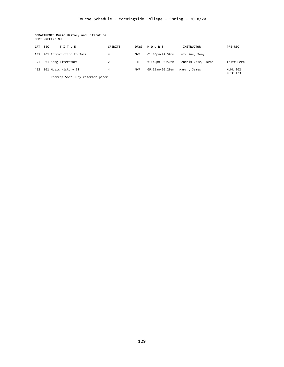## **DEPARTMENT: Music History and Literature DEPT PREFIX: MUHL**

| CAT SEC | TITLE                        | <b>CREDITS</b> | DAYS       | <b>HOURS</b>    | <b>INSTRUCTOR</b>   | PRE-REO                            |
|---------|------------------------------|----------------|------------|-----------------|---------------------|------------------------------------|
|         | 105 001 Introduction to Jazz | 4              | <b>MWF</b> | 01:45pm-02:50pm | Hutchins, Tony      |                                    |
|         | 391 001 Song Literature      | 2              | TTH        | 01:45pm-02:50pm | Hendrix-Case, Suzan | Instr Perm                         |
|         | 402 001 Music History II     | 4              | <b>MWF</b> | 09:15am-10:20am | March, James        | <b>MUHL 102</b><br><b>MUTC 133</b> |

Prereq: Soph Jury reserach paper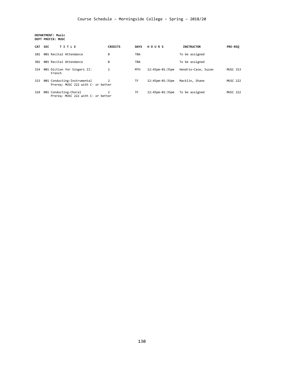### **DEPARTMENT: Music DEPT PREFIX: MUSC**

| CAT | <b>SEC</b> | TITLE                                                             | <b>CREDITS</b> | <b>DAYS</b> | HOURS           | <b>INSTRUCTOR</b>   | <b>PRE-REQ</b>  |
|-----|------------|-------------------------------------------------------------------|----------------|-------------|-----------------|---------------------|-----------------|
| 102 |            | 001 Recital Attendance                                            | 0              | TBA         |                 | To be assigned      |                 |
|     |            | 302 001 Recital Attendance                                        | 0              | <b>TBA</b>  |                 | To be assigned      |                 |
| 314 |            | 001 Diction for Singers II:<br>French                             | 2              | <b>MTH</b>  | 12:45pm-01:35pm | Hendrix-Case, Suzan | <b>MUSC 313</b> |
| 323 |            | 001 Conducting-Instrumental<br>Prereq: MUSC 222 with C- or better |                | TF          | 12:45pm-01:35pm | Macklin, Shane      | <b>MUSC 222</b> |
| 324 |            | 001 Conducting-Choral<br>Prereq: MUSC 222 with C- or better       |                | ΤF          | 12:45pm-01:35pm | To be assigned      | MUSC 222        |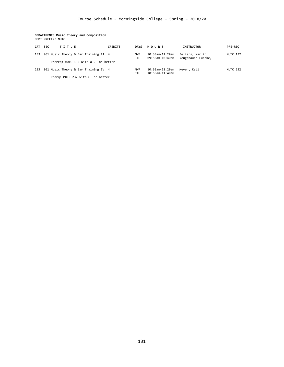|         | DEPT PREFIX: MUTC                                                                |                |             |                                    |                                       |                 |
|---------|----------------------------------------------------------------------------------|----------------|-------------|------------------------------------|---------------------------------------|-----------------|
| CAT SEC | TITLE                                                                            | <b>CREDITS</b> | DAYS        | HOURS                              | <b>INSTRUCTOR</b>                     | <b>PRE-REQ</b>  |
|         | 133 001 Music Theory & Ear Training II 4<br>Prereg: MUTC 132 with a C- or better |                | MWF<br>TTH. | 10:30am-11:20am<br>09:50am-10:40am | Jeffers, Marlin<br>Neugebauer Luebke, | MUTC 132        |
| 233     | 001 Music Theory & Ear Training IV 4<br>Prerg: MUTC 232 with C- or better        |                | MWF<br>TTH. | 10:30am-11:20am<br>10:50am-11:40am | Meyer, Kati                           | <b>MUTC 232</b> |

# **DEPARTMENT: Music Theory and Composition**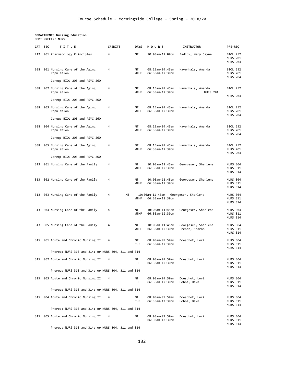### **DEPARTMENT: Nursing Education DEPT PREFIX: NURS**

|     | CAT SEC | TITLE                                              | <b>CREDITS</b> | <b>DAYS</b>       | HOURS                              | <b>INSTRUCTOR</b>                     | <b>PRE-REQ</b>                                        |
|-----|---------|----------------------------------------------------|----------------|-------------------|------------------------------------|---------------------------------------|-------------------------------------------------------|
| 212 |         | 001 Pharmacology Principles                        | 4              | МT                | 10:00am-12:00pm                    | Jadick, Mary Jayne                    | BIOL 252<br><b>NURS 201</b><br><b>NURS 204</b>        |
| 308 |         | 001 Nursing Care of the Aging<br>Population        | 4              | МT<br><b>WTHF</b> | 08:15am-09:45am<br>06:30am-12:30pm | Haverhals, Amanda                     | BIOL 252<br><b>NURS 201</b><br><b>NURS 204</b>        |
|     |         | Coreq: BIOL 205 and PSYC 260                       |                |                   |                                    |                                       |                                                       |
| 308 |         | 002 Nursing Care of the Aging<br>Population        | 4              | МT<br><b>WTHF</b> | 08:15am-09:45am<br>06:30am-12:30pm | Haverhals, Amanda<br><b>NURS 201</b>  | BIOL 252                                              |
|     |         | Coreq: BIOL 205 and PSYC 260                       |                |                   |                                    |                                       | <b>NURS 204</b>                                       |
| 308 |         | 003 Nursing Care of the Aging<br>Population        | 4              | МT<br><b>WTHF</b> | 08:15am-09:45am<br>06:30am-12:30pm | Haverhals, Amanda                     | BIOL 252<br><b>NURS 201</b><br><b>NURS 204</b>        |
|     |         | Coreq: BIOL 205 and PSYC 260                       |                |                   |                                    |                                       |                                                       |
| 308 |         | 004 Nursing Care of the Aging<br>Population        | 4              | МT<br><b>WTHF</b> | 08:15am-09:45am<br>06:30am-12:30pm | Haverhals, Amanda                     | BIOL 252<br><b>NURS 201</b><br><b>NURS 204</b>        |
|     |         | Coreq: BIOL 205 and PSYC 260                       |                |                   |                                    |                                       |                                                       |
| 308 |         | 005 Nursing Care of the Aging<br>Population        | 4              | МT<br><b>WTHF</b> | 08:15am-09:45am<br>06:30am-12:30pm | Haverhals, Amanda                     | BIOL 252<br><b>NURS 201</b><br><b>NURS 204</b>        |
|     |         | Coreq: BIOL 205 and PSYC 260                       |                |                   |                                    |                                       |                                                       |
| 313 |         | 001 Nursing Care of the Family                     | 4              | МT<br>WTHF        | 10:00am-11:45am<br>06:30am-12:30pm | Georgesen, Sharlene                   | <b>NURS 304</b><br><b>NURS 311</b><br><b>NURS 314</b> |
| 313 |         | 002 Nursing Care of the Family                     | 4              | МT<br>WTHF        | 10:00am-11:45am<br>06:30am-12:30pm | Georgesen, Sharlene                   | <b>NURS 304</b><br><b>NURS 311</b><br><b>NURS 314</b> |
| 313 |         | 003 Nursing Care of the Family                     | МT<br>4        | WTHF              | 10:00am-11:45am<br>06:30am-12:30pm | Georgesen, Sharlene                   | <b>NURS 304</b><br><b>NURS 311</b><br><b>NURS 314</b> |
| 313 |         | 004 Nursing Care of the Family                     | 4              | МT<br><b>WTHF</b> | 10:00am-11:45am<br>06:30am-12:30pm | Georgesen, Sharlene                   | <b>NURS 304</b><br><b>NURS 311</b><br><b>NURS 314</b> |
| 313 |         | 005 Nursing Care of the Family                     | 4              | МT<br><b>WTHF</b> | 10:00am-11:45am<br>06:30am-12:30pm | Georgesen, Sharlene<br>French, Sharon | <b>NURS 304</b><br><b>NURS 311</b><br><b>NURS 314</b> |
| 315 |         | 001 Acute and Chronic Nursing II                   | 4              | МT<br>THF         | 08:00am-09:50am<br>06:30am-12:30pm | Doeschot, Lori                        | <b>NURS 304</b><br><b>NURS 311</b><br><b>NURS 314</b> |
|     |         | Prereq: NURS 310 and 314; or NURS 304, 311 and 314 |                |                   |                                    |                                       |                                                       |
|     |         | 315 002 Acute and Chronic Nursing II               | 4              | МT<br>THF         | 08:00am-09:50am<br>06:30am-12:30pm | Doeschot, Lori                        | <b>NURS 304</b><br><b>NURS 311</b><br><b>NURS 314</b> |
|     |         | Prereq: NURS 310 and 314; or NURS 304, 311 and 314 |                |                   |                                    |                                       |                                                       |
|     |         | 315 003 Acute and Chronic Nursing II               | 4              | МT<br>THF         | 08:00am-09:50am<br>06:30am-12:30pm | Doeschot, Lori<br>Hobbs, Dawn         | <b>NURS 304</b><br><b>NURS 311</b><br><b>NURS 314</b> |
|     |         | Prereq: NURS 310 and 314; or NURS 304, 311 and 314 |                |                   |                                    |                                       |                                                       |
|     |         | 315 004 Acute and Chronic Nursing II               | 4              | MT<br>THF         | 08:00am-09:50am<br>06:30am-12:30pm | Doeschot, Lori<br>Hobbs, Dawn         | <b>NURS 304</b><br><b>NURS 311</b><br><b>NURS 314</b> |
|     |         | Prereq: NURS 310 and 314; or NURS 304, 311 and 314 |                |                   |                                    |                                       |                                                       |
| 315 |         | 005 Acute and Chronic Nursing II                   | 4              | MT<br>THF         | 08:00am-09:50am<br>06:30am-12:30pm | Doeschot, Lori                        | <b>NURS 304</b><br><b>NURS 311</b><br><b>NURS 314</b> |
|     |         | Prereq: NURS 310 and 314; or NURS 304, 311 and 314 |                |                   |                                    |                                       |                                                       |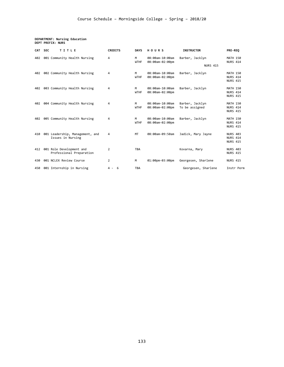| DEPARTMENT: Nursing Education |  |
|-------------------------------|--|
| DEPT PREFIX: NURS             |  |

|     | CAT SEC<br>TITLE                | <b>CREDITS</b> | <b>DAYS</b>      | <b>HOURS</b>                       | <b>INSTRUCTOR</b>   | PRE-REO                            |
|-----|---------------------------------|----------------|------------------|------------------------------------|---------------------|------------------------------------|
| 402 | 001 Community Health Nursing    | 4              | M<br><b>WTHF</b> | 08:00am-10:00am<br>08:00am-02:00pm | Barber, Jacklyn     | <b>MATH 150</b><br><b>NURS 414</b> |
|     |                                 |                |                  |                                    | <b>NURS 415</b>     |                                    |
| 402 | 002 Community Health Nursing    | 4              | M                | 08:00am-10:00am                    | Barber, Jacklyn     | <b>MATH 150</b>                    |
|     |                                 |                | <b>WTHF</b>      | 08:00am-02:00pm                    |                     | <b>NURS 414</b>                    |
|     |                                 |                |                  |                                    |                     | <b>NURS 415</b>                    |
| 402 | 003 Community Health Nursing    | 4              | M                | 08:00am-10:00am                    | Barber, Jacklyn     | <b>MATH 150</b>                    |
|     |                                 |                | <b>WTHF</b>      | 08:00am-02:00pm                    |                     | <b>NURS 414</b>                    |
|     |                                 |                |                  |                                    |                     | <b>NURS 415</b>                    |
| 402 | 004 Community Health Nursing    | 4              | M                | 08:00am-10:00am                    | Barber, Jacklyn     | <b>MATH 150</b>                    |
|     |                                 |                | <b>WTHF</b>      | 08:00am-02:00pm                    | To be assigned      | <b>NURS 414</b>                    |
|     |                                 |                |                  |                                    |                     | <b>NURS 415</b>                    |
| 402 | 005 Community Health Nursing    | 4              | M                | 08:00am-10:00am                    | Barber, Jacklyn     | <b>MATH 150</b>                    |
|     |                                 |                | <b>WTHF</b>      | 08:00am-02:00pm                    |                     | <b>NURS 414</b>                    |
|     |                                 |                |                  |                                    |                     | <b>NURS 415</b>                    |
| 410 | 001 Leadership, Management, and | 4              | MT               | 08:00am-09:50am                    | Jadick, Mary Jayne  | <b>NURS 403</b>                    |
|     | Issues in Nursing               |                |                  |                                    |                     | <b>NURS 414</b>                    |
|     |                                 |                |                  |                                    |                     | <b>NURS 415</b>                    |
| 412 | 001 Role Development and        | 2              | <b>TBA</b>       |                                    | Kovarna, Mary       | <b>NURS 403</b>                    |
|     | Professional Preparation        |                |                  |                                    |                     | <b>NURS 415</b>                    |
| 430 | 001 NCLEX Review Course         | 2              | M                | 01:00pm-03:00pm                    | Georgesen, Sharlene | <b>NURS 415</b>                    |
| 450 | 001 Internship in Nursing       | $4 - 6$        | <b>TBA</b>       |                                    | Georgesen, Sharlene | Instr Perm                         |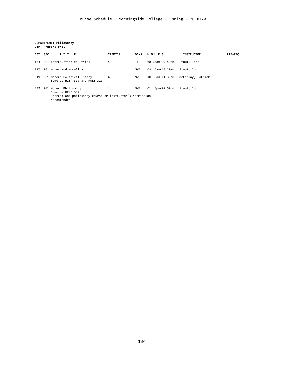# **DEPARTMENT: Philosophy DEPT PREFIX: PHIL**

| CAT SEC |                                                                                                                                                                        | TITLE                                                            | <b>CREDITS</b> | DAYS | <b>HOURS</b>    | <b>INSTRUCTOR</b> | <b>PRE-REQ</b> |
|---------|------------------------------------------------------------------------------------------------------------------------------------------------------------------------|------------------------------------------------------------------|----------------|------|-----------------|-------------------|----------------|
|         |                                                                                                                                                                        | 103 001 Introduction to Ethics                                   | 4              | TTH. | 08:00am-09:40am | Stout, John       |                |
| 217     |                                                                                                                                                                        | 001 Money and Morality                                           | 4              | MWF  | 09:15am-10:20am | Stout, John       |                |
|         |                                                                                                                                                                        | 319 001 Modern Political Theory<br>Same as HIST 319 and POLS 319 | 4              | MWF  | 10:30am-11:35am | McKinlay, Patrick |                |
|         | 332 001 Modern Philosophy<br>MWF<br>01:45pm-02:50pm<br>4<br>Stout, John<br>Same as RELG 332<br>Prereq: One philosophy course or instructor's permission<br>recommended |                                                                  |                |      |                 |                   |                |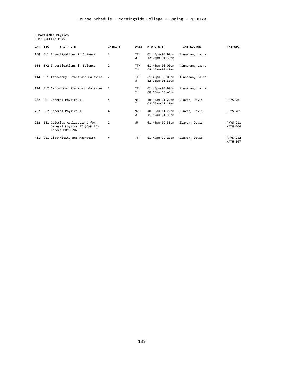**DEPARTMENT: Physics DEPT PREFIX: PHYS**

| CAT SEC | TITLE                                                                           | <b>CREDITS</b> | <b>DAYS</b>             | HOURS                              | <b>INSTRUCTOR</b> | <b>PRE-REO</b>                     |
|---------|---------------------------------------------------------------------------------|----------------|-------------------------|------------------------------------|-------------------|------------------------------------|
| 104     | SH1 Investigations in Science                                                   | 2              | <b>TTH</b><br>W         | 01:45pm-03:00pm<br>12:00pm-01:30pm | Kinnaman, Laura   |                                    |
| 104     | SH2 Investigations in Science                                                   | 2              | <b>TTH</b><br><b>TH</b> | 01:45pm-03:00pm<br>08:10am-09:40am | Kinnaman, Laura   |                                    |
| 114     | FH1 Astronomy: Stars and Galaxies                                               | -2             | TTH.<br>W               | 01:45pm-03:00pm<br>12:00pm-01:30pm | Kinnaman, Laura   |                                    |
| 114     | FH2 Astronomy: Stars and Galaxies                                               | 2              | <b>TTH</b><br>TH.       | 01:45pm-03:00pm<br>08:10am-09:40am | Kinnaman, Laura   |                                    |
| 202     | 001 General Physics II                                                          | 4              | <b>MWF</b><br>т         | 10:30am-11:20am<br>09:50am-11:40am | Slaven, David     | <b>PHYS 201</b>                    |
| 202     | 002 General Physics II                                                          | 4              | <b>MWF</b><br>W         | 10:30am-11:20am<br>11:45am-01:35pm | Slaven, David     | <b>PHYS 201</b>                    |
| 212     | 001 Calculus Applications for<br>General Physics II (CAP II)<br>Coreg: PHYS 202 | 2              | WF                      | 01:45pm-02:35pm                    | Slaven, David     | <b>PHYS 211</b><br><b>MATH 206</b> |
| 411     | 001 Electricity and Magnetism                                                   | 4              | <b>TTH</b>              | 01:45pm-03:25pm                    | Slaven, David     | <b>PHYS 212</b><br><b>MATH 307</b> |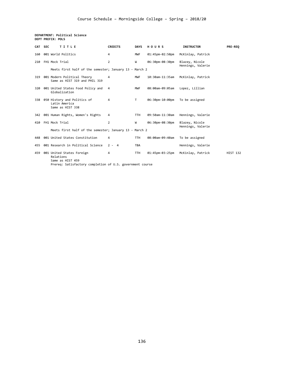|                   | DEPARTMENT: Political Science |  |
|-------------------|-------------------------------|--|
| DEPT PREFIX: POLS |                               |  |

| CAT SEC | TITLE                                                                                                                   | <b>CREDITS</b> | <b>DAYS</b> | HOURS           | <b>INSTRUCTOR</b>                   | PRE-REO         |
|---------|-------------------------------------------------------------------------------------------------------------------------|----------------|-------------|-----------------|-------------------------------------|-----------------|
|         | 160 001 World Politics                                                                                                  | 4              | MWF         | 01:45pm-02:50pm | McKinlay, Patrick                   |                 |
|         | 210 FH1 Mock Trial                                                                                                      | $\overline{2}$ | W           | 06:30pm-08:30pm | Blazey, Nicole<br>Hennings, Valerie |                 |
|         | Meets first half of the semester; January 13 - March 2                                                                  |                |             |                 |                                     |                 |
|         | 319 001 Modern Political Theory<br>Same as HIST 319 and PHIL 319                                                        | 4              | <b>MWF</b>  | 10:30am-11:35am | McKinlay, Patrick                   |                 |
|         | 320 001 United States Food Policy and 4<br>Globalization                                                                |                | MWF         | 08:00am-09:05am | Lopez, Lillian                      |                 |
|         | 338 050 History and Politics of<br>Latin America<br>Same as HIST 338                                                    | 4              | T           | 06:30pm-10:00pm | To be assigned                      |                 |
|         | 342 001 Human Rights, Women's Rights                                                                                    | $\overline{4}$ | <b>TTH</b>  | 09:50am-11:30am | Hennings, Valerie                   |                 |
|         | 410 FH1 Mock Trial                                                                                                      | 2              | W           | 06:30pm-08:30pm | Blazey, Nicole<br>Hennings, Valerie |                 |
|         | Meets first half of the semester; January 13 - March 2                                                                  |                |             |                 |                                     |                 |
|         | 448 001 United States Constitution                                                                                      | 4              | <b>TTH</b>  | 08:00am-09:40am | To be assigned                      |                 |
|         | 455 001 Research in Political Science                                                                                   | $2 - 4$        | TBA         |                 | Hennings, Valerie                   |                 |
| 459     | 001 United States Foreign<br>Relations<br>Same as HIST 459<br>Prereq: Satisfactory completion of U.S. government course | 4              | TTH         | 01:45pm-03:25pm | McKinlay, Patrick                   | <b>HIST 132</b> |
|         |                                                                                                                         |                |             |                 |                                     |                 |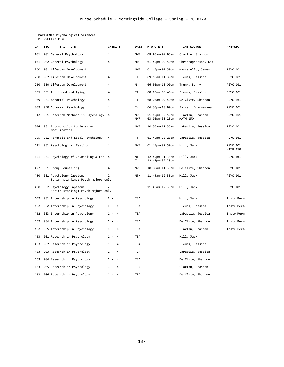### **DEPARTMENT: Psychological Sciences DEPT PREFIX: PSYC**

| CAT | <b>SEC</b><br>TITLE                                           | <b>CREDITS</b>          | <b>DAYS</b>      | HOURS                              | <b>INSTRUCTOR</b>                   | PRE-REQ                            |
|-----|---------------------------------------------------------------|-------------------------|------------------|------------------------------------|-------------------------------------|------------------------------------|
| 101 | 001 General Psychology                                        | 4                       | MWF              | 08:00am-09:05am                    | Claxton, Shannon                    |                                    |
| 101 | 002 General Psychology                                        | 4                       | MWF              | 01:45pm-02:50pm                    | Christopherson, Kim                 |                                    |
| 260 | 001 Lifespan Development                                      | 4                       | MWF              | 01:45pm-02:50pm                    | Mascarello, James                   | <b>PSYC 101</b>                    |
| 260 | 002 Lifespan Development                                      | 4                       | TTH              | 09:50am-11:30am                    | Pleuss, Jessica                     | PSYC 101                           |
| 260 | 050 Lifespan Development                                      | 4                       | М                | 06:30pm-10:00pm                    | Trunk, Barry                        | <b>PSYC 101</b>                    |
| 305 | 001 Adulthood and Aging                                       |                         | TTH              | 08:00am-09:40am                    | Pleuss, Jessica                     | <b>PSYC 101</b>                    |
| 309 | 001 Abnormal Psychology                                       | 4                       | TTH              | 08:00am-09:40am                    | De Clute, Shannon                   | <b>PSYC 101</b>                    |
| 309 | 050 Abnormal Psychology                                       | 4                       | TH               | 06:30pm-10:00pm                    | Jairam, Dharmamanan                 | <b>PSYC 101</b>                    |
| 312 | 001 Research Methods in Psychology                            | 4                       | MWF<br>MWF       | 01:45pm-02:50pm<br>03:00pm-03:25pm | Claxton, Shannon<br><b>MATH 150</b> | <b>PSYC 101</b>                    |
| 344 | 001 Introduction to Behavior<br>Modification                  | 4                       | MWF              | 10:30am-11:35am                    | LaPaglia, Jessica                   | <b>PSYC 101</b>                    |
| 355 | 001 Forensic and Legal Psychology                             | 4                       | TTH              | 01:45pm-03:25pm                    | LaPaglia, Jessica                   | <b>PSYC 101</b>                    |
| 411 | 001 Psychological Testing                                     | 4                       | MWF              | 01:45pm-02:50pm                    | Hill, Jack                          | <b>PSYC 101</b><br><b>MATH 150</b> |
| 421 | 001 Psychology of Counseling & Lab 4                          |                         | <b>MTHF</b><br>Τ | 12:45pm-01:35pm<br>12:45pm-02:25pm | Hill, Jack                          | <b>PSYC 101</b>                    |
| 422 | 001 Group Counseling                                          | 4                       | MWF              | 10:30am-11:35am                    | De Clute, Shannon                   | PSYC 101                           |
| 450 | 001 Psychology Capstone<br>Senior standing; Psych majors only | 2                       | MTH              | 11:45am-12:35pm                    | Hill, Jack                          | <b>PSYC 101</b>                    |
| 450 | 002 Psychology Capstone<br>Senior standing; Psych majors only | 2                       | ΤF               | 11:45am-12:35pm                    | Hill, Jack                          | <b>PSYC 101</b>                    |
| 462 | 001 Internship in Psychology                                  | 1 -<br>4                | TBA              |                                    | Hill, Jack                          | Instr Perm                         |
| 462 | 002 Internship in Psychology                                  | 4<br>$1 -$              | TBA              |                                    | Pleuss, Jessica                     | Instr Perm                         |
| 462 | 003 Internship in Psychology                                  | 4<br>$1 -$              | TBA              |                                    | LaPaglia, Jessica                   | Instr Perm                         |
| 462 | 004 Internship in Psychology                                  | 4<br>$1 -$              | TBA              |                                    | De Clute, Shannon                   | Instr Perm                         |
| 462 | 005 Internship in Psychology                                  | 4<br>1 -                | TBA              |                                    | Claxton, Shannon                    | Instr Perm                         |
| 463 | 001 Research in Psychology                                    | 4<br>1 -                | TBA              |                                    | Hill, Jack                          |                                    |
| 463 | 002 Research in Psychology                                    | $\overline{4}$<br>$1 -$ | <b>TBA</b>       |                                    | Pleuss, Jessica                     |                                    |
| 463 | 003 Research in Psychology                                    | -4<br>$1 -$             | TBA              |                                    | LaPaglia, Jessica                   |                                    |
| 463 | 004 Research in Psychology                                    | 4<br>$1 -$              | TBA              |                                    | De Clute, Shannon                   |                                    |
| 463 | 005 Research in Psychology                                    | 4<br>1 -                | TBA              |                                    | Claxton, Shannon                    |                                    |
| 463 | 006 Research in Psychology                                    | $1 -$<br>$\overline{a}$ | TBA              |                                    | De Clute, Shannon                   |                                    |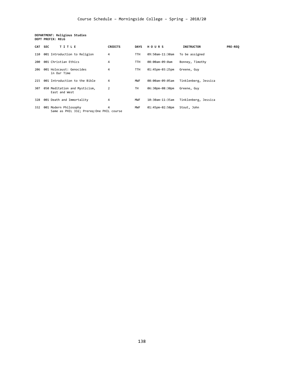|                   | DEPARTMENT: Religious Studies |  |
|-------------------|-------------------------------|--|
| DEPT PREFIX: RELG |                               |  |

| CAT SEC | TITLE                                                             | <b>CREDITS</b> | DAYS       | <b>HOURS</b>    | <b>INSTRUCTOR</b>    | <b>PRE-REQ</b> |
|---------|-------------------------------------------------------------------|----------------|------------|-----------------|----------------------|----------------|
|         | 110 001 Introduction to Religion                                  | 4              | TTH.       | 09:50am-11:30am | To be assigned       |                |
| 200     | 001 Christian Ethics                                              | 4              | TTH        | 08:00am-09:0am  | Bonney, Timothy      |                |
| 206     | 001 Holocaust: Genocides<br>in Our Time                           | 4              | TTH.       | 01:45pm-03:25pm | Greene, Guy          |                |
| 215     | 001 Introduction to the Bible                                     | 4              | MWF        | 08:00am-09:05am | Tinklenberg, Jessica |                |
|         | 307 050 Meditation and Mysticism,<br>East and West                | 2              | TH         | 06:30pm-08:30pm | Greene, Guy          |                |
|         | 328 001 Death and Immortality                                     | 4              | <b>MWF</b> | 10:30am-11:35am | Tinklenberg, Jessica |                |
| 332     | 001 Modern Philosophy<br>Same as PHIL 332; Prereg:One PHIL course | 4              | MWF        | 01:45pm-02:50pm | Stout, John          |                |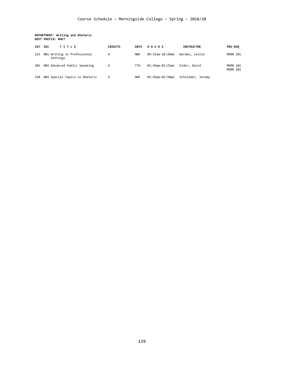## **DEPARTMENT: Writing and Rhetoric DEPT PREFIX: RHET**

| CAT SEC | TITLE                                       | <b>CREDITS</b> | <b>DAYS</b> | <b>HOURS</b>    | <b>INSTRUCTOR</b> | <b>PRE-REQ</b>                     |
|---------|---------------------------------------------|----------------|-------------|-----------------|-------------------|------------------------------------|
|         | 215 001 Writing in Professional<br>Settings | 4              | <b>MWF</b>  | 09:15am-10:20am | Werden. Leslie    | <b>MORN 101</b>                    |
|         | 301 001 Advanced Public Speaking            | 4              | <b>TTH</b>  | 01:45pm-03:25pm | Elder. David      | <b>MORN 101</b><br><b>MORN 102</b> |
|         | 320 001 Special Topics in Rhetoric          | 4              | <b>MWF</b>  | 01:45pm-02:50pm | Schnieder, Jeremy |                                    |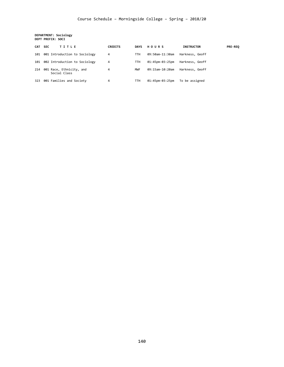### **DEPARTMENT: Sociology DEPT PREFIX: SOCI**

| CAT SEC |              | TITLE                             | <b>CREDITS</b> | DAYS       | <b>HOURS</b>    | <b>INSTRUCTOR</b> | <b>PRE-REQ</b> |
|---------|--------------|-----------------------------------|----------------|------------|-----------------|-------------------|----------------|
|         |              | 101 001 Introduction to Sociology | 4              | TTH        | 09:50am-11:30am | Harkness, Geoff   |                |
|         |              | 101 002 Introduction to Sociology | 4              | TTH        | 01:45pm-03:25pm | Harkness, Geoff   |                |
| 214     | Social Class | 001 Race, Ethnicity, and          | 4              | <b>MWF</b> | 09:15am-10:20am | Harkness, Geoff   |                |
|         |              | 323 001 Families and Society      | 4              | TTH        | 01:45pm-03:25pm | To be assigned    |                |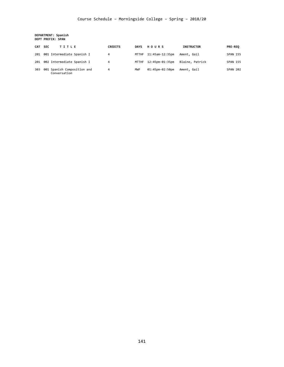### **DEPARTMENT: Spanish DEPT PREFIX: SPAN**

| CAT SEC | TITLE                                       | <b>CREDITS</b> | <b>DAYS</b> | HOURS                 | <b>INSTRUCTOR</b> | <b>PRE-REQ</b>  |
|---------|---------------------------------------------|----------------|-------------|-----------------------|-------------------|-----------------|
| 201     | 001 Intermediate Spanish I                  | 4              |             | MTTHF 11:45am-12:35pm | Ament. Gail       | <b>SPAN 155</b> |
| 201     | 002 Intermediate Spanish I                  | $\overline{4}$ | MTTHF       | 12:45pm-01:35pm       | Blaine, Patrick   | <b>SPAN 155</b> |
| 303     | 001 Spanish Composition and<br>Conversation | $\overline{4}$ | <b>MWF</b>  | 01:45pm-02:50pm       | Ament, Gail       | <b>SPAN 202</b> |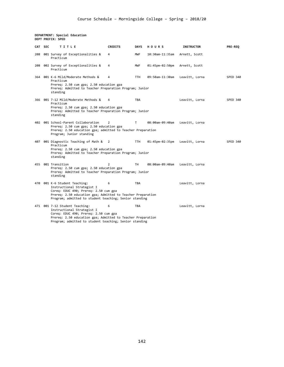## **DEPARTMENT: Special Education DEPT PREFIX: SPED**

| CAT SEC | TITLE                                                                                                                                                                                                                     | <b>CREDITS</b> | <b>DAYS</b> | <b>HOURS</b>    | <b>INSTRUCTOR</b> | <b>PRE-REQ</b> |
|---------|---------------------------------------------------------------------------------------------------------------------------------------------------------------------------------------------------------------------------|----------------|-------------|-----------------|-------------------|----------------|
|         | 208 001 Survey of Exceptionalities &<br>Practicum                                                                                                                                                                         | 4              | <b>MWF</b>  | 10:30am-11:35am | Arnett, Scott     |                |
| 208     | 002 Survey of Exceptionalities &<br>Practicum                                                                                                                                                                             | 4              | <b>MWF</b>  | 01:45pm-02:50pm | Arnett, Scott     |                |
| 364     | 001 K-6 Mild/Moderate Methods &<br>Practicum<br>Prereq: 2.50 cum gpa; 2.50 education gpa<br>Prereq: Admitted to Teacher Preparation Program; Junior<br>standing                                                           | 4              | TTH.        | 09:50am-11:30am | Leavitt, Lorna    | SPED 340       |
|         | 366 001 7-12 Mild/Moderate Methods &<br>Practicum<br>Prereq: 2.50 cum gpa; 2.50 education gpa<br>Prereq: Admitted to Teacher Preparation Program; Junior<br>standing                                                      | 4              | TBA         |                 | Leavitt, Lorna    | SPED 340       |
| 402     | 001 School-Parent Collaboration<br>Prereq: 2.50 cum gpa; 2.50 education gpa<br>Prereq: 2.50 education gpa; admitted to Teacher Preparation<br>Program; Junior standing                                                    | 2              | T.          | 08:00am-09:40am | Leavitt, Lorna    |                |
| 407     | 001 Diagnostic Teaching of Math & 2<br>Practicum<br>Prereq: 2.50 cum gpa; 2.50 education gpa<br>Prereq: Admitted to Teacher Preparation Program; Junior<br>standing                                                       |                | TTH         | 01:45pm-02:35pm | Leavitt, Lorna    | SPED 340       |
|         | 455 001 Transition<br>Prereq: 2.50 cum gpa; 2.50 education gpa<br>Prereq: Admitted to Teacher Preparation Program; Junior<br>standing                                                                                     | 2              | TH          | 08:00am-09:40am | Leavitt, Lorna    |                |
| 470     | 001 K-6 Student Teaching:<br>Instructional Strategist I<br>Coreq: EDUC 490; Prereq: 2.50 cum gpa<br>Prereq: 2.50 education gpa; Admitted to Teacher Preparation<br>Program; admitted to student teaching; Senior standing | 6              | <b>TBA</b>  |                 | Leavitt, Lorna    |                |
|         | 471 001 7-12 Student Teaching:<br>Instructional Strategist I<br>Coreq: EDUC 490; Prereq: 2.50 cum gpa<br>Prereq: 2.50 education gpa; Admitted to Teacher Preparation                                                      | 6              | <b>TBA</b>  |                 | Leavitt, Lorna    |                |

Program; admitted to student teaching; Senior standing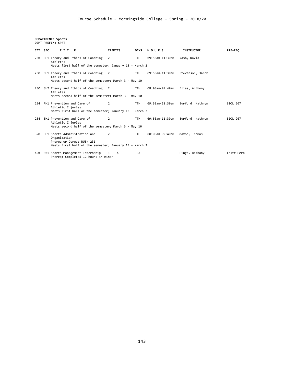| <b>DEPARTMENT: Sports</b> |  |
|---------------------------|--|
| <b>DEPT PREFIX: SPRT</b>  |  |

| CAT SEC                                             |                                                                                     | TITLE                                                                             | <b>CREDITS</b> |            | DAYS HOURS      | <b>INSTRUCTOR</b> | PRE-REO         |  |
|-----------------------------------------------------|-------------------------------------------------------------------------------------|-----------------------------------------------------------------------------------|----------------|------------|-----------------|-------------------|-----------------|--|
|                                                     |                                                                                     | 230 FH1 Theory and Ethics of Coaching 2<br>Athletes                               |                | <b>TTH</b> | 09:50am-11:30am | Nash, David       |                 |  |
|                                                     |                                                                                     | Meets first half of the semester; January 13 - March 2                            |                |            |                 |                   |                 |  |
|                                                     |                                                                                     | 230 SH1 Theory and Ethics of Coaching 2<br>Athletes                               |                | <b>TTH</b> | 09:50am-11:30am | Stevenson, Jacob  |                 |  |
|                                                     |                                                                                     | Meets second half of the semester; March 3 - May 10                               |                |            |                 |                   |                 |  |
|                                                     |                                                                                     | 230 SH2 Theory and Ethics of Coaching 2<br>Athletes                               |                | TTH        | 08:00am-09:40am | Elias, Anthony    |                 |  |
|                                                     | Meets second half of the semester; March 3 - May 10                                 |                                                                                   |                |            |                 |                   |                 |  |
|                                                     |                                                                                     | 254 FH1 Prevention and Care of<br>Athletic Injuries                               | $\overline{2}$ | <b>TTH</b> | 09:50am-11:30am | Burford, Kathryn  | <b>BIOL 207</b> |  |
|                                                     | Meets first half of the semester; January 13 - March 2                              |                                                                                   |                |            |                 |                   |                 |  |
|                                                     |                                                                                     | 254 SH1 Prevention and Care of<br>Athletic Injuries                               | $\overline{2}$ | <b>TTH</b> | 09:50am-11:30am | Burford, Kathryn  | <b>BIOL 207</b> |  |
| Meets second half of the semester; March 3 - May 10 |                                                                                     |                                                                                   |                |            |                 |                   |                 |  |
|                                                     |                                                                                     | 320 FH1 Sports Administration and<br>Organization                                 | 2              | TTH        | 08:00am-09:40am | Maxon, Thomas     |                 |  |
|                                                     | Prereg or Coreg: BUSN 231<br>Meets first half of the semester; January 13 - March 2 |                                                                                   |                |            |                 |                   |                 |  |
|                                                     |                                                                                     | 450 001 Sports Management Internship 1 - 4<br>Prereq: Completed 12 hours in minor |                | <b>TBA</b> |                 | Hinga, Bethany    | Instr Perm      |  |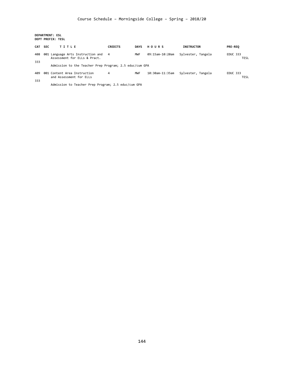**DEPARTMENT: ESL DEPT PREFIX: TESL**

| CAT SEC    | TITLE                                                               | <b>CREDITS</b> | DAYS       | HOURS           | <b>INSTRUCTOR</b>  | <b>PRE-REO</b>                 |  |  |  |
|------------|---------------------------------------------------------------------|----------------|------------|-----------------|--------------------|--------------------------------|--|--|--|
| 408<br>333 | 001 Language Arts Instruction and 4<br>Assessment for ELLs & Pract. |                | <b>MWF</b> | 09:15am-10:20am | Sylvester, Tangela | <b>EDUC 333</b><br>TESL        |  |  |  |
|            | Admission to the Teacher Prep Program; 2.5 educ/cum GPA             |                |            |                 |                    |                                |  |  |  |
| 409<br>333 | 001 Content Area Instruction<br>and Assessment for ELLs             | 4              | <b>MWF</b> | 10:30am-11:35am | Sylvester, Tangela | <b>EDUC 333</b><br><b>TESL</b> |  |  |  |

Admission to Teacher Prep Program; 2.5 educ/cum GPA